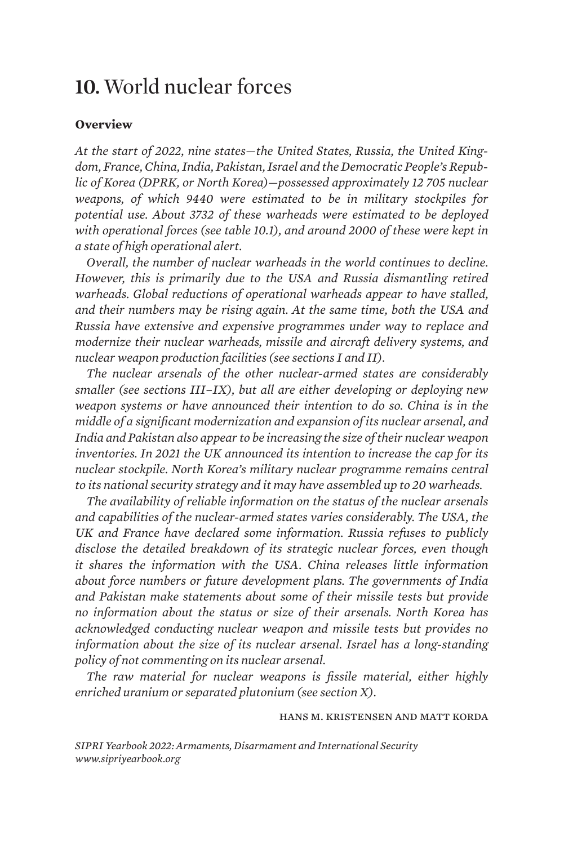# **10.** World nuclear forces

### **Overview**

*At the start of 2022, nine states—the United States, Russia, the United Kingdom, France, China, India, Pakistan, Israel and the Democratic People's Republic of Korea (DPRK, or North Korea)—possessed approximately 12 705 nuclear weapons, of which 9440 were estimated to be in military stockpiles for potential use. About 3732 of these warheads were estimated to be deployed with operational forces (see table 10.1), and around 2000 of these were kept in a state of high operational alert.*

*Overall, the number of nuclear warheads in the world continues to decline. However, this is primarily due to the USA and Russia dismantling retired warheads. Global reductions of operational warheads appear to have stalled, and their numbers may be rising again. At the same time, both the USA and Russia have extensive and expensive programmes under way to replace and modernize their nuclear warheads, missile and aircraft delivery systems, and nuclear weapon production facilities (see sections I and II).* 

*The nuclear arsenals of the other nuclear-armed states are considerably smaller (see sections III–IX), but all are either developing or deploying new weapon systems or have announced their intention to do so. China is in the middle of a significant modernization and expansion of its nuclear arsenal, and India and Pakistan also appear to be increasing the size of their nuclear weapon inventories. In 2021 the UK announced its intention to increase the cap for its nuclear stockpile. North Korea's military nuclear programme remains central to its national security strategy and it may have assembled up to 20 warheads.*

*The availability of reliable information on the status of the nuclear arsenals and capabilities of the nuclear-armed states varies considerably. The USA, the UK and France have declared some information. Russia refuses to publicly disclose the detailed breakdown of its strategic nuclear forces, even though it shares the information with the USA. China releases little information about force numbers or future development plans. The governments of India and Pakistan make statements about some of their missile tests but provide no information about the status or size of their arsenals. North Korea has acknowledged conducting nuclear weapon and missile tests but provides no information about the size of its nuclear arsenal. Israel has a long-standing policy of not commenting on its nuclear arsenal.* 

*The raw material for nuclear weapons is fissile material, either highly enriched uranium or separated plutonium (see section X).*

### hans m. kristensen and matt korda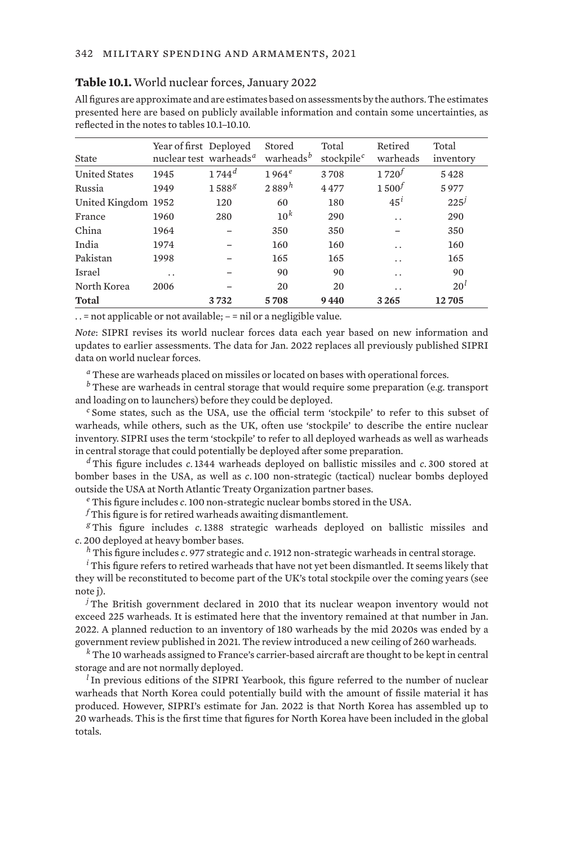| State                | Year of first Deployed<br>nuclear test warheads <sup>a</sup> |            | Stored<br>warheads <sup>b</sup> | Total<br>stockpile <sup>c</sup> | Retired<br>warheads  | Total<br>inventory |
|----------------------|--------------------------------------------------------------|------------|---------------------------------|---------------------------------|----------------------|--------------------|
| <b>United States</b> | 1945                                                         | $1744^d$   | $1964^e$                        | 3708                            | $1720^{f}$           | 5428               |
| Russia               | 1949                                                         | $1588^{g}$ | 2889h                           | 4477                            | $1,500^{f}$          | 5977               |
| United Kingdom 1952  |                                                              | 120        | 60                              | 180                             | $45^i$               | $225^{j}$          |
| France               | 1960                                                         | 280        | 10 <sup>k</sup>                 | 290                             | $\ddot{\phantom{0}}$ | 290                |
| China                | 1964                                                         |            | 350                             | 350                             |                      | 350                |
| India                | 1974                                                         |            | 160                             | 160                             | $\ddot{\phantom{0}}$ | 160                |
| Pakistan             | 1998                                                         |            | 165                             | 165                             | $\ddot{\phantom{0}}$ | 165                |
| Israel               | . .                                                          |            | 90                              | 90                              | $\ddot{\phantom{0}}$ | 90                 |
| North Korea          | 2006                                                         |            | 20                              | 20                              | . .                  | 20 <sup>l</sup>    |
| <b>Total</b>         |                                                              | 3732       | 5708                            | 9440                            | 3265                 | 12705              |

#### **Table 10.1.** World nuclear forces, January 2022

All figures are approximate and are estimates based on assessments by the authors. The estimates presented here are based on publicly available information and contain some uncertainties, as reflected in the notes to tables 10.1–10.10.

. . = not applicable or not available; – = nil or a negligible value.

*Note*: SIPRI revises its world nuclear forces data each year based on new information and updates to earlier assessments. The data for Jan. 2022 replaces all previously published SIPRI data on world nuclear forces.

*<sup>a</sup>* These are warheads placed on missiles or located on bases with operational forces.

*<sup>b</sup>* These are warheads in central storage that would require some preparation (e.g. transport and loading on to launchers) before they could be deployed.

*<sup>c</sup>* Some states, such as the USA, use the official term 'stockpile' to refer to this subset of warheads, while others, such as the UK, often use 'stockpile' to describe the entire nuclear inventory. SIPRI uses the term 'stockpile' to refer to all deployed warheads as well as warheads in central storage that could potentially be deployed after some preparation.

*<sup>d</sup>* This figure includes *c*.1344 warheads deployed on ballistic missiles and *c*. 300 stored at bomber bases in the USA, as well as *c*.100 non-strategic (tactical) nuclear bombs deployed outside the USA at North Atlantic Treaty Organization partner bases.

*<sup>e</sup>* This figure includes *c*.100 non-strategic nuclear bombs stored in the USA.

*<sup>f</sup>* This figure is for retired warheads awaiting dismantlement.

*<sup>g</sup>* This figure includes *c*.1388 strategic warheads deployed on ballistic missiles and *c*. 200 deployed at heavy bomber bases.

*<sup>h</sup>* This figure includes *c*. 977 strategic and *c*.1912 non-strategic warheads in central storage.

<sup>*i*</sup> This figure refers to retired warheads that have not yet been dismantled. It seems likely that they will be reconstituted to become part of the UK's total stockpile over the coming years (see note j).

*<sup>j</sup>* The British government declared in 2010 that its nuclear weapon inventory would not exceed 225 warheads. It is estimated here that the inventory remained at that number in Jan. 2022. A planned reduction to an inventory of 180 warheads by the mid 2020s was ended by a government review published in 2021. The review introduced a new ceiling of 260 warheads.

*<sup>k</sup>* The 10 warheads assigned to France's carrier-based aircraft are thought to be kept in central storage and are not normally deployed.

*<sup>l</sup>* In previous editions of the SIPRI Yearbook, this figure referred to the number of nuclear warheads that North Korea could potentially build with the amount of fissile material it has produced. However, SIPRI's estimate for Jan. 2022 is that North Korea has assembled up to 20 warheads. This is the first time that figures for North Korea have been included in the global totals.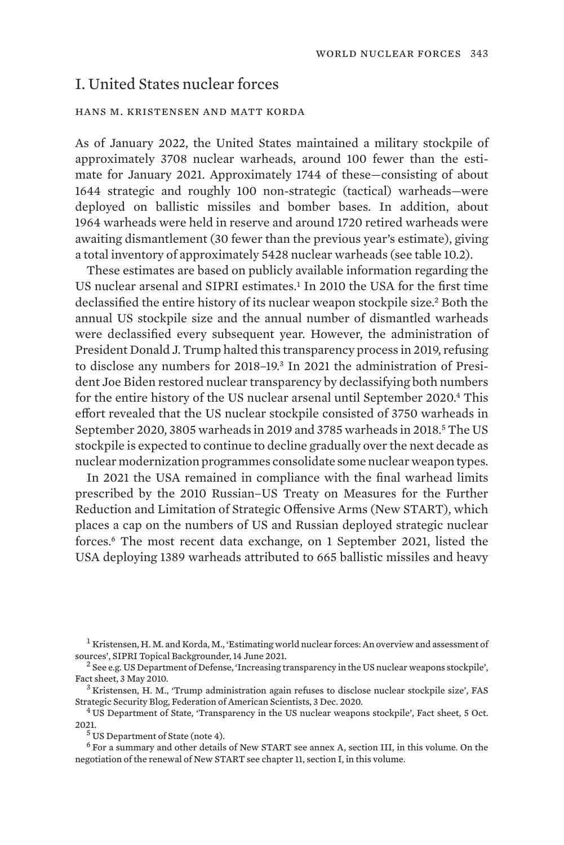# I. United States nuclear forces

### hans m. kristensen and matt korda

As of January 2022, the United States maintained a military stockpile of approximately 3708 nuclear warheads, around 100 fewer than the estimate for January 2021. Approximately 1744 of these—consisting of about 1644 strategic and roughly 100 non-strategic (tactical) warheads—were deployed on ballistic missiles and bomber bases. In addition, about 1964 warheads were held in reserve and around 1720 retired warheads were awaiting dismantlement (30 fewer than the previous year's estimate), giving a total inventory of approximately 5428 nuclear warheads (see table 10.2).

These estimates are based on publicly available information regarding the US nuclear arsenal and SIPRI estimates.<sup>1</sup> In 2010 the USA for the first time declassified the entire history of its nuclear weapon stockpile size.<sup>2</sup> Both the annual US stockpile size and the annual number of dismantled warheads were declassified every subsequent year. However, the administration of President Donald J. Trump halted this transparency process in 2019, refusing to disclose any numbers for 2018–19.3 In 2021 the administration of President Joe Biden restored nuclear transparency by declassifying both numbers for the entire history of the US nuclear arsenal until September 2020.<sup>4</sup> This effort revealed that the US nuclear stockpile consisted of 3750 warheads in September 2020, 3805 warheads in 2019 and 3785 warheads in 2018*.* <sup>5</sup> The US stockpile is expected to continue to decline gradually over the next decade as nuclear modernization programmes consolidate some nuclear weapon types.

In 2021 the USA remained in compliance with the final warhead limits prescribed by the 2010 Russian–US Treaty on Measures for the Further Reduction and Limitation of Strategic Offensive Arms (New START), which places a cap on the numbers of US and Russian deployed strategic nuclear forces.6 The most recent data exchange, on 1 September 2021, listed the USA deploying 1389 warheads attributed to 665 ballistic missiles and heavy

Strategic Security Blog, Federation of American Scientists, 3 Dec. 2020.<br><sup>4</sup> US Department of State, '[Transparency in the US nuclear weapons stockpile'](https://www.state.gov/wp-content/uploads/2021/10/Fact-Sheet_Unclass_2021_final-v2-002.pdf), Fact sheet, 5 Oct.

2021. <sup>5</sup> US Department of State (note 4).

<sup>6</sup> For a summary and other details of New START see annex A, section III, in this volume. On the negotiation of the renewal of New START see chapter 11, section I, in this volume.

<sup>&</sup>lt;sup>1</sup> Kristensen, H. M. and Korda, M., ['Estimating world nuclear forces: An overview and assessment of](https://www.sipri.org/commentary/topical-backgrounder/2021/estimating-world-nuclear-forces-overview-and-assessment-sources) [sources](https://www.sipri.org/commentary/topical-backgrounder/2021/estimating-world-nuclear-forces-overview-and-assessment-sources)', SIPRI Topical Backgrounder, 14 June 2021.<br><sup>2</sup> See e.g. US Department of Defense, ['Increasing transparency in the US nuclear weapons stockpile'](https://dod.defense.gov/Portals/1/features/defenseReviews/NPR/10-05-03_Fact_Sheet_US_Nuclear_Transparency__FINAL_w_Date.pdf),

Fact sheet, 3 May 2010.<br><sup>3</sup> Kristensen, H. M., ['Trump administration again refuses to disclose nuclear stockpile size](https://fas.org/blogs/security/2020/12/nuclear-stockpile-denial-2020/)', FAS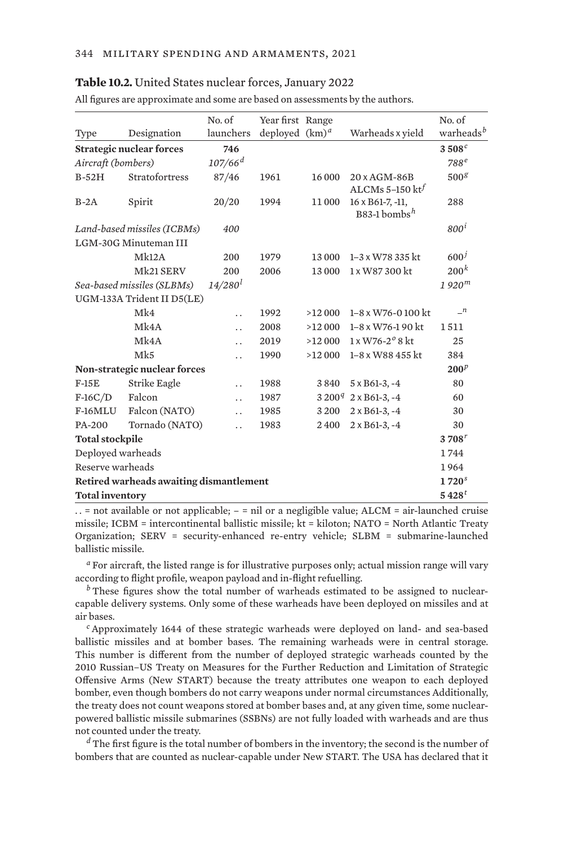#### **Table 10.2.** United States nuclear forces, January 2022

|                                         |                                        | No. of                | Year first Range  |        |                                              | No. of                |
|-----------------------------------------|----------------------------------------|-----------------------|-------------------|--------|----------------------------------------------|-----------------------|
| Type                                    | Designation                            | launchers             | deployed $(km)^d$ |        | Warheads x yield                             | warheads <sup>b</sup> |
|                                         | <b>Strategic nuclear forces</b>        | 746                   |                   |        |                                              | 3508 <sup>c</sup>     |
| Aircraft (bombers)                      |                                        | $107/66$ <sup>d</sup> |                   |        |                                              | $788^e$               |
| $B-52H$                                 | Stratofortress                         | 87/46                 | 1961              | 16 000 | 20 x AGM-86B                                 | 500 <sup>g</sup>      |
|                                         |                                        |                       |                   |        | ALCMs 5-150 $kt^f$                           |                       |
| $B-2A$                                  | Spirit                                 | 20/20                 | 1994              | 11000  | 16 x B61-7, -11,<br>B83-1 bombs <sup>h</sup> | 288                   |
|                                         | Land-based missiles (ICBMs)            | 400                   |                   |        |                                              | 800 <sup>i</sup>      |
|                                         | LGM-30G Minuteman III                  |                       |                   |        |                                              |                       |
|                                         | Mk12A                                  | 200                   | 1979              | 13 000 | 1-3 x W78 335 kt                             | 600 <sup>j</sup>      |
|                                         | Mk21 SERV                              | 200                   | 2006              | 13000  | 1 x W87 300 kt                               | 200 <sup>k</sup>      |
|                                         | Sea-based missiles (SLBMs)             | $14/280^{l}$          |                   |        |                                              | 1920 <sup>m</sup>     |
|                                         | UGM-133A Trident II D5(LE)             |                       |                   |        |                                              |                       |
|                                         | Mk4                                    | $\ddot{\phantom{0}}$  | 1992              | >12000 | $1-8 \times W$ 76-0100 kt                    | $\mathbf{n}$          |
|                                         | Mk4A                                   | $\ddot{\phantom{a}}$  | 2008              | >12000 | 1-8 x W76-1 90 kt                            | 1511                  |
|                                         | Mk4A                                   | $\ddot{\phantom{0}}$  | 2019              | >12000 | $1 \times W76 - 2^{\circ} 8$ kt              | 25                    |
|                                         | Mk5                                    |                       | 1990              | >12000 | 1-8 x W88 455 kt                             | 384                   |
| Non-strategic nuclear forces            |                                        |                       |                   |        |                                              | $200^p$               |
| $F-15E$                                 | Strike Eagle                           | $\ddot{\phantom{0}}$  | 1988              | 3840   | $5 \times B61-3, -4$                         | 80                    |
| $F-16C/D$                               | Falcon                                 | $\ddot{\phantom{0}}$  | 1987              |        | $3200^q$ 2 x B61-3, -4                       | 60                    |
| F-16MLU                                 | Falcon (NATO)                          | $\ddot{\phantom{0}}$  | 1985              | 3200   | $2 \times B61-3, -4$                         | 30                    |
| PA-200                                  | Tornado (NATO)                         | $\ddot{\phantom{0}}$  | 1983              | 2400   | $2 \times B61-3, -4$                         | 30                    |
| <b>Total stockpile</b>                  |                                        |                       |                   |        |                                              | $3708^{r}$            |
| Deployed warheads                       |                                        |                       |                   |        |                                              |                       |
| Reserve warheads                        |                                        |                       |                   |        |                                              |                       |
| Retired warheads awaiting dismantlement |                                        |                       |                   |        |                                              |                       |
|                                         | $5\,428^{t}$<br><b>Total inventory</b> |                       |                   |        |                                              |                       |

All figures are approximate and some are based on assessments by the authors.

 $\ldots$  = not available or not applicable; – = nil or a negligible value; ALCM = air-launched cruise missile; ICBM = intercontinental ballistic missile; kt = kiloton; NATO = North Atlantic Treaty Organization; SERV = security-enhanced re-entry vehicle; SLBM = submarine-launched ballistic missile.

*<sup>a</sup>* For aircraft, the listed range is for illustrative purposes only; actual mission range will vary according to flight profile, weapon payload and in-flight refuelling.

*b* These figures show the total number of warheads estimated to be assigned to nuclearcapable delivery systems. Only some of these warheads have been deployed on missiles and at air bases.

*<sup>c</sup>* Approximately 1644 of these strategic warheads were deployed on land- and sea-based ballistic missiles and at bomber bases. The remaining warheads were in central storage. This number is different from the number of deployed strategic warheads counted by the 2010 Russian–US Treaty on Measures for the Further Reduction and Limitation of Strategic Offensive Arms (New START) because the treaty attributes one weapon to each deployed bomber, even though bombers do not carry weapons under normal circumstances Additionally, the treaty does not count weapons stored at bomber bases and, at any given time, some nuclearpowered ballistic missile submarines (SSBNs) are not fully loaded with warheads and are thus not counted under the treaty.

*<sup>d</sup>* The first figure is the total number of bombers in the inventory; the second is the number of bombers that are counted as nuclear-capable under New START. The USA has declared that it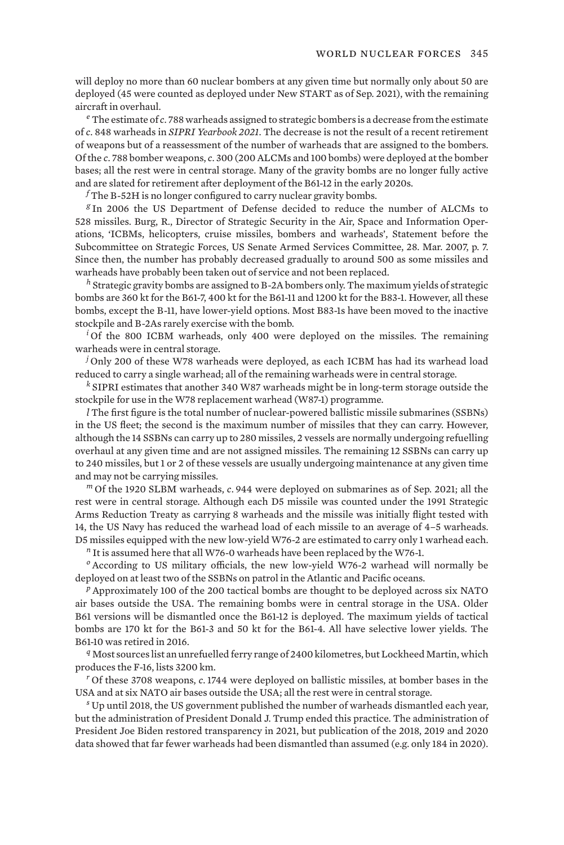will deploy no more than 60 nuclear bombers at any given time but normally only about 50 are deployed (45 were counted as deployed under New START as of Sep. 2021), with the remaining aircraft in overhaul.

*<sup>e</sup>* The estimate of *c*. 788 warheads assigned to strategic bombers is a decrease from the estimate of *c*. 848 warheads in *SIPRI Yearbook 2021*. The decrease is not the result of a recent retirement of weapons but of a reassessment of the number of warheads that are assigned to the bombers. Of the *c*. 788 bomber weapons, *c*. 300 (200 ALCMs and 100 bombs) were deployed at the bomber bases; all the rest were in central storage. Many of the gravity bombs are no longer fully active and are slated for retirement after deployment of the B61-12 in the early 2020s.

*<sup>f</sup>* The B-52H is no longer configured to carry nuclear gravity bombs.

*<sup>g</sup>* In 2006 the US Department of Defense decided to reduce the number of ALCMs to 528 missiles. Burg, R., Director of Strategic Security in the Air, Space and Information Operations, 'ICBMs, helicopters, cruise missiles, bombers and warheads', Statement before the Subcommittee on Strategic Forces, US Senate Armed Services Committee, 28. Mar. 2007, p. 7. Since then, the number has probably decreased gradually to around 500 as some missiles and warheads have probably been taken out of service and not been replaced.

*<sup>h</sup>* Strategic gravity bombs are assigned to B-2A bombers only. The maximum yields of strategic bombs are 360 kt for the B61-7, 400 kt for the B61-11 and 1200 kt for the B83-1. However, all these bombs, except the B-11, have lower-yield options. Most B83-1s have been moved to the inactive stockpile and B-2As rarely exercise with the bomb.

*<sup>i</sup>* Of the 800 ICBM warheads, only 400 were deployed on the missiles. The remaining warheads were in central storage.

*<sup>j</sup>* Only 200 of these W78 warheads were deployed, as each ICBM has had its warhead load reduced to carry a single warhead; all of the remaining warheads were in central storage.

*<sup>k</sup>* SIPRI estimates that another 340 W87 warheads might be in long-term storage outside the stockpile for use in the W78 replacement warhead (W87-1) programme.

*l* The first figure is the total number of nuclear-powered ballistic missile submarines (SSBNs) in the US fleet; the second is the maximum number of missiles that they can carry. However, although the 14 SSBNs can carry up to 280 missiles, 2 vessels are normally undergoing refuelling overhaul at any given time and are not assigned missiles. The remaining 12 SSBNs can carry up to 240 missiles, but 1 or 2 of these vessels are usually undergoing maintenance at any given time and may not be carrying missiles.

*<sup>m</sup>* Of the 1920 SLBM warheads, *c*. 944 were deployed on submarines as of Sep. 2021; all the rest were in central storage. Although each D5 missile was counted under the 1991 Strategic Arms Reduction Treaty as carrying 8 warheads and the missile was initially flight tested with 14, the US Navy has reduced the warhead load of each missile to an average of 4–5 warheads. D5 missiles equipped with the new low-yield W76-2 are estimated to carry only 1 warhead each.

*<sup>n</sup>* It is assumed here that all W76-0 warheads have been replaced by the W76-1.

*<sup>o</sup>* According to US military officials, the new low-yield W76-2 warhead will normally be deployed on at least two of the SSBNs on patrol in the Atlantic and Pacific oceans.

*<sup>p</sup>* Approximately 100 of the 200 tactical bombs are thought to be deployed across six NATO air bases outside the USA. The remaining bombs were in central storage in the USA. Older B61 versions will be dismantled once the B61-12 is deployed. The maximum yields of tactical bombs are 170 kt for the B61-3 and 50 kt for the B61-4. All have selective lower yields. The B61-10 was retired in 2016.

*<sup>q</sup>* Most sources list an unrefuelled ferry range of 2400 kilometres, but Lockheed Martin, which produces the F-16, lists 3200 km.

*<sup>r</sup>* Of these 3708 weapons, *c*.1744 were deployed on ballistic missiles, at bomber bases in the USA and at six NATO air bases outside the USA; all the rest were in central storage.

*<sup>s</sup>* Up until 2018, the US government published the number of warheads dismantled each year, but the administration of President Donald J. Trump ended this practice. The administration of President Joe Biden restored transparency in 2021, but publication of the 2018, 2019 and 2020 data showed that far fewer warheads had been dismantled than assumed (e.g. only 184 in 2020).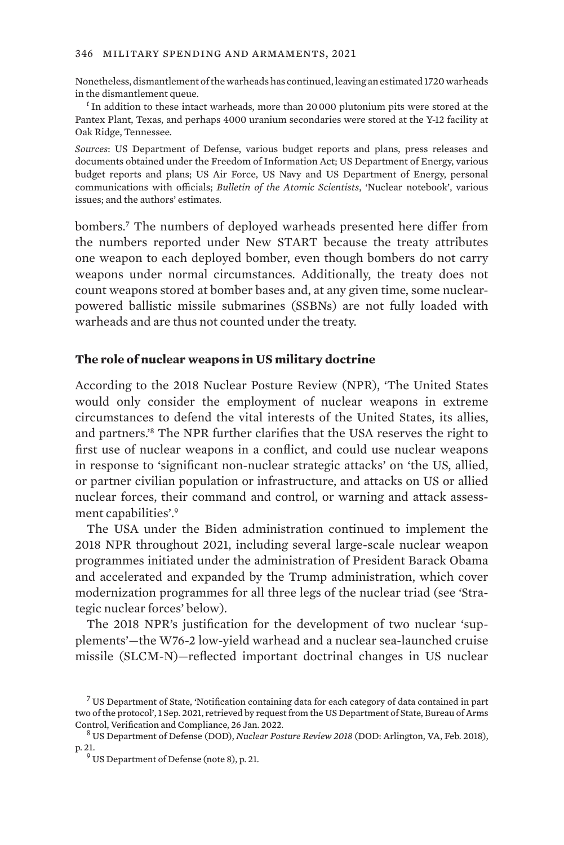#### 346 military spending and armaments, 2021

Nonetheless, dismantlement of the warheads has continued, leaving an estimated 1720 warheads in the dismantlement queue.

*<sup>t</sup>* In addition to these intact warheads, more than 20 000 plutonium pits were stored at the Pantex Plant, Texas, and perhaps 4000 uranium secondaries were stored at the Y-12 facility at Oak Ridge, Tennessee.

*Sources*: US Department of Defense, various budget reports and plans, press releases and documents obtained under the Freedom of Information Act; US Department of Energy, various budget reports and plans; US Air Force, US Navy and US Department of Energy, personal communications with officials; *Bulletin of the Atomic Scientists*, 'Nuclear notebook', various issues; and the authors' estimates.

bombers.<sup>7</sup> The numbers of deployed warheads presented here differ from the numbers reported under New START because the treaty attributes one weapon to each deployed bomber, even though bombers do not carry weapons under normal circumstances. Additionally, the treaty does not count weapons stored at bomber bases and, at any given time, some nuclearpowered ballistic missile submarines (SSBNs) are not fully loaded with warheads and are thus not counted under the treaty.

### **The role of nuclear weapons in US military doctrine**

According to the 2018 Nuclear Posture Review (NPR), 'The United States would only consider the employment of nuclear weapons in extreme circumstances to defend the vital interests of the United States, its allies, and partners.'8 The NPR further clarifies that the USA reserves the right to first use of nuclear weapons in a conflict, and could use nuclear weapons in response to 'significant non-nuclear strategic attacks' on 'the US, allied, or partner civilian population or infrastructure, and attacks on US or allied nuclear forces, their command and control, or warning and attack assessment capabilities'.<sup>9</sup>

The USA under the Biden administration continued to implement the 2018 NPR throughout 2021, including several large-scale nuclear weapon programmes initiated under the administration of President Barack Obama and accelerated and expanded by the Trump administration, which cover modernization programmes for all three legs of the nuclear triad (see 'Strategic nuclear forces' below).

The 2018 NPR's justification for the development of two nuclear 'supplements'—the W76-2 low-yield warhead and a nuclear sea-launched cruise missile (SLCM-N)—reflected important doctrinal changes in US nuclear

<sup>7</sup> US Department of State, 'Notification containing data for each category of data contained in part two of the protocol', 1 Sep. 2021, retrieved by request from the US Department of State, Bureau of Arms

<sup>&</sup>lt;sup>8</sup> US Department of Defense (DOD), *Nuclear Posture Review 2018* (DOD: Arlington, VA, Feb. 2018),

p. 21.<br><sup>9</sup> US Department of Defense (note 8), p. 21.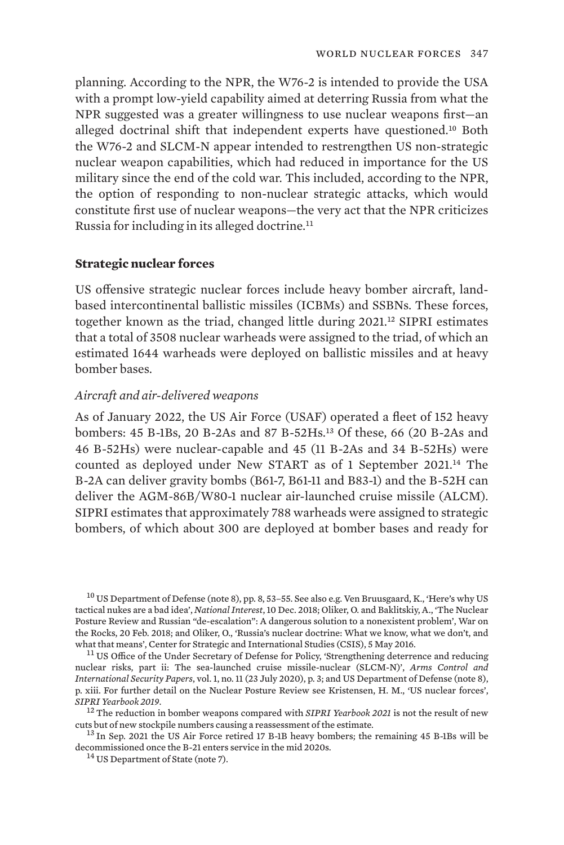planning. According to the NPR, the W76-2 is intended to provide the USA with a prompt low-yield capability aimed at deterring Russia from what the NPR suggested was a greater willingness to use nuclear weapons first—an alleged doctrinal shift that independent experts have questioned.10 Both the W76-2 and SLCM-N appear intended to restrengthen US non-strategic nuclear weapon capabilities, which had reduced in importance for the US military since the end of the cold war. This included, according to the NPR, the option of responding to non-nuclear strategic attacks, which would constitute first use of nuclear weapons—the very act that the NPR criticizes Russia for including in its alleged doctrine.<sup>11</sup>

### **Strategic nuclear forces**

US offensive strategic nuclear forces include heavy bomber aircraft, landbased intercontinental ballistic missiles (ICBMs) and SSBNs. These forces, together known as the triad, changed little during  $2021<sup>12</sup>$  SIPRI estimates that a total of 3508 nuclear warheads were assigned to the triad, of which an estimated 1644 warheads were deployed on ballistic missiles and at heavy bomber bases.

### *Aircraft and air-delivered weapons*

As of January 2022, the US Air Force (USAF) operated a fleet of 152 heavy bombers: 45 B-1Bs, 20 B-2As and 87 B-52Hs.13 Of these, 66 (20 B-2As and 46 B-52Hs) were nuclear-capable and 45 (11 B-2As and 34 B-52Hs) were counted as deployed under New START as of 1 September 2021.14 The B-2A can deliver gravity bombs (B61-7, B61-11 and B83-1) and the B-52H can deliver the AGM-86B/W80-1 nuclear air-launched cruise missile (ALCM). SIPRI estimates that approximately 788 warheads were assigned to strategic bombers, of which about 300 are deployed at bomber bases and ready for

<sup>10</sup> US Department of Defense (note 8), pp. 8, 53-55. See also e.g. Ven Bruusgaard, K., ['Here's why US](https://nationalinterest.org/feature/heres-why-us-tactical-nukes-are-bad-idea-38372) [tactical nukes are a bad idea'](https://nationalinterest.org/feature/heres-why-us-tactical-nukes-are-bad-idea-38372), *National Interest*, 10 Dec. 2018; Oliker, O. and Baklitskiy, A., ['The Nuclear](https://warontherocks.com/2018/02/nuclear-posture-review-russian-de-escalation-dangerous-solution-nonexistent-problem/) [Posture Review and Russian "de-escalation": A dangerous solution to a nonexistent problem'](https://warontherocks.com/2018/02/nuclear-posture-review-russian-de-escalation-dangerous-solution-nonexistent-problem/), War on the Rocks, 20 Feb. 2018; and Oliker, O., ['Russia's nuclear doctrine: What we know, what we don't, and](https://www.csis.org/analysis/russia’s-nuclear-doctrine)<br>what that means', Center for Strategic and International Studies (CSIS), 5 May 2016.

<sup>11</sup> US Office of the Under Secretary of Defense for Policy, ['Strengthening deterrence and reducing](https://www.state.gov/wp-content/uploads/2020/07/T-Paper-series-SLCM-N-Final-508.pdf) [nuclear risks, part ii: The sea-launched cruise missile-nuclear \(SLCM-N\)](https://www.state.gov/wp-content/uploads/2020/07/T-Paper-series-SLCM-N-Final-508.pdf)', *Arms Control and International Security Papers*, vol. 1, no. 11 (23 July 2020), p. 3; and US Department of Defense (note 8), p. xiii. For further detail on the Nuclear Posture Review see Kristensen, H. M., 'US nuclear forces',

*SIPRI Yearbook 2019.*<br><sup>12</sup> The reduction in bomber weapons compared with *SIPRI Yearbook 2021* is not the result of new<br>cuts but of new stockpile numbers causing a reassessment of the estimate.

 $^{13}$  In Sep. 2021 the US Air Force retired 17 B-1B heavy bombers; the remaining 45 B-1Bs will be decommissioned once the B-21 enters service in the mid 2020s. <sup>14</sup> US Department of State (note 7).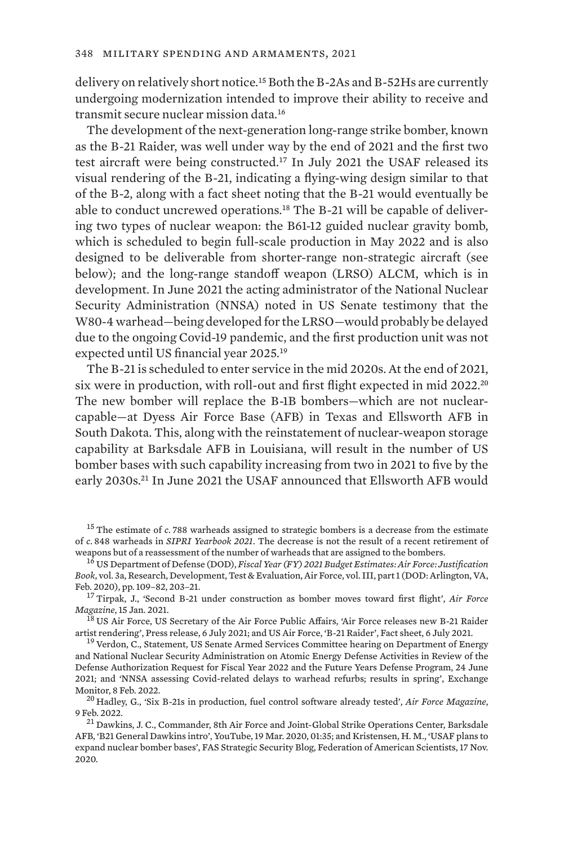delivery on relatively short notice.15 Both the B-2As and B-52Hs are currently undergoing modernization intended to improve their ability to receive and transmit secure nuclear mission data.<sup>16</sup>

The development of the next-generation long-range strike bomber, known as the B-21 Raider, was well under way by the end of 2021 and the first two test aircraft were being constructed.17 In July 2021 the USAF released its visual rendering of the B-21, indicating a flying-wing design similar to that of the B-2, along with a fact sheet noting that the B-21 would eventually be able to conduct uncrewed operations.<sup>18</sup> The B-21 will be capable of delivering two types of nuclear weapon: the B61-12 guided nuclear gravity bomb, which is scheduled to begin full-scale production in May 2022 and is also designed to be deliverable from shorter-range non-strategic aircraft (see below); and the long-range standoff weapon (LRSO) ALCM, which is in development. In June 2021 the acting administrator of the National Nuclear Security Administration (NNSA) noted in US Senate testimony that the W80-4 warhead—being developed for the LRSO—would probably be delayed due to the ongoing Covid-19 pandemic, and the first production unit was not expected until US financial year 2025.<sup>19</sup>

The B-21 is scheduled to enter service in the mid 2020s. At the end of 2021, six were in production, with roll-out and first flight expected in mid 2022.<sup>20</sup> The new bomber will replace the B-1B bombers—which are not nuclearcapable—at Dyess Air Force Base (AFB) in Texas and Ellsworth AFB in South Dakota. This, along with the reinstatement of nuclear-weapon storage capability at Barksdale AFB in Louisiana, will result in the number of US bomber bases with such capability increasing from two in 2021 to five by the early 2030s.<sup>21</sup> In June 2021 the USAF announced that Ellsworth AFB would

<sup>15</sup> The estimate of *c*. 788 warheads assigned to strategic bombers is a decrease from the estimate of *c*. 848 warheads in *SIPRI Yearbook 2021*. The decrease is not the result of a recent retirement of

<sup>16</sup> US Department of Defense (DOD), *[Fiscal Year \(FY\) 2021 Budget Estimates: Air Force: Justification](https://www.saffm.hq.af.mil/Portals/84/documents/FY21/RDTE_/FY21%20Air%20Force%20Research%20Development%20Test%20and%20Evaluation%20Vol%20IIIa.pdf?ver=2020-02-11-083556-403) Book*[, vol. 3a, Research, Development, Test & Evaluation, Air Force, vol. III, part 1](https://www.saffm.hq.af.mil/Portals/84/documents/FY21/RDTE_/FY21%20Air%20Force%20Research%20Development%20Test%20and%20Evaluation%20Vol%20IIIa.pdf?ver=2020-02-11-083556-403) (DOD: Arlington, VA,

<sup>17</sup> Tirpak, J., ['Second B-21 under construction as bomber moves toward first flight](https://www.airforcemag.com/second-b-21-under-construction-as-bomber-moves-toward-first-flight/)', *Air Force Magazine*, 15 Jan. 2021. <sup>18</sup> US Air Force, US Secretary of the Air Force Public Affairs, ['Air Force releases new B-21 Raider](https://www.af.mil/News/Article-Display/Article/2683003/air-force-releases-new-b-21-raider-artist-rendering/)

[artist rendering'](https://www.af.mil/News/Article-Display/Article/2683003/air-force-releases-new-b-21-raider-artist-rendering/), Press release, 6 July 2021; and US Air Force, ['B-21 Raider'](https://www.af.mil/About-Us/Fact-Sheets/Display/Article/2682973/b-21-raider/), Fact sheet, 6 July 2021.<br><sup>19</sup> Verdon, C., [Statement, US Senate Armed Services Committee hearing on Department of Energy](https://www.armed-services.senate.gov/hearings/department-of-energy-and-national-nuclear-security-administration-on-atomic-energy-defense-activities-in-review-of-the-defense-authorization-request-for-fiscal-year-2022-and-the-future-years-defense-program)

[and National Nuclear Security Administration on Atomic Energy Defense Activities in Review of the](https://www.armed-services.senate.gov/hearings/department-of-energy-and-national-nuclear-security-administration-on-atomic-energy-defense-activities-in-review-of-the-defense-authorization-request-for-fiscal-year-2022-and-the-future-years-defense-program) [Defense Authorization Request for Fiscal Year 2022 and the Future Years Defense Program,](https://www.armed-services.senate.gov/hearings/department-of-energy-and-national-nuclear-security-administration-on-atomic-energy-defense-activities-in-review-of-the-defense-authorization-request-for-fiscal-year-2022-and-the-future-years-defense-program) 24 June 2021; and ['NNSA assessing Covid-related delays to warhead refurbs; results in spring](https://www.exchangemonitor.com/nnsa-assessing-covid-related-delays-to-warhead-refurbs-results-in-spring/)', Exchange Monitor, 8 Feb. 2022. <sup>20</sup> Hadley, G., ['Six B-21s in production, fuel control software already tested'](https://www.airforcemag.com/six-b-21s-in-production-fuel-control-software-already-tested/), *Air Force Magazine*,

9 Feb. 2022.<br><sup>21</sup> Dawkins, J. C., Commander, 8th Air Force and Joint-Global Strike Operations Center, Barksdale

AFB, '[B21 General Dawkins intro](https://www.youtube.com/watch?v=IX_xY7egwj4)', YouTube, 19 Mar. 2020, 01:35; and Kristensen, H. M., '[USAF plans to](https://fas.org/blogs/security/2020/11/usaf-plans-to-expand-nuclear-bomber-bases/) [expand nuclear bomber bases'](https://fas.org/blogs/security/2020/11/usaf-plans-to-expand-nuclear-bomber-bases/), FAS Strategic Security Blog, Federation of American Scientists, 17 Nov. 2020.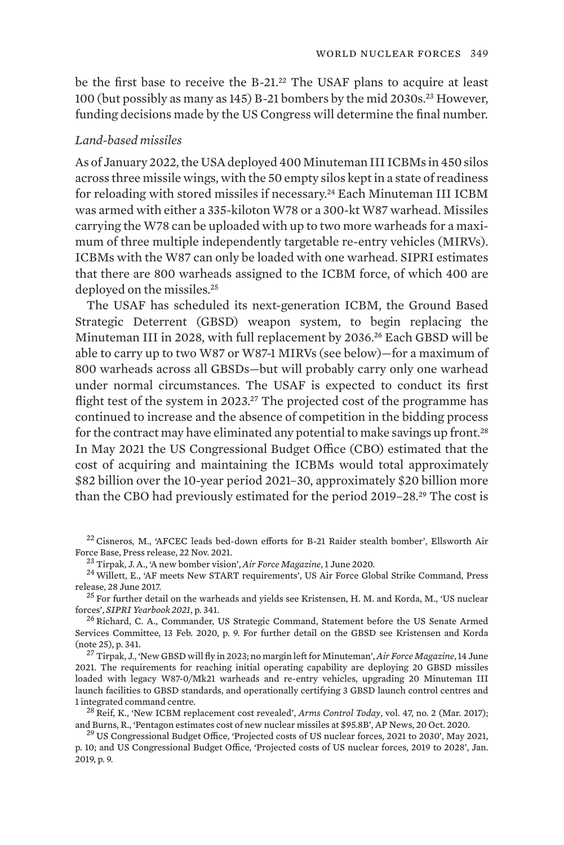be the first base to receive the B-21.<sup>22</sup> The USAF plans to acquire at least 100 (but possibly as many as 145) B-21 bombers by the mid 2030s.23 However, funding decisions made by the US Congress will determine the final number.

### *Land-based missiles*

As of January 2022, the USA deployed 400 Minuteman III ICBMs in 450 silos across three missile wings, with the 50 empty silos kept in a state of readiness for reloading with stored missiles if necessary.<sup>24</sup> Each Minuteman III ICBM was armed with either a 335-kiloton W78 or a 300-kt W87 warhead. Missiles carrying the W78 can be uploaded with up to two more warheads for a maximum of three multiple independently targetable re-entry vehicles (MIRVs). ICBMs with the W87 can only be loaded with one warhead. SIPRI estimates that there are 800 warheads assigned to the ICBM force, of which 400 are deployed on the missiles.<sup>25</sup>

The USAF has scheduled its next-generation ICBM, the Ground Based Strategic Deterrent (GBSD) weapon system, to begin replacing the Minuteman III in 2028, with full replacement by 2036.26 Each GBSD will be able to carry up to two W87 or W87-1 MIRVs (see below)—for a maximum of 800 warheads across all GBSDs—but will probably carry only one warhead under normal circumstances. The USAF is expected to conduct its first flight test of the system in 2023.<sup>27</sup> The projected cost of the programme has continued to increase and the absence of competition in the bidding process for the contract may have eliminated any potential to make savings up front.<sup>28</sup> In May 2021 the US Congressional Budget Office (CBO) estimated that the cost of acquiring and maintaining the ICBMs would total approximately \$82 billion over the 10-year period 2021–30, approximately \$20 billion more than the CBO had previously estimated for the period 2019–28.29 The cost is

 $^{22}$  Cisneros, M., ['AFCEC leads bed-down efforts for B-21 Raider stealth bomber](https://www.ellsworth.af.mil/News/Article-Display/Article/2854184/afcec-leads-bed-down-efforts-for-b-21-raider-stealth-bomber/#:~:text=After%20completing%20the%20requirements%20within,Main%20Operating%20Base%2C%20or%20MOB.)', Ellsworth Air Force Base, Press release, 22 Nov. 2021.

<sup>23</sup> Tirpak, J. A., ['A new bomber vision'](https://www.airforcemag.com/article/strategy-policy-9/), *Air Force Magazine*, 1 June 2020.<br><sup>24</sup> Willett, E., ['AF meets New START requirements](https://www.8af.af.mil/News/Article-Display/Article/1234307/af-meets-new-start-requirements/)', US Air Force Global Strike Command, Press<br>release. 28 June 2017.

 $25$  For further detail on the warheads and yields see Kristensen, H. M. and Korda, M., 'US nuclear forces', *SIPRI Yearbook <sup>2021</sup>*, p. 341. <sup>26</sup> Richard, C. A., Commander, US Strategic Command, [Statement before the US Senate Armed](https://www.armed-services.senate.gov/imo/media/doc/Richard_02-13-20.pdf)

[Services Committee](https://www.armed-services.senate.gov/imo/media/doc/Richard_02-13-20.pdf), 13 Feb. 2020, p. 9. For further detail on the GBSD see Kristensen and Korda (note 25), p. 341. <sup>27</sup> Tirpak, J., ['New GBSD will fly in 2023; no margin left for Minuteman'](https://www.airforcemag.com/new-gbsd-will-fly-in-2023-no-margin-left-for-minuteman/), *Air Force Magazine*, 14 June

2021. The requirements for reaching initial operating capability are deploying 20 GBSD missiles loaded with legacy W87-0/Mk21 warheads and re-entry vehicles, upgrading 20 Minuteman III launch facilities to GBSD standards, and operationally certifying 3 GBSD launch control centres and

1 integrated command centre.<br><sup>28</sup> Reif, K., '[New ICBM replacement cost revealed'](https://www.armscontrol.org/act/2017-03/news/new-icbm-replacement-cost-revealed), *Arms Control Today*, vol. 47, no. 2 (Mar. 2017);<br>and Burns, R., 'Pentagon estimates cost of new nuclear missiles at \$95.8B'. AP News, 20 Oc

 $29$  US Congressional Budget Office, '[Projected costs of US nuclear forces, 2021 to 2030](https://www.cbo.gov/system/files/2021-05/57130-Nuclear-Forces.pdf)', May 2021, p. 10; and US Congressional Budget Office, ['Projected costs of US nuclear forces, 2019 to 2028'](https://www.cbo.gov/system/files/2019-01/54914-NuclearForces.pdf), Jan. 2019, p. 9.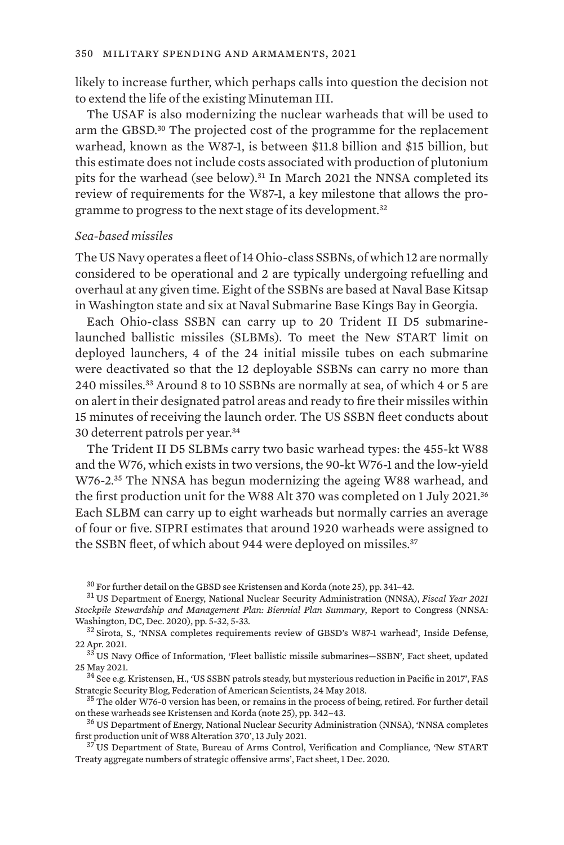likely to increase further, which perhaps calls into question the decision not to extend the life of the existing Minuteman III.

The USAF is also modernizing the nuclear warheads that will be used to arm the GBSD.30 The projected cost of the programme for the replacement warhead, known as the W87-1, is between \$11.8 billion and \$15 billion, but this estimate does not include costs associated with production of plutonium pits for the warhead (see below).31 In March 2021 the NNSA completed its review of requirements for the W87-1, a key milestone that allows the programme to progress to the next stage of its development.<sup>32</sup>

### *Sea-based missiles*

The US Navy operates a fleet of 14 Ohio-class SSBNs, of which 12 are normally considered to be operational and 2 are typically undergoing refuelling and overhaul at any given time. Eight of the SSBNs are based at Naval Base Kitsap in Washington state and six at Naval Submarine Base Kings Bay in Georgia.

Each Ohio-class SSBN can carry up to 20 Trident II D5 submarinelaunched ballistic missiles (SLBMs). To meet the New START limit on deployed launchers, 4 of the 24 initial missile tubes on each submarine were deactivated so that the 12 deployable SSBNs can carry no more than 240 missiles.33 Around 8 to 10 SSBNs are normally at sea, of which 4 or 5 are on alert in their designated patrol areas and ready to fire their missiles within 15 minutes of receiving the launch order. The US SSBN fleet conducts about 30 deterrent patrols per year.<sup>34</sup>

The Trident II D5 SLBMs carry two basic warhead types: the 455-kt W88 and the W76, which exists in two versions, the 90-kt W76-1 and the low-yield W76-2.<sup>35</sup> The NNSA has begun modernizing the ageing W88 warhead, and the first production unit for the W88 Alt 370 was completed on 1 July 2021.<sup>36</sup> Each SLBM can carry up to eight warheads but normally carries an average of four or five. SIPRI estimates that around 1920 warheads were assigned to the SSBN fleet, of which about 944 were deployed on missiles.<sup>37</sup>

<sup>30</sup> For further detail on the GBSD see Kristensen and Korda (note 25), pp. 341–42. <sup>31</sup> US Department of Energy, National Nuclear Security Administration (NNSA), *[Fiscal Year 2021](https://www.energy.gov/sites/prod/files/2020/12/f82/FY2021_SSMP.pdf) [Stockpile Stewardship and Management Plan: Biennial Plan Summary](https://www.energy.gov/sites/prod/files/2020/12/f82/FY2021_SSMP.pdf)*, Report to Congress (NNSA: Washington, DC, Dec. 2020), pp. 5-32, 5-33.<br><sup>32</sup> Sirota, S., '[NNSA completes requirements review of GBSD's W87-1 warhead](https://insidedefense.com/insider/nnsa-completes-requirements-review-gbsds-w87-1-warhead)', Inside Defense,

<sup>22</sup> Apr. 2021.<br> $33$  US Navy Office of Information, '[Fleet ballistic missile submarines—SSBN'](https://www.navy.mil/Resources/Fact-Files/Display-FactFiles/Article/2169580/fleet-ballistic-missile-submarines-ssbn/), Fact sheet, updated

<sup>25</sup> May 2021.<br><sup>34</sup> See e.g. Kristensen, H., ['US SSBN patrols steady, but mysterious reduction in Pacific in 2017](https://fas.org/blogs/security/2018/05/ssbnpatrols1960-2017/)', FAS

Strategic Security Blog, Federation of American Scientists, 24 May 2018.<br><sup>35</sup> The older W76-0 version has been, or remains in the process of being, retired. For further detail on these warheads see Kristensen and Korda (n

<sup>&</sup>lt;sup>36</sup> US Department of Energy, National Nuclear Security Administration (NNSA), ['NNSA completes](https://www.energy.gov/nnsa/articles/nnsa-completes-first-production-unit-w88-alteration-370) [first production unit of W88 Alteration 370'](https://www.energy.gov/nnsa/articles/nnsa-completes-first-production-unit-w88-alteration-370), 13 July 2021.<br><sup>37</sup> US Department of State, Bureau of Arms Control, Verification and Compliance, ['New START](https://2017-2021.state.gov/wp-content/uploads/2020/11/11-30-2020-FACTSHEET-Public-Release-of-Dis-aggregate-Data.pdf)

[Treaty aggregate numbers of strategic offensive arms](https://2017-2021.state.gov/wp-content/uploads/2020/11/11-30-2020-FACTSHEET-Public-Release-of-Dis-aggregate-Data.pdf)', Fact sheet, 1 Dec. 2020.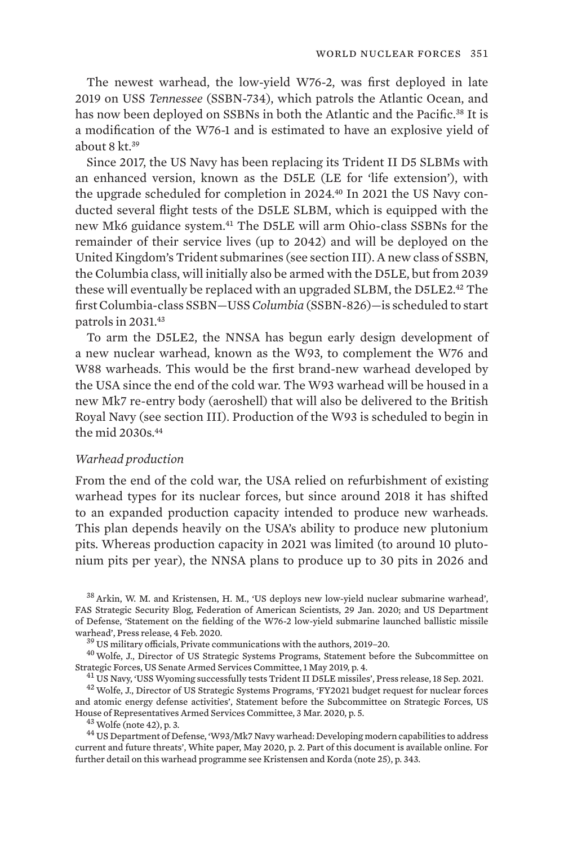The newest warhead, the low-yield W76-2, was first deployed in late 2019 on USS *Tennessee* (SSBN-734), which patrols the Atlantic Ocean, and has now been deployed on SSBNs in both the Atlantic and the Pacific.<sup>38</sup> It is a modification of the W76-1 and is estimated to have an explosive yield of about 8 kt.<sup>39</sup>

Since 2017, the US Navy has been replacing its Trident II D5 SLBMs with an enhanced version, known as the D5LE (LE for 'life extension'), with the upgrade scheduled for completion in 2024.40 In 2021 the US Navy conducted several flight tests of the D5LE SLBM, which is equipped with the new Mk6 guidance system.41 The D5LE will arm Ohio-class SSBNs for the remainder of their service lives (up to 2042) and will be deployed on the United Kingdom's Trident submarines (see section III). A new class of SSBN, the Columbia class, will initially also be armed with the D5LE, but from 2039 these will eventually be replaced with an upgraded SLBM, the D5LE2.42 The first Columbia-class SSBN—USS *Columbia* (SSBN-826)—is scheduled to start patrols in 2031.<sup>43</sup>

To arm the D5LE2, the NNSA has begun early design development of a new nuclear warhead, known as the W93, to complement the W76 and W88 warheads. This would be the first brand-new warhead developed by the USA since the end of the cold war. The W93 warhead will be housed in a new Mk7 re-entry body (aeroshell) that will also be delivered to the British Royal Navy (see section III). Production of the W93 is scheduled to begin in the mid 2030s.<sup>44</sup>

### *Warhead production*

From the end of the cold war, the USA relied on refurbishment of existing warhead types for its nuclear forces, but since around 2018 it has shifted to an expanded production capacity intended to produce new warheads. This plan depends heavily on the USA's ability to produce new plutonium pits. Whereas production capacity in 2021 was limited (to around 10 plutonium pits per year), the NNSA plans to produce up to 30 pits in 2026 and

 $39$  US military officials, Private communications with the authors, 2019–20.<br> $40$  Wolfe, J., Director of US Strategic Systems Programs, [Statement before the Subcommittee on](https://www.armed-services.senate.gov/imo/media/doc/Wolfe_05-01-19.pdf) [Strategic Forces, US Senate Armed Services Committee](https://www.armed-services.senate.gov/imo/media/doc/Wolfe_05-01-19.pdf), 1 May 2019, p. 4.<br><sup>41</sup> US Navy, ['USS Wyoming successfully tests Trident II D5LE missiles'](https://www.navy.mil/Press-Office/News-Stories/Article/2780845/uss-wyoming-successfully-tests-trident-ii-d5le-missiles/), Press release, 18 Sep. 2021.<br><sup>42</sup> Wolfe, J., Director of US Strategic Systems

[and atomic energy defense activities](https://docs.house.gov/meetings/AS/AS29/20200303/110593/HHRG-116-AS29-Wstate-WolfeJ-20200303.pdf)', Statement before the Subcommittee on Strategic Forces, US<br>House of Representatives Armed Services Committee, 3 Mar. 2020, p. 5.

<sup>43</sup> Wolfe (note 42), p. 3.<br><sup>44</sup> US Department of Defense, ['W93/Mk7 Navy warhead: Developing modern capabilities to address](http://www.lasg.org/documents/W93-MK7-WhitePaper.pdf) [current and future threats'](http://www.lasg.org/documents/W93-MK7-WhitePaper.pdf), White paper, May 2020, p. 2. Part of this document is available online. For further detail on this warhead programme see Kristensen and Korda (note 25), p. 343.

<sup>38</sup> Arkin, W. M. and Kristensen, H. M., '[US deploys new low-yield nuclear submarine warhead'](https://fas.org/blogs/security/2020/01/w76-2deployed/), FAS Strategic Security Blog, Federation of American Scientists, 29 Jan. 2020; and US Department of Defense, '[Statement on the fielding of the W76-2 low-yield submarine launched ballistic missile](https://www.defense.gov/Newsroom/Releases/Release/Article/2073532/statement-on-the-fielding-of-the-w76-2-low-yield-submarine-launched-ballistic-m/)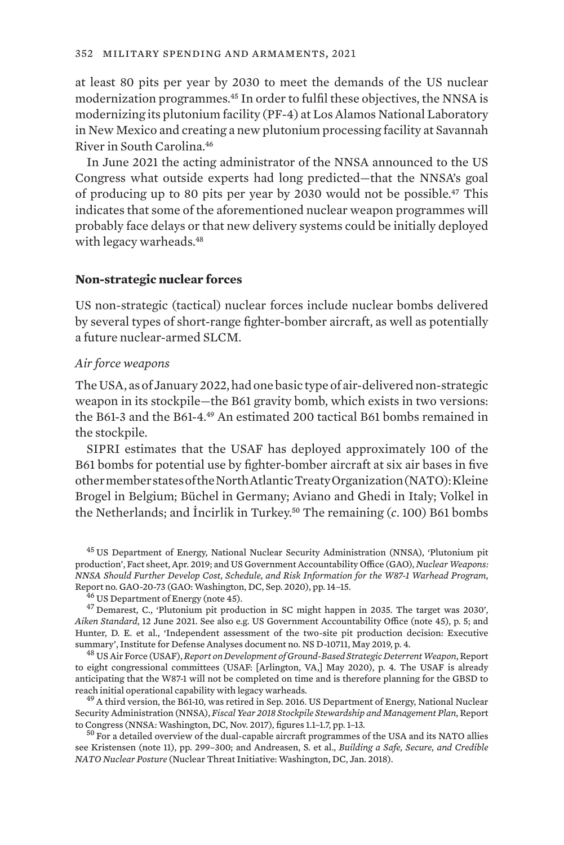at least 80 pits per year by 2030 to meet the demands of the US nuclear modernization programmes.<sup>45</sup> In order to fulfil these objectives, the NNSA is modernizing its plutonium facility (PF-4) at Los Alamos National Laboratory in New Mexico and creating a new plutonium processing facility at Savannah River in South Carolina.<sup>46</sup>

In June 2021 the acting administrator of the NNSA announced to the US Congress what outside experts had long predicted—that the NNSA's goal of producing up to 80 pits per year by 2030 would not be possible.47 This indicates that some of the aforementioned nuclear weapon programmes will probably face delays or that new delivery systems could be initially deployed with legacy warheads.<sup>48</sup>

### **Non-strategic nuclear forces**

US non-strategic (tactical) nuclear forces include nuclear bombs delivered by several types of short-range fighter-bomber aircraft, as well as potentially a future nuclear-armed SLCM.

#### *Air force weapons*

The USA, as of January 2022, had one basic type of air-delivered non-strategic weapon in its stockpile—the B61 gravity bomb, which exists in two versions: the B61-3 and the B61-4.<sup>49</sup> An estimated 200 tactical B61 bombs remained in the stockpile.

SIPRI estimates that the USAF has deployed approximately 100 of the B61 bombs for potential use by fighter-bomber aircraft at six air bases in five other member states of the North Atlantic Treaty Organization (NATO): Kleine Brogel in Belgium; Büchel in Germany; Aviano and Ghedi in Italy; Volkel in the Netherlands; and İncirlik in Turkey.50 The remaining (*c*. 100) B61 bombs

<sup>45</sup> US Department of Energy, National Nuclear Security Administration (NNSA), ['Plutonium pit](https://www.energy.gov/sites/prod/files/2019/05/f62/2019-05-13-FACTSHEET-plutonium-pits.pdf) [production'](https://www.energy.gov/sites/prod/files/2019/05/f62/2019-05-13-FACTSHEET-plutonium-pits.pdf), Fact sheet, Apr. 2019; and US Government Accountability Office (GAO), *[Nuclear Weapons:](https://www.gao.gov/assets/gao-20-703.pdf) [NNSA Should Further Develop Cost, Schedule, and Risk Information for the W87-1 Warhead Program](https://www.gao.gov/assets/gao-20-703.pdf)*,

 $\frac{46}{16}$  US Department of Energy (note 45).<br> $\frac{47}{12}$  Demarest, C., ['Plutonium pit production in SC might happen in 2035. The target was 2030'](https://www.postandcourier.com/aikenstandard/news/plutonium-pit-production-in-sc-might-happen-in-2035-the-target-was-2030/article_96e0b392-cada-11eb-a047-6fbc3e70d188.html), *Aiken Standard*, 12 June 2021. See also e.g. US Government Accountability Office (note 45), p. 5; and Hunter, D. E. et al., ['Independent assessment of the two-site pit production decision: Executive](https://www.ida.org/-/media/feature/publications/i/in/independent-assessment-of-the-two-site-pit-production-decision-executive-summary/d-10711.ashx) [summary](https://www.ida.org/-/media/feature/publications/i/in/independent-assessment-of-the-two-site-pit-production-decision-executive-summary/d-10711.ashx)', Institute for Defense Analyses document no. NS D-10711, May 2019, p. 4. <sup>48</sup> US Air Force (USAF), *Report on Development of Ground-Based Strategic Deterrent Weapon*, Report

to eight congressional committees (USAF: [Arlington, VA,] May 2020), p. 4. The USAF is already anticipating that the W87-1 will not be completed on time and is therefore planning for the GBSD to reach initial operational capability with legacy warheads.<br><sup>49</sup> A third version, the B61-10, was retired in Sep. 2016. US Department of Energy, National Nuclear

Security Administration (NNSA), *[Fiscal Year 2018 Stockpile Stewardship and Management Plan](https://www.energy.gov/sites/prod/files/2017/11/f46/fy18ssmp_final_november_2017%5B1%5D_0.pdf)*, Report

 $50$  For a detailed overview of the dual-capable aircraft programmes of the USA and its NATO allies see Kristensen (note 11), pp. 299–300; and Andreasen, S. et al., *[Building a Safe, Secure, and Credible](https://media.nti.org/documents/NTI_NATO_RPT_Web.pdf) [NATO Nuclear Posture](https://media.nti.org/documents/NTI_NATO_RPT_Web.pdf)* (Nuclear Threat Initiative: Washington, DC, Jan. 2018).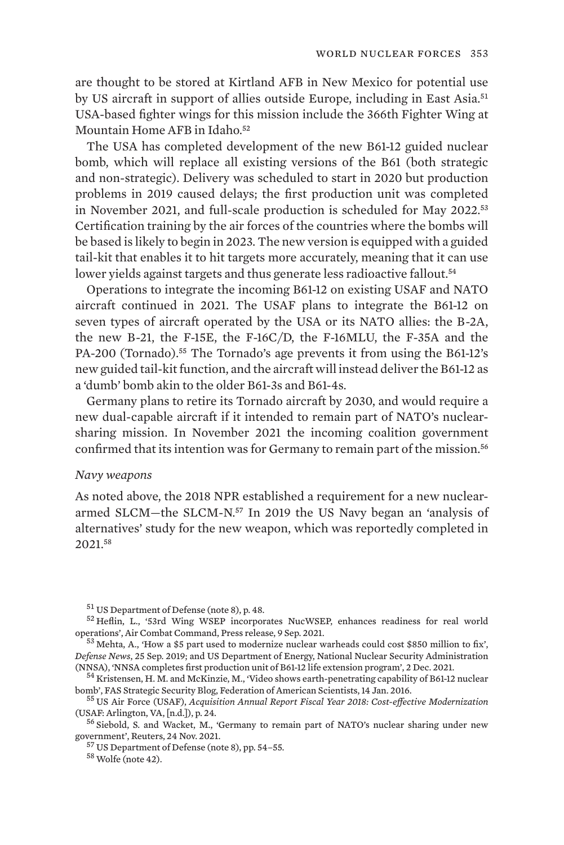are thought to be stored at Kirtland AFB in New Mexico for potential use by US aircraft in support of allies outside Europe, including in East Asia.<sup>51</sup> USA-based fighter wings for this mission include the 366th Fighter Wing at Mountain Home AFB in Idaho.<sup>52</sup>

The USA has completed development of the new B61-12 guided nuclear bomb, which will replace all existing versions of the B61 (both strategic and non-strategic). Delivery was scheduled to start in 2020 but production problems in 2019 caused delays; the first production unit was completed in November 2021, and full-scale production is scheduled for May 2022.<sup>53</sup> Certification training by the air forces of the countries where the bombs will be based is likely to begin in 2023. The new version is equipped with a guided tail-kit that enables it to hit targets more accurately, meaning that it can use lower yields against targets and thus generate less radioactive fallout.<sup>54</sup>

Operations to integrate the incoming B61-12 on existing USAF and NATO aircraft continued in 2021. The USAF plans to integrate the B61-12 on seven types of aircraft operated by the USA or its NATO allies: the B-2A, the new B-21, the F-15E, the F-16C/D, the F-16MLU, the F-35A and the PA-200 (Tornado).<sup>55</sup> The Tornado's age prevents it from using the B61-12's new guided tail-kit function, and the aircraft will instead deliver the B61-12 as a 'dumb' bomb akin to the older B61-3s and B61-4s.

Germany plans to retire its Tornado aircraft by 2030, and would require a new dual-capable aircraft if it intended to remain part of NATO's nuclearsharing mission. In November 2021 the incoming coalition government confirmed that its intention was for Germany to remain part of the mission.<sup>56</sup>

#### *Navy weapons*

As noted above, the 2018 NPR established a requirement for a new nucleararmed SLCM—the SLCM-N.57 In 2019 the US Navy began an 'analysis of alternatives' study for the new weapon, which was reportedly completed in 2021.<sup>58</sup>

<sup>&</sup>lt;sup>51</sup> US Department of Defense (note 8), p. 48.<br><sup>52</sup> Heflin, L., '[53rd Wing WSEP incorporates NucWSEP, enhances readiness for real world](https://www.acc.af.mil/News/Article-Display/Article/2770368/53rd-wing-wsep-incorporates-nucwsep-enhances-readiness-for-real-world-operations/)<br>operations', Air Combat Command, Press release, 9 Sep. 2021.

 $^{53}$  Mehta, A., '[How a \\$5 part used to modernize nuclear warheads could cost \\$850 million to fix'](https://www.defensenews.com/smr/nuclear-arsenal/2019/09/25/nuclear-warhead-programs-need-850m-fix-heres-how-the-government-plans-to-cover-it/), *Defense News*, 25 Sep. 2019; and US Department of Energy, National Nuclear Security Administration

<sup>&</sup>lt;sup>54</sup> Kristensen, H. M. and McKinzie, M., ['Video shows earth-penetrating capability of B61-12 nuclear](https://fas.org/blogs/security/2016/01/b61-12_earth-penetration/)

[bomb](https://fas.org/blogs/security/2016/01/b61-12_earth-penetration/)', FAS Strategic Security Blog, Federation of American Scientists, 14 Jan. 2016.<br><sup>55</sup> US Air Force (USAF), *[Acquisition Annual Report Fiscal Year 2018: Cost-effective Modernization](https://www.af.mil/Portals/1/documents/5/FY18_AQReport.pdf)*<br>(USAF: Arlington, VA, [n.d.]), p. 24

<sup>&</sup>lt;sup>56</sup> Siebold, S. and Wacket, M., ['Germany to remain part of NATO's nuclear sharing under new](https://www.reuters.com/world/europe/germany-remain-part-natos-nuclear-sharing-under-new-government-2021-11-24/) government', Reuters, 24 Nov. 2021.

 $^{57}$  US Department of Defense (note 8), pp. 54–55.  $^{58}$  Wolfe (note 42).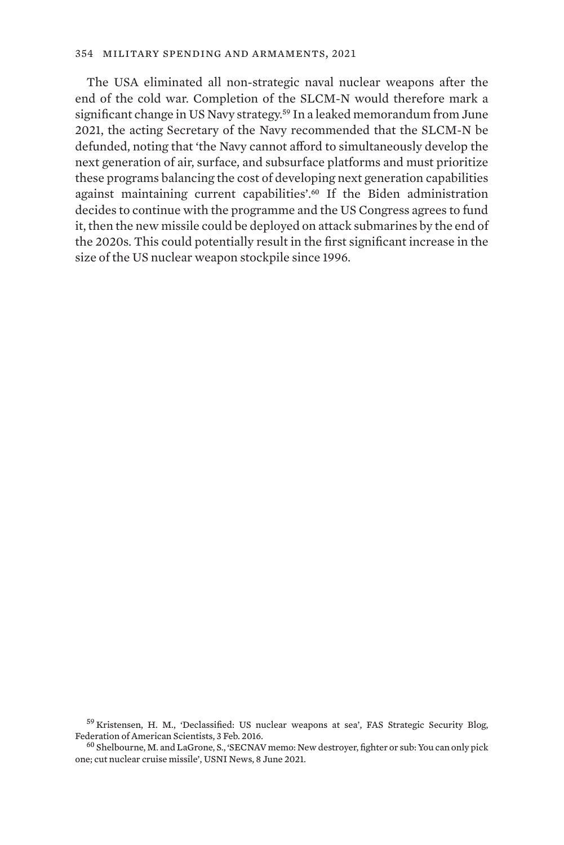The USA eliminated all non-strategic naval nuclear weapons after the end of the cold war. Completion of the SLCM-N would therefore mark a significant change in US Navy strategy.<sup>59</sup> In a leaked memorandum from June 2021, the acting Secretary of the Navy recommended that the SLCM-N be defunded, noting that 'the Navy cannot afford to simultaneously develop the next generation of air, surface, and subsurface platforms and must prioritize these programs balancing the cost of developing next generation capabilities against maintaining current capabilities'.60 If the Biden administration decides to continue with the programme and the US Congress agrees to fund it, then the new missile could be deployed on attack submarines by the end of the 2020s. This could potentially result in the first significant increase in the size of the US nuclear weapon stockpile since 1996.

 $^{59}$  Kristensen, H. M., ['Declassified: US nuclear weapons at sea'](https://fas.org/blogs/security/2016/02/nuclear-weapons-at-sea/), FAS Strategic Security Blog, Federation of American Scientists, 3 Feb. 2016.

 $^{60}$  Shelbourne, M. and LaGrone, S., 'SECNAV memo: New destrover, fighter or sub: You can only pick [one; cut nuclear cruise missile](https://news.usni.org/2021/06/08/secnav-memo-new-destroyer-fighter-or-sub-you-can-only-pick-one-cut-nuclear-cruise-missile)', USNI News, 8 June 2021.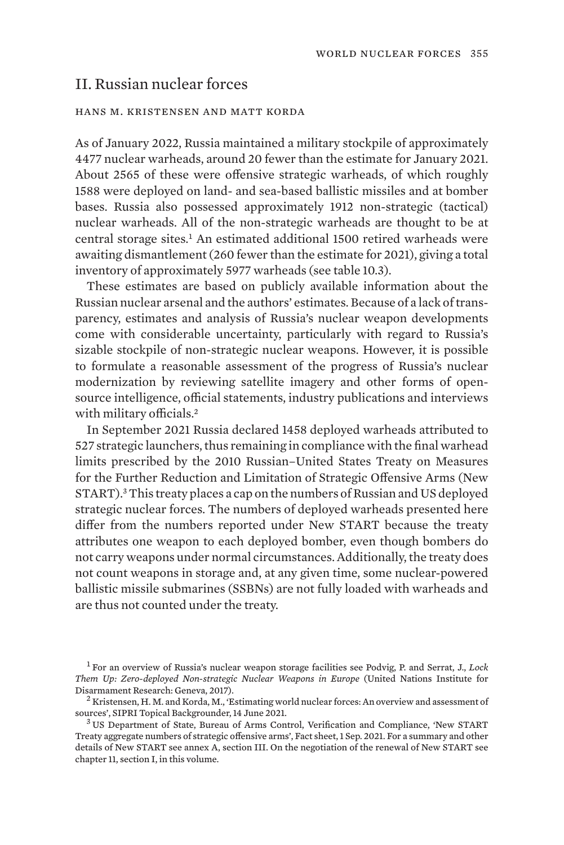# II. Russian nuclear forces

#### hans m. kristensen and matt korda

As of January 2022, Russia maintained a military stockpile of approximately 4477 nuclear warheads, around 20 fewer than the estimate for January 2021. About 2565 of these were offensive strategic warheads, of which roughly 1588 were deployed on land- and sea-based ballistic missiles and at bomber bases. Russia also possessed approximately 1912 non-strategic (tactical) nuclear warheads. All of the non-strategic warheads are thought to be at central storage sites.<sup>1</sup> An estimated additional 1500 retired warheads were awaiting dismantlement (260 fewer than the estimate for 2021), giving a total inventory of approximately 5977 warheads (see table 10.3).

These estimates are based on publicly available information about the Russian nuclear arsenal and the authors' estimates. Because of a lack of transparency, estimates and analysis of Russia's nuclear weapon developments come with considerable uncertainty, particularly with regard to Russia's sizable stockpile of non-strategic nuclear weapons. However, it is possible to formulate a reasonable assessment of the progress of Russia's nuclear modernization by reviewing satellite imagery and other forms of opensource intelligence, official statements, industry publications and interviews with military officials.<sup>2</sup>

In September 2021 Russia declared 1458 deployed warheads attributed to 527 strategic launchers, thus remaining in compliance with the final warhead limits prescribed by the 2010 Russian–United States Treaty on Measures for the Further Reduction and Limitation of Strategic Offensive Arms (New START).3 This treaty places a cap on the numbers of Russian and US deployed strategic nuclear forces. The numbers of deployed warheads presented here differ from the numbers reported under New START because the treaty attributes one weapon to each deployed bomber, even though bombers do not carry weapons under normal circumstances. Additionally, the treaty does not count weapons in storage and, at any given time, some nuclear-powered ballistic missile submarines (SSBNs) are not fully loaded with warheads and are thus not counted under the treaty.

<sup>1</sup> For an overview of Russia's nuclear weapon storage facilities see Podvig, P. and Serrat, J., *[Lock](https://unidir.org/sites/default/files/publication/pdfs/lock-them-up-zero-deployed-non-strategic-nuclear-weapons-in-europe-en-675.pdf) [Them Up: Zero-deployed Non-strategic Nuclear Weapons in Europe](https://unidir.org/sites/default/files/publication/pdfs/lock-them-up-zero-deployed-non-strategic-nuclear-weapons-in-europe-en-675.pdf)* (United Nations Institute for

Disarmament Research: Geneva, 2017).<br><sup>2</sup> Kristensen, H. M. and Korda, M., ['Estimating world nuclear forces: An overview and assessment of](https://www.sipri.org/commentary/topical-backgrounder/2021/estimating-world-nuclear-forces-overview-and-assessment-sources) sources', SIPRI Topical Backgrounder, 14 June 2021.

<sup>&</sup>lt;sup>3</sup> US Department of State, Bureau of Arms Control, Verification and Compliance, '[New START](https://www.state.gov/wp-content/uploads/2021/09/09-28-2021-September-NST-FACTSHEET-draft-Copy.pdf) [Treaty aggregate numbers of strategic offensive arms'](https://www.state.gov/wp-content/uploads/2021/09/09-28-2021-September-NST-FACTSHEET-draft-Copy.pdf), Fact sheet, 1 Sep. 2021. For a summary and other details of New START see annex A, section III. On the negotiation of the renewal of New START see chapter 11, section I, in this volume.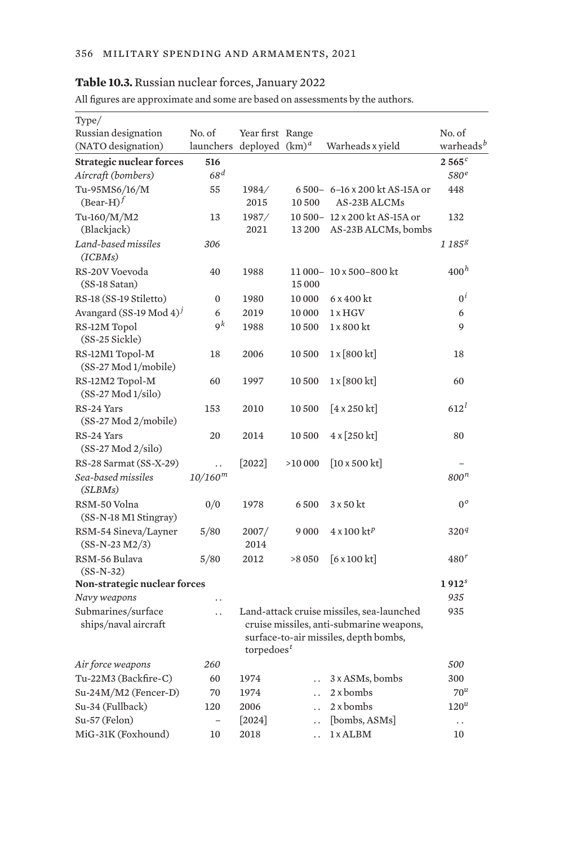### **Table 10.3.** Russian nuclear forces, January 2022

All figures are approximate and some are based on assessments by the authors.

| Type/                                                   |                            |                                                                                                                                                                       |                      |                                                     |                                 |
|---------------------------------------------------------|----------------------------|-----------------------------------------------------------------------------------------------------------------------------------------------------------------------|----------------------|-----------------------------------------------------|---------------------------------|
| Russian designation<br>(NATO designation)               | No. of<br>launchers        | Year first Range<br>deployed $(km)^d$                                                                                                                                 |                      | Warheads x yield                                    | No. of<br>warheads <sup>b</sup> |
|                                                         |                            |                                                                                                                                                                       |                      |                                                     |                                 |
| <b>Strategic nuclear forces</b>                         | 516<br>68 <sup>d</sup>     |                                                                                                                                                                       |                      |                                                     | 2565c                           |
| Aircraft (bombers)                                      |                            |                                                                                                                                                                       |                      |                                                     | 580 <sup>e</sup>                |
| Tu-95MS6/16/M<br>$(Bear-H)^f$                           | 55                         | 1984/<br>2015                                                                                                                                                         | 10500                | 6 500- 6-16 x 200 kt AS-15A or<br>AS-23B ALCMs      | 448                             |
| Tu-160/M/M2<br>(Blackjack)                              | 13                         | 1987/<br>2021                                                                                                                                                         | 13 200               | 10 500-12 x 200 kt AS-15A or<br>AS-23B ALCMs, bombs | 132                             |
| Land-based missiles<br>(ICBMs)                          | 306                        |                                                                                                                                                                       |                      |                                                     | $1\,185^{g}$                    |
| RS-20V Voevoda<br>$(SS-18 \text{ Satan})$               | 40                         | 1988                                                                                                                                                                  | 15 000               | 11 000-10 x 500-800 kt                              | 400 <sup>h</sup>                |
| RS-18 (SS-19 Stiletto)                                  | 0                          | 1980                                                                                                                                                                  | 10 000               | 6 x 400 kt                                          | $0^i$                           |
| Avangard (SS-19 Mod 4) <sup>j</sup>                     | 6                          | 2019                                                                                                                                                                  | 10 000               | $1 \times HGV$                                      | 6                               |
| RS-12M Topol<br>(SS-25 Sickle)                          | $\mathsf{q}^k$             | 1988                                                                                                                                                                  | 10 500               | 1 x 800 kt                                          | 9                               |
| RS-12M1 Topol-M<br>(SS-27 Mod 1/mobile)                 | 18                         | 2006                                                                                                                                                                  | 10 500               | $1 \times [800 \text{ kt}]$                         | 18                              |
| RS-12M2 Topol-M<br>$(SS-27 Mod 1/silo)$                 | 60                         | 1997                                                                                                                                                                  | 10 500               | $1 \times [800 \text{ kt}]$                         | 60                              |
| RS-24 Yars<br>(SS-27 Mod 2/mobile)                      | 153                        | 2010                                                                                                                                                                  | 10 500               | $[4 \times 250 \text{ kt}]$                         | $612^l$                         |
| RS-24 Yars<br>$(SS-27 \text{ Mod } 2/\text{silo})$      | 20                         | 2014                                                                                                                                                                  | 10 500               | $4 \times 250$ kt]                                  | 80                              |
| RS-28 Sarmat (SS-X-29)<br>Sea-based missiles<br>(SLBMs) | . .<br>10/160 <sup>m</sup> | $[2022]$                                                                                                                                                              | >10000               | $[10 \times 500 \text{ kt}]$                        | 800 <sup>n</sup>                |
| RSM-50 Volna<br>$(SS-N-18 M1$ Stingray)                 | 0/0                        | 1978                                                                                                                                                                  | 6500                 | 3 x 50 kt                                           | $0^o$                           |
| RSM-54 Sineva/Layner<br>$(SS-N-23 M2/3)$                | 5/80                       | 2007/<br>2014                                                                                                                                                         | 9000                 | $4 \times 100$ kt <sup>p</sup>                      | 320 <sup>q</sup>                |
| RSM-56 Bulava<br>$(SS-N-32)$                            | 5/80                       | 2012                                                                                                                                                                  | >8 0 5 0             | $[6 \times 100$ kt]                                 | $480^r$                         |
| Non-strategic nuclear forces                            |                            |                                                                                                                                                                       |                      |                                                     | 1912 <sup>s</sup>               |
| Navy weapons                                            | $\ddot{\phantom{0}}$       |                                                                                                                                                                       |                      |                                                     | 935                             |
| Submarines/surface<br>ships/naval aircraft              | $\ddot{\phantom{0}}$       | Land-attack cruise missiles, sea-launched<br>cruise missiles, anti-submarine weapons,<br>surface-to-air missiles, depth bombs,<br>torpedoes <sup><math>t</math></sup> | 935                  |                                                     |                                 |
| Air force weapons                                       | 260                        |                                                                                                                                                                       |                      |                                                     | <i>500</i>                      |
| Tu-22M3 (Backfire-C)                                    | 60                         | 1974                                                                                                                                                                  |                      | 3 x ASMs, bombs                                     | 300                             |
| Su-24M/M2 (Fencer-D)                                    | 70                         | 1974                                                                                                                                                                  | $\ddot{\phantom{0}}$ | 2 x bombs                                           | $70^u$                          |
| Su-34 (Fullback)                                        | 120                        | 2006                                                                                                                                                                  | $\ddot{\phantom{0}}$ | $2x$ bombs                                          | 120 <sup>u</sup>                |
| Su-57 (Felon)                                           | $\qquad \qquad -$          | $[2024]$                                                                                                                                                              | $\ddot{\phantom{0}}$ | [bombs, ASMs]                                       | $\ddots$                        |
| MiG-31K (Foxhound)                                      | 10                         | 2018                                                                                                                                                                  | . .                  | 1 x ALBM                                            | 10                              |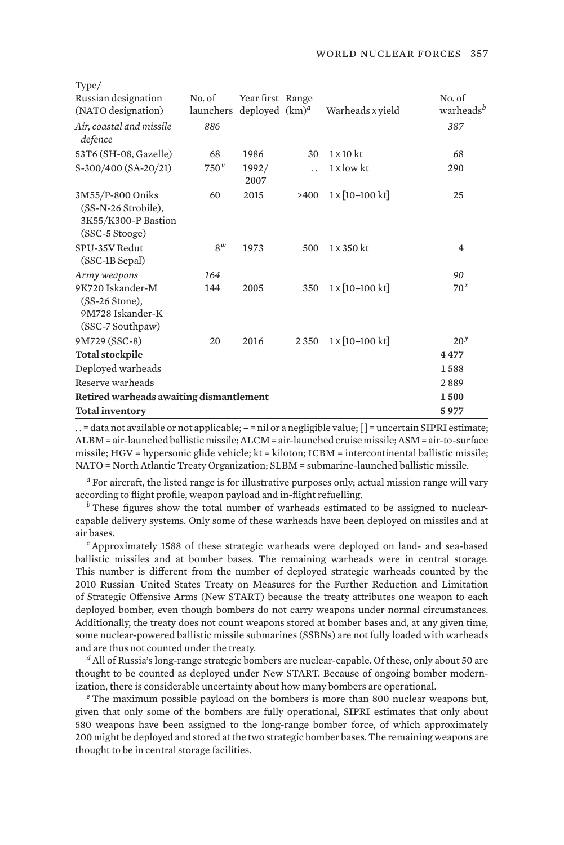| Type/                                                                            |                                      |                  |                      |                                  |                       |
|----------------------------------------------------------------------------------|--------------------------------------|------------------|----------------------|----------------------------------|-----------------------|
| Russian designation                                                              | No. of                               | Year first Range |                      |                                  | No. of                |
| (NATO designation)                                                               | launchers deployed (km) <sup>a</sup> |                  |                      | Warheads x yield                 | warheads <sup>b</sup> |
| Air, coastal and missile<br>defence                                              | 886                                  |                  |                      |                                  | 387                   |
| 53T6 (SH-08, Gazelle)                                                            | 68                                   | 1986             | 30                   | $1 \times 10$ kt                 | 68                    |
| S-300/400 (SA-20/21)                                                             | $750^{\nu}$                          | 1992/<br>2007    | $\ddot{\phantom{0}}$ | $1 \times$ low kt                | 290                   |
| 3M55/P-800 Oniks<br>(SS-N-26 Strobile),<br>3K55/K300-P Bastion<br>(SSC-5 Stooge) | 60                                   | 2015             | >400                 | $1 \times [10 - 100 \text{ kt}]$ | 25                    |
| SPU-35V Redut<br>(SSC-1B Sepal)                                                  | $8^w$                                | 1973             | 500                  | $1 \times 350$ kt                | 4                     |
| Army weapons                                                                     | 164                                  |                  |                      |                                  | 90                    |
| 9K720 Iskander-M<br>$(SS-26$ Stone).<br>9M728 Iskander-K<br>(SSC-7 Southpaw)     | 144                                  | 2005             | 350                  | $1 \times [10 - 100 \text{ kt}]$ | $70^x$                |
| 9M729 (SSC-8)                                                                    | 20                                   | 2016             | 2350                 | 1 x [10-100 kt]                  | 20 <sup>y</sup>       |
| <b>Total stockpile</b>                                                           |                                      |                  |                      |                                  | 4477                  |
| Deployed warheads                                                                |                                      |                  |                      |                                  | 1588                  |
| Reserve warheads                                                                 |                                      |                  |                      |                                  | 2889                  |
| Retired warheads awaiting dismantlement                                          |                                      |                  |                      |                                  |                       |
| <b>Total inventory</b>                                                           |                                      |                  |                      |                                  | 5977                  |

. . = data not available or not applicable; – = nil or a negligible value; [ ] = uncertain SIPRI estimate; ALBM = air-launched ballistic missile; ALCM = air-launched cruise missile; ASM = air-to-surface missile; HGV = hypersonic glide vehicle; kt = kiloton; ICBM = intercontinental ballistic missile; NATO = North Atlantic Treaty Organization; SLBM = submarine-launched ballistic missile.

*<sup>a</sup>* For aircraft, the listed range is for illustrative purposes only; actual mission range will vary according to flight profile, weapon payload and in-flight refuelling.

*b* These figures show the total number of warheads estimated to be assigned to nuclearcapable delivery systems. Only some of these warheads have been deployed on missiles and at air bases.

*<sup>c</sup>* Approximately 1588 of these strategic warheads were deployed on land- and sea-based ballistic missiles and at bomber bases. The remaining warheads were in central storage. This number is different from the number of deployed strategic warheads counted by the 2010 Russian–United States Treaty on Measures for the Further Reduction and Limitation of Strategic Offensive Arms (New START) because the treaty attributes one weapon to each deployed bomber, even though bombers do not carry weapons under normal circumstances. Additionally, the treaty does not count weapons stored at bomber bases and, at any given time, some nuclear-powered ballistic missile submarines (SSBNs) are not fully loaded with warheads and are thus not counted under the treaty.

*<sup>d</sup>* All of Russia's long-range strategic bombers are nuclear-capable. Of these, only about 50 are thought to be counted as deployed under New START. Because of ongoing bomber modernization, there is considerable uncertainty about how many bombers are operational.

*<sup>e</sup>* The maximum possible payload on the bombers is more than 800 nuclear weapons but, given that only some of the bombers are fully operational, SIPRI estimates that only about 580 weapons have been assigned to the long-range bomber force, of which approximately 200 might be deployed and stored at the two strategic bomber bases. The remaining weapons are thought to be in central storage facilities.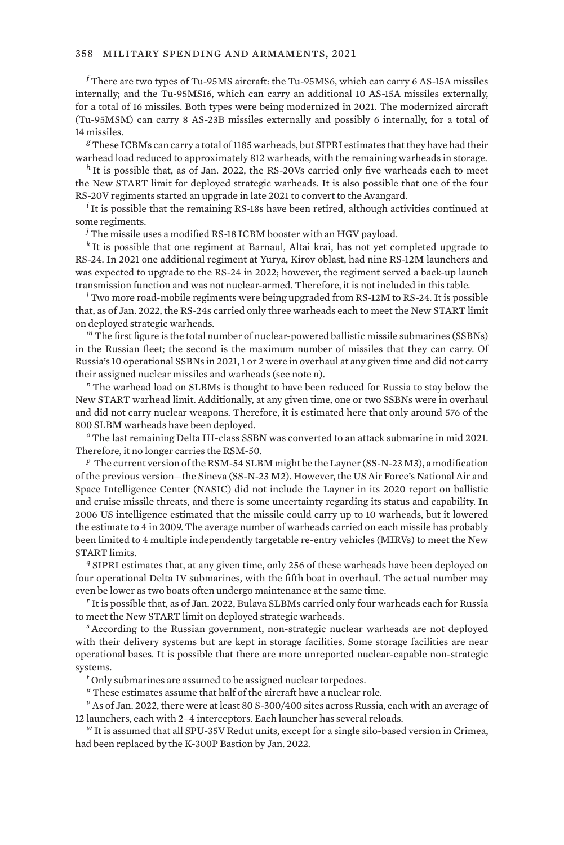*<sup>f</sup>* There are two types of Tu-95MS aircraft: the Tu-95MS6, which can carry 6 AS-15A missiles internally; and the Tu-95MS16, which can carry an additional 10 AS-15A missiles externally, for a total of 16 missiles. Both types were being modernized in 2021. The modernized aircraft (Tu-95MSM) can carry 8 AS-23B missiles externally and possibly 6 internally, for a total of 14 missiles.

*<sup>g</sup>* These ICBMs can carry a total of 1185 warheads, but SIPRI estimates that they have had their warhead load reduced to approximately 812 warheads, with the remaining warheads in storage.

*<sup>h</sup>* It is possible that, as of Jan. 2022, the RS-20Vs carried only five warheads each to meet the New START limit for deployed strategic warheads. It is also possible that one of the four RS-20V regiments started an upgrade in late 2021 to convert to the Avangard.

*<sup>i</sup>* It is possible that the remaining RS-18s have been retired, although activities continued at some regiments.

*<sup>j</sup>* The missile uses a modified RS-18 ICBM booster with an HGV payload.

*<sup>k</sup>* It is possible that one regiment at Barnaul, Altai krai, has not yet completed upgrade to RS-24. In 2021 one additional regiment at Yurya, Kirov oblast, had nine RS-12M launchers and was expected to upgrade to the RS-24 in 2022; however, the regiment served a back-up launch transmission function and was not nuclear-armed. Therefore, it is not included in this table.

*<sup>l</sup>* Two more road-mobile regiments were being upgraded from RS-12M to RS-24. It is possible that, as of Jan. 2022, the RS-24s carried only three warheads each to meet the New START limit on deployed strategic warheads.

*<sup>m</sup>* The first figure is the total number of nuclear-powered ballistic missile submarines (SSBNs) in the Russian fleet; the second is the maximum number of missiles that they can carry. Of Russia's 10 operational SSBNs in 2021, 1 or 2 were in overhaul at any given time and did not carry their assigned nuclear missiles and warheads (see note n).

*<sup>n</sup>* The warhead load on SLBMs is thought to have been reduced for Russia to stay below the New START warhead limit. Additionally, at any given time, one or two SSBNs were in overhaul and did not carry nuclear weapons. Therefore, it is estimated here that only around 576 of the 800 SLBM warheads have been deployed.

*<sup>o</sup>* The last remaining Delta III-class SSBN was converted to an attack submarine in mid 2021. Therefore, it no longer carries the RSM-50.

*<sup>p</sup>* The current version of the RSM-54 SLBM might be the Layner (SS-N-23 M3), a modification of the previous version—the Sineva (SS-N-23 M2). However, the US Air Force's National Air and Space Intelligence Center (NASIC) did not include the Layner in its 2020 report on ballistic and cruise missile threats, and there is some uncertainty regarding its status and capability. In 2006 US intelligence estimated that the missile could carry up to 10 warheads, but it lowered the estimate to 4 in 2009. The average number of warheads carried on each missile has probably been limited to 4 multiple independently targetable re-entry vehicles (MIRVs) to meet the New START limits.

*<sup>q</sup>* SIPRI estimates that, at any given time, only 256 of these warheads have been deployed on four operational Delta IV submarines, with the fifth boat in overhaul. The actual number may even be lower as two boats often undergo maintenance at the same time.

*<sup>r</sup>* It is possible that, as of Jan. 2022, Bulava SLBMs carried only four warheads each for Russia to meet the New START limit on deployed strategic warheads.

*<sup>s</sup>* According to the Russian government, non-strategic nuclear warheads are not deployed with their delivery systems but are kept in storage facilities. Some storage facilities are near operational bases. It is possible that there are more unreported nuclear-capable non-strategic systems.

*<sup>t</sup>* Only submarines are assumed to be assigned nuclear torpedoes.

*<sup>u</sup>* These estimates assume that half of the aircraft have a nuclear role.

<sup>v</sup> As of Jan. 2022, there were at least 80 S-300/400 sites across Russia, each with an average of 12 launchers, each with 2–4 interceptors. Each launcher has several reloads.

*<sup>w</sup>* It is assumed that all SPU-35V Redut units, except for a single silo-based version in Crimea, had been replaced by the K-300P Bastion by Jan. 2022.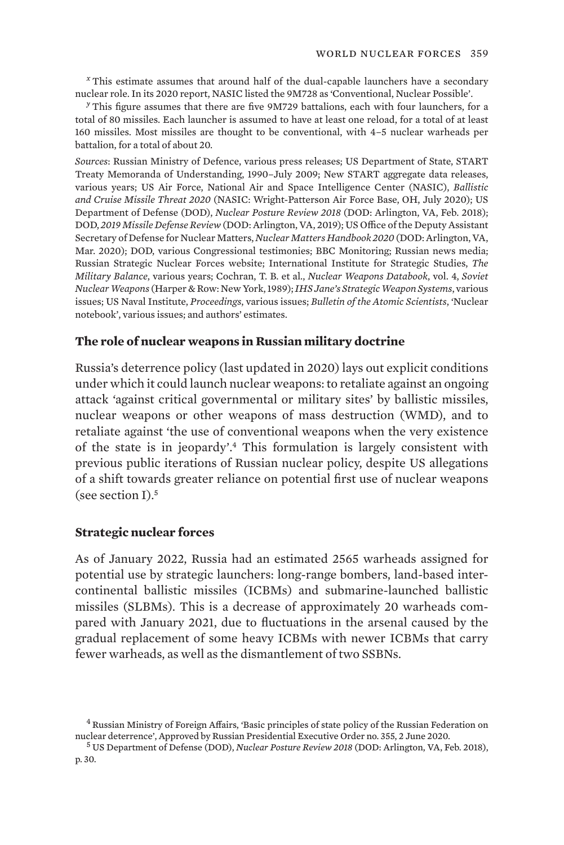*<sup>x</sup>* This estimate assumes that around half of the dual-capable launchers have a secondary nuclear role. In its 2020 report, NASIC listed the 9M728 as 'Conventional, Nuclear Possible'.

*<sup>y</sup>* This figure assumes that there are five 9M729 battalions, each with four launchers, for a total of 80 missiles. Each launcher is assumed to have at least one reload, for a total of at least 160 missiles. Most missiles are thought to be conventional, with 4–5 nuclear warheads per battalion, for a total of about 20.

*Sources*: Russian Ministry of Defence, various press releases; US Department of State, START Treaty Memoranda of Understanding, 1990–July 2009; New START aggregate data releases, various years; US Air Force, National Air and Space Intelligence Center (NASIC), *Ballistic and Cruise Missile Threat 2020* (NASIC: Wright-Patterson Air Force Base, OH, July 2020); US Department of Defense (DOD), *Nuclear Posture Review 2018* (DOD: Arlington, VA, Feb. 2018); DOD, *2019 Missile Defense Review* (DOD: Arlington, VA, 2019); US Office of the Deputy Assistant Secretary of Defense for Nuclear Matters, *Nuclear Matters Handbook 2020* (DOD: Arlington, VA, Mar. 2020); DOD, various Congressional testimonies; BBC Monitoring; Russian news media; Russian Strategic Nuclear Forces website; International Institute for Strategic Studies, *The Military Balance*, various years; Cochran, T. B. et al., *Nuclear Weapons Databook*, vol. 4, *Soviet Nuclear Weapons* (Harper & Row: New York, 1989); *IHS Jane's Strategic Weapon Systems*, various issues; US Naval Institute, *Proceedings*, various issues; *Bulletin of the Atomic Scientists*, 'Nuclear notebook', various issues; and authors' estimates.

### **The role of nuclear weapons in Russian military doctrine**

Russia's deterrence policy (last updated in 2020) lays out explicit conditions under which it could launch nuclear weapons: to retaliate against an ongoing attack 'against critical governmental or military sites' by ballistic missiles, nuclear weapons or other weapons of mass destruction (WMD), and to retaliate against 'the use of conventional weapons when the very existence of the state is in jeopardy'.4 This formulation is largely consistent with previous public iterations of Russian nuclear policy, despite US allegations of a shift towards greater reliance on potential first use of nuclear weapons (see section I).<sup>5</sup>

### **Strategic nuclear forces**

As of January 2022, Russia had an estimated 2565 warheads assigned for potential use by strategic launchers: long-range bombers, land-based intercontinental ballistic missiles (ICBMs) and submarine-launched ballistic missiles (SLBMs). This is a decrease of approximately 20 warheads compared with January 2021, due to fluctuations in the arsenal caused by the gradual replacement of some heavy ICBMs with newer ICBMs that carry fewer warheads, as well as the dismantlement of two SSBNs.

<sup>4</sup> Russian Ministry of Foreign Affairs, '[Basic principles of state policy of the Russian Federation on](https://archive.mid.ru/en/web/guest/foreign_policy/international_safety/disarmament/-/asset_publisher/rp0fiUBmANaH/content/id/4152094?p_p_id=101_INSTANCE_rp0fiUBmANaH&_101_INSTANCE_rp0fiUBmANaH_languageId=en_GB) [nuclear deterrence'](https://archive.mid.ru/en/web/guest/foreign_policy/international_safety/disarmament/-/asset_publisher/rp0fiUBmANaH/content/id/4152094?p_p_id=101_INSTANCE_rp0fiUBmANaH&_101_INSTANCE_rp0fiUBmANaH_languageId=en_GB), Approved by Russian Presidential Executive Order no. 355, 2 June 2020. <sup>5</sup> US Department of Defense (DOD), *[Nuclear Posture Review 2018](https://media.defense.gov/2018/Feb/02/2001872886/-1/-1/1/2018-NUCLEAR-POSTURE-REVIEW-FINAL-REPORT.PDF)* (DOD: Arlington, VA, Feb. 2018),

p. 30.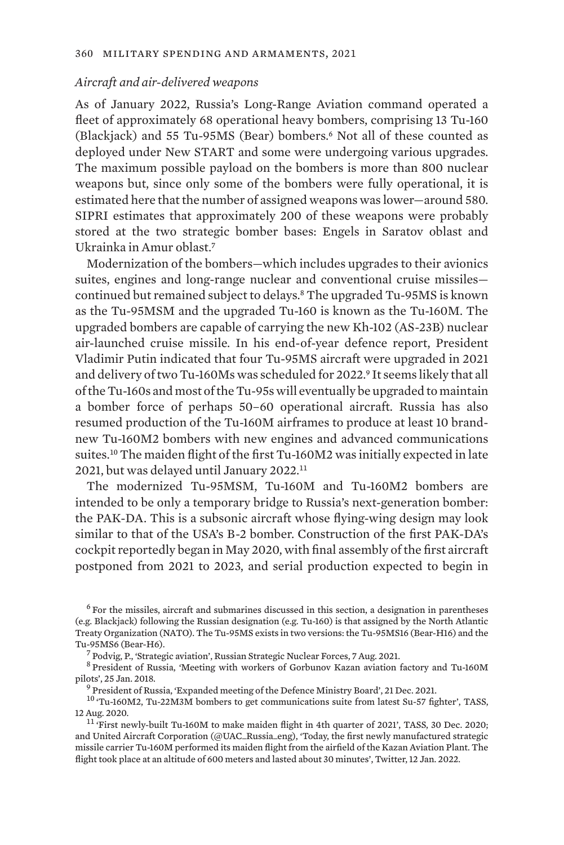#### *Aircraft and air-delivered weapons*

As of January 2022, Russia's Long-Range Aviation command operated a fleet of approximately 68 operational heavy bombers, comprising 13 Tu-160 (Blackjack) and 55 Tu-95MS (Bear) bombers.6 Not all of these counted as deployed under New START and some were undergoing various upgrades. The maximum possible payload on the bombers is more than 800 nuclear weapons but, since only some of the bombers were fully operational, it is estimated here that the number of assigned weapons was lower—around 580. SIPRI estimates that approximately 200 of these weapons were probably stored at the two strategic bomber bases: Engels in Saratov oblast and Ukrainka in Amur oblast.<sup>7</sup>

Modernization of the bombers—which includes upgrades to their avionics suites, engines and long-range nuclear and conventional cruise missiles continued but remained subject to delays.8 The upgraded Tu-95MS is known as the Tu-95MSM and the upgraded Tu-160 is known as the Tu-160M. The upgraded bombers are capable of carrying the new Kh-102 (AS-23B) nuclear air-launched cruise missile. In his end-of-year defence report, President Vladimir Putin indicated that four Tu-95MS aircraft were upgraded in 2021 and delivery of two Tu-160Ms was scheduled for 2022.9 It seems likely that all of the Tu-160s and most of the Tu-95s will eventually be upgraded to maintain a bomber force of perhaps 50–60 operational aircraft. Russia has also resumed production of the Tu-160M airframes to produce at least 10 brandnew Tu-160M2 bombers with new engines and advanced communications suites.10 The maiden flight of the first Tu-160M2 was initially expected in late 2021, but was delayed until January 2022.<sup>11</sup>

The modernized Tu-95MSM, Tu-160M and Tu-160M2 bombers are intended to be only a temporary bridge to Russia's next-generation bomber: the PAK-DA. This is a subsonic aircraft whose flying-wing design may look similar to that of the USA's B-2 bomber. Construction of the first PAK-DA's cockpit reportedly began in May 2020, with final assembly of the first aircraft postponed from 2021 to 2023, and serial production expected to begin in

 $<sup>6</sup>$  For the missiles, aircraft and submarines discussed in this section, a designation in parentheses</sup> (e.g. Blackjack) following the Russian designation (e.g. Tu-160) is that assigned by the North Atlantic Treaty Organization (NATO). The Tu-95MS exists in two versions: the Tu-95MS16 (Bear-H16) and the Tu-95MS6 (Bear-H6).<br><sup>7</sup> Podvig, P., '[Strategic aviation](http://russianforces.org/aviation/)', Russian Strategic Nuclear Forces, 7 Aug. 2021.<br><sup>8</sup> President of Russia, ['Meeting with workers of Gorbunov Kazan aviation factory and Tu-160M](http://en.kremlin.ru/events/president/news/56707)

[pilots](http://en.kremlin.ru/events/president/news/56707)', 25 Jan. 2018.<br><sup>9</sup> President of Russia, '[Expanded meeting of the Defence Ministry Board](http://en.kremlin.ru/events/president/news/67402)', 21 Dec. 2021.<br><sup>10</sup> ['Tu-160M2, Tu-22M3M bombers to get communications suite from latest Su-57 fighter](https://tass.com/defense/1188883)', TASS,

12 Aug. 2020.<br><sup>11</sup> ['First newly-built Tu-160M to make maiden flight in 4th quarter of 2021](https://tass.com/defense/1241341)', TASS, 30 Dec. 2020;

and United Aircraft Corporation (@UAC\_Russia\_eng), ['Today, the first newly manufactured strategic](https://twitter.com/UAC_Russia_eng/status/1481251963434151939) [missile carrier Tu-160M performed its maiden flight from the airfield of the Kazan Aviation Plant. The](https://twitter.com/UAC_Russia_eng/status/1481251963434151939) [flight took place at an altitude of 600 meters and lasted about 30 minutes](https://twitter.com/UAC_Russia_eng/status/1481251963434151939)', Twitter, 12 Jan. 2022.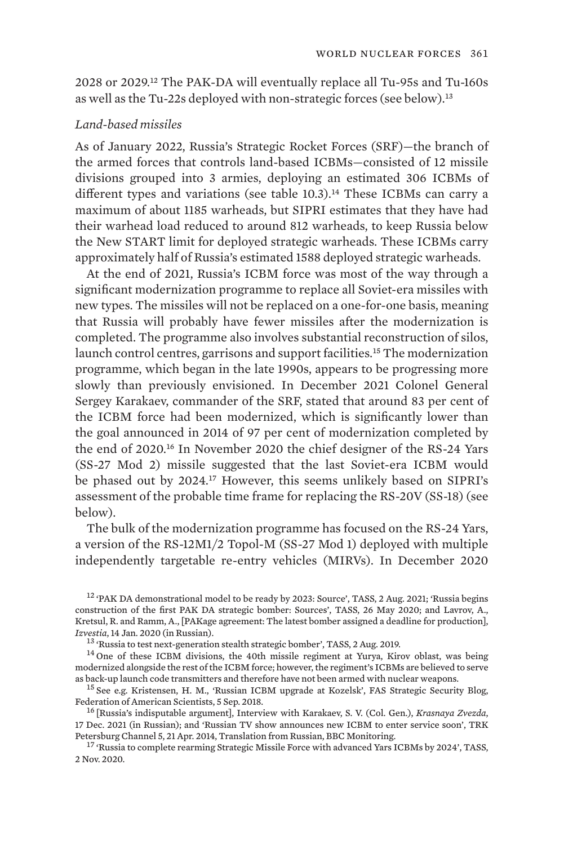2028 or 2029.12 The PAK-DA will eventually replace all Tu-95s and Tu-160s as well as the Tu-22s deployed with non-strategic forces (see below).<sup>13</sup>

### *Land-based missiles*

As of January 2022, Russia's Strategic Rocket Forces (SRF)—the branch of the armed forces that controls land-based ICBMs—consisted of 12 missile divisions grouped into 3 armies, deploying an estimated 306 ICBMs of different types and variations (see table 10.3).<sup>14</sup> These ICBMs can carry a maximum of about 1185 warheads, but SIPRI estimates that they have had their warhead load reduced to around 812 warheads, to keep Russia below the New START limit for deployed strategic warheads. These ICBMs carry approximately half of Russia's estimated 1588 deployed strategic warheads.

At the end of 2021, Russia's ICBM force was most of the way through a significant modernization programme to replace all Soviet-era missiles with new types. The missiles will not be replaced on a one-for-one basis, meaning that Russia will probably have fewer missiles after the modernization is completed. The programme also involves substantial reconstruction of silos, launch control centres, garrisons and support facilities.<sup>15</sup> The modernization programme, which began in the late 1990s, appears to be progressing more slowly than previously envisioned. In December 2021 Colonel General Sergey Karakaev, commander of the SRF, stated that around 83 per cent of the ICBM force had been modernized, which is significantly lower than the goal announced in 2014 of 97 per cent of modernization completed by the end of 2020.16 In November 2020 the chief designer of the RS-24 Yars (SS-27 Mod 2) missile suggested that the last Soviet-era ICBM would be phased out by 2024.17 However, this seems unlikely based on SIPRI's assessment of the probable time frame for replacing the RS-20V (SS-18) (see below).

The bulk of the modernization programme has focused on the RS-24 Yars, a version of the RS-12M1/2 Topol-M (SS-27 Mod 1) deployed with multiple independently targetable re-entry vehicles (MIRVs). In December 2020

<sup>12</sup> ['PAK DA demonstrational model to be ready by 2023: Source](https://tass.com/defense/1321611)', TASS, 2 Aug. 2021; '[Russia begins](https://tass.com/defense/1160253) [construction of the first PAK DA strategic bomber: Sources'](https://tass.com/defense/1160253), TASS, 26 May 2020; and Lavrov, A., Kretsul, R. and Ramm, A., [[PAKage agreement: The latest bomber assigned a deadline for production](https://iz.ru/963694/anton-lavrov-roman-kretcul-aleksei-ramm/paketnoe-soglashenie-noveishemu-bombardirovshchiku-naznachili-sroki-vykhoda-v-seriiu)], Izvestia, 14 Jan. 2020 (in Russian).

<sup>13</sup> ['Russia to test next-generation stealth strategic bomber](https://tass.com/defense/1071613)', TASS, 2 Aug. 2019.<br><sup>14</sup> One of these ICBM divisions, the 40th missile regiment at Yurya, Kirov oblast, was being modernized alongside the rest of the ICBM force; however, the regiment's ICBMs are believed to serve<br>as back-up launch code transmitters and therefore have not been armed with nuclear weapons.

<sup>15</sup> See e.g. Kristensen, H. M., '[Russian ICBM upgrade at Kozelsk'](https://fas.org/blogs/security/2018/09/kozelsk-icbm-upgrade/), FAS Strategic Security Blog, Federation of American Scientists, 5 Sep. 2018.<br><sup>16</sup> [\[Russia's indisputable argument](http://redstar.ru/besspornyj-argument-rossii/)], Interview with Karakaev, S. V. (Col. Gen.), *Krasnaya Zvezda*,

17 Dec. 2021 (in Russian); and 'Russian TV show announces new ICBM to enter service soon', TRK<br>Petersburg Channel 5, 21 Apr. 2014, Translation from Russian, BBC Monitoring.

<sup>17</sup> ['Russia to complete rearming Strategic Missile Force with advanced Yars ICBMs by 2024'](https://tass.com/defense/1219001), TASS, 2 Nov. 2020.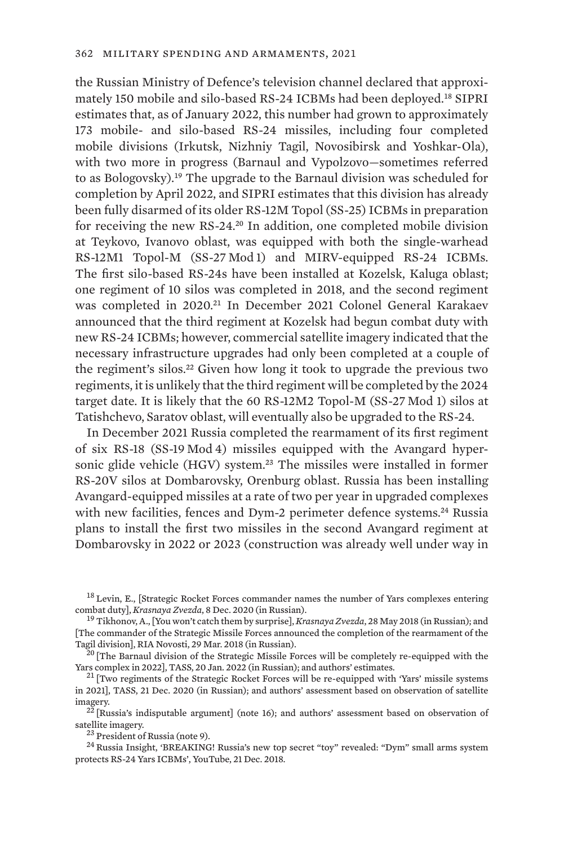the Russian Ministry of Defence's television channel declared that approximately 150 mobile and silo-based RS-24 ICBMs had been deployed.18 SIPRI estimates that, as of January 2022, this number had grown to approximately 173 mobile- and silo-based RS-24 missiles, including four completed mobile divisions (Irkutsk, Nizhniy Tagil, Novosibirsk and Yoshkar-Ola), with two more in progress (Barnaul and Vypolzovo—sometimes referred to as Bologovsky).19 The upgrade to the Barnaul division was scheduled for completion by April 2022, and SIPRI estimates that this division has already been fully disarmed of its older RS-12M Topol (SS-25) ICBMs in preparation for receiving the new RS-24.20 In addition, one completed mobile division at Teykovo, Ivanovo oblast, was equipped with both the single-warhead RS-12M1 Topol-M (SS-27 Mod 1) and MIRV-equipped RS-24 ICBMs. The first silo-based RS-24s have been installed at Kozelsk, Kaluga oblast; one regiment of 10 silos was completed in 2018, and the second regiment was completed in 2020.21 In December 2021 Colonel General Karakaev announced that the third regiment at Kozelsk had begun combat duty with new RS-24 ICBMs; however, commercial satellite imagery indicated that the necessary infrastructure upgrades had only been completed at a couple of the regiment's silos.<sup>22</sup> Given how long it took to upgrade the previous two regiments, it is unlikely that the third regiment will be completed by the 2024 target date. It is likely that the 60 RS-12M2 Topol-M (SS-27 Mod 1) silos at Tatishchevo, Saratov oblast, will eventually also be upgraded to the RS-24.

In December 2021 Russia completed the rearmament of its first regiment of six RS-18 (SS-19 Mod 4) missiles equipped with the Avangard hypersonic glide vehicle (HGV) system.<sup>23</sup> The missiles were installed in former RS-20V silos at Dombarovsky, Orenburg oblast. Russia has been installing Avangard-equipped missiles at a rate of two per year in upgraded complexes with new facilities, fences and Dym-2 perimeter defence systems.<sup>24</sup> Russia plans to install the first two missiles in the second Avangard regiment at Dombarovsky in 2022 or 2023 (construction was already well under way in

 $18$  Levin, E., [\[Strategic Rocket Forces commander names the number of Yars complexes entering](https://tvzvezda.ru/news/2020128952-vJ1t0.html) combat duty]. *Krasnaya Zvezda*, 8 Dec. 2020 (in Russian).

<sup>&</sup>lt;sup>19</sup> Tikhonov, A., [[You won't catch them by surprise\]](http://redstar.ru/ih-vrasploh-ne-zastanesh/), *Krasnaya Zvezda*, 28 May 2018 (in Russian); and [\[The commander of the Strategic Missile Forces announced the completion of the rearmament of the](https://ria.ru/20180329/1517498719.html)

[Tagil division](https://ria.ru/20180329/1517498719.html)], RIA Novosti, 29 Mar. 2018 (in Russian).<br><sup>20</sup> [\[The Barnaul division of the Strategic Missile Forces will be completely re-equipped with the](https://tass.ru/armiya-i-opk/13478153) Yars complex in 2022], TASS, 20 Jan. 2022 (in Russian); and autho

 $^{21}$  [\[Two regiments of the Strategic Rocket Forces will be re-equipped with 'Yars' missile systems](https://tass.ru/armiya-i-opk/10312921) [in 2021\]](https://tass.ru/armiya-i-opk/10312921), TASS, 21 Dec. 2020 (in Russian); and authors' assessment based on observation of satellite

imagery.<br><sup>22</sup> [Russia's indisputable argument] (note 16); and authors' assessment based on observation of satellite imagery.

 $^{23}$  President of Russia (note 9).<br> $^{24}$  Russia Insight, '[BREAKING! Russia's new top secret "toy" revealed: "Dym" small arms system](https://www.youtube.com/watch?v=97_Ipnuv254&ab_channel=RussiaInsight) [protects RS-24 Yars ICBMs](https://www.youtube.com/watch?v=97_Ipnuv254&ab_channel=RussiaInsight)', YouTube, 21 Dec. 2018.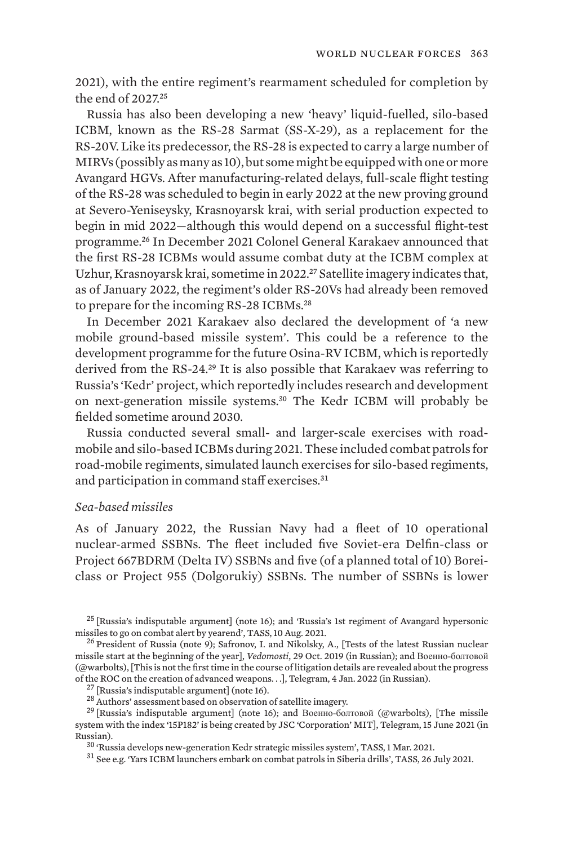2021), with the entire regiment's rearmament scheduled for completion by the end of 2027.<sup>25</sup>

Russia has also been developing a new 'heavy' liquid-fuelled, silo-based ICBM, known as the RS-28 Sarmat (SS-X-29), as a replacement for the RS-20V. Like its predecessor, the RS-28 is expected to carry a large number of MIRVs (possibly as many as 10), but some might be equipped with one or more Avangard HGVs. After manufacturing-related delays, full-scale flight testing of the RS-28 was scheduled to begin in early 2022 at the new proving ground at Severo-Yeniseysky, Krasnoyarsk krai, with serial production expected to begin in mid 2022—although this would depend on a successful flight-test programme.26 In December 2021 Colonel General Karakaev announced that the first RS-28 ICBMs would assume combat duty at the ICBM complex at Uzhur, Krasnoyarsk krai, sometime in 2022.<sup>27</sup> Satellite imagery indicates that, as of January 2022, the regiment's older RS-20Vs had already been removed to prepare for the incoming RS-28 ICBMs.<sup>28</sup>

In December 2021 Karakaev also declared the development of 'a new mobile ground-based missile system'. This could be a reference to the development programme for the future Osina-RV ICBM, which is reportedly derived from the RS-24.29 It is also possible that Karakaev was referring to Russia's 'Kedr' project, which reportedly includes research and development on next-generation missile systems.30 The Kedr ICBM will probably be fielded sometime around 2030.

Russia conducted several small- and larger-scale exercises with roadmobile and silo-based ICBMs during 2021. These included combat patrols for road-mobile regiments, simulated launch exercises for silo-based regiments, and participation in command staff exercises.<sup>31</sup>

### *Sea-based missiles*

As of January 2022, the Russian Navy had a fleet of 10 operational nuclear-armed SSBNs. The fleet included five Soviet-era Delfin-class or Project 667BDRM (Delta IV) SSBNs and five (of a planned total of 10) Boreiclass or Project 955 (Dolgorukiy) SSBNs. The number of SSBNs is lower

 $^{25}$  [Russia's indisputable argument] (note 16); and '[Russia's 1st regiment of Avangard hypersonic](https://tass.com/defense/1324415) missiles to go on combat alert by yearend', TASS, 10 Aug. 2021.

 $^{26}$  President of Russia (note 9); Safronov, I. and Nikolsky, A., [[Tests of the latest Russian nuclear](https://www.vedomosti.ru/politics/articles/2019/10/29/815013-letnie-ispitaniya-sarmat) [missile start at the beginning of the year\]](https://www.vedomosti.ru/politics/articles/2019/10/29/815013-letnie-ispitaniya-sarmat), *Vedomosti*, 29 Oct. 2019 (in Russian); and Военно-болтовой (@warbolts), [[This is not the first time in the course of litigation details are revealed about the progress](https://t.me/warbolts/779) % [of the ROC on the creation of advanced weapons.](https://t.me/warbolts/779) . .], Telegram, 4 Jan. 2022 (in Russian).<br><sup>27</sup> [Russia's indisputable argument] (note 16).<br><sup>28</sup> Authors' assessment based on observation of satellite imagery.<br><sup>29</sup> [Russi

[system with the index '15P182' is being created by JSC 'Corporation' MIT\]](https://t.me/warbolts/439), Telegram, 15 June 2021 (in Russian).<br><sup>30</sup> ['Russia develops new-generation Kedr strategic missiles system](https://tass.com/defense/1261243)', TASS, 1 Mar. 2021.<br><sup>31</sup> See e.g. '[Yars ICBM launchers embark on combat patrols in Siberia drills](https://tass.com/defense/1317911)', TASS, 26 July 2021.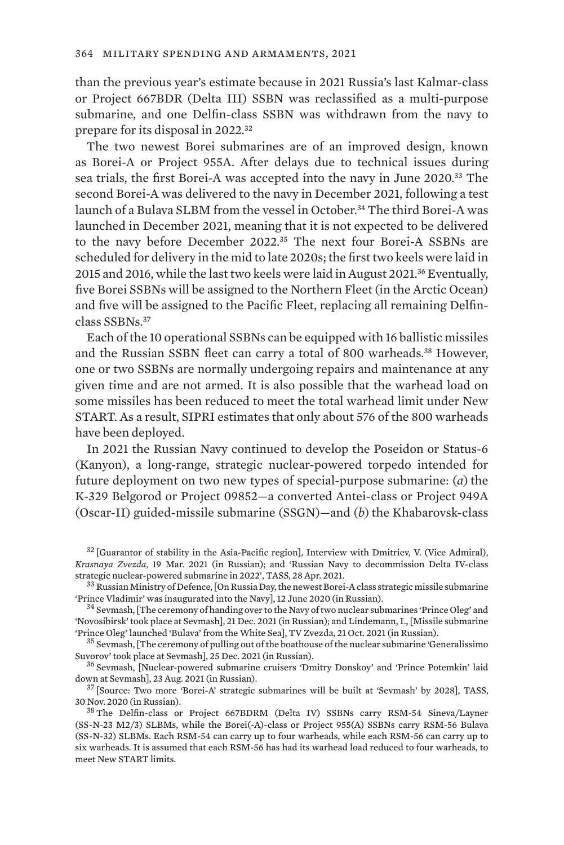than the previous year's estimate because in 2021 Russia's last Kalmar-class or Project 667BDR (Delta III) SSBN was reclassified as a multi-purpose submarine, and one Delfin-class SSBN was withdrawn from the navy to prepare for its disposal in 2022.<sup>32</sup>

The two newest Borei submarines are of an improved design, known as Borei-A or Project 955A. After delays due to technical issues during sea trials, the first Borei-A was accepted into the navy in June 2020.33 The second Borei-A was delivered to the navy in December 2021, following a test launch of a Bulava SLBM from the vessel in October.<sup>34</sup> The third Borei-A was launched in December 2021, meaning that it is not expected to be delivered to the navy before December 2022.35 The next four Borei-A SSBNs are scheduled for delivery in the mid to late 2020s; the first two keels were laid in 2015 and 2016, while the last two keels were laid in August 2021.36 Eventually, five Borei SSBNs will be assigned to the Northern Fleet (in the Arctic Ocean) and five will be assigned to the Pacific Fleet, replacing all remaining Delfinclass SSBNs.<sup>37</sup>

Each of the 10 operational SSBNs can be equipped with 16 ballistic missiles and the Russian SSBN fleet can carry a total of 800 warheads.<sup>38</sup> However, one or two SSBNs are normally undergoing repairs and maintenance at any given time and are not armed. It is also possible that the warhead load on some missiles has been reduced to meet the total warhead limit under New START. As a result, SIPRI estimates that only about 576 of the 800 warheads have been deployed.

In 2021 the Russian Navy continued to develop the Poseidon or Status-6 (Kanyon), a long-range, strategic nuclear-powered torpedo intended for future deployment on two new types of special-purpose submarine: (*a*) the K-329 Belgorod or Project 09852—a converted Antei-class or Project 949A (Oscar-II) guided-missile submarine (SSGN)—and (*b*) the Khabarovskclass

 $32$  [\[Guarantor of stability in the Asia-Pacific region\]](http://redstar.ru/garant-stabilnosti-v-aziatsko-tihookeanskom-regione/), Interview with Dmitriev, V. (Vice Admiral), *Krasnaya Zvezda*, 19 Mar. 2021 (in Russian); and '[Russian Navy to decommission Delta IV-class](https://tass.com/defense/1284099)

 $33$  Russian Ministry of Defence, [\[On Russia Day, the newest Borei-A class strategic missile submarine](https://function.mil.ru/news_page/country/more.htm?id=12296989)<br>'Prince Vladimir' was inaugurated into the Navy], 12 June 2020 (in Russian).

 $34$  Sevmash, [[The ceremony of handing over to the Navy of two nuclear submarines 'Prince Oleg' and](https://www.sevmash.ru/rus/news/3177-------------q-q--qq.html) ['Novosibirsk' took place at Sevmash\]](https://www.sevmash.ru/rus/news/3177-------------q-q--qq.html), 21 Dec. 2021 (in Russian); and Lindemann, I., [\[Missile submarine](https://tvzvezda.ru/news/20211021930-oJs6L.html)

 $35$  Sevmash, [[The ceremony of pulling out of the boathouse of the nuclear submarine 'Generalissimo](https://www.sevmash.ru/rus/news/3181-2021-12-25-09-47-58.html) [Suvorov' took place at Sevmash](https://www.sevmash.ru/rus/news/3181-2021-12-25-09-47-58.html)], 25 Dec. 2021 (in Russian). <sup>36</sup> Sevmash, [[Nuclear-powered submarine cruisers 'Dmitry Donskoy' and 'Prince Potemkin' laid](https://www.sevmash.ru/rus/news/3137-2021-08-23-13-48-49.html)

[down at Sevmash\]](https://www.sevmash.ru/rus/news/3137-2021-08-23-13-48-49.html), 23 Aug. 2021 (in Russian).<br><sup>37</sup> [\[Source: Two more 'Borei-A' strategic submarines will be built at 'Sevmash' by 2028\]](https://tass.ru/armiya-i-opk/5856741), TASS,

<sup>30</sup> Nov. 2020 (in Russian).  $38$  The Delfin-class or Project 667BDRM (Delta IV) SSBNs carry RSM-54 Sineva/Layner

<sup>(</sup>SS-N-23 M2/3) SLBMs, while the Borei(-A)-class or Project 955(A) SSBNs carry RSM-56 Bulava (SS-N-32) SLBMs. Each RSM-54 can carry up to four warheads, while each RSM-56 can carry up to six warheads. It is assumed that each RSM-56 has had its warhead load reduced to four warheads, to meet New START limits.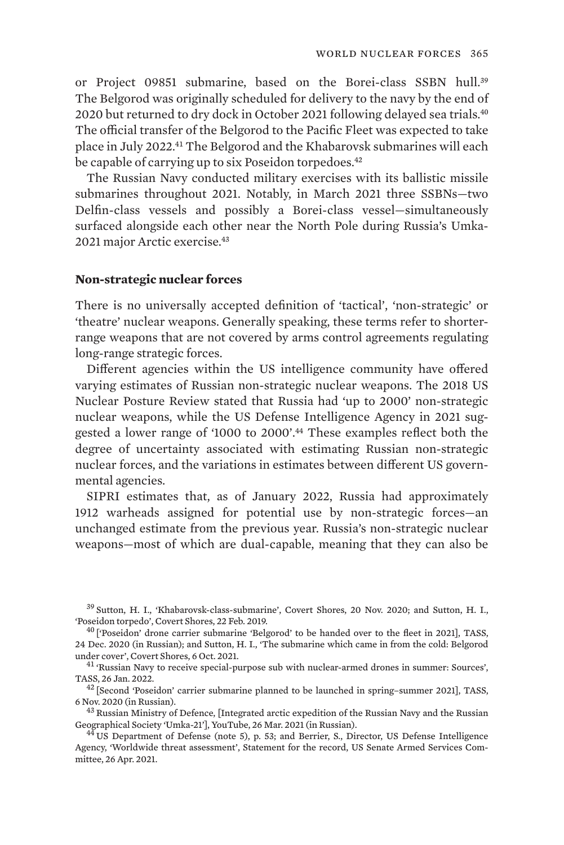or Project 09851 submarine, based on the Borei-class SSBN hull.<sup>39</sup> The Belgorod was originally scheduled for delivery to the navy by the end of 2020 but returned to dry dock in October 2021 following delayed sea trials.<sup>40</sup> The official transfer of the Belgorod to the Pacific Fleet was expected to take place in July 2022.41 The Belgorod and the Khabarovsk submarines will each be capable of carrying up to six Poseidon torpedoes.<sup>42</sup>

The Russian Navy conducted military exercises with its ballistic missile submarines throughout 2021. Notably, in March 2021 three SSBNs—two Delfin-class vessels and possibly a Borei-class vessel—simultaneously surfaced alongside each other near the North Pole during Russia's Umka-2021 major Arctic exercise.<sup>43</sup>

### **Non-strategic nuclear forces**

There is no universally accepted definition of 'tactical', 'non-strategic' or 'theatre' nuclear weapons. Generally speaking, these terms refer to shorterrange weapons that are not covered by arms control agreements regulating long-range strategic forces.

Different agencies within the US intelligence community have offered varying estimates of Russian non-strategic nuclear weapons. The 2018 US Nuclear Posture Review stated that Russia had 'up to 2000' non-strategic nuclear weapons, while the US Defense Intelligence Agency in 2021 suggested a lower range of '1000 to 2000'.44 These examples reflect both the degree of uncertainty associated with estimating Russian non-strategic nuclear forces, and the variations in estimates between different US governmental agencies.

SIPRI estimates that, as of January 2022, Russia had approximately 1912 warheads assigned for potential use by non-strategic forces—an unchanged estimate from the previous year. Russia's non-strategic nuclear weapons—most of which are dual-capable, meaning that they can also be

 $39$  Sutton, H. I., '[Khabarovsk-class-submarine](http://www.hisutton.com/Khabarovsk-Class-Submarine.html)', Covert Shores, 20 Nov. 2020; and Sutton, H. I., 'Poseidon torpedo', Covert Shores, 22 Feb. 2019.

<sup>&</sup>lt;sup>40</sup> [\['Poseidon' drone carrier submarine 'Belgorod' to be handed over to the fleet in 2021](https://tass.ru/armiya-i-opk/10340115)], TASS, 24 Dec. 2020 (in Russian); and Sutton, H. I., '[The submarine which came in from the cold: Belgorod](http://www.hisutton.com/Belgorod-Submarine-Returns-To-Builder.html) [under cover'](http://www.hisutton.com/Belgorod-Submarine-Returns-To-Builder.html), Covert Shores, 6 Oct. 2021.<br><sup>41</sup> ['Russian Navy to receive special-purpose sub with nuclear-armed drones in summer: Sources'](https://tass.com/defense/1393205),

TASS, 26 Jan. 2022. <sup>42</sup> [\[Second 'Poseidon' carrier submarine planned to be launched in spring–summer 2021](https://tass.ru/armiya-i-opk/9936435)], TASS,

<sup>6</sup> Nov. 2020 (in Russian).<br><sup>43</sup> Russian Ministry of Defence, [\[Integrated arctic expedition of the Russian Navy and the Russian](https://youtu.be/CkXbyklunp4)<br>Geographical Society 'Umka-21'], YouTube, 26 Mar. 2021 (in Russian).

 $^{44}$  US Department of Defense (note 5), p. 53; and Berrier, S., Director, US Defense Intelligence Agency, '[Worldwide threat assessment'](https://www.dia.mil/Articles/Speeches-and-Testimonies/Article/2590462/statement-for-the-record-worldwide-threat-assessment/), Statement for the record, US Senate Armed Services Committee, 26 Apr. 2021.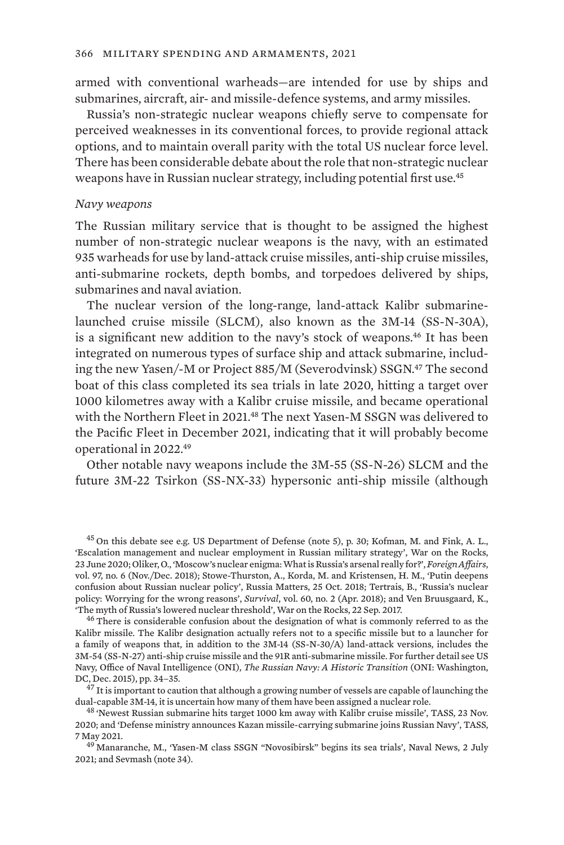armed with conventional warheads—are intended for use by ships and submarines, aircraft, air- and missile-defence systems, and army missiles.

Russia's non-strategic nuclear weapons chiefly serve to compensate for perceived weaknesses in its conventional forces, to provide regional attack options, and to maintain overall parity with the total US nuclear force level. There has been considerable debate about the role that non-strategic nuclear weapons have in Russian nuclear strategy, including potential first use.<sup>45</sup>

### *Navy weapons*

The Russian military service that is thought to be assigned the highest number of non-strategic nuclear weapons is the navy, with an estimated 935 warheads for use by land-attack cruise missiles, anti-ship cruise missiles, anti-submarine rockets, depth bombs, and torpedoes delivered by ships, submarines and naval aviation.

The nuclear version of the long-range, land-attack Kalibr submarinelaunched cruise missile (SLCM), also known as the 3M-14 (SS-N-30A), is a significant new addition to the navy's stock of weapons.<sup>46</sup> It has been integrated on numerous types of surface ship and attack submarine, including the new Yasen/-M or Project 885/M (Severodvinsk) SSGN.<sup>47</sup> The second boat of this class completed its sea trials in late 2020, hitting a target over 1000 kilometres away with a Kalibr cruise missile, and became operational with the Northern Fleet in 2021.48 The next Yasen-M SSGN was delivered to the Pacific Fleet in December 2021, indicating that it will probably become operational in 2022.<sup>49</sup>

Other notable navy weapons include the 3M-55 (SS-N-26) SLCM and the future 3M-22 Tsirkon (SS-NX-33) hypersonic anti-ship missile (although

dual-capable 3M-14, it is uncertain how many of them have been assigned a nuclear role.<br><sup>48</sup> ['Newest Russian submarine hits target 1000 km away with Kalibr cruise missile'](https://tass.com/defense/1226971), TASS, 23 Nov.

<sup>45</sup> On this debate see e.g. US Department of Defense (note 5), p. 30; Kofman, M. and Fink, A. L., '[Escalation management and nuclear employment in Russian military strategy](https://warontherocks.com/2020/06/escalation-management-and-nuclear-employment-in-russian-military-strategy/)', War on the Rocks, 23 June 2020; Oliker, O., ['Moscow's nuclear enigma: What is Russia's arsenal really for?'](https://www.foreignaffairs.com/articles/russian-federation/2018-10-15/moscows-nuclear-enigma), *Foreign Affairs*, vol. 97, no. 6 (Nov./Dec. 2018); Stowe-Thurston, A., Korda, M. and Kristensen, H. M., ['Putin deepens](https://russiamatters.org/analysis/putin-deepens-confusion-about-russian-nuclear-policy) [confusion about Russian nuclear policy](https://russiamatters.org/analysis/putin-deepens-confusion-about-russian-nuclear-policy)', Russia Matters, 25 Oct. 2018; Tertrais, B., ['Russia's nuclear](https://doi.org/10.1080/00396338.2018.1448560) [policy: Worrying for the wrong reasons](https://doi.org/10.1080/00396338.2018.1448560)', *Survival*, vol. 60, no. 2 (Apr. 2018); and Ven Bruusgaard, K.,

<sup>&</sup>lt;sup>46</sup> There is considerable confusion about the designation of what is commonly referred to as the Kalibr missile. The Kalibr designation actually refers not to a specific missile but to a launcher for a family of weapons that, in addition to the 3M-14 (SS-N-30/A) land-attack versions, includes the 3M-54 (SS-N-27) anti-ship cruise missile and the 91R anti-submarine missile. For further detail see US Navy, Office of Naval Intelligence (ONI), *[The Russian Navy: A Historic Transition](https://nuke.fas.org/guide/russia/historic.pdf)* (ONI: Washington, DC, Dec. 2015), pp. 34–35.<br> $^{47}$  It is important to caution that although a growing number of vessels are capable of launching the

<sup>2020;</sup> and '[Defense ministry announces Kazan missile-carrying submarine joins Russian Navy'](https://tass.com/defense/1287275), TASS, 7 May 2021. <sup>49</sup> Manaranche, M., '[Yasen-M class SSGN "Novosibirsk" begins its sea trials'](https://www.navalnews.com/naval-news/2021/07/yasen-m-class-ssgn-novosibirsk-begins-its-sea-trials/), Naval News, 2 July

<sup>2021;</sup> and Sevmash (note 34).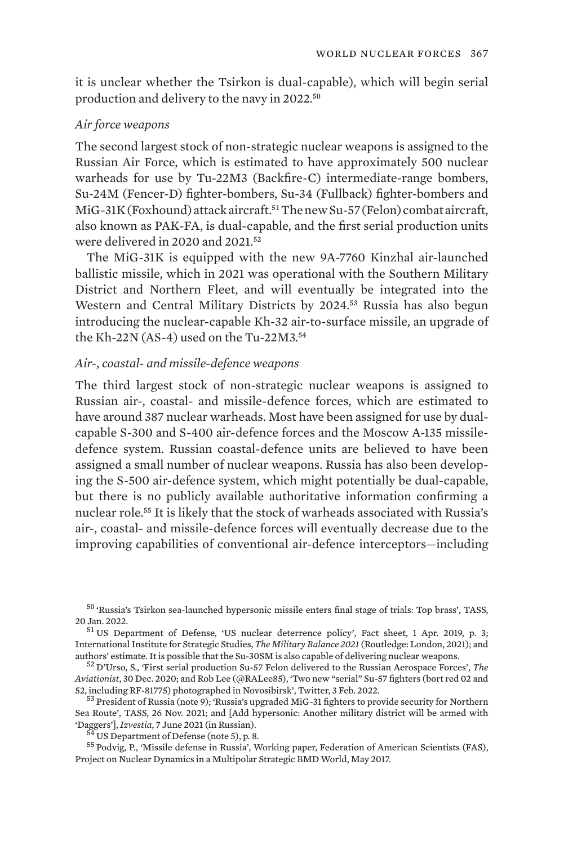it is unclear whether the Tsirkon is dual-capable), which will begin serial production and delivery to the navy in 2022.<sup>50</sup>

### *Air force weapons*

The second largest stock of non-strategic nuclear weapons is assigned to the Russian Air Force, which is estimated to have approximately 500 nuclear warheads for use by Tu-22M3 (Backfire-C) intermediate-range bombers, Su-24M (Fencer-D) fighter-bombers, Su-34 (Fullback) fighter-bombers and MiG-31K (Foxhound) attack aircraft.<sup>51</sup> The new Su-57 (Felon) combat aircraft, also known as PAK-FA, is dual-capable, and the first serial production units were delivered in 2020 and 2021.<sup>52</sup>

The MiG-31K is equipped with the new 9A-7760 Kinzhal air-launched ballistic missile, which in 2021 was operational with the Southern Military District and Northern Fleet, and will eventually be integrated into the Western and Central Military Districts by 2024.53 Russia has also begun introducing the nuclear-capable Kh-32 air-to-surface missile, an upgrade of the Kh-22N (AS-4) used on the Tu-22M3.<sup>54</sup>

### *Air-, coastal- and missile-defence weapons*

The third largest stock of non-strategic nuclear weapons is assigned to Russian air-, coastal- and missile-defence forces, which are estimated to have around 387 nuclear warheads. Most have been assigned for use by dualcapable S-300 and S-400 air-defence forces and the Moscow A-135 missiledefence system. Russian coastal-defence units are believed to have been assigned a small number of nuclear weapons. Russia has also been developing the S-500 air-defence system, which might potentially be dual-capable, but there is no publicly available authoritative information confirming a nuclear role.55 It is likely that the stock of warheads associated with Russia's air-, coastal- and missile-defence forces will eventually decrease due to the improving capabilities of conventional air-defence interceptors—including

[Sea Route'](https://tass.com/defense/1366999), TASS, 26 Nov. 2021; and [\[Add hypersonic: Another military district will be armed with](https://iz.ru/1175052/roman-kretcul-anna-cherepanova/pribavit-giperzvuk-eshche-odin-voennyi-okrug-vooruzhat-kinzhalami/) 'Daggers'], *Izvestia*, 7 June 2021 (in Russian).

<sup>54</sup> US Department of Defense (note 5), p. 8.<br><sup>55</sup> Podvig, P., ['Missile defense in Russia'](https://fas.org/wp-content/uploads/media/Missile-Defense-In-Russia.pdf), Working paper, Federation of American Scientists (FAS), Project on Nuclear Dynamics in a Multipolar Strategic BMD World, May 2017.

<sup>50</sup> ['Russia's Tsirkon sea-launched hypersonic missile enters final stage of trials: Top brass](https://tass.com/defense/1390793)', TASS, 20 Jan. 2022.<br><sup>51</sup> US Department of Defense, '[US nuclear deterrence policy](https://media.defense.gov/2019/Apr/01/2002108036/-1/-1/1/U.S.-NUCLEAR-WEAPONS-CLAIMS-AND-RESPONSES.PDF)', Fact sheet, 1 Apr. 2019, p. 3;

International Institute for Strategic Studies, *The Military Balance 2021* (Routledge: London, 2021); and authors' estimate. It is possible that the Su-30SM is also capable of delivering nuclear weapons. <sup>52</sup> D'Urso, S., ['First serial production Su-57 Felon delivered to the Russian Aerospace Forces'](https://theaviationist.com/2020/12/30/first-serial-production-su-57-felon-delivered-to-the-russian-aerospace-forces/), *The* 

*Aviationist*, 30 Dec. 2020; and Rob Lee (@RALee85), ['Two new "serial" Su-57 fighters \(bort red 02 and](https://twitter.com/RALee85/status/1489302156729593869) [52, including RF-81775\) photographed in Novosibirsk](https://twitter.com/RALee85/status/1489302156729593869)', Twitter, 3 Feb. 2022.<br><sup>53</sup> President of Russia (note 9); '[Russia's upgraded MiG-31 fighters to provide security for Northern](https://tass.com/defense/1366999)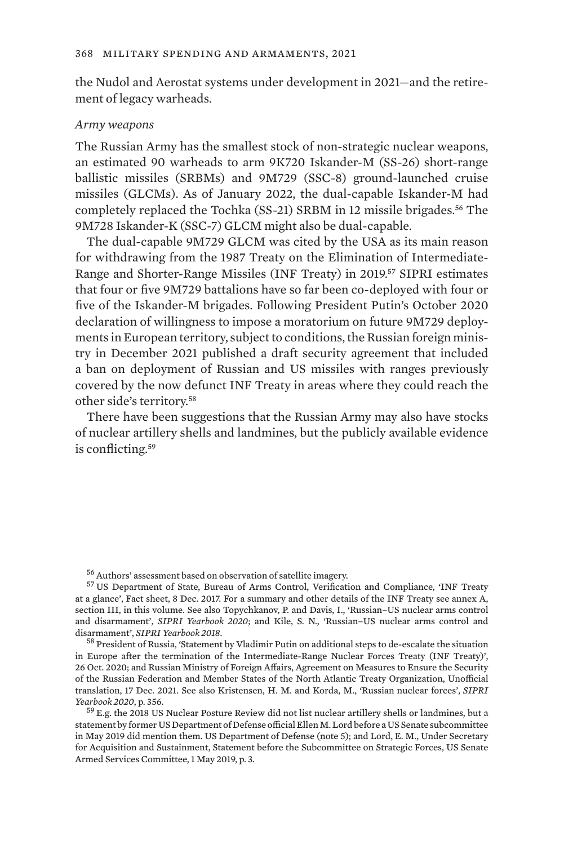the Nudol and Aerostat systems under development in 2021—and the retirement of legacy warheads.

### *Army weapons*

The Russian Army has the smallest stock of non-strategic nuclear weapons, an estimated 90 warheads to arm 9K720 Iskander-M (SS-26) short-range ballistic missiles (SRBMs) and 9M729 (SSC-8) ground-launched cruise missiles (GLCMs). As of January 2022, the dual-capable Iskander-M had completely replaced the Tochka (SS-21) SRBM in 12 missile brigades.<sup>56</sup> The 9M728 Iskander-K (SSC-7) GLCM might also be dual-capable.

The dual-capable 9M729 GLCM was cited by the USA as its main reason for withdrawing from the 1987 Treaty on the Elimination of Intermediate-Range and Shorter-Range Missiles (INF Treaty) in 2019.57 SIPRI estimates that four or five 9M729 battalions have so far been co-deployed with four or five of the Iskander-M brigades. Following President Putin's October 2020 declaration of willingness to impose a moratorium on future 9M729 deployments in European territory, subject to conditions, the Russian foreign ministry in December 2021 published a draft security agreement that included a ban on deployment of Russian and US missiles with ranges previously covered by the now defunct INF Treaty in areas where they could reach the other side's territory.<sup>58</sup>

There have been suggestions that the Russian Army may also have stocks of nuclear artillery shells and landmines, but the publicly available evidence is conflicting.<sup>59</sup>

<sup>58</sup> President of Russia, ['Statement by Vladimir Putin on additional steps to de-escalate the situation](http://en.kremlin.ru/events/president/news/64270) [in Europe after the termination of the Intermediate-Range Nuclear Forces Treaty \(INF Treaty\)'](http://en.kremlin.ru/events/president/news/64270), 26 Oct. 2020; and Russian Ministry of Foreign Affairs, [Agreement on Measures to Ensure the Security](https://mid.ru/ru/foreign_policy/rso/nato/1790803/?lang=en) [of the Russian Federation and Member States of the North Atlantic Treaty Organization,](https://mid.ru/ru/foreign_policy/rso/nato/1790803/?lang=en) Unofficial translation, 17 Dec. 2021. See also Kristensen, H. M. and Korda, M., ['Russian nuclear forces'](https://www.sipriyearbook.org/view/9780198869207/sipri-9780198869207-chapter-010-div1-128.xml), *SIPRI Yearbook 2020*, p. 356. <sup>59</sup> E.g. the 2018 US Nuclear Posture Review did not list nuclear artillery shells or landmines, but a

statement by former US Department of Defense official Ellen M. Lord before a US Senate subcommittee in May 2019 did mention them. US Department of Defense (note 5); and Lord, E. M., Under Secretary for Acquisition and Sustainment, [Statement before the Subcommittee on Strategic Forces, US Senate](https://www.armed-services.senate.gov/imo/media/doc/Lord_05-01-19.pdf) [Armed Services Committee,](https://www.armed-services.senate.gov/imo/media/doc/Lord_05-01-19.pdf) 1 May 2019, p. 3.

<sup>56</sup> Authors' assessment based on observation of satellite imagery. <sup>57</sup> US Department of State, Bureau of Arms Control, Verification and Compliance, '[INF Treaty](https://2017-2021.state.gov/inf-treaty-at-a-glance/index.html) [at a glance](https://2017-2021.state.gov/inf-treaty-at-a-glance/index.html)', Fact sheet, 8 Dec. 2017. For a summary and other details of the INF Treaty see annex A, section III, in this volume. See also Topychkanov, P. and Davis, I., '[Russian–US nuclear arms control](https://www.sipriyearbook.org/view/9780198869207/sipri-9780198869207-chapter-011-div1-159.xml) [and disarmament](https://www.sipriyearbook.org/view/9780198869207/sipri-9780198869207-chapter-011-div1-159.xml)', *SIPRI Yearbook 2020*; and Kile, S. N., '[Russian–US nuclear arms control and](https://www.sipriyearbook.org/view/9780198869207/sipri-9780198869207-chapter-011-div1-159.xml)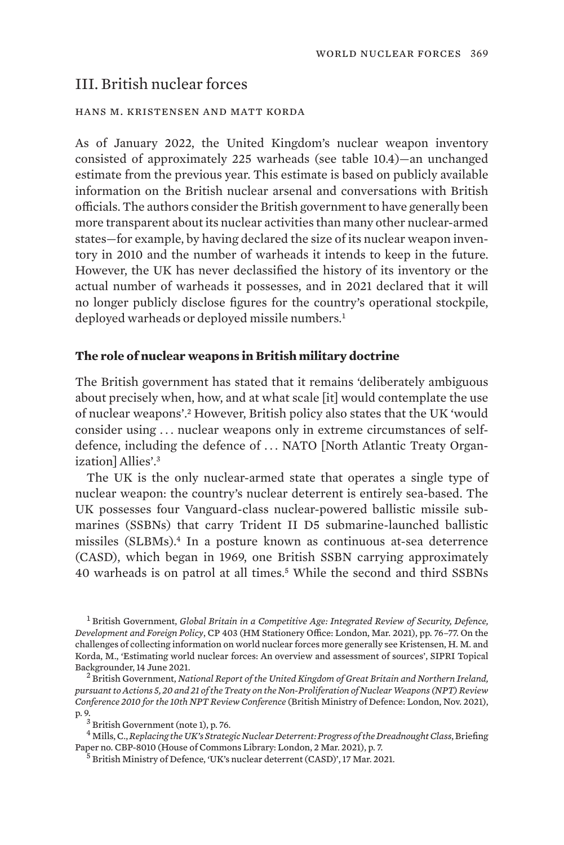## III. British nuclear forces

#### hans m. kristensen and matt korda

As of January 2022, the United Kingdom's nuclear weapon inventory consisted of approximately 225 warheads (see table 10.4)—an unchanged estimate from the previous year. This estimate is based on publicly available information on the British nuclear arsenal and conversations with British officials. The authors consider the British government to have generally been more transparent about its nuclear activities than many other nuclear-armed states—for example, by having declared the size of its nuclear weapon inventory in 2010 and the number of warheads it intends to keep in the future. However, the UK has never declassified the history of its inventory or the actual number of warheads it possesses, and in 2021 declared that it will no longer publicly disclose figures for the country's operational stockpile, deployed warheads or deployed missile numbers.<sup>1</sup>

### **The role of nuclear weapons in British military doctrine**

The British government has stated that it remains 'deliberately ambiguous about precisely when, how, and at what scale [it] would contemplate the use of nuclear weapons'.2 However, British policy also states that the UK 'would consider using . . . nuclear weapons only in extreme circumstances of selfdefence, including the defence of ... NATO [North Atlantic Treaty Organization] Allies'.<sup>3</sup>

The UK is the only nuclear-armed state that operates a single type of nuclear weapon: the country's nuclear deterrent is entirely sea-based. The UK possesses four Vanguard-class nuclear-powered ballistic missile submarines (SSBNs) that carry Trident II D5 submarine-launched ballistic missiles (SLBMs).4 In a posture known as continuous at-sea deterrence (CASD), which began in 1969, one British SSBN carrying approximately 40 warheads is on patrol at all times.5 While the second and third SSBNs

<sup>1</sup> British Government, *[Global Britain in a Competitive Age: Integrated Review of Security, Defence,](https://assets.publishing.service.gov.uk/government/uploads/system/uploads/attachment_data/file/975077/Global_Britain_in_a_Competitive_Age-_the_Integrated_Review_of_Security__Defence__Development_and_Foreign_Policy.pdf) [Development and Foreign Policy](https://assets.publishing.service.gov.uk/government/uploads/system/uploads/attachment_data/file/975077/Global_Britain_in_a_Competitive_Age-_the_Integrated_Review_of_Security__Defence__Development_and_Foreign_Policy.pdf)*, CP 403 (HM Stationery Office: London, Mar. 2021), pp. 76–77. On the challenges of collecting information on world nuclear forces more generally see Kristensen, H. M. and Korda, M., '[Estimating world nuclear forces: An overview and assessment of sources](https://www.sipri.org/commentary/topical-backgrounder/2021/estimating-world-nuclear-forces-overview-and-assessment-sources)', SIPRI Topical Backgrounder, 14 June 2021. <sup>2</sup> British Government, *[National Report of the United Kingdom of Great Britain and Northern Ireland,](https://assets.publishing.service.gov.uk/government/uploads/system/uploads/attachment_data/file/1029703/UK-national-report-non-proliferation-of-nuclear-weapons-10th-review-conference.pdf)* 

*[pursuant to Actions 5, 20 and 21 of the Treaty on the Non-Proliferation of Nuclear Weapons \(NPT\) Review](https://assets.publishing.service.gov.uk/government/uploads/system/uploads/attachment_data/file/1029703/UK-national-report-non-proliferation-of-nuclear-weapons-10th-review-conference.pdf) [Conference 2010 for the 10th NPT Review Conference](https://assets.publishing.service.gov.uk/government/uploads/system/uploads/attachment_data/file/1029703/UK-national-report-non-proliferation-of-nuclear-weapons-10th-review-conference.pdf)* (British Ministry of Defence: London, Nov. 2021),

p. 9. <sup>3</sup> British Government (note 1), p. 76.

<sup>4</sup> Mills, C., *[Replacing the UK's Strategic Nuclear Deterrent: Progress of the Dreadnought Class](https://researchbriefings.files.parliament.uk/documents/CBP-8010/CBP-8010.pdf)*, Briefing Paper no. CBP-8010 (House of Commons Library: London, 2 Mar. 2021), p. 7.

<sup>5</sup> British Ministry of Defence, '[UK's nuclear deterrent \(CASD\)'](https://www.gov.uk/government/collections/uks-nuclear-deterrent-casd), 17 Mar. 2021.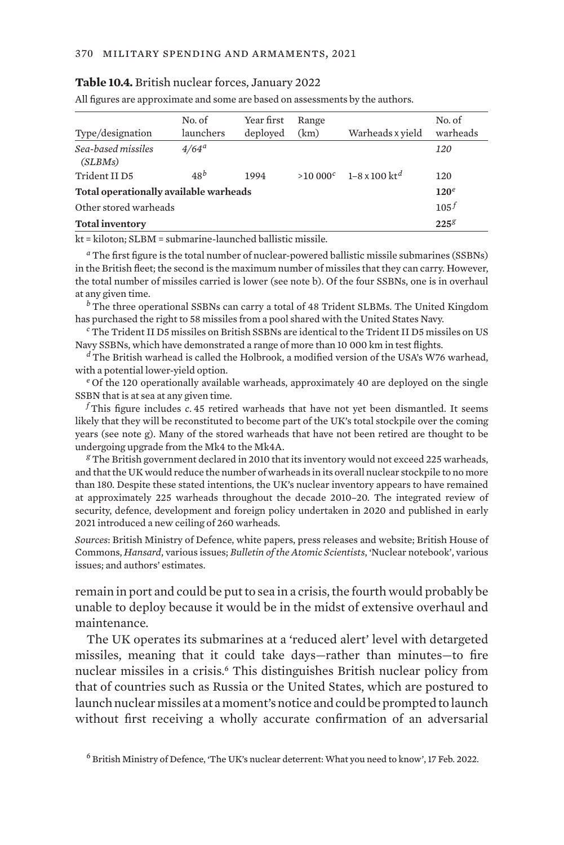#### **Table 10.4.** British nuclear forces, January 2022

All figures are approximate and some are based on assessments by the authors.

| Type/designation                       | No. of<br>launchers | Year first<br>deployed | Range<br>(km) | Warheads x vield                     | No. of<br>warheads |  |
|----------------------------------------|---------------------|------------------------|---------------|--------------------------------------|--------------------|--|
| Sea-based missiles<br>(SLBMs)          | $4/64^{\circ}$      |                        |               |                                      | 120                |  |
| Trident II D5                          | $48^b$              | 1994                   |               | $>10000^c$ 1-8 x 100 kt <sup>d</sup> | 120                |  |
| Total operationally available warheads |                     |                        |               |                                      |                    |  |
| Other stored warheads                  |                     |                        |               |                                      |                    |  |
| <b>Total inventory</b>                 |                     |                        |               |                                      | $225^{8}$          |  |

kt = kiloton; SLBM = submarine-launched ballistic missile.

*<sup>a</sup>* The first figure is the total number of nuclear-powered ballistic missile submarines (SSBNs) in the British fleet; the second is the maximum number of missiles that they can carry. However, the total number of missiles carried is lower (see note b). Of the four SSBNs, one is in overhaul at any given time.

*<sup>b</sup>* The three operational SSBNs can carry a total of 48 Trident SLBMs. The United Kingdom has purchased the right to 58 missiles from a pool shared with the United States Navy.

*<sup>c</sup>* The Trident II D5 missiles on British SSBNs are identical to the Trident II D5 missiles on US Navy SSBNs, which have demonstrated a range of more than 10 000 km in test flights.

*<sup>d</sup>* The British warhead is called the Holbrook, a modified version of the USA's W76 warhead, with a potential lower-yield option.

*<sup>e</sup>* Of the 120 operationally available warheads, approximately 40 are deployed on the single SSBN that is at sea at any given time.

*<sup>f</sup>* This figure includes *c*. 45 retired warheads that have not yet been dismantled. It seems likely that they will be reconstituted to become part of the UK's total stockpile over the coming years (see note g). Many of the stored warheads that have not been retired are thought to be undergoing upgrade from the Mk4 to the Mk4A.

*<sup>g</sup>* The British government declared in 2010 that its inventory would not exceed 225 warheads, and that the UK would reduce the number of warheads in its overall nuclear stockpile to no more than 180. Despite these stated intentions, the UK's nuclear inventory appears to have remained at approximately 225 warheads throughout the decade 2010–20. The integrated review of security, defence, development and foreign policy undertaken in 2020 and published in early 2021 introduced a new ceiling of 260 warheads.

*Sources*: British Ministry of Defence, white papers, press releases and website; British House of Commons, *Hansard*, various issues; *Bulletin of the Atomic Scientists*, 'Nuclear notebook', various issues; and authors' estimates.

remain in port and could be put to sea in a crisis, the fourth would probably be unable to deploy because it would be in the midst of extensive overhaul and maintenance.

The UK operates its submarines at a 'reduced alert' level with detargeted missiles, meaning that it could take days—rather than minutes—to fire nuclear missiles in a crisis.<sup>6</sup> This distinguishes British nuclear policy from that of countries such as Russia or the United States, which are postured to launch nuclear missiles at a moment's notice and could be prompted to launch without first receiving a wholly accurate confirmation of an adversarial

<sup>6</sup> British Ministry of Defence, '[The UK's nuclear deterrent: What you need to know](https://www.gov.uk/government/publications/uk-nuclear-deterrence-factsheet/uk-nuclear-deterrence-what-you-need-to-know)', 17 Feb. 2022.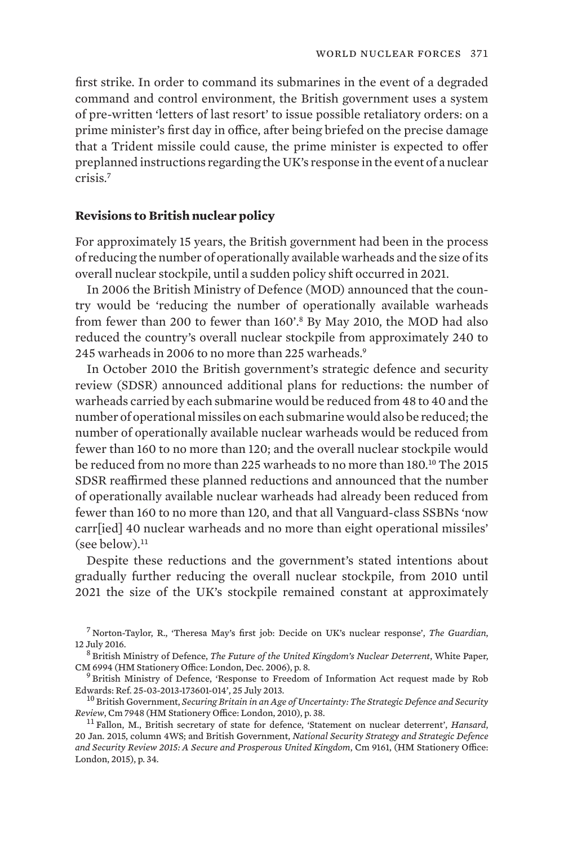first strike. In order to command its submarines in the event of a degraded command and control environment, the British government uses a system of pre-written 'letters of last resort' to issue possible retaliatory orders: on a prime minister's first day in office, after being briefed on the precise damage that a Trident missile could cause, the prime minister is expected to offer preplanned instructions regarding the UK's response in the event of a nuclear crisis.<sup>7</sup>

### **Revisions to British nuclear policy**

For approximately 15 years, the British government had been in the process of reducing the number of operationally available warheads and the size of its overall nuclear stockpile, until a sudden policy shift occurred in 2021.

In 2006 the British Ministry of Defence (MOD) announced that the country would be 'reducing the number of operationally available warheads from fewer than 200 to fewer than 160'.8 By May 2010, the MOD had also reduced the country's overall nuclear stockpile from approximately 240 to 245 warheads in 2006 to no more than 225 warheads.<sup>9</sup>

In October 2010 the British government's strategic defence and security review (SDSR) announced additional plans for reductions: the number of warheads carried by each submarine would be reduced from 48 to 40 and the number of operational missiles on each submarine would also be reduced; the number of operationally available nuclear warheads would be reduced from fewer than 160 to no more than 120; and the overall nuclear stockpile would be reduced from no more than 225 warheads to no more than 180.10 The 2015 SDSR reaffirmed these planned reductions and announced that the number of operationally available nuclear warheads had already been reduced from fewer than 160 to no more than 120, and that all Vanguard-class SSBNs 'now carr[ied] 40 nuclear warheads and no more than eight operational missiles'  $(see below).<sup>11</sup>$ 

Despite these reductions and the government's stated intentions about gradually further reducing the overall nuclear stockpile, from 2010 until 2021 the size of the UK's stockpile remained constant at approximately

<sup>7</sup> Norton-Taylor, R., ['Theresa May's first job: Decide on UK's nuclear response](https://www.theguardian.com/politics/2016/jul/12/theresa-mays-first-job-decide-on-uks-nuclear-response)', *The Guardian*,

12 July 2016.<br><sup>8</sup> British Ministry of Defence, *[The Future of the United Kingdom's Nuclear Deterrent](http://www.fas.org/nuke/guide/uk/doctrine/sdr06/WhitePaper.pdf)*, White Paper,<br>CM 6994 (HM Stationery Office: London, Dec. 2006), p. 8.

<sup>9</sup> British Ministry of Defence, '[Response to Freedom of Information Act request made by Rob](https://robedwards.typepad.com/files/mod-foi-response-on-dismantling-nuclear-weapons.pdf)

[Edwards: Ref. 25-03-2013-173601-014'](https://robedwards.typepad.com/files/mod-foi-response-on-dismantling-nuclear-weapons.pdf), 25 July 2013.<br><sup>10</sup> British Government, *[Securing Britain in an Age of Uncertainty: The Strategic Defence and Security](https://assets.publishing.service.gov.uk/government/uploads/system/uploads/attachment_data/file/62482/strategic-defence-security-review.pdf)*<br>*Review*, Cm 7948 (HM Stationery Office: London, 2010), p. 38.

<sup>11</sup> Fallon, M., British secretary of state for defence, ['Statement on nuclear deterrent'](https://publications.parliament.uk/pa/cm201415/cmhansrd/cm150120/wmstext/150120m0001.htm), *Hansard*, 20 Jan. 2015, column 4WS; and British Government, *[National Security Strategy and Strategic Defence](https://assets.publishing.service.gov.uk/government/uploads/system/uploads/attachment_data/file/555607/2015_Strategic_Defence_and_Security_Review.pdf) [and Security Review 2015: A Secure and Prosperous United Kingdom](https://assets.publishing.service.gov.uk/government/uploads/system/uploads/attachment_data/file/555607/2015_Strategic_Defence_and_Security_Review.pdf)*, Cm 9161, (HM Stationery Office: London, 2015), p. 34.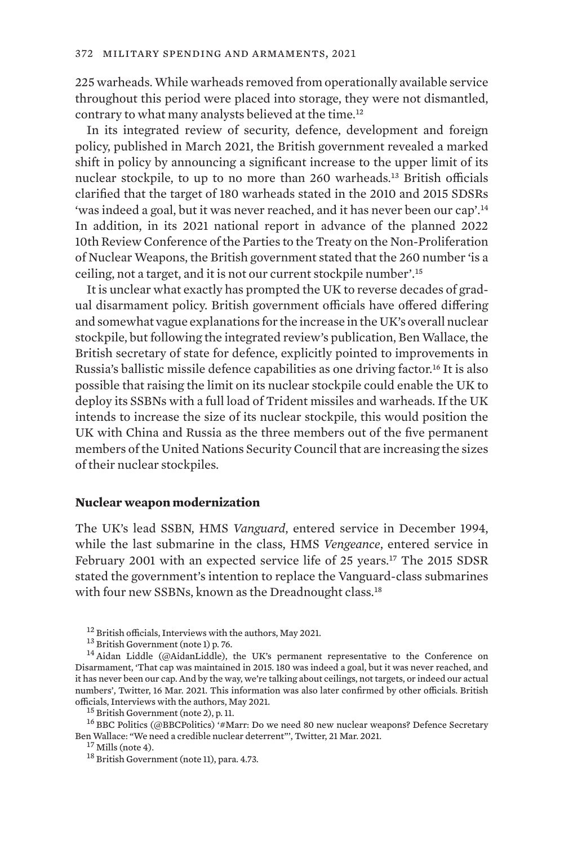225 warheads. While warheads removed from operationally available service throughout this period were placed into storage, they were not dismantled, contrary to what many analysts believed at the time.<sup>12</sup>

In its integrated review of security, defence, development and foreign policy, published in March 2021, the British government revealed a marked shift in policy by announcing a significant increase to the upper limit of its nuclear stockpile, to up to no more than 260 warheads.13 British officials clarified that the target of 180 warheads stated in the 2010 and 2015 SDSRs 'was indeed a goal, but it was never reached, and it has never been our cap'.<sup>14</sup> In addition, in its 2021 national report in advance of the planned 2022 10th Review Conference of the Parties to the Treaty on the Non-Proliferation of Nuclear Weapons, the British government stated that the 260 number 'is a ceiling, not a target, and it is not our current stockpile number'.<sup>15</sup>

It is unclear what exactly has prompted the UK to reverse decades of gradual disarmament policy. British government officials have offered differing and somewhat vague explanations for the increase in the UK's overall nuclear stockpile, but following the integrated review's publication, Ben Wallace, the British secretary of state for defence, explicitly pointed to improvements in Russia's ballistic missile defence capabilities as one driving factor.<sup>16</sup> It is also possible that raising the limit on its nuclear stockpile could enable the UK to deploy its SSBNs with a full load of Trident missiles and warheads. If the UK intends to increase the size of its nuclear stockpile, this would position the UK with China and Russia as the three members out of the five permanent members of the United Nations Security Council that are increasing the sizes of their nuclear stockpiles.

### **Nuclear weapon modernization**

The UK's lead SSBN, HMS *Vanguard*, entered service in December 1994, while the last submarine in the class, HMS *Vengeance*, entered service in February 2001 with an expected service life of 25 years.17 The 2015 SDSR stated the government's intention to replace the Vanguard-class submarines with four new SSBNs, known as the Dreadnought class.<sup>18</sup>

[Ben Wallace: "We need a credible nuclear deterrent"](https://twitter.com/BBCPolitics/status/1373578535944740869)', Twitter, 21 Mar. 2021.<br><sup>17</sup> Mills (note 4).<br><sup>18</sup> British Government (note 11), para. 4.73.

<sup>&</sup>lt;sup>12</sup> British officials, Interviews with the authors, May 2021.<br><sup>13</sup> British Government (note 1) p. 76.<br><sup>14</sup> Aidan Liddle (@AidanLiddle), the UK's permanent representative to the Conference on Disarmament, ['That cap was maintained in 2015. 180 was indeed a goal, but it was never reached, and](https://twitter.com/AidanLiddle/status/1371912132141445120) [it has never been our cap. And by the way, we're talking about ceilings, not targets, or indeed our actual](https://twitter.com/AidanLiddle/status/1371912132141445120) [numbers](https://twitter.com/AidanLiddle/status/1371912132141445120)', Twitter, 16 Mar. 2021. This information was also later confirmed by other officials. British % officials, Interviews with the authors, May 2021.<br><sup>15</sup> British Government (note 2), p. 11.<br><sup>16</sup> BBC Politics (@BBCPolitics) ['#Marr: Do we need 80 new nuclear weapons? Defence Secretary](https://twitter.com/BBCPolitics/status/1373578535944740869)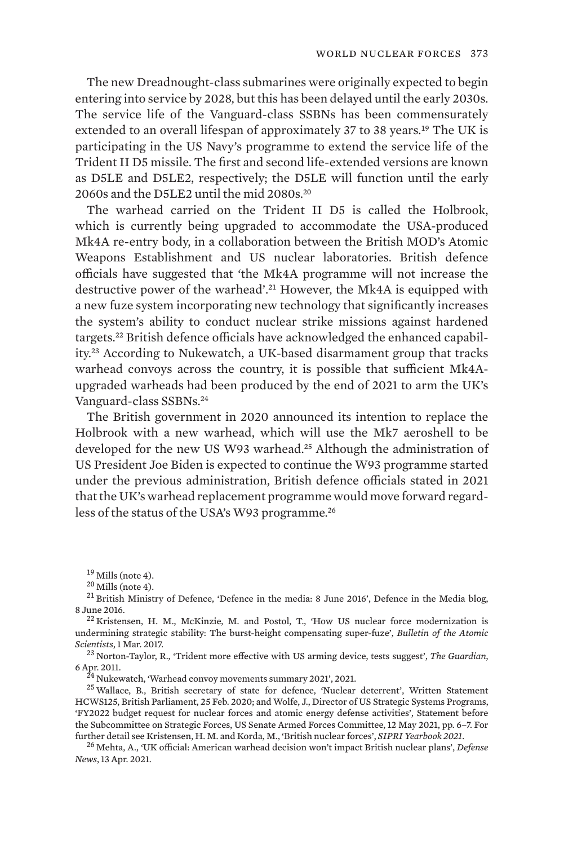The new Dreadnought-class submarines were originally expected to begin entering into service by 2028, but this has been delayed until the early 2030s. The service life of the Vanguard-class SSBNs has been commensurately extended to an overall lifespan of approximately 37 to 38 years.<sup>19</sup> The UK is participating in the US Navy's programme to extend the service life of the Trident II D5 missile. The first and second life-extended versions are known as D5LE and D5LE2, respectively; the D5LE will function until the early 2060s and the D5LE2 until the mid 2080s.<sup>20</sup>

The warhead carried on the Trident II D5 is called the Holbrook, which is currently being upgraded to accommodate the USA-produced Mk4A re-entry body, in a collaboration between the British MOD's Atomic Weapons Establishment and US nuclear laboratories. British defence officials have suggested that 'the Mk4A programme will not increase the destructive power of the warhead'.21 However, the Mk4A is equipped with a new fuze system incorporating new technology that significantly increases the system's ability to conduct nuclear strike missions against hardened targets.22 British defence officials have acknowledged the enhanced capability.23 According to Nukewatch, a UK-based disarmament group that tracks warhead convoys across the country, it is possible that sufficient Mk4Aupgraded warheads had been produced by the end of 2021 to arm the UK's Vanguard-class SSBNs.<sup>24</sup>

The British government in 2020 announced its intention to replace the Holbrook with a new warhead, which will use the Mk7 aeroshell to be developed for the new US W93 warhead.<sup>25</sup> Although the administration of US President Joe Biden is expected to continue the W93 programme started under the previous administration, British defence officials stated in 2021 that the UK's warhead replacement programme would move forward regardless of the status of the USA's W93 programme.<sup>26</sup>

<sup>19</sup> Mills (note 4).<br><sup>20</sup> Mills (note 4).<br><sup>21</sup> British Ministry of Defence, ['Defence in the media: 8 June 2016](https://modmedia.blog.gov.uk/2016/06/08/defence-in-the-media-8-june-2016/)', Defence in the Media blog,<br>8 June 2016.

 $^{22}$  Kristensen, H. M., McKinzie, M. and Postol, T., '[How US nuclear force modernization is](https://thebulletin.org/2017/03/how-us-nuclear-force-modernization-is-undermining-strategic-stability-the-burst-height-compensating-super-fuze/) [undermining strategic stability: The burst-height compensating super-fuze'](https://thebulletin.org/2017/03/how-us-nuclear-force-modernization-is-undermining-strategic-stability-the-burst-height-compensating-super-fuze/), *Bulletin of the Atomic Scientists*, 1 Mar. 2017. <sup>23</sup> Norton-Taylor, R., '[Trident more effective with US arming device, tests suggest](http://www.theguardian.com/uk/2011/apr/06/trident-us-arming-system-test)', *The Guardian*,

% 6 Apr. 2011. 24 Nukewatch, '[Warhead convoy movements summary 2021'](https://www.nukewatch.org.uk/wp-content/uploads/2022/01/Convoy-log-2021.pdf), 2021. 2021.<br><sup>24</sup> Nukewatch, 'Warhead convoy movements summary 2021', 2021.<br><sup>25</sup> Wallace, B., British secretary of state for defence, 'Nuclear deterrent

HCWS125, British Parliament, 25 Feb. 2020; and Wolfe, J., Director of US Strategic Systems Programs, '[FY2022 budget request for nuclear forces and atomic energy defense activities](https://www.armed-services.senate.gov/imo/media/doc/12May%20SSP%20Written%20Testimony%20to%20SASC-Strategic%20Forces%20Hearing%20Nuclear%20Forces.pdf)', Statement before the Subcommittee on Strategic Forces, US Senate Armed Forces Committee, 12 May 2021, pp. 6–7. For further detail see Kristensen, H. M. and Korda, M., 'British nuclear forces', SIPRI Yearbook 2021.

further detail see Kristensen, H. M. and Korda, M., 'British nuclear forces', *SIPRI Yearbook 2021*. <sup>26</sup> Mehta, A., ['UK official: American warhead decision won't impact British nuclear plans](https://www.defensenews.com/smr/nuclear-arsenal/2021/04/13/uk-official-nuclear-plans-wont-be-impacted-by-american-warheads-future/)', *Defense News*, 13 Apr. 2021.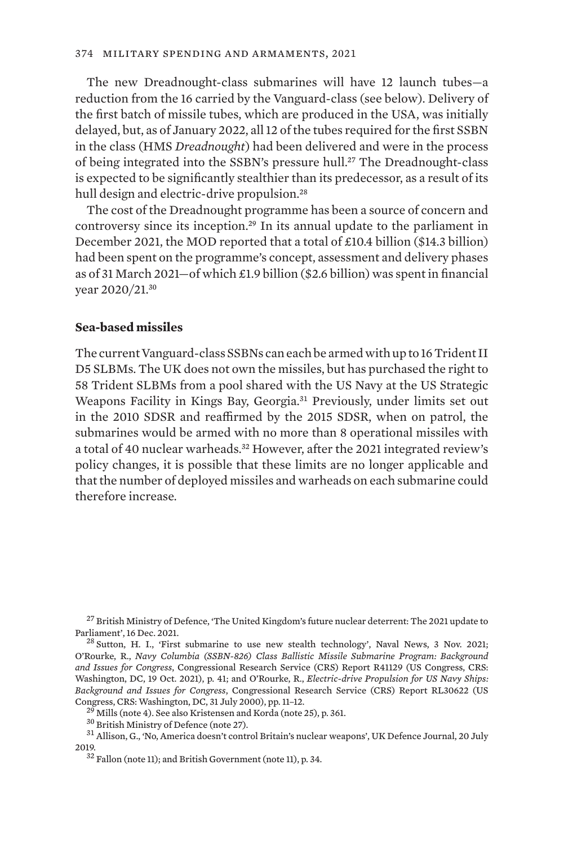The new Dreadnought-class submarines will have 12 launch tubes—a reduction from the 16 carried by the Vanguard-class (see below). Delivery of the first batch of missile tubes, which are produced in the USA, was initially delayed, but, as of January 2022, all 12 of the tubes required for the first SSBN in the class (HMS *Dreadnought*) had been delivered and were in the process of being integrated into the SSBN's pressure hull.<sup>27</sup> The Dreadnought-class is expected to be significantly stealthier than its predecessor, as a result of its hull design and electric-drive propulsion.<sup>28</sup>

The cost of the Dreadnought programme has been a source of concern and controversy since its inception.29 In its annual update to the parliament in December 2021, the MOD reported that a total of £10.4 billion (\$14.3 billion) had been spent on the programme's concept, assessment and delivery phases as of 31 March 2021—of which £1.9 billion (\$2.6 billion) was spent in financial year 2020/21.<sup>30</sup>

### **Sea-based missiles**

The current Vanguard-class SSBNs can each be armed with up to 16 Trident II D5 SLBMs. The UK does not own the missiles, but has purchased the right to 58 Trident SLBMs from a pool shared with the US Navy at the US Strategic Weapons Facility in Kings Bay, Georgia.<sup>31</sup> Previously, under limits set out in the 2010 SDSR and reaffirmed by the 2015 SDSR, when on patrol, the submarines would be armed with no more than 8 operational missiles with a total of 40 nuclear warheads.<sup>32</sup> However, after the 2021 integrated review's policy changes, it is possible that these limits are no longer applicable and that the number of deployed missiles and warheads on each submarine could therefore increase.

 $^{27}$  British Ministry of Defence, '[The United Kingdom's future nuclear deterrent: The 2021 update to](https://www.gov.uk/government/publications/the-united-kingdoms-future-nuclear-deterrent-the-2021-update-to-parliament/the-united-kingdoms-future-nuclear-deterrent-the-2021-update-to-parliament) Parliament', 16 Dec. 2021.

 $^{28}$  Sutton, H. I., ['First submarine to use new stealth technology'](https://www.navalnews.com/naval-news/2021/11/first-submarine-to-use-new-stealth-technology/), Naval News, 3 Nov. 2021; O'Rourke, R., *[Navy Columbia \(SSBN-826\) Class Ballistic Missile Submarine Program: Background](https://sgp.fas.org/crs/weapons/R41129.pdf) [and Issues for Congress](https://sgp.fas.org/crs/weapons/R41129.pdf)*, Congressional Research Service (CRS) Report R41129 (US Congress, CRS: Washington, DC, 19 Oct. 2021), p. 41; and O'Rourke, R., *[Electric-drive Propulsion for US Navy Ships:](https://www.everycrsreport.com/files/20000731_RL30622_c288e8b1829d574fffb93ddf56d0891b36cff9fc.pdf) [Background and Issues for Congress](https://www.everycrsreport.com/files/20000731_RL30622_c288e8b1829d574fffb93ddf56d0891b36cff9fc.pdf)*, Congressional Research Service (CRS) Report RL30622 (US Congress, CRS: Washington, DC, 31 July 2000), pp. 11–12.<br><sup>29</sup> Mills (note 4). See also Kristensen and Korda (note 25), p. 361.<br><sup>30</sup> British Ministry of Defence (note 27).<br><sup>31</sup> Allison, G., 'No, America doesn't control Bri

<sup>2019.</sup> <sup>32</sup> Fallon (note 11); and British Government (note 11), p. 34.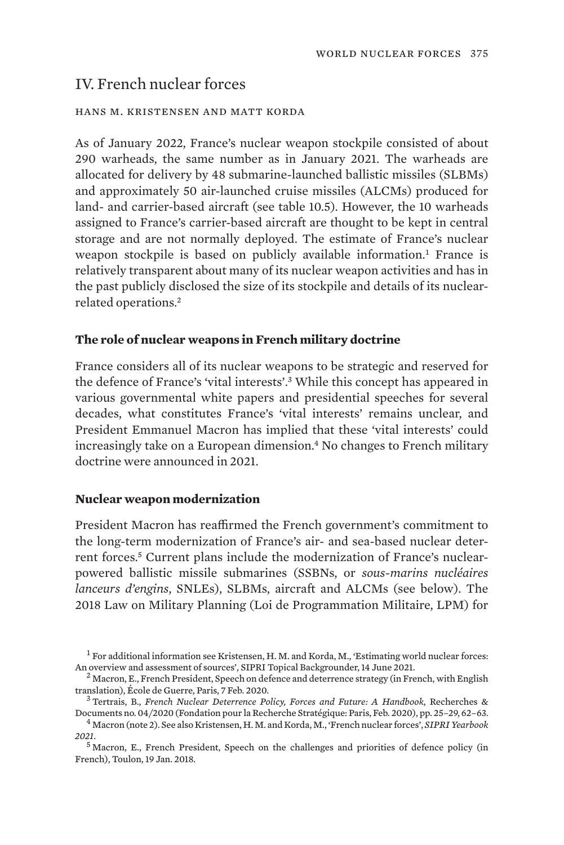# IV. French nuclear forces

#### hans m. kristensen and matt korda

As of January 2022, France's nuclear weapon stockpile consisted of about 290 warheads, the same number as in January 2021. The warheads are allocated for delivery by 48 submarine-launched ballistic missiles (SLBMs) and approximately 50 air-launched cruise missiles (ALCMs) produced for land- and carrier-based aircraft (see table 10.5). However, the 10 warheads assigned to France's carrier-based aircraft are thought to be kept in central storage and are not normally deployed. The estimate of France's nuclear weapon stockpile is based on publicly available information.<sup>1</sup> France is relatively transparent about many of its nuclear weapon activities and has in the past publicly disclosed the size of its stockpile and details of its nuclearrelated operations.<sup>2</sup>

### **The role of nuclear weapons in French military doctrine**

France considers all of its nuclear weapons to be strategic and reserved for the defence of France's 'vital interests'.3 While this concept has appeared in various governmental white papers and presidential speeches for several decades, what constitutes France's 'vital interests' remains unclear, and President Emmanuel Macron has implied that these 'vital interests' could increasingly take on a European dimension.<sup>4</sup> No changes to French military doctrine were announced in 2021.

### **Nuclear weapon modernization**

President Macron has reaffirmed the French government's commitment to the long-term modernization of France's air- and sea-based nuclear deterrent forces.5 Current plans include the modernization of France's nuclearpowered ballistic missile submarines (SSBNs, or *sous-marins nucléaires lanceurs d'engins*, SNLEs), SLBMs, aircraft and ALCMs (see below). The 2018 Law on Military Planning (Loi de Programmation Militaire, LPM) for

 $^{-1}$  For additional information see Kristensen, H. M. and Korda, M., 'Estimating world nuclear forces:<br>An overview and assessment of sources', SIPRI Topical Backgrounder, 14 June 2021.

<sup>&</sup>lt;sup>2</sup> Macron, E., French President, [Speech on defence and deterrence strategy](https://www.elysee.fr/en/emmanuel-macron/2020/02/07/speech-of-the-president-of-the-republic-on-the-defense-and-deterrence-strategy) (in French, with English

translation), École de Guerre, Paris, 7 Feb. 2020. <sup>3</sup> Tertrais, B., *[French Nuclear Deterrence Policy, Forces and Future: A Handbook](https://www.frstrategie.org/sites/default/files/documents/publications/recherches-et-documents/2020/202004.pdf)*, Recherches &

<sup>&</sup>lt;sup>4</sup> Macron (note 2). See also Kristensen, H. M. and Korda, M., 'French nuclear forces', *SIPRI Yearbook 2021*.

<sup>5</sup> Macron, E., French President, [Speech on the challenges and priorities of defence policy](https://www.vie-publique.fr/discours/204784-declaration-de-m-emmanuel-macron-president-de-la-republique-sur-les-d) (in French), Toulon, 19 Jan. 2018.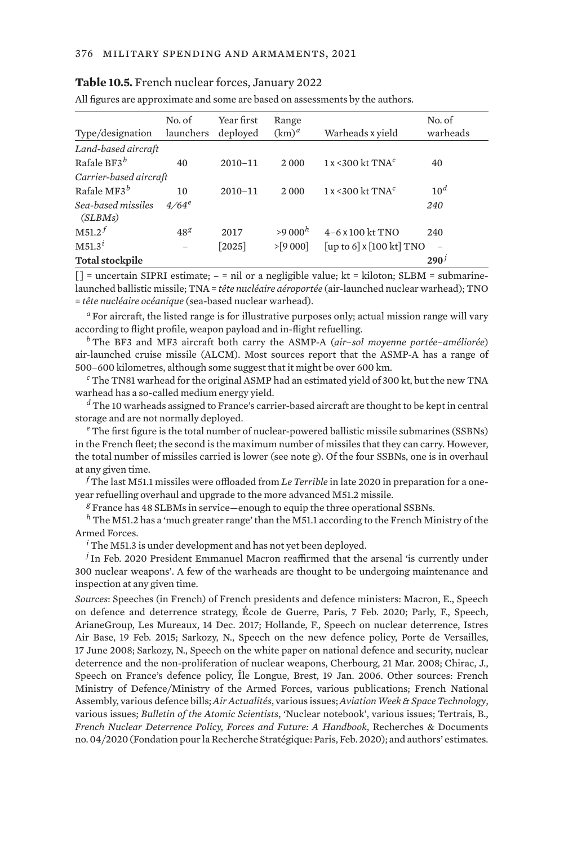#### **Table 10.5.** French nuclear forces, January 2022

All figures are approximate and some are based on assessments by the authors.

| Type/designation              | No. of<br>launchers | Year first<br>deployed | Range<br>$(km)^a$ | Warheads x yield                | No. of<br>warheads |
|-------------------------------|---------------------|------------------------|-------------------|---------------------------------|--------------------|
| Land-based aircraft           |                     |                        |                   |                                 |                    |
| Rafale BF3 $^b$               | 40                  | $2010 - 11$            | 2000              | $1x < 300$ kt TNA <sup>c</sup>  | 40                 |
| Carrier-based aircraft        |                     |                        |                   |                                 |                    |
| Rafale MF3 $^b$               | 10                  | $2010 - 11$            | 2000              | $1x < 300$ kt TNA <sup>c</sup>  | 10 <sup>d</sup>    |
| Sea-based missiles<br>(SLBMs) | $4/64^e$            |                        |                   |                                 | 240                |
| M51.2 <sup>f</sup>            | 48 <sup>g</sup>     | 2017                   | $>9000^h$         | $4-6 \times 100$ kt TNO         | 240                |
| M51.3 <sup>i</sup>            | -                   | $[2025]$               | $>$ [9 000]       | [up to 6] $\times$ [100 kt] TNO |                    |
| <b>Total stockpile</b>        |                     |                        |                   |                                 | 290 <sup>j</sup>   |

 $[$ ] = uncertain SIPRI estimate;  $-$  = nil or a negligible value; kt = kiloton; SLBM = submarinelaunched ballistic missile; TNA = *tête nucléaire aéroportée* (air-launched nuclear warhead); TNO = *tête nucléaire océanique* (sea-based nuclear warhead).

*<sup>a</sup>* For aircraft, the listed range is for illustrative purposes only; actual mission range will vary according to flight profile, weapon payload and in-flight refuelling.

*<sup>b</sup>* The BF3 and MF3 aircraft both carry the ASMP-A (*air–sol moyenne portée–améliorée*) air-launched cruise missile (ALCM). Most sources report that the ASMP-A has a range of 500–600 kilometres, although some suggest that it might be over 600 km.

*<sup>c</sup>* The TN81 warhead for the original ASMP had an estimated yield of 300 kt, but the new TNA warhead has a so-called medium energy yield.

*<sup>d</sup>* The 10 warheads assigned to France's carrier-based aircraft are thought to be kept in central storage and are not normally deployed.

*<sup>e</sup>* The first figure is the total number of nuclear-powered ballistic missile submarines (SSBNs) in the French fleet; the second is the maximum number of missiles that they can carry. However, the total number of missiles carried is lower (see note g). Of the four SSBNs, one is in overhaul at any given time.

*<sup>f</sup>* The last M51.1 missiles were offloaded from *Le Terrible* in late 2020 in preparation for a oneyear refuelling overhaul and upgrade to the more advanced M51.2 missile.

*<sup>g</sup>* France has 48 SLBMs in service—enough to equip the three operational SSBNs.

*<sup>h</sup>* The M51.2 has a 'much greater range' than the M51.1 according to the French Ministry of the Armed Forces.

*<sup>i</sup>* The M51.3 is under development and has not yet been deployed.

*<sup>j</sup>* In Feb. 2020 President Emmanuel Macron reaffirmed that the arsenal 'is currently under 300 nuclear weapons'. A few of the warheads are thought to be undergoing maintenance and inspection at any given time.

*Sources*: Speeches (in French) of French presidents and defence ministers: Macron, E., Speech on defence and deterrence strategy, École de Guerre, Paris, 7 Feb. 2020; Parly, F., Speech, ArianeGroup, Les Mureaux, 14 Dec. 2017; Hollande, F., Speech on nuclear deterrence, Istres Air Base, 19 Feb. 2015; Sarkozy, N., Speech on the new defence policy, Porte de Versailles, 17 June 2008; Sarkozy, N., Speech on the white paper on national defence and security, nuclear deterrence and the non-proliferation of nuclear weapons, Cherbourg, 21 Mar. 2008; Chirac, J., Speech on France's defence policy, Île Longue, Brest, 19 Jan. 2006. Other sources: French Ministry of Defence/Ministry of the Armed Forces, various publications; French National Assembly, various defence bills; *Air Actualités*, various issues; *Aviation Week & Space Technology*, various issues; *Bulletin of the Atomic Scientists*, 'Nuclear notebook', various issues; Tertrais, B., *French Nuclear Deterrence Policy, Forces and Future: A Handbook*, Recherches & Documents no. 04/2020 (Fondation pour la Recherche Stratégique: Paris, Feb. 2020); and authors' estimates.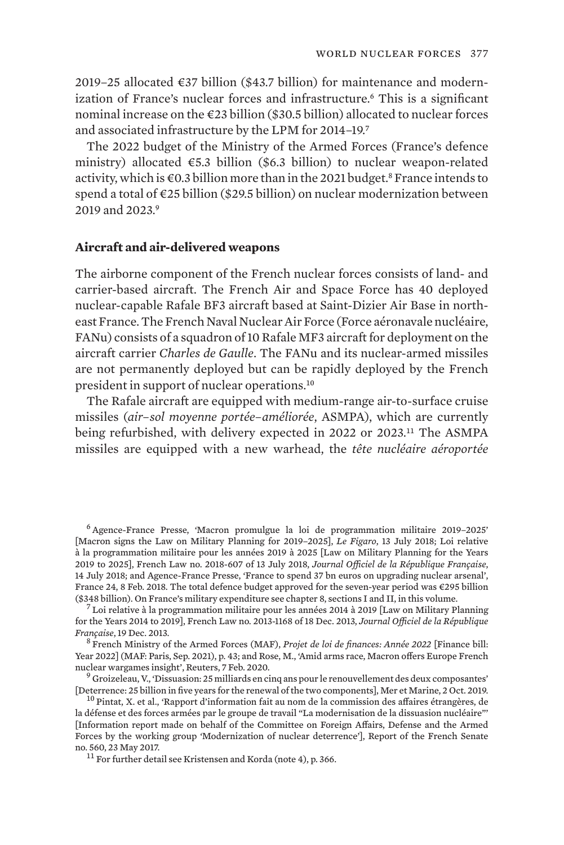2019–25 allocated  $\epsilon$ 37 billion (\$43.7 billion) for maintenance and modernization of France's nuclear forces and infrastructure.<sup>6</sup> This is a significant nominal increase on the €23 billion (\$30.5 billion) allocated to nuclear forces and associated infrastructure by the LPM for 2014–19.<sup>7</sup>

The 2022 budget of the Ministry of the Armed Forces (France's defence ministry) allocated  $\epsilon$ 5.3 billion (\$6.3 billion) to nuclear weapon-related activity, which is €0.3 billion more than in the 2021 budget.8 France intends to spend a total of €25 billion (\$29.5 billion) on nuclear modernization between 2019 and 2023<sup>9</sup>

## **Aircraft and air-delivered weapons**

The airborne component of the French nuclear forces consists of land- and carrier-based aircraft. The French Air and Space Force has 40 deployed nuclear-capable Rafale BF3 aircraft based at Saint-Dizier Air Base in northeast France. The French Naval Nuclear Air Force (Force aéronavale nucléaire, FANu) consists of a squadron of 10 Rafale MF3 aircraft for deployment on the aircraft carrier *Charles de Gaulle*. The FANu and its nuclear-armed missiles are not permanently deployed but can be rapidly deployed by the French president in support of nuclear operations.<sup>10</sup>

The Rafale aircraft are equipped with medium-range air-to-surface cruise missiles (*air–sol moyenne portée–améliorée*, ASMPA), which are currently being refurbished, with delivery expected in 2022 or 2023.11 The ASMPA missiles are equipped with a new warhead, the *tête nucléaire aéroportée*

<sup>8</sup> French Ministry of the Armed Forces (MAF), *[Projet de loi de finances: Année 2022](https://www.defense.gouv.fr/projet-loi-finances-armees-2022-lpm-annee-4)* [Finance bill: Year 2022] (MAF: Paris, Sep. 2021), p. 43; and Rose, M., ['Amid arms race, Macron offers Europe French](https://www.reuters.com/article/us-france-defence-macron-idUSKBN20119O) [nuclear wargames insight](https://www.reuters.com/article/us-france-defence-macron-idUSKBN20119O)', Reuters, 7 Feb. 2020.<br><sup>9</sup> Groizeleau, V., ['Dissuasion: 25 milliards en cinq ans pour le renouvellement des deux composantes'](https://www.meretmarine.com/fr/content/dissuasion-25-milliards-en-cinq-ans-pour-le-renouvellement-des-deux-composantes)

[Deterrence: 25 billion in five years for the renewal of the two components], Mer et Marine, 2 Oct. 2019. <sup>10</sup> Pintat, X. et al., '[Rapport d'information fait au nom de la commission des affaires étrangères, de](https://www.senat.fr/rap/r16-560/r16-5601.pdf)

<sup>6</sup> Agence-France Presse, '[Macron promulgue la loi de programmation militaire 2019–2025'](https://www.lefigaro.fr/flash-actu/2018/07/13/97001-20180713FILWWW00282-macron-promulgue-la-loi-de-programmation-militaire-2019-2025.php) [Macron signs the Law on Military Planning for 2019–2025], *Le Figaro*, 13 July 2018; [Loi relative](https://www.legifrance.gouv.fr/jorf/id/JORFTEXT000037192797) [à la programmation militaire pour les années 2019 à 2025](https://www.legifrance.gouv.fr/jorf/id/JORFTEXT000037192797) [Law on Military Planning for the Years 2019 to 2025], French Law no. 2018-607 of 13 July 2018, *Journal Officiel de la République Française*, 14 July 2018; and Agence-France Presse, '[France to spend 37 bn euros on upgrading nuclear arsenal',](https://www.france24.com/en/20180208-france-spend-37-bn-euros-upgrading-nuclear-arsenal) France 24, 8 Feb. 2018. The total defence budget approved for the seven-year period was €295 billion (\$348 billion). On France's military expenditure see chapter 8, sections I and II, in this volume.

<sup>&</sup>lt;sup>7</sup> [Loi relative à la programmation militaire pour les années 2014 à 2019](https://www.legifrance.gouv.fr/loda/id/JORFTEXT000028338825/) [Law on Military Planning for the Years 2014 to 2019], French Law no. 2013-1168 of 18 Dec. 2013, *Journal Officiel de la République* 

[la défense et des forces armées par le groupe de travail "La modernisation de la dissuasion nucléaire"'](https://www.senat.fr/rap/r16-560/r16-5601.pdf) [Information report made on behalf of the Committee on Foreign Affairs, Defense and the Armed Forces by the working group 'Modernization of nuclear deterrence'], Report of the French Senate no. 560, 23 May 2017.<br> $11$  For further detail see Kristensen and Korda (note 4), p. 366.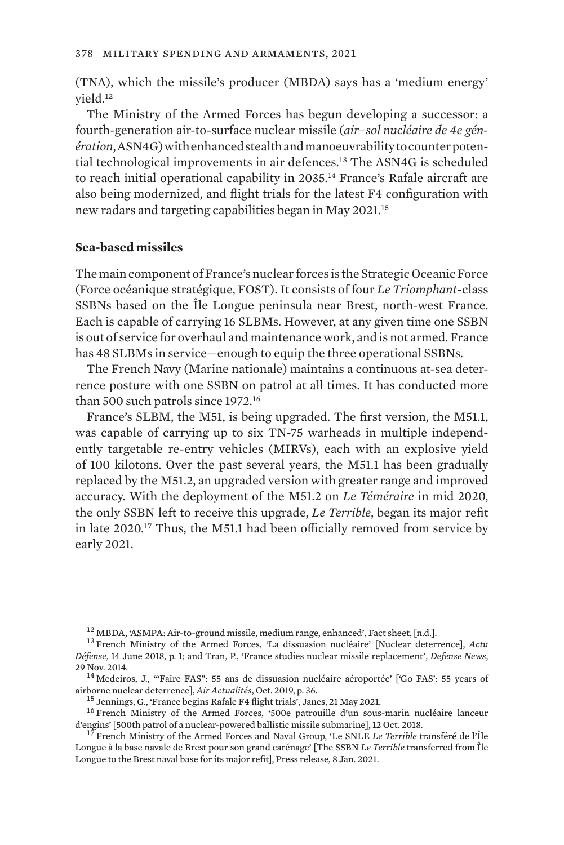(TNA), which the missile's producer (MBDA) says has a 'medium energy' yield.<sup>12</sup>

The Ministry of the Armed Forces has begun developing a successor: a fourth-generation air-to-surface nuclear missile (*air–sol nucléaire de 4e génération*, ASN4G) with enhanced stealth and manoeuvrability to counter potential technological improvements in air defences.13 The ASN4G is scheduled to reach initial operational capability in 2035.<sup>14</sup> France's Rafale aircraft are also being modernized, and flight trials for the latest F4 configuration with new radars and targeting capabilities began in May 2021.<sup>15</sup>

#### **Sea-based missiles**

The main component of France's nuclear forces is the Strategic Oceanic Force (Force océanique stratégique, FOST). It consists of four *Le Triomphant*-class SSBNs based on the Île Longue peninsula near Brest, north-west France. Each is capable of carrying 16 SLBMs. However, at any given time one SSBN is out of service for overhaul and maintenance work, and is not armed. France has 48 SLBMs in service—enough to equip the three operational SSBNs.

The French Navy (Marine nationale) maintains a continuous at-sea deterrence posture with one SSBN on patrol at all times. It has conducted more than 500 such patrols since 1972.<sup>16</sup>

France's SLBM, the M51, is being upgraded. The first version, the M51.1, was capable of carrying up to six TN-75 warheads in multiple independently targetable re-entry vehicles (MIRVs), each with an explosive yield of 100 kilotons. Over the past several years, the M51.1 has been gradually replaced by the M51.2, an upgraded version with greater range and improved accuracy. With the deployment of the M51.2 on *Le Téméraire* in mid 2020, the only SSBN left to receive this upgrade, *Le Terrible*, began its major refit in late 2020.17 Thus, the M51.1 had been officially removed from service by early 2021.

<sup>12</sup> MBDA, ['ASMPA: Air-to-ground missile, medium range, enhanced](https://www.mbda-systems.com/?action=force-download-attachment&attachment_id=5253)', Fact sheet, [n.d.]. <sup>13</sup> French Ministry of the Armed Forces, '[La dissuasion nucléaire](https://www.asafrance.fr/item/retrouvez-l-actu-defense-de-la-semaine-du-14-juin-2018.html)' [Nuclear deterrence], *Actu* 

airborne nuclear deterrence], Air Actualités, Oct. 2019, p. 36.<br><sup>15</sup> Jennings, G., ['France begins Rafale F4 flight trials](https://www.janes.com/defence-news/news-detail/france-begins-rafale-f4-flight-trials)', Janes, 21 May 2021.<br><sup>16</sup> French Ministry of the Armed Forces, '500e patrouille d'un sous-marin nuc

<sup>17</sup> French Ministry of the Armed Forces and Naval Group, 'Le SNLE *Le Terrible* [transféré de l'Île](https://www.naval-group.com/sites/default/files/2021-01/20210108_CP_transfert TER_VDEF.pdf) [Longue à la base navale de Brest pour son grand carénage'](https://www.naval-group.com/sites/default/files/2021-01/20210108_CP_transfert TER_VDEF.pdf) [The SSBN *Le Terrible* transferred from Île Longue to the Brest naval base for its major refit], Press release, 8 Jan. 2021.

*Défense*, 14 June 2018, p. 1; and Tran, P., ['France studies nuclear missile replacement](https://www.defensenews.com/global/europe/2014/11/29/france-studies-nuclear-missile-replacement/)', *Defense News*, 29 Nov. 2014.<br> $14$  Medeiros, J., "'Faire FAS": 55 ans de dissuasion nucléaire aéroportée' ['Go FAS': 55 years of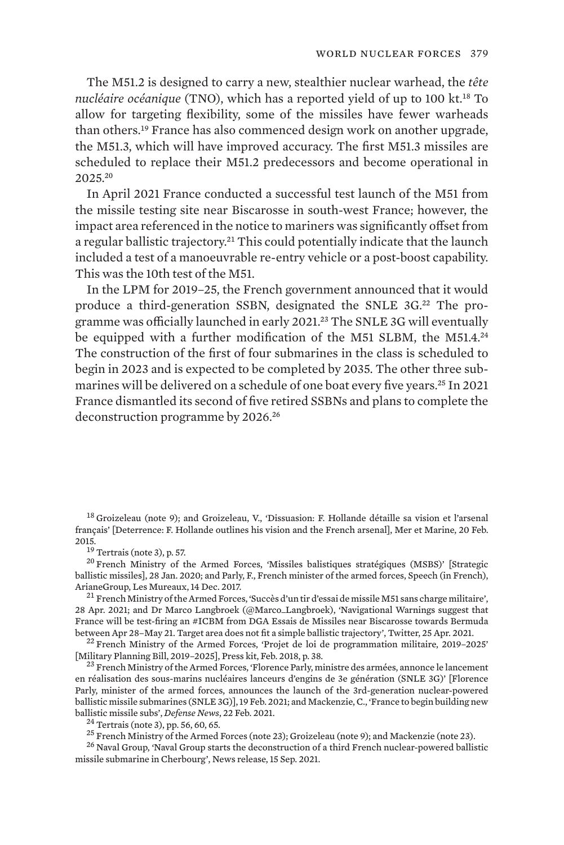The M51.2 is designed to carry a new, stealthier nuclear warhead, the *tête nucléaire océanique* (TNO), which has a reported yield of up to 100 kt.18 To allow for targeting flexibility, some of the missiles have fewer warheads than others.19 France has also commenced design work on another upgrade, the M51.3, which will have improved accuracy. The first M51.3 missiles are scheduled to replace their M51.2 predecessors and become operational in 2025.<sup>20</sup>

In April 2021 France conducted a successful test launch of the M51 from the missile testing site near Biscarosse in south-west France; however, the impact area referenced in the notice to mariners was significantly offset from a regular ballistic trajectory.<sup>21</sup> This could potentially indicate that the launch included a test of a manoeuvrable re-entry vehicle or a post-boost capability. This was the 10th test of the M51.

In the LPM for 2019–25, the French government announced that it would produce a third-generation SSBN, designated the SNLE 3G.22 The programme was officially launched in early 2021.<sup>23</sup> The SNLE 3G will eventually be equipped with a further modification of the M51 SLBM, the M51.4.<sup>24</sup> The construction of the first of four submarines in the class is scheduled to begin in 2023 and is expected to be completed by 2035. The other three submarines will be delivered on a schedule of one boat every five years.<sup>25</sup> In 2021 France dismantled its second of five retired SSBNs and plans to complete the deconstruction programme by 2026.<sup>26</sup>

<sup>18</sup> Groizeleau (note 9); and Groizeleau, V., 'Dissuasion: F. Hollande détaille sa vision et l'arsenal [français'](https://www.meretmarine.com/fr/content/dissuasion-f-hollande-detaille-sa-vision-et-larsenal-francais) [Deterrence: F. Hollande outlines his vision and the French arsenal], Mer et Marine, 20 Feb.<br>2015.

 $\frac{19}{19}$  Tertrais (note 3), p. 57.<br><sup>20</sup> French Ministry of the Armed Forces, ['Missiles balistiques stratégiques \(MSBS\)](https://web.archive.org/web/20200520031256/https://www.defense.gouv.fr/marine/equipements/missiles/missiles-balistiques-strategiques-msbs)' [Strategic ballistic missiles], 28 Jan. 2020; and Parly, F., French minister of the armed forces, [Speech \(in French\),](https://www.vie-publique.fr/discours/204491-declaration-de-mme-florence-parly-ministre-des-armees-sur-lentreprise)

<sup>21</sup> French Ministry of the Armed Forces, ['Succès d'un tir d'essai de missile M51 sans charge militaire'](https://www.achats.defense.gouv.fr/actualites/Succes-d-un-tir-d-essai-de-missile-M51-sans-charge-militaire), 28 Apr. 2021; and Dr Marco Langbroek (@Marco\_Langbroek), ['Navigational Warnings suggest that](https://twitter.com/Marco_Langbroek/status/1386290103719452677) [France will be test-firing an #ICBM from DGA Essais de Missiles near Biscarosse towards Bermuda](https://twitter.com/Marco_Langbroek/status/1386290103719452677)

<sup>22</sup> French Ministry of the Armed Forces, 'Projet de loi de programmation militaire, 2019-2025' [Military Planning Bill, 2019–2025], Press kit, Feb. 2018, p. 38.<br><sup>23</sup> French Ministry of the Armed Forces, ['Florence Parly, ministre des armées, annonce le lancement](https://web.archive.org/web/20211107050403/https://www.defense.gouv.fr/salle-de-presse/communiques/florence-parly-ministre-des-armees-annonce-le-lancement-en-realisation-des-sous-marins-nucleaires-lanceurs-d-engins-de-3e-generation-snle-3g)

[en réalisation des sous-marins nucléaires lanceurs d'engins de 3e génération \(SNLE 3G\)](https://web.archive.org/web/20211107050403/https://www.defense.gouv.fr/salle-de-presse/communiques/florence-parly-ministre-des-armees-annonce-le-lancement-en-realisation-des-sous-marins-nucleaires-lanceurs-d-engins-de-3e-generation-snle-3g)' [Florence Parly, minister of the armed forces, announces the launch of the 3rd-generation nuclear-powered ballistic missile submarines (SNLE 3G)], 19 Feb. 2021; and Mackenzie, C., ['France to begin building new](https://www.defensenews.com/naval/2021/02/22/france-to-begin-building-new-ballistic-missile-subs/)<br>ballistic missile subs', *Defense News*, 22 Feb. 2021.

<sup>24</sup> Tertrais (note 3), pp. 56, 60, 65.<br><sup>25</sup> French Ministry of the Armed Forces (note 23); Groizeleau (note 9); and Mackenzie (note 23).<br><sup>26</sup> Naval Group, 'Naval Group starts the deconstruction of a third French nuclear[missile submarine in Cherbourg'](https://www.naval-group.com/en/naval-group-starts-deconstruction-third-french-nuclear-powered-ballistic-missile-submarine), News release, 15 Sep. 2021.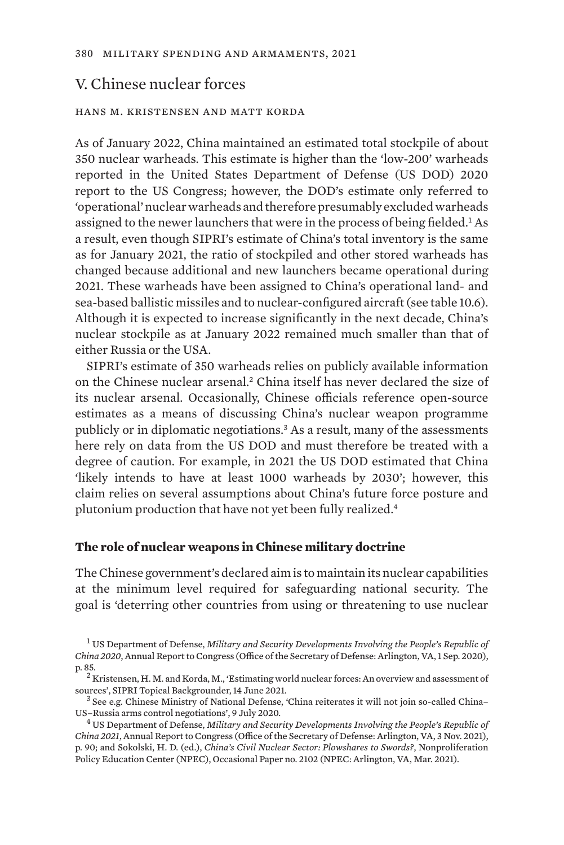## V. Chinese nuclear forces

## hans m. kristensen and matt korda

As of January 2022, China maintained an estimated total stockpile of about 350 nuclear warheads. This estimate is higher than the 'low-200' warheads reported in the United States Department of Defense (US DOD) 2020 report to the US Congress; however, the DOD's estimate only referred to 'operational' nuclear warheads and therefore presumably excluded warheads assigned to the newer launchers that were in the process of being fielded.<sup>1</sup> As a result, even though SIPRI's estimate of China's total inventory is the same as for January 2021, the ratio of stockpiled and other stored warheads has changed because additional and new launchers became operational during 2021. These warheads have been assigned to China's operational land- and sea-based ballistic missiles and to nuclear-configured aircraft (see table 10.6). Although it is expected to increase significantly in the next decade, China's nuclear stockpile as at January 2022 remained much smaller than that of either Russia or the USA.

SIPRI's estimate of 350 warheads relies on publicly available information on the Chinese nuclear arsenal.2 China itself has never declared the size of its nuclear arsenal. Occasionally, Chinese officials reference open-source estimates as a means of discussing China's nuclear weapon programme publicly or in diplomatic negotiations.3 As a result, many of the assessments here rely on data from the US DOD and must therefore be treated with a degree of caution. For example, in 2021 the US DOD estimated that China 'likely intends to have at least 1000 warheads by 2030'; however, this claim relies on several assumptions about China's future force posture and plutonium production that have not yet been fully realized.<sup>4</sup>

#### **The role of nuclear weapons in Chinese military doctrine**

The Chinese government's declared aim is to maintain its nuclear capabilities at the minimum level required for safeguarding national security. The goal is 'deterring other countries from using or threatening to use nuclear

<sup>1</sup> US Department of Defense, *[Military and Security Developments Involving the People's Republic of](https://media.defense.gov/2020/Sep/01/2002488689/-1/-1/1/2020-DOD-CHINA-MILITARY-POWER-REPORT-FINAL.PDF) [China 2020](https://media.defense.gov/2020/Sep/01/2002488689/-1/-1/1/2020-DOD-CHINA-MILITARY-POWER-REPORT-FINAL.PDF)*, Annual Report to Congress (Office of the Secretary of Defense: Arlington, VA, 1 Sep. 2020), p. 85. <sup>2</sup> Kristensen, H. M. and Korda, M., ['Estimating world nuclear forces: An overview and assessment of](https://www.sipri.org/commentary/topical-backgrounder/2021/estimating-world-nuclear-forces-overview-and-assessment-sources)

[sources](https://www.sipri.org/commentary/topical-backgrounder/2021/estimating-world-nuclear-forces-overview-and-assessment-sources)', SIPRI Topical Backgrounder, 14 June 2021.<br><sup>3</sup> See e.g. Chinese Ministry of National Defense, ['China reiterates it will not join so-called China–](http://eng.mod.gov.cn/news/2020-07/09/content_4867804.htm)US–Russia arms control negotiations', 9 July 2020.

<sup>&</sup>lt;sup>4</sup> US Department of Defense, [Military and Security Developments Involving the People's Republic of](https://media.defense.gov/2021/Nov/03/2002885874/-1/-1/0/2021-CMPR-FINAL.PDF) *[China 2021](https://media.defense.gov/2021/Nov/03/2002885874/-1/-1/0/2021-CMPR-FINAL.PDF)*, Annual Report to Congress (Office of the Secretary of Defense: Arlington, VA, 3 Nov. 2021), p. 90; and Sokolski, H. D. (ed.), *[China's Civil Nuclear Sector: Plowshares to Swords?](https://npolicy.org/article_file/2102_Chinas_Civil_Nuclear_Sector.pdf)*, Nonproliferation Policy Education Center (NPEC), Occasional Paper no. 2102 (NPEC: Arlington, VA, Mar. 2021).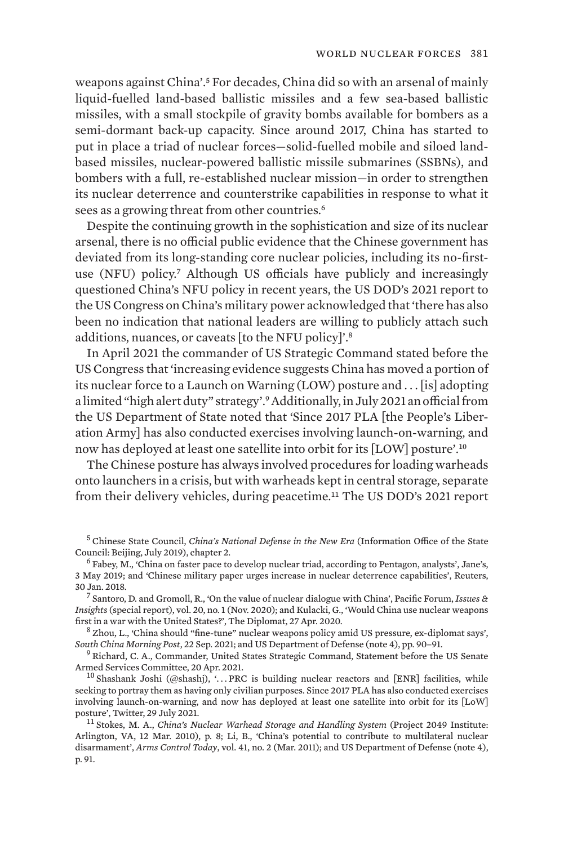weapons against China'.5 For decades, China did so with an arsenal of mainly liquid-fuelled land-based ballistic missiles and a few sea-based ballistic missiles, with a small stockpile of gravity bombs available for bombers as a semi-dormant back-up capacity. Since around 2017, China has started to put in place a triad of nuclear forces—solid-fuelled mobile and siloed landbased missiles, nuclear-powered ballistic missile submarines (SSBNs), and bombers with a full, re-established nuclear mission—in order to strengthen its nuclear deterrence and counterstrike capabilities in response to what it sees as a growing threat from other countries.<sup>6</sup>

Despite the continuing growth in the sophistication and size of its nuclear arsenal, there is no official public evidence that the Chinese government has deviated from its long-standing core nuclear policies, including its no-firstuse (NFU) policy.7 Although US officials have publicly and increasingly questioned China's NFU policy in recent years, the US DOD's 2021 report to the US Congress on China's military power acknowledged that 'there has also been no indication that national leaders are willing to publicly attach such additions, nuances, or caveats [to the NFU policy]'.<sup>8</sup>

In April 2021 the commander of US Strategic Command stated before the US Congress that 'increasing evidence suggests China has moved a portion of its nuclear force to a Launch on Warning (LOW) posture and . . . [is] adopting a limited "high alert duty" strategy'.9 Additionally, in July 2021 an official from the US Department of State noted that 'Since 2017 PLA [the People's Liberation Army] has also conducted exercises involving launch-on-warning, and now has deployed at least one satellite into orbit for its [LOW] posture'.<sup>10</sup>

The Chinese posture has always involved procedures for loading warheads onto launchers in a crisis, but with warheads kept in central storage, separate from their delivery vehicles, during peacetime.11 The US DOD's 2021 report

<sup>5</sup> Chinese State Council, *[China's National Defense in the New Era](http://english.www.gov.cn/archive/whitepaper/201907/24/content_WS5d3941ddc6d08408f502283d.html)* (Information Office of the State

 $^6$  Fabey, M., ['China on faster pace to develop nuclear triad, according to Pentagon, analysts](https://www.janes.com/defence-news/news-detail/china-on-faster-pace-to-develop-nuclear-triad-according-to-pentagon-analysts)', Jane's, 3 May 2019; and ['Chinese military paper urges increase in nuclear deterrence capabilities'](https://www.reuters.com/article/us-china-security-idUSKBN1FJ1A0), Reuters,

30 Jan. 2018. <sup>7</sup> Santoro, D. and Gromoll, R., ['On the value of nuclear dialogue with China'](https://pacforum.org/wp-content/uploads/2020/11/issuesinsights_Vol20No1.pdf), Pacific Forum, *Issues & Insights* (special report), vol. 20, no. 1 (Nov. 2020); and Kulacki, G., '[Would China use nuclear weapons](https://thediplomat.com/2020/04/would-china-use-nuclear-weapons-first-in-a-war-with-the-united-states/)

 $8$  Zhou, L., '[China should "fine-tune" nuclear weapons policy amid US pressure, ex-diplomat says'](https://www.scmp.com/news/china/military/article/3149720/china-should-fine-tune-nuclear-weapons-policy-amid-us-pressure), *South China Morning Post*, 22 Sep. 2021; and US Department of Defense (note 4), pp. 90–91. <sup>9</sup> Richard, C. A., Commander, United States Strategic Command, [Statement before the US Senate](https://www.armed-services.senate.gov/imo/media/doc/Richard04.20.2021.pdf)

[Armed Services Committee,](https://www.armed-services.senate.gov/imo/media/doc/Richard04.20.2021.pdf) 20 Apr. 2021.<br><sup>10</sup> Shashank Joshi (@shashj), '... [PRC is building nuclear reactors and \[ENR\] facilities, while](https://twitter.com/shashj/status/1420702605588697091)

[seeking to portray them as having only civilian purposes. Since 2017 PLA has also conducted exercises](https://twitter.com/shashj/status/1420702605588697091) [involving launch-on-warning, and now has deployed at least one satellite into orbit for its \[LoW\]](https://twitter.com/shashj/status/1420702605588697091)

<sup>11</sup> Stokes, M. A., *[China's Nuclear Warhead Storage and Handling System](https://project2049.net/wp-content/uploads/2018/05/chinas_nuclear_warhead_storage_and_handling_system.pdf)* (Project 2049 Institute: Arlington, VA, 12 Mar. 2010), p. 8; Li, B., '[China's potential to contribute to multilateral nuclear](https://www.armscontrol.org/act/2011-03/china%E2%80%99s-potential-contribute-multilateral-nuclear-disarmament) [disarmament'](https://www.armscontrol.org/act/2011-03/china%E2%80%99s-potential-contribute-multilateral-nuclear-disarmament), *Arms Control Today*, vol. 41, no. 2 (Mar. 2011); and US Department of Defense (note 4), p. 91.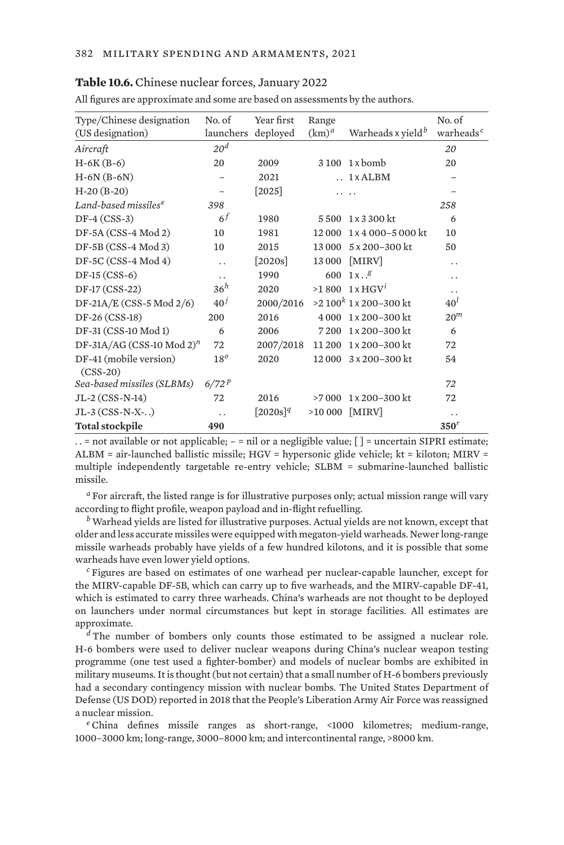#### **Table 10.6.** Chinese nuclear forces, January 2022

All figures are approximate and some are based on assessments by the authors.

| Type/Chinese designation<br>(US designation) | No. of<br>launchers | Year first<br>deployed | Range<br>$(km)^a$ | Warheads x yield <sup>b</sup> | No. of<br>warheads <sup>c</sup> |
|----------------------------------------------|---------------------|------------------------|-------------------|-------------------------------|---------------------------------|
| Aircraft                                     | 20 <sup>d</sup>     |                        |                   |                               | 20                              |
| $H-6K(B-6)$                                  | 20                  | 2009                   | 3 1 0 0           | 1 x bomb                      | 20                              |
| $H-6N(B-6N)$                                 |                     | 2021                   |                   | $.1 \times ALBM$              |                                 |
| $H-20(B-20)$                                 |                     | $[2025]$               |                   |                               |                                 |
| Land-based missiles <sup>e</sup>             | 398                 |                        |                   |                               | 258                             |
| $DF-4 (CSS-3)$                               | 6 <sup>f</sup>      | 1980                   | 5500              | 1 x 3 300 kt                  | 6                               |
| $DF-5A (CSS-4 Mod 2)$                        | 10                  | 1981                   | 12 000            | $1 \times 4000 - 5000$ kt     | 10                              |
| $DF-5B(CSS-4 Mod 3)$                         | 10                  | 2015                   | 13 000            | 5 x 200-300 kt                | 50                              |
| DF-5C (CSS-4 Mod 4)                          |                     | $\left[2020s\right]$   | 13 000            | [MIRV]                        | . .                             |
| $DF-15(CSS-6)$                               | . .                 | 1990                   | 600               | 1x.8                          | . .                             |
| DF-17 (CSS-22)                               | 36 <sup>h</sup>     | 2020                   | >1800             | $1 \times HGV^1$              | . .                             |
| DF-21A/E (CSS-5 Mod $2/6$ )                  | 40 <sup>j</sup>     | 2000/2016              |                   | $>2.100k$ 1 x 200-300 kt      | 40 <sup>l</sup>                 |
| DF-26 (CSS-18)                               | 200                 | 2016                   | 4 0 0 0           | 1 x 200–300 kt                | 20 <sup>m</sup>                 |
| DF-31 (CSS-10 Mod 1)                         | 6                   | 2006                   | 7 2 0 0           | $1x200 - 300$ kt              | 6                               |
| DF-31A/AG (CSS-10 Mod 2) <sup>n</sup>        | 72                  | 2007/2018              | 11 200            | 1x200-300 kt                  | 72                              |
| DF-41 (mobile version)<br>$(CSS-20)$         | $18^{\circ}$        | 2020                   | 12 000            | $3 \times 200 - 300$ kt       | 54                              |
| Sea-based missiles (SLBMs)                   | 6/72P               |                        |                   |                               | 72                              |
| $JL-2 (CSS-N-14)$                            | 72                  | 2016                   | >7000             | $1 \times 200 - 300$ kt       | 72                              |
| $JL-3 (CSS-N-X-.)$                           | . .                 | $[2020s]^{q}$          | >10 000           | [MIRV]                        | . .                             |
| <b>Total stockpile</b>                       | 490                 |                        |                   |                               | 350 <sup>r</sup>                |

. . = not available or not applicable; – = nil or a negligible value; [ ] = uncertain SIPRI estimate; ALBM = air-launched ballistic missile; HGV = hypersonic glide vehicle; kt = kiloton; MIRV = multiple independently targetable re-entry vehicle; SLBM = submarine-launched ballistic missile.

*<sup>a</sup>* For aircraft, the listed range is for illustrative purposes only; actual mission range will vary according to flight profile, weapon payload and in-flight refuelling.

*<sup>b</sup>* Warhead yields are listed for illustrative purposes. Actual yields are not known, except that older and less accurate missiles were equipped with megaton-yield warheads. Newer long-range missile warheads probably have yields of a few hundred kilotons, and it is possible that some warheads have even lower yield options.

*<sup>c</sup>* Figures are based on estimates of one warhead per nuclear-capable launcher, except for the MIRV-capable DF-5B, which can carry up to five warheads, and the MIRV-capable DF-41, which is estimated to carry three warheads. China's warheads are not thought to be deployed on launchers under normal circumstances but kept in storage facilities. All estimates are approximate.

*d* The number of bombers only counts those estimated to be assigned a nuclear role. H-6 bombers were used to deliver nuclear weapons during China's nuclear weapon testing programme (one test used a fighter-bomber) and models of nuclear bombs are exhibited in military museums. It is thought (but not certain) that a small number of H-6 bombers previously had a secondary contingency mission with nuclear bombs. The United States Department of Defense (US DOD) reported in 2018 that the People's Liberation Army Air Force was reassigned a nuclear mission.

*<sup>e</sup>* China defines missile ranges as short-range, <1000 kilometres; medium-range, 1000–3000 km; long-range, 3000–8000 km; and intercontinental range, >8000 km.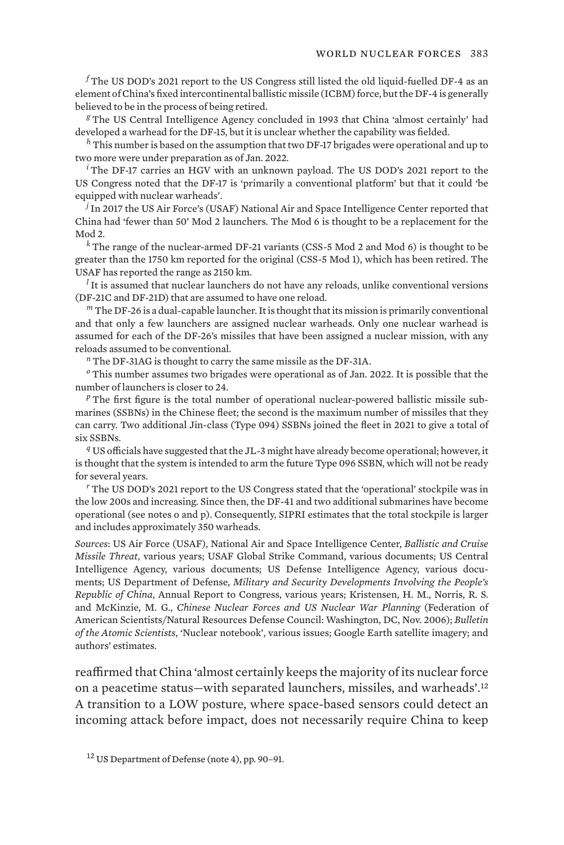*<sup>f</sup>* The US DOD's 2021 report to the US Congress still listed the old liquid-fuelled DF-4 as an element of China's fixed intercontinental ballistic missile (ICBM) force, but the DF-4 is generally believed to be in the process of being retired.

*<sup>g</sup>* The US Central Intelligence Agency concluded in 1993 that China 'almost certainly' had developed a warhead for the DF-15, but it is unclear whether the capability was fielded.

*<sup>h</sup>* This number is based on the assumption that two DF-17 brigades were operational and up to two more were under preparation as of Jan. 2022.

*<sup>i</sup>* The DF-17 carries an HGV with an unknown payload. The US DOD's 2021 report to the US Congress noted that the DF-17 is 'primarily a conventional platform' but that it could 'be equipped with nuclear warheads'.

*<sup>j</sup>* In 2017 the US Air Force's (USAF) National Air and Space Intelligence Center reported that China had 'fewer than 50' Mod 2 launchers. The Mod 6 is thought to be a replacement for the Mod 2.

*<sup>k</sup>* The range of the nuclear-armed DF-21 variants (CSS-5 Mod 2 and Mod 6) is thought to be greater than the 1750 km reported for the original (CSS-5 Mod 1), which has been retired. The USAF has reported the range as 2150 km.

<sup>*l*</sup> It is assumed that nuclear launchers do not have any reloads, unlike conventional versions (DF-21C and DF-21D) that are assumed to have one reload.

*<sup>m</sup>* The DF-26 is a dual-capable launcher. It is thought that its mission is primarily conventional and that only a few launchers are assigned nuclear warheads. Only one nuclear warhead is assumed for each of the DF-26's missiles that have been assigned a nuclear mission, with any reloads assumed to be conventional.

*<sup>n</sup>* The DF-31AG is thought to carry the same missile as the DF-31A.

*<sup>o</sup>* This number assumes two brigades were operational as of Jan. 2022. It is possible that the number of launchers is closer to 24.

*<sup>p</sup>* The first figure is the total number of operational nuclear-powered ballistic missile submarines (SSBNs) in the Chinese fleet; the second is the maximum number of missiles that they can carry. Two additional Jin-class (Type 094) SSBNs joined the fleet in 2021 to give a total of six SSBNs.

*<sup>q</sup>* US officials have suggested that the JL-3 might have already become operational; however, it is thought that the system is intended to arm the future Type 096 SSBN, which will not be ready for several years.

*<sup>r</sup>* The US DOD's 2021 report to the US Congress stated that the 'operational' stockpile was in the low 200s and increasing. Since then, the DF-41 and two additional submarines have become operational (see notes o and p). Consequently, SIPRI estimates that the total stockpile is larger and includes approximately 350 warheads.

*Sources*: US Air Force (USAF), National Air and Space Intelligence Center, *Ballistic and Cruise Missile Threat*, various years; USAF Global Strike Command, various documents; US Central Intelligence Agency, various documents; US Defense Intelligence Agency, various documents; US Department of Defense, *Military and Security Developments Involving the People's Republic of China*, Annual Report to Congress, various years; Kristensen, H. M., Norris, R. S. and McKinzie, M. G., *Chinese Nuclear Forces and US Nuclear War Planning* (Federation of American Scientists/Natural Resources Defense Council: Washington, DC, Nov. 2006); *Bulletin of the Atomic Scientists*, 'Nuclear notebook', various issues; Google Earth satellite imagery; and authors' estimates.

reaffirmed that China 'almost certainly keeps the majority of its nuclear force on a peacetime status—with separated launchers, missiles, and warheads'.<sup>12</sup> A transition to a LOW posture, where space-based sensors could detect an incoming attack before impact, does not necessarily require China to keep

<sup>12</sup> US Department of Defense (note 4), pp. 90–91.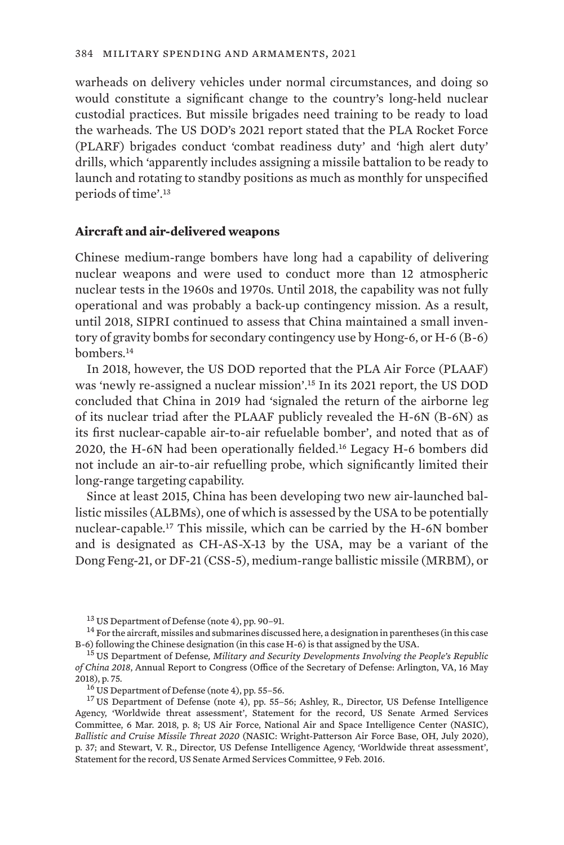warheads on delivery vehicles under normal circumstances, and doing so would constitute a significant change to the country's long-held nuclear custodial practices. But missile brigades need training to be ready to load the warheads. The US DOD's 2021 report stated that the PLA Rocket Force (PLARF) brigades conduct 'combat readiness duty' and 'high alert duty' drills, which 'apparently includes assigning a missile battalion to be ready to launch and rotating to standby positions as much as monthly for unspecified periods of time'.<sup>13</sup>

## **Aircraft and air-delivered weapons**

Chinese medium-range bombers have long had a capability of delivering nuclear weapons and were used to conduct more than 12 atmospheric nuclear tests in the 1960s and 1970s. Until 2018, the capability was not fully operational and was probably a back-up contingency mission. As a result, until 2018, SIPRI continued to assess that China maintained a small inventory of gravity bombs for secondary contingency use by Hong-6, or H-6 (B-6) bombers.<sup>14</sup>

In 2018, however, the US DOD reported that the PLA Air Force (PLAAF) was 'newly re-assigned a nuclear mission'.15 In its 2021 report, the US DOD concluded that China in 2019 had 'signaled the return of the airborne leg of its nuclear triad after the PLAAF publicly revealed the H-6N (B-6N) as its first nuclear-capable air-to-air refuelable bomber', and noted that as of 2020, the H-6N had been operationally fielded.16 Legacy H-6 bombers did not include an air-to-air refuelling probe, which significantly limited their long-range targeting capability.

Since at least 2015, China has been developing two new air-launched ballistic missiles (ALBMs), one of which is assessed by the USA to be potentially nuclear-capable.17 This missile, which can be carried by the H-6N bomber and is designated as CH-AS-X-13 by the USA, may be a variant of the Dong Feng-21, or DF-21 (CSS-5), medium-range ballistic missile (MRBM), or

<sup>&</sup>lt;sup>13</sup> US Department of Defense (note 4), pp. 90–91.<br><sup>14</sup> For the aircraft, missiles and submarines discussed here, a designation in parentheses (in this case B-6) following the Chinese designation (in this case H-6) is that assigned by the USA. <sup>15</sup> US Department of Defense*, [Military and Security Developments Involving the People's Republic](https://media.defense.gov/2018/Aug/16/2001955282/-1/-1/1/2018-CHINA-MILITARY-POWER-REPORT.PDF)* 

*[of China 2018](https://media.defense.gov/2018/Aug/16/2001955282/-1/-1/1/2018-CHINA-MILITARY-POWER-REPORT.PDF)*, Annual Report to Congress (Office of the Secretary of Defense: Arlington, VA, 16 May 2018), p. 75.<br><sup>16</sup> US Department of Defense (note 4), pp. 55–56.<br><sup>17</sup> US Department of Defense (note 4), pp. 55–56; Ashley, R., Director, US Defense Intelligence

Agency, '[Worldwide threat assessment](https://www.armed-services.senate.gov/imo/media/doc/Ashley_03-06-18.pdf)', Statement for the record, US Senate Armed Services Committee, 6 Mar. 2018, p. 8; US Air Force, National Air and Space Intelligence Center (NASIC), *[Ballistic and Cruise Missile Threat 2020](https://media.defense.gov/2021/Jan/11/2002563190/-1/-1/1/2020%20BALLISTIC%20AND%20CRUISE%20MISSILE%%2020THREAT_FINAL_2OCT_REDUCEDFILE.PDF)* (NASIC: Wright-Patterson Air Force Base, OH, July 2020), p. 37; and Stewart, V. R., Director, US Defense Intelligence Agency, '[Worldwide threat assessment'](http://www.armed-services.senate.gov/imo/media/doc/Stewart_02-09-16.pdf), Statement for the record, US Senate Armed Services Committee, 9 Feb. 2016.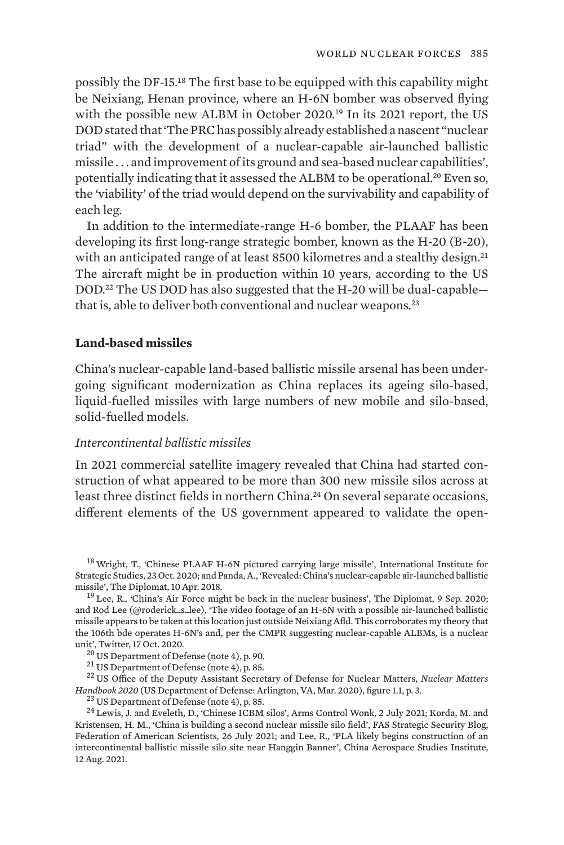possibly the DF-15.18 The first base to be equipped with this capability might be Neixiang, Henan province, where an H-6N bomber was observed flying with the possible new ALBM in October 2020.<sup>19</sup> In its 2021 report, the US DOD stated that 'The PRC has possibly already established a nascent "nuclear triad" with the development of a nuclear-capable air-launched ballistic missile . . . and improvement of its ground and sea-based nuclear capabilities', potentially indicating that it assessed the ALBM to be operational.<sup>20</sup> Even so, the 'viability' of the triad would depend on the survivability and capability of each leg.

In addition to the intermediate-range H-6 bomber, the PLAAF has been developing its first long-range strategic bomber, known as the H-20 (B-20), with an anticipated range of at least 8500 kilometres and a stealthy design.<sup>21</sup> The aircraft might be in production within 10 years, according to the US DOD.22 The US DOD has also suggested that the H-20 will be dual-capable that is, able to deliver both conventional and nuclear weapons.<sup>23</sup>

## **Land-based missiles**

China's nuclear-capable land-based ballistic missile arsenal has been undergoing significant modernization as China replaces its ageing silo-based, liquid-fuelled missiles with large numbers of new mobile and silo-based, solid-fuelled models.

## *Intercontinental ballistic missiles*

In 2021 commercial satellite imagery revealed that China had started construction of what appeared to be more than 300 new missile silos across at least three distinct fields in northern China.<sup>24</sup> On several separate occasions, different elements of the US government appeared to validate the open-

<sup>21</sup> US Department of Defense (note 4), p. 85.<br><sup>22</sup> US Office of the Deputy Assistant Secretary of Defense for [Nuclear Matters](https://fas.org/man/eprint/nmhb2020.pdf), *Nuclear Matters* [Handbook 2020](https://fas.org/man/eprint/nmhb2020.pdf) (US Department of Defense: Arlington, VA, Mar. 2020), figure 1.1, p. 3.<br><sup>23</sup> US Department of Defense (note 4), p. 85.<br><sup>24</sup> Lewis, J. and Eveleth, D., ['Chinese ICBM silos](https://www.armscontrolwonk.com/archive/1212340/chinese-icbm-silos/)', Arms Control Wonk, 2 July 2021; Kor

<sup>&</sup>lt;sup>18</sup> Wright, T., '[Chinese PLAAF H-6N pictured carrying large missile'](https://www.iiss.org/blogs/analysis/2020/10/mdi-chinese-plaaf-h-6n-missile), International Institute for Strategic Studies, 23 Oct. 2020; and Panda, A., ['Revealed: China's nuclear-capable air-launched ballistic](https://thediplomat.com/2018/04/revealed-chinas-nuclear-capable-air-launched-ballistic-missile/)

 $19$  Lee, R., '[China's Air Force might be back in the nuclear business'](https://thediplomat.com/2020/09/chinas-air-force-might-be-back-in-the-nuclear-business/), The Diplomat, 9 Sep. 2020; and Rod Lee (@roderick\_s\_lee), '[The video footage of an H-6N with a possible air-launched ballistic](https://twitter.com/roderick_s_lee/status/1317319284230705152) [missile appears to be taken at this location just outside Neixiang Afld. This corroborates my theory that](https://twitter.com/roderick_s_lee/status/1317319284230705152) [the 106th bde operates H-6N's and, per the CMPR suggesting nuclear-capable ALBMs, is a nuclear](https://twitter.com/roderick_s_lee/status/1317319284230705152) [unit](https://twitter.com/roderick_s_lee/status/1317319284230705152)', Twitter, 17 Oct. 2020.<br><sup>20</sup> US Department of Defense (note 4), p. 90.

Kristensen, H. M., '[China is building a second nuclear missile silo field](https://fas.org/blogs/security/2021/07/china-is-building-a-second-nuclear-missile-silo-field/)', FAS Strategic Security Blog, Federation of American Scientists, 26 July 2021; and Lee, R., ['PLA likely begins construction of an](https://www.airuniversity.af.edu/CASI/Display/Article/2729781/pla-likely-begins-construction-of-an-intercontinental-ballistic-missile-silo-si/) [intercontinental ballistic missile silo site near Hanggin Banner](https://www.airuniversity.af.edu/CASI/Display/Article/2729781/pla-likely-begins-construction-of-an-intercontinental-ballistic-missile-silo-si/)', China Aerospace Studies Institute, 12 Aug. 2021.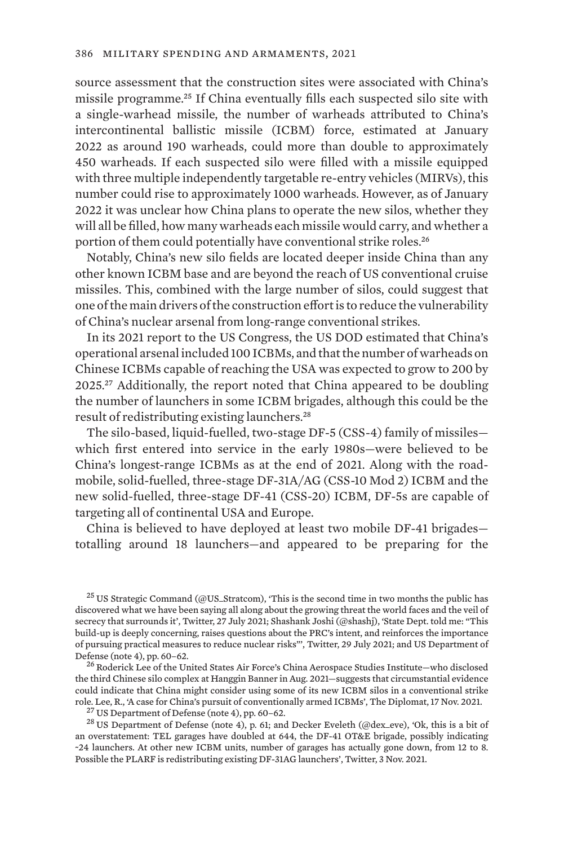source assessment that the construction sites were associated with China's missile programme.25 If China eventually fills each suspected silo site with a single-warhead missile, the number of warheads attributed to China's intercontinental ballistic missile (ICBM) force, estimated at January 2022 as around 190 warheads, could more than double to approximately 450 warheads. If each suspected silo were filled with a missile equipped with three multiple independently targetable re-entry vehicles (MIRVs), this number could rise to approximately 1000 warheads. However, as of January 2022 it was unclear how China plans to operate the new silos, whether they will all be filled, how many warheads each missile would carry, and whether a portion of them could potentially have conventional strike roles.<sup>26</sup>

Notably, China's new silo fields are located deeper inside China than any other known ICBM base and are beyond the reach of US conventional cruise missiles. This, combined with the large number of silos, could suggest that one of the main drivers of the construction effort is to reduce the vulnerability of China's nuclear arsenal from long-range conventional strikes.

In its 2021 report to the US Congress, the US DOD estimated that China's operational arsenal included 100 ICBMs, and that the number of warheads on Chinese ICBMs capable of reaching the USA was expected to grow to 200 by 2025.27 Additionally, the report noted that China appeared to be doubling the number of launchers in some ICBM brigades, although this could be the result of redistributing existing launchers.<sup>28</sup>

The silo-based, liquid-fuelled, two-stage DF-5 (CSS-4) family of missiles which first entered into service in the early 1980s—were believed to be China's longest-range ICBMs as at the end of 2021. Along with the roadmobile, solid-fuelled, three-stage DF-31A/AG (CSS-10 Mod 2) ICBM and the new solid-fuelled, three-stage DF-41 (CSS-20) ICBM, DF-5s are capable of targeting all of continental USA and Europe.

China is believed to have deployed at least two mobile DF-41 brigades totalling around 18 launchers—and appeared to be preparing for the

 $25$  US Strategic Command (@US\_Stratcom), '[This is the second time in two months the public has](https://twitter.com/US_Stratcom/status/1420149192203374603) [discovered what we have been saying all along about the growing threat the world faces and the veil of](https://twitter.com/US_Stratcom/status/1420149192203374603) [secrecy that surrounds it](https://twitter.com/US_Stratcom/status/1420149192203374603)', Twitter, 27 July 2021; Shashank Joshi (@shashj), ['State Dept. told me: "This](https://twitter.com/shashj/status/1420702241636372480) [build-up is deeply concerning, raises questions about the PRC's intent, and reinforces the importance](https://twitter.com/shashj/status/1420702241636372480) [of pursuing practical measures to reduce nuclear risks"'](https://twitter.com/shashj/status/1420702241636372480), Twitter, 29 July 2021; and US Department of Defense (note 4), pp. 60–62. <sup>26</sup> Roderick Lee of the United States Air Force's China Aerospace Studies Institute—who disclosed

the third Chinese silo complex at Hanggin Banner in Aug. 2021—suggests that circumstantial evidence could indicate that China might consider using some of its new ICBM silos in a conventional strike role. Lee, R., ['A case for China's pursuit of conventionally armed ICBMs](https://thediplomat.com/2021/11/a-case-for-chinas-pursuit-of-conventionally-armed-icbms/)', The Diplomat, 17 Nov. 2021.<br><sup>27</sup> US Department of Defense (note 4), pp. 60–62.<br><sup>28</sup> US Department of Defense (note 4), p. 61; and Decker Eveleth (

[an overstatement: TEL garages have doubled at 644, the DF-41 OT&E brigade, possibly indicating](https://twitter.com/dex_eve/status/1456009540982374404) [~24 launchers. At other new ICBM units, number of garages has actually gone down, from 12 to 8.](https://twitter.com/dex_eve/status/1456009540982374404) [Possible the PLARF is redistributing existing DF-31AG launchers'](https://twitter.com/dex_eve/status/1456009540982374404), Twitter, 3 Nov. 2021.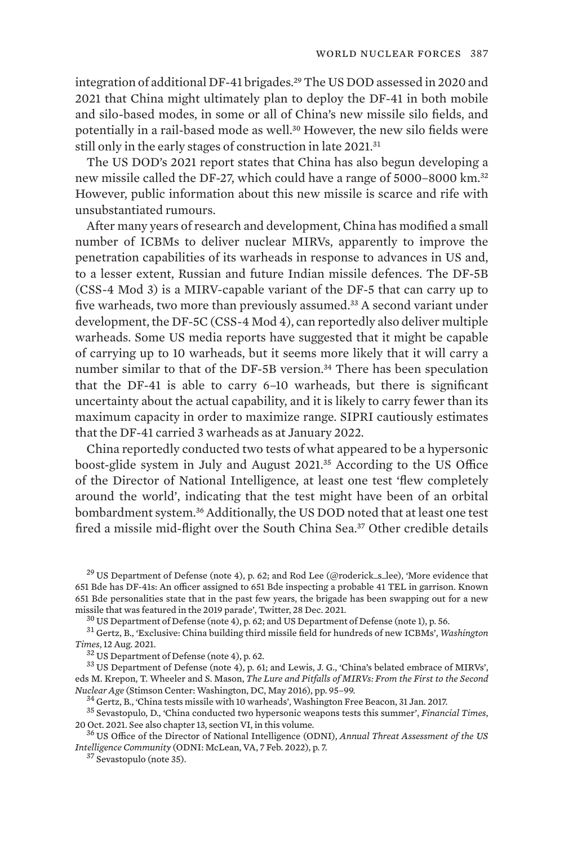integration of additional DF-41 brigades.29 The US DOD assessed in 2020 and 2021 that China might ultimately plan to deploy the DF-41 in both mobile and silo-based modes, in some or all of China's new missile silo fields, and potentially in a rail-based mode as well.30 However, the new silo fields were still only in the early stages of construction in late 2021.<sup>31</sup>

The US DOD's 2021 report states that China has also begun developing a new missile called the DF-27, which could have a range of 5000–8000 km.<sup>32</sup> However, public information about this new missile is scarce and rife with unsubstantiated rumours.

After many years of research and development, China has modified a small number of ICBMs to deliver nuclear MIRVs, apparently to improve the penetration capabilities of its warheads in response to advances in US and, to a lesser extent, Russian and future Indian missile defences. The DF-5B (CSS-4 Mod 3) is a MIRV-capable variant of the DF-5 that can carry up to five warheads, two more than previously assumed.33 A second variant under development, the DF-5C (CSS-4 Mod 4), can reportedly also deliver multiple warheads. Some US media reports have suggested that it might be capable of carrying up to 10 warheads, but it seems more likely that it will carry a number similar to that of the DF-5B version.<sup>34</sup> There has been speculation that the DF-41 is able to carry 6–10 warheads, but there is significant uncertainty about the actual capability, and it is likely to carry fewer than its maximum capacity in order to maximize range. SIPRI cautiously estimates that the DF-41 carried 3 warheads as at January 2022.

China reportedly conducted two tests of what appeared to be a hypersonic boost-glide system in July and August 2021.35 According to the US Office of the Director of National Intelligence, at least one test 'flew completely around the world', indicating that the test might have been of an orbital bombardment system.36 Additionally, the US DOD noted that at least one test fired a missile mid-flight over the South China Sea.<sup>37</sup> Other credible details

<sup>29</sup> US Department of Defense (note 4), p. 62; and Rod Lee (@roderick\_s\_lee), ['More evidence that](https://twitter.com/roderick_s_lee/status/1475885536254599172) [651 Bde has DF-41s: An officer assigned to 651 Bde inspecting a probable 41 TEL in garrison. Known](https://twitter.com/roderick_s_lee/status/1475885536254599172) [651 Bde personalities state that in the past few years, the brigade has been swapping out for a new](https://twitter.com/roderick_s_lee/status/1475885536254599172)

<sup>30</sup> US Department of Defense (note 4), p. 62; and US Department of Defense (note 1), p. 56.<br><sup>31</sup> Gertz, B., '[Exclusive: China building third missile field for hundreds of new ICBMs](https://www.washingtontimes.com/news/2021/aug/12/china-engaged-breathtaking-nuclear-breakout-us-str/)', *Washington* Times, 12 Aug. 2021.

<sup>32</sup> US Department of Defense (note 4), p. 62.<br><sup>33</sup> US Department of Defense (note 4), p. 61; and Lewis, J. G., 'China's belated embrace of MIRVs', eds M. Krepon, T. Wheeler and S. Mason, *The Lure and Pitfalls of MIRVs: From the First to the Second* 

*Nuclear Age* (Stimson Center: Washington, DC, May 2016), pp. 95–99.<br><sup>34</sup> Gertz, B., ['China tests missile with 10 warheads](https://freebeacon.com/national-security/china-tests-missile-10-warheads/)', Washington Free Beacon, 31 Jan. 2017.<br><sup>35</sup> Sevastopulo, D., 'China conducted two hypersonic weapo

<sup>36</sup> US Office of the Director of National Intelligence (ODNI), *[Annual Threat Assessment of the US](https://www.dni.gov/files/ODNI/documents/assessments/ATA-2022-Unclassified-Report.pdf) [Intelligence Community](https://www.dni.gov/files/ODNI/documents/assessments/ATA-2022-Unclassified-Report.pdf)* (ODNI: McLean, VA, 7 Feb. 2022), p. 7. <sup>37</sup> Sevastopulo (note 35).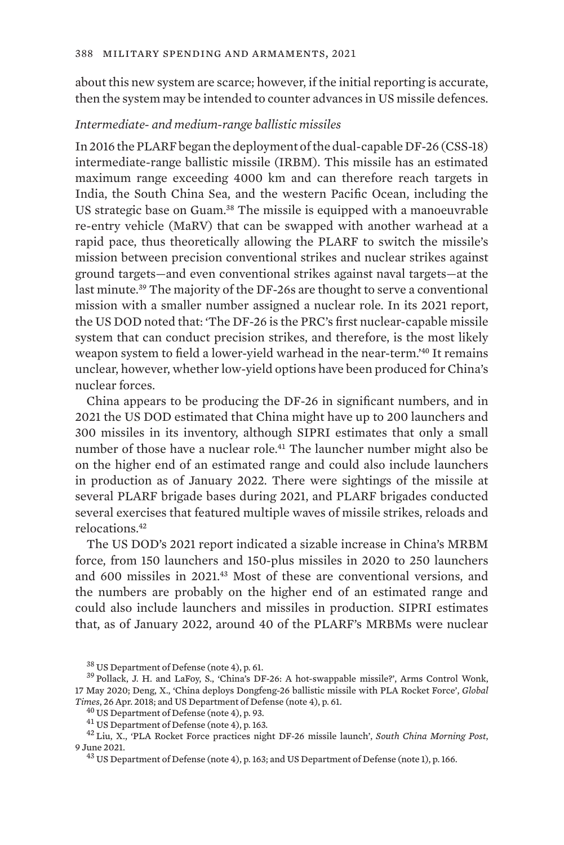about this new system are scarce; however, if the initial reporting is accurate, then the system may be intended to counter advances in US missile defences.

## *Intermediate- and medium-range ballistic missiles*

In 2016 the PLARF began the deployment of the dual-capable DF-26 (CSS-18) intermediate-range ballistic missile (IRBM). This missile has an estimated maximum range exceeding 4000 km and can therefore reach targets in India, the South China Sea, and the western Pacific Ocean, including the US strategic base on Guam.<sup>38</sup> The missile is equipped with a manoeuvrable re-entry vehicle (MaRV) that can be swapped with another warhead at a rapid pace, thus theoretically allowing the PLARF to switch the missile's mission between precision conventional strikes and nuclear strikes against ground targets—and even conventional strikes against naval targets—at the last minute.<sup>39</sup> The majority of the DF-26s are thought to serve a conventional mission with a smaller number assigned a nuclear role. In its 2021 report, the US DOD noted that: 'The DF-26 is the PRC's first nuclear-capable missile system that can conduct precision strikes, and therefore, is the most likely weapon system to field a lower-yield warhead in the near-term.'40 It remains unclear, however, whether low-yield options have been produced for China's nuclear forces.

China appears to be producing the DF-26 in significant numbers, and in 2021 the US DOD estimated that China might have up to 200 launchers and 300 missiles in its inventory, although SIPRI estimates that only a small number of those have a nuclear role.<sup>41</sup> The launcher number might also be on the higher end of an estimated range and could also include launchers in production as of January 2022. There were sightings of the missile at several PLARF brigade bases during 2021, and PLARF brigades conducted several exercises that featured multiple waves of missile strikes, reloads and relocations.<sup>42</sup>

The US DOD's 2021 report indicated a sizable increase in China's MRBM force, from 150 launchers and 150-plus missiles in 2020 to 250 launchers and 600 missiles in 2021.43 Most of these are conventional versions, and the numbers are probably on the higher end of an estimated range and could also include launchers and missiles in production. SIPRI estimates that, as of January 2022, around 40 of the PLARF's MRBMs were nuclear

 $38$  US Department of Defense (note 4), p. 61.<br> $39$  Pollack, J. H. and LaFoy, S., ['China's DF-26: A hot-swappable missile?](https://www.armscontrolwonk.com/archive/1209405/chinas-df-26-a-hot-swappable-missile/)', Arms Control Wonk, 17 May 2020; Deng, X., ['China deploys Dongfeng-26 ballistic missile with PLA Rocket Force](https://www.globaltimes.cn/content/1099815.shtml)', *Global* 

Times, 26 Apr. 2018; and US Department of Defense (note 4), p. 61.<br>  $^{40}$  US Department of Defense (note 4), p. 93.<br>  $^{41}$  US Department of Defense (note 4), p. 163.<br>  $^{42}$  Liu, X., 'PLA Rocket Force practices night DF

<sup>&</sup>lt;sup>43</sup> US Department of Defense (note 4), p. 163; and US Department of Defense (note 1), p. 166.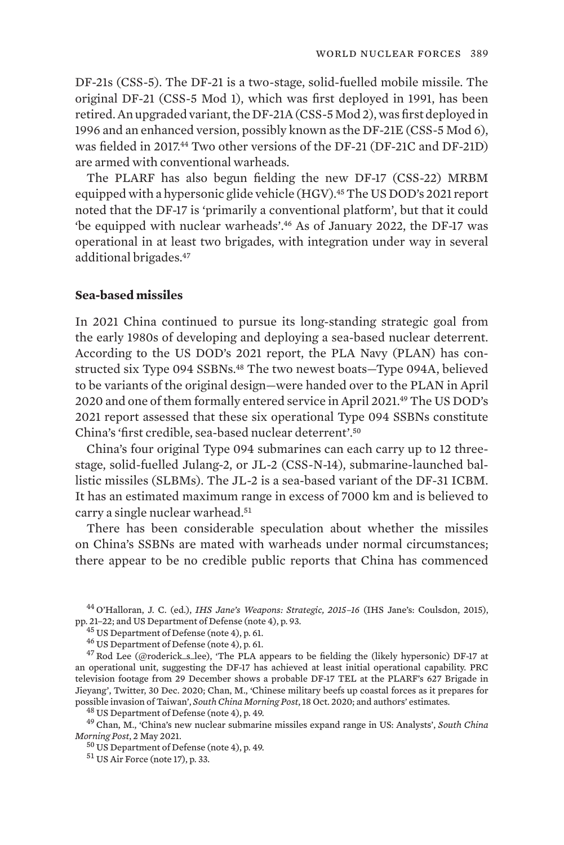DF-21s (CSS-5). The DF-21 is a two-stage, solid-fuelled mobile missile. The original DF-21 (CSS-5 Mod 1), which was first deployed in 1991, has been retired. An upgraded variant, the DF-21A (CSS-5 Mod 2), was first deployed in 1996 and an enhanced version, possibly known as the DF-21E (CSS-5 Mod 6), was fielded in 2017.<sup>44</sup> Two other versions of the DF-21 (DF-21C and DF-21D) are armed with conventional warheads.

The PLARF has also begun fielding the new DF-17 (CSS-22) MRBM equipped with a hypersonic glide vehicle (HGV).<sup>45</sup> The US DOD's 2021 report noted that the DF-17 is 'primarily a conventional platform', but that it could 'be equipped with nuclear warheads'.46 As of January 2022, the DF-17 was operational in at least two brigades, with integration under way in several additional brigades.<sup>47</sup>

### **Sea-based missiles**

In 2021 China continued to pursue its long-standing strategic goal from the early 1980s of developing and deploying a sea-based nuclear deterrent. According to the US DOD's 2021 report, the PLA Navy (PLAN) has constructed six Type 094 SSBNs.<sup>48</sup> The two newest boats-Type 094A, believed to be variants of the original design—were handed over to the PLAN in April 2020 and one of them formally entered service in April 2021.49 The US DOD's 2021 report assessed that these six operational Type 094 SSBNs constitute China's 'first credible, sea-based nuclear deterrent'.<sup>50</sup>

China's four original Type 094 submarines can each carry up to 12 threestage, solid-fuelled Julang-2, or JL-2 (CSS-N-14), submarine-launched ballistic missiles (SLBMs). The JL-2 is a sea-based variant of the DF-31 ICBM. It has an estimated maximum range in excess of 7000 km and is believed to carry a single nuclear warhead.<sup>51</sup>

There has been considerable speculation about whether the missiles on China's SSBNs are mated with warheads under normal circumstances; there appear to be no credible public reports that China has commenced

<sup>44</sup> O'Halloran, J. C. (ed.), *IHS Jane's Weapons: Strategic, 2015-16* (IHS Jane's: Coulsdon, 2015), pp. 21-22; and US Department of Defense (note 4), p. 93.

<sup>45</sup> US Department of Defense (note 4), p. 61.<br><sup>46</sup> US Department of Defense (note 4), p. 61.<br><sup>47</sup> Rod Lee (@roderick\_s\_lee), '[The PLA appears to be fielding the \(likely hypersonic\) DF-17 at](https://twitter.com/roderick_s_lee/status/1344294473036136448) [an operational unit, suggesting the DF-17 has achieved at least initial operational capability. PRC](https://twitter.com/roderick_s_lee/status/1344294473036136448) [television footage from 29 December shows a probable DF-17 TEL at the PLARF's 627 Brigade in](https://twitter.com/roderick_s_lee/status/1344294473036136448) [Jieyang'](https://twitter.com/roderick_s_lee/status/1344294473036136448), Twitter, 30 Dec. 2020; Chan, M., ['Chinese military beefs up coastal forces as it prepares for](https://www.scmp.com/news/china/diplomacy/article/3105953/chinese-military-beefs-coastal-forces-it-prepares-possible) [possible invasion of Taiwan'](https://www.scmp.com/news/china/diplomacy/article/3105953/chinese-military-beefs-coastal-forces-it-prepares-possible), *South China Morning Post*, 18 Oct. 2020; and authors' estimates.<br><sup>48</sup> US Department of Defense (note 4), p. 49.<br><sup>49</sup> Chan, M., 'China's new nuclear submarine missiles expand range in US: Anal

*Morning Post*, 2 May 2021.<br><sup>50</sup> US Department of Defense (note 4), p. 49.<br><sup>51</sup> US Air Force (note 17), p. 33.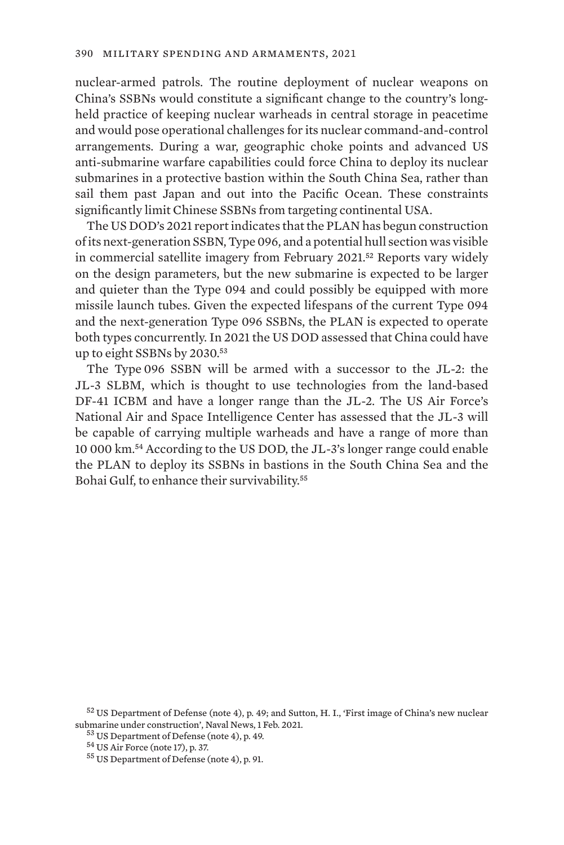nuclear-armed patrols. The routine deployment of nuclear weapons on China's SSBNs would constitute a significant change to the country's longheld practice of keeping nuclear warheads in central storage in peacetime and would pose operational challenges for its nuclear command-and-control arrangements. During a war, geographic choke points and advanced US anti-submarine warfare capabilities could force China to deploy its nuclear submarines in a protective bastion within the South China Sea, rather than sail them past Japan and out into the Pacific Ocean. These constraints significantly limit Chinese SSBNs from targeting continental USA.

The US DOD's 2021 report indicates that the PLAN has begun construction of its next-generation SSBN, Type 096, and a potential hull section was visible in commercial satellite imagery from February 2021.52 Reports vary widely on the design parameters, but the new submarine is expected to be larger and quieter than the Type 094 and could possibly be equipped with more missile launch tubes. Given the expected lifespans of the current Type 094 and the next-generation Type 096 SSBNs, the PLAN is expected to operate both types concurrently. In 2021 the US DOD assessed that China could have up to eight SSBNs by 2030.<sup>53</sup>

The Type 096 SSBN will be armed with a successor to the JL-2: the JL-3 SLBM, which is thought to use technologies from the land-based DF-41 ICBM and have a longer range than the JL-2. The US Air Force's National Air and Space Intelligence Center has assessed that the JL-3 will be capable of carrying multiple warheads and have a range of more than 10 000 km.54 According to the US DOD, the JL-3's longer range could enable the PLAN to deploy its SSBNs in bastions in the South China Sea and the Bohai Gulf, to enhance their survivability.<sup>55</sup>

 $52$  US Department of Defense (note 4), p. 49; and Sutton, H. I., ['First image of China's new nuclear](https://www.navalnews.com/naval-news/2021/02/first-image-of-chinas-new-nuclear-submarine-under-construction/) submarine under construction'. Naval News, 1 Feb. 2021.

<sup>&</sup>lt;sup>53</sup> US Department of Defense (note 4), p. 49.<br><sup>54</sup> US Air Force (note 17), p. 37. 55 US Department of Defense (note 4), p. 91.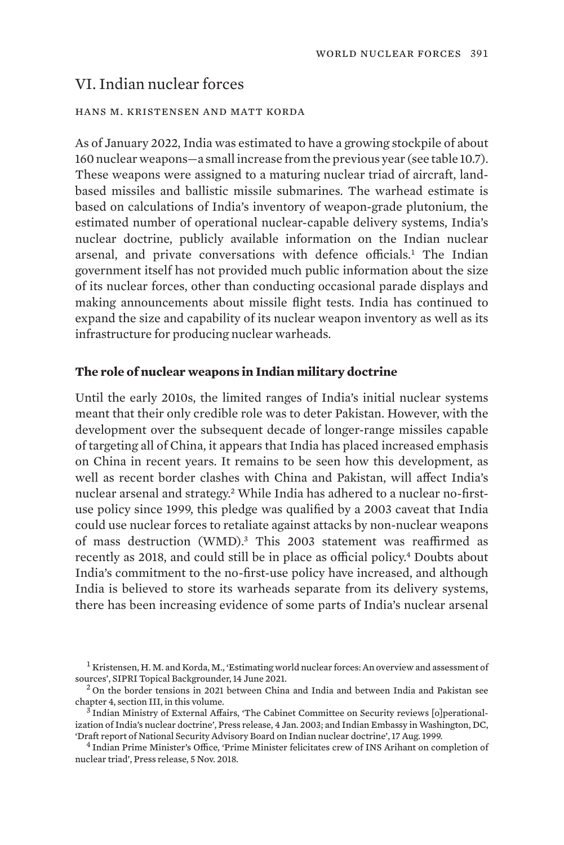# VI. Indian nuclear forces

#### hans m. kristensen and matt korda

As of January 2022, India was estimated to have a growing stockpile of about 160 nuclear weapons—a small increase from the previous year (see table 10.7). These weapons were assigned to a maturing nuclear triad of aircraft, landbased missiles and ballistic missile submarines. The warhead estimate is based on calculations of India's inventory of weapon-grade plutonium, the estimated number of operational nuclear-capable delivery systems, India's nuclear doctrine, publicly available information on the Indian nuclear arsenal, and private conversations with defence officials.1 The Indian government itself has not provided much public information about the size of its nuclear forces, other than conducting occasional parade displays and making announcements about missile flight tests. India has continued to expand the size and capability of its nuclear weapon inventory as well as its infrastructure for producing nuclear warheads.

### **The role of nuclear weapons in Indian military doctrine**

Until the early 2010s, the limited ranges of India's initial nuclear systems meant that their only credible role was to deter Pakistan. However, with the development over the subsequent decade of longer-range missiles capable of targeting all of China, it appears that India has placed increased emphasis on China in recent years. It remains to be seen how this development, as well as recent border clashes with China and Pakistan, will affect India's nuclear arsenal and strategy.2 While India has adhered to a nuclear no-firstuse policy since 1999, this pledge was qualified by a 2003 caveat that India could use nuclear forces to retaliate against attacks by non-nuclear weapons of mass destruction (WMD).<sup>3</sup> This 2003 statement was reaffirmed as recently as 2018, and could still be in place as official policy.4 Doubts about India's commitment to the no-first-use policy have increased, and although India is believed to store its warheads separate from its delivery systems, there has been increasing evidence of some parts of India's nuclear arsenal

<sup>&</sup>lt;sup>1</sup> Kristensen, H. M. and Korda, M., ['Estimating world nuclear forces: An overview and assessment of](https://www.sipri.org/commentary/topical-backgrounder/2021/estimating-world-nuclear-forces-overview-and-assessment-sources) [sources](https://www.sipri.org/commentary/topical-backgrounder/2021/estimating-world-nuclear-forces-overview-and-assessment-sources)', SIPRI Topical Backgrounder, 14 June 2021.<br><sup>2</sup> On the border tensions in 2021 between China and India and between India and Pakistan see

chapter 4, section III, in this volume.<br><sup>3</sup> Indian Ministry of External Affairs, '[The Cabinet Committee on Security reviews \[o\]perational-](https://mea.gov.in/press-releases.htm?dtl/20131/The_Cabinet_Committee_on_Security_Reviews_perationalization_of_Indias_Nuclear_Doctrine+Report+of+National+Security+Advisory+Board+on+Indian+Nuclear+Doctrine)

[ization of India's nuclear doctrine'](https://mea.gov.in/press-releases.htm?dtl/20131/The_Cabinet_Committee_on_Security_Reviews_perationalization_of_Indias_Nuclear_Doctrine+Report+of+National+Security+Advisory+Board+on+Indian+Nuclear+Doctrine), Press release, 4 Jan. 2003; and Indian Embassy in Washington, DC,

 $<sup>4</sup>$  Indian Prime Minister's Office, ['Prime Minister felicitates crew of INS Arihant on completion of](https://pib.gov.in/Pressreleaseshare.aspx?PRID=1551894)</sup> [nuclear triad](https://pib.gov.in/Pressreleaseshare.aspx?PRID=1551894)', Press release, 5 Nov. 2018.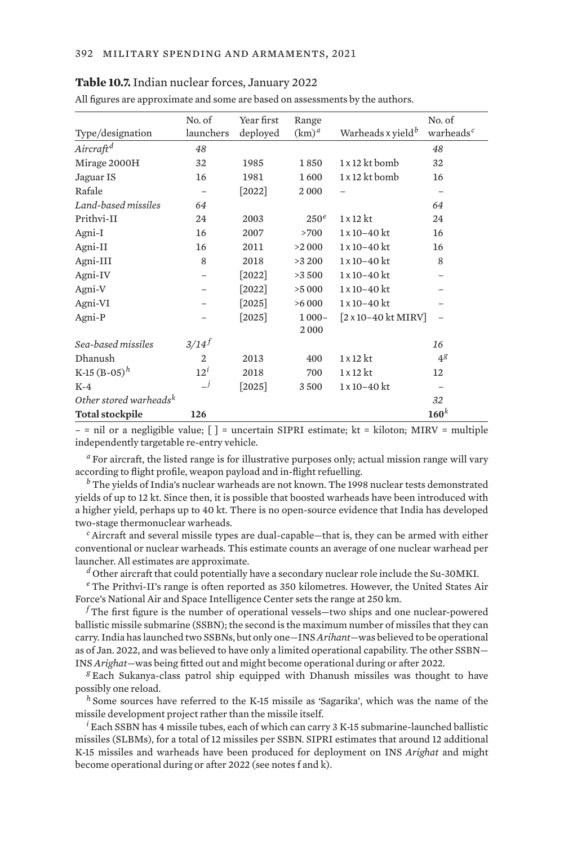| Table 10.7. Indian nuclear forces, January 2022 |  |  |  |  |
|-------------------------------------------------|--|--|--|--|
|-------------------------------------------------|--|--|--|--|

| All figures are approximate and some are based on assessments by the authors. |                     |                        |                   |                                              |                                 |
|-------------------------------------------------------------------------------|---------------------|------------------------|-------------------|----------------------------------------------|---------------------------------|
| Type/designation                                                              | No. of<br>launchers | Year first<br>deployed | Range<br>$(km)^d$ | Warheads x yield <sup>b</sup>                | No. of<br>warheads <sup>c</sup> |
| Aircraft <sup>d</sup>                                                         | 48                  |                        |                   |                                              | 48                              |
| Mirage 2000H                                                                  | 32                  | 1985                   | 1850              | 1 x 12 kt bomb                               | 32                              |
| Jaguar IS                                                                     | 16                  | 1981                   | 1600              | $1 \times 12$ kt bomb                        | 16                              |
| Rafale                                                                        | $\qquad \qquad -$   | $[2022]$               | 2000              | $\equiv$                                     | $\overline{\phantom{m}}$        |
| Land-based missiles                                                           | 64                  |                        |                   |                                              | 64                              |
| Prithvi-II                                                                    | 24                  | 2003                   | 250 <sup>e</sup>  | $1 \times 12$ kt                             | 24                              |
| Agni-I                                                                        | 16                  | 2007                   | >700              | $1 \times 10 - 40$ kt                        | 16                              |
| Agni-II                                                                       | 16                  | 2011                   | >2000             | $1 \times 10 - 40$ kt                        | 16                              |
| Agni-III                                                                      | 8                   | 2018                   | >3 200            | $1 \times 10 - 40$ kt                        | 8                               |
| Agni-IV                                                                       |                     | $[2022]$               | >3500             | 1 x 10-40 kt                                 |                                 |
| Agni-V                                                                        |                     | $[2022]$               | >5000             | $1 \times 10 - 40$ kt                        |                                 |
| Agni-VI                                                                       |                     | $[2025]$               | >6000             | $1 \times 10 - 40$ kt                        |                                 |
| Agni-P                                                                        |                     | $[2025]$               | $1000 -$          | $[2 \times 10 - 40 \text{ kt} \text{ MIRV}]$ |                                 |
|                                                                               |                     |                        | 2000              |                                              |                                 |
| Sea-based missiles                                                            | $3/14^{f}$          |                        |                   |                                              | 16                              |
| Dhanush                                                                       | $\overline{2}$      | 2013                   | 400               | $1 \times 12$ kt                             | 4 <sup>g</sup>                  |
| K-15 $(B-0.5)^h$                                                              | $12^i$              | 2018                   | 700               | $1 \times 12$ kt                             | 12                              |
| $K-4$                                                                         | $\equiv j$          | $[2025]$               | 3500              | $1 \times 10 - 40$ kt                        |                                 |
| Other stored warheads <sup>k</sup>                                            |                     |                        |                   |                                              | 32                              |
| <b>Total stockpile</b>                                                        | 126                 |                        |                   |                                              | $160^k$                         |

 $-$  = nil or a negligible value;  $\lceil$  = uncertain SIPRI estimate; kt = kiloton; MIRV = multiple independently targetable re-entry vehicle.

*<sup>a</sup>* For aircraft, the listed range is for illustrative purposes only; actual mission range will vary according to flight profile, weapon payload and in-flight refuelling.

*<sup>b</sup>* The yields of India's nuclear warheads are not known. The 1998 nuclear tests demonstrated yields of up to 12 kt. Since then, it is possible that boosted warheads have been introduced with a higher yield, perhaps up to 40 kt. There is no open-source evidence that India has developed two-stage thermonuclear warheads.

*<sup>c</sup>* Aircraft and several missile types are dual-capable—that is, they can be armed with either conventional or nuclear warheads. This estimate counts an average of one nuclear warhead per launcher. All estimates are approximate.

*<sup>d</sup>* Other aircraft that could potentially have a secondary nuclear role include the Su-30MKI.

*<sup>e</sup>* The Prithvi-II's range is often reported as 350 kilometres. However, the United States Air Force's National Air and Space Intelligence Center sets the range at 250 km.

*<sup>f</sup>* The first figure is the number of operational vessels—two ships and one nuclear-powered ballistic missile submarine (SSBN); the second is the maximum number of missiles that they can carry. India has launched two SSBNs, but only one—INS *Arihant*—was believed to be operational as of Jan. 2022, and was believed to have only a limited operational capability. The other SSBN— INS *Arighat*—was being fitted out and might become operational during or after 2022.

*<sup>g</sup>* Each Sukanya-class patrol ship equipped with Dhanush missiles was thought to have possibly one reload.

*<sup>h</sup>* Some sources have referred to the K-15 missile as 'Sagarika', which was the name of the missile development project rather than the missile itself.

*<sup>i</sup>* Each SSBN has 4 missile tubes, each of which can carry 3 K-15 submarine-launched ballistic missiles (SLBMs), for a total of 12 missiles per SSBN. SIPRI estimates that around 12 additional K-15 missiles and warheads have been produced for deployment on INS *Arighat* and might become operational during or after 2022 (see notes f and k).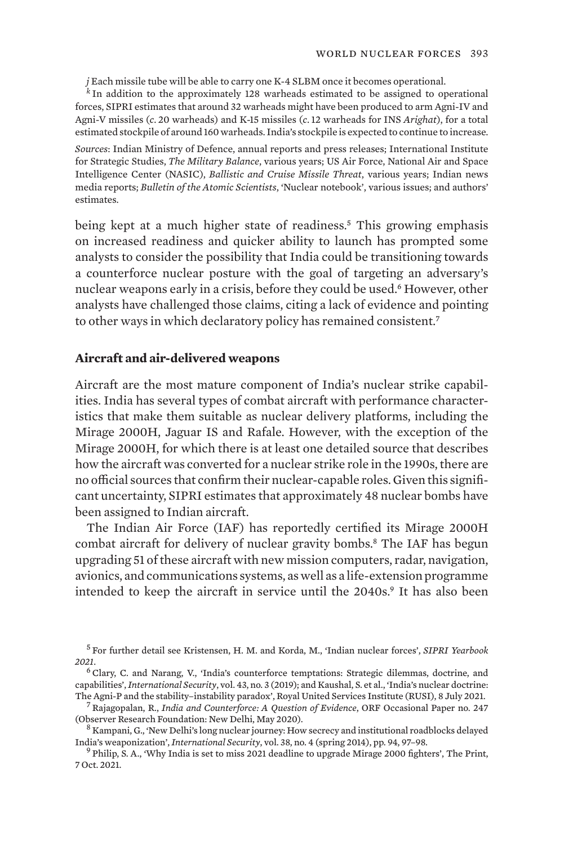*j* Each missile tube will be able to carry one K-4 SLBM once it becomes operational.

*<sup>k</sup>* In addition to the approximately 128 warheads estimated to be assigned to operational forces, SIPRI estimates that around 32 warheads might have been produced to arm Agni-IV and Agni-V missiles (*c*. 20 warheads) and K-15 missiles (*c*.12 warheads for INS *Arighat*), for a total estimated stockpile of around 160 warheads. India's stockpile is expected to continue to increase.

*Sources*: Indian Ministry of Defence, annual reports and press releases; International Institute for Strategic Studies, *The Military Balance*, various years; US Air Force, National Air and Space Intelligence Center (NASIC), *Ballistic and Cruise Missile Threat*, various years; Indian news media reports; *Bulletin of the Atomic Scientists*, 'Nuclear notebook', various issues; and authors' estimates.

being kept at a much higher state of readiness.5 This growing emphasis on increased readiness and quicker ability to launch has prompted some analysts to consider the possibility that India could be transitioning towards a counterforce nuclear posture with the goal of targeting an adversary's nuclear weapons early in a crisis, before they could be used.<sup>6</sup> However, other analysts have challenged those claims, citing a lack of evidence and pointing to other ways in which declaratory policy has remained consistent.<sup>7</sup>

## **Aircraft and air-delivered weapons**

Aircraft are the most mature component of India's nuclear strike capabilities. India has several types of combat aircraft with performance characteristics that make them suitable as nuclear delivery platforms, including the Mirage 2000H, Jaguar IS and Rafale. However, with the exception of the Mirage 2000H, for which there is at least one detailed source that describes how the aircraft was converted for a nuclear strike role in the 1990s, there are no official sources that confirm their nuclear-capable roles. Given this significant uncertainty, SIPRI estimates that approximately 48 nuclear bombs have been assigned to Indian aircraft.

The Indian Air Force (IAF) has reportedly certified its Mirage 2000H combat aircraft for delivery of nuclear gravity bombs.<sup>8</sup> The IAF has begun upgrading 51 of these aircraft with new mission computers, radar, navigation, avionics, and communications systems, as well as a life-extension programme intended to keep the aircraft in service until the 2040s.<sup>9</sup> It has also been

<sup>5</sup> For further detail see Kristensen, H. M. and Korda, M., 'Indian nuclear forces', *SIPRI Yearbook 2021*.

<sup>6</sup> Clary, C. and Narang, V., ['India's counterforce temptations: Strategic dilemmas, doctrine, and](https://doi.org/10.1162/isec_a_00340) [capabilities'](https://doi.org/10.1162/isec_a_00340), *International Security*, vol. 43, no. 3 (2019); and Kaushal, S. et al., ['India's nuclear doctrine:](https://rusi.org/explore-our-research/publications/commentary/indias-nuclear-doctrine-agni-p-and-stability-instability-paradox)

<sup>&</sup>lt;sup>7</sup> Rajagopalan, R., [India and Counterforce: A Question of Evidence](https://www.orfonline.org/research/india-and-counterforce-a-question-of-evidence-66126/), ORF Occasional Paper no. 247 (Observer Research Foundation: New Delhi, May 2020).<br><sup>8</sup> Kampani, G., ['New Delhi's long nuclear journey: How secrecy and institutional roadblocks delayed](https://doi.org/10.1162/ISEC_a_00158)

[India's weaponization'](https://doi.org/10.1162/ISEC_a_00158), *International Security*, vol. 38, no. 4 (spring 2014), pp. 94, 97–98.<br><sup>9</sup> Philip, S. A., '[Why India is set to miss 2021 deadline to upgrade Mirage 2000 fighters'](https://theprint.in/defence/why-india-is-set-to-miss-2021-deadline-to-upgrade-mirage-2000-fighters/746444/), The Print,

<sup>7</sup> Oct. 2021.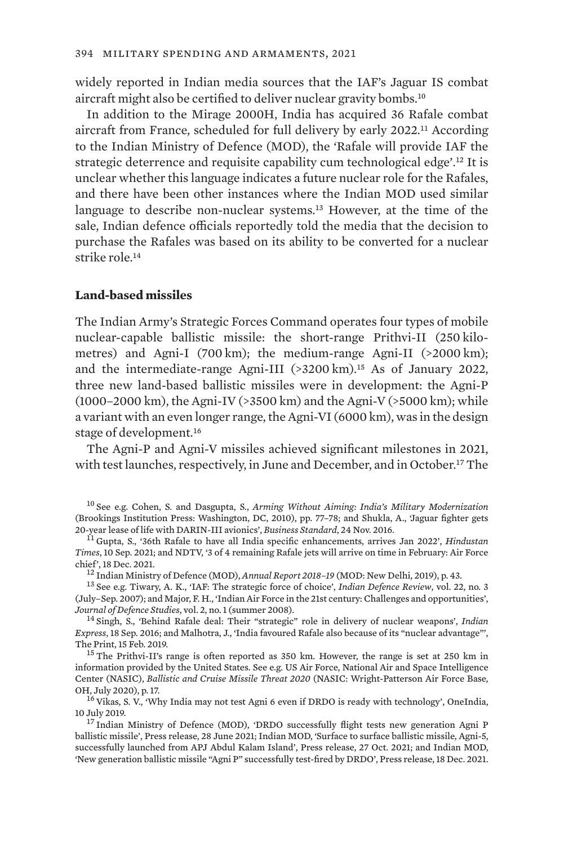widely reported in Indian media sources that the IAF's Jaguar IS combat aircraft might also be certified to deliver nuclear gravity bombs.<sup>10</sup>

In addition to the Mirage 2000H, India has acquired 36 Rafale combat aircraft from France, scheduled for full delivery by early 2022.11 According to the Indian Ministry of Defence (MOD), the 'Rafale will provide IAF the strategic deterrence and requisite capability cum technological edge'.<sup>12</sup> It is unclear whether this language indicates a future nuclear role for the Rafales, and there have been other instances where the Indian MOD used similar language to describe non-nuclear systems.13 However, at the time of the sale, Indian defence officials reportedly told the media that the decision to purchase the Rafales was based on its ability to be converted for a nuclear strike role.<sup>14</sup>

#### **Land-based missiles**

The Indian Army's Strategic Forces Command operates four types of mobile nuclear-capable ballistic missile: the short-range Prithvi-II (250 kilometres) and Agni-I (700 km); the medium-range Agni-II (>2000 km); and the intermediate-range Agni-III  $(>3200 \text{ km})$ .<sup>15</sup> As of January 2022, three new land-based ballistic missiles were in development: the Agni-P (1000–2000 km), the Agni-IV (>3500 km) and the Agni-V (>5000 km); while a variant with an even longer range, the Agni-VI (6000 km), was in the design stage of development.<sup>16</sup>

The Agni-P and Agni-V missiles achieved significant milestones in 2021, with test launches, respectively, in June and December, and in October.17 The

<sup>10</sup> See e.g. Cohen, S. and Dasgupta, S., *[Arming Without Aiming: India's Military Modernization](https://www.jstor.org/stable/10.7864/j.ctt24hg2k)* (Brookings Institution Press: Washington, DC, 2010), pp. 77–78; and Shukla, A., ['Jaguar fighter gets](https://www.business-standard.com/article/economy-policy/jaguar-fighter-gets-20-year-lease-of-life-with-darin-iii-avionics-116112300756_1.html)<br>20-year lease of life with DARIN-III avionics'. Business Standard, 24 Nov. 2016.

<sup>11</sup> Gupta, S., '[36th Rafale to have all India specific enhancements, arrives Jan 2022](https://www.hindustantimes.com/india-news/36th-rafale-to-have-all-india-specific-enhancements-arrives-jan-2022-101631254286620.html)', *Hindustan Times*, 10 Sep. 2021; and NDTV, ['3 of 4 remaining Rafale jets will arrive on time in February: Air Force](https://www.ndtv.com/india-news/3-of-4-remaining-rafale-jets-will-arrive-on-time-in-february-air-force-chief-2658228) [chief'](https://www.ndtv.com/india-news/3-of-4-remaining-rafale-jets-will-arrive-on-time-in-february-air-force-chief-2658228), 18 Dec. 2021.<br><sup>12</sup> Indian Ministry of Defence (MOD), *Annual Report 2018–19* (MOD: New Delhi, 2019), p. 43.<br><sup>13</sup> See e.g. Tiwary, A. K., ['IAF: The strategic force of choice](http://www.indiandefencereview.com/news/iaf-the-strategic-force-of-choice/)', *Indian Defence Review*, vol. 22, no. 3

(July–Sep. 2007); and Major, F. H., '[Indian Air Force in the 21st century: Challenges and opportunities'](https://www.idsa.in/jds/2_1_2008_IndianAirForceinthe21stCentury_FHMajor), *Journal of Defence Studies*, vol. 2, no. 1 (summer 2008). <sup>14</sup> Singh, S., '[Behind Rafale deal: Their "strategic" role in delivery of nuclear weapons'](https://indianexpress.com/article/india/india-news-india/behind-rafale-deal-their-strategic-role-in-delivery-of-nuclear-weapons-3036852/), *Indian* 

*Express*, 18 Sep. 2016; and Malhotra, J., ['India favoured Rafale also because of its "nuclear advantage"'](https://theprint.in/defence/india-favoured-rafale-also-because-of-its-nuclear-advantage/193103/), The Print, 15 Feb. 2019.<br><sup>15</sup> The Prithvi-II's range is often reported as 350 km. However, the range is set at 250 km in

information provided by the United States. See e.g. US Air Force, National Air and Space Intelligence Center (NASIC), *[Ballistic and Cruise Missile Threat 2020](https://media.defense.gov/2021/Jan/11/2002563190/-1/-1/1/2020%C2%A0BALLISTIC%C2%A0AND%C2%A0CRUISE%C2%A0MISSILE%C2%A0THREAT_FINAL_2OCT_REDUCEDFILE.PDF)* (NASIC: Wright-Patterson Air Force Base, OH, July 2020), p. 17. <sup>16</sup> Vikas, S. V., '[Why India may not test Agni 6 even if DRDO is ready with technology'](https://www.oneindia.com/india/why-india-may-not-test-agni-6-even-if-drdo-is-ready-with-tecnology-2805212.html), OneIndia,

10 July 2019.<br><sup>17</sup> Indian Ministry of Defence (MOD), 'DRDO successfully flight tests new generation Agni P

[ballistic missile](https://pib.gov.in/PressReleasePage.aspx?PRID=1730828)', Press release, 28 June 2021; Indian MOD, ['Surface to surface ballistic missile, Agni-5,](https://pib.gov.in/PressReleseDetailm.aspx?PRID=1767034) [successfully launched from APJ Abdul Kalam Island](https://pib.gov.in/PressReleseDetailm.aspx?PRID=1767034)', Press release, 27 Oct. 2021; and Indian MOD, '[New generation ballistic missile "Agni P" successfully test-fired by DRDO](https://www.pib.gov.in/PressReleseDetail.aspx?PRID=1782960)', Press release, 18 Dec. 2021.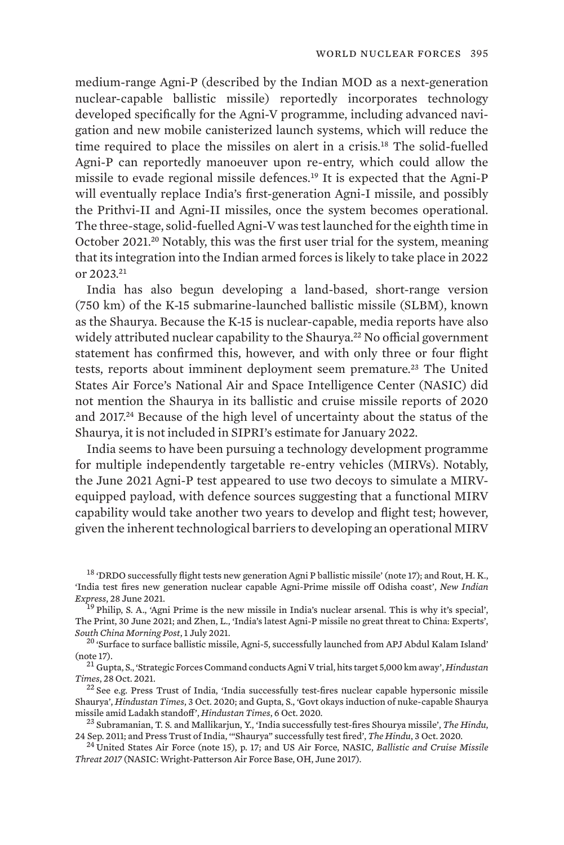medium-range Agni-P (described by the Indian MOD as a next-generation nuclear-capable ballistic missile) reportedly incorporates technology developed specifically for the Agni-V programme, including advanced navigation and new mobile canisterized launch systems, which will reduce the time required to place the missiles on alert in a crisis.18 The solid-fuelled Agni-P can reportedly manoeuver upon re-entry, which could allow the missile to evade regional missile defences.19 It is expected that the Agni-P will eventually replace India's first-generation Agni-I missile, and possibly the Prithvi-II and Agni-II missiles, once the system becomes operational. The three-stage, solid-fuelled Agni-V was test launched for the eighth time in October 2021.20 Notably, this was the first user trial for the system, meaning that its integration into the Indian armed forces is likely to take place in 2022 or 2023.<sup>21</sup>

India has also begun developing a land-based, short-range version (750 km) of the K-15 submarine-launched ballistic missile (SLBM), known as the Shaurya. Because the K-15 is nuclear-capable, media reports have also widely attributed nuclear capability to the Shaurya.<sup>22</sup> No official government statement has confirmed this, however, and with only three or four flight tests, reports about imminent deployment seem premature.<sup>23</sup> The United States Air Force's National Air and Space Intelligence Center (NASIC) did not mention the Shaurya in its ballistic and cruise missile reports of 2020 and 2017.24 Because of the high level of uncertainty about the status of the Shaurya, it is not included in SIPRI's estimate for January 2022.

India seems to have been pursuing a technology development programme for multiple independently targetable re-entry vehicles (MIRVs). Notably, the June 2021 Agni-P test appeared to use two decoys to simulate a MIRVequipped payload, with defence sources suggesting that a functional MIRV capability would take another two years to develop and flight test; however, given the inherent technological barriers to developing an operational MIRV

<sup>18</sup> 'DRDO successfully flight tests new generation Agni P ballistic missile' (note 17); and Rout, H. K., '[India test fires new generation nuclear capable Agni-Prime missile off Odisha coast](https://www.newindianexpress.com/nation/2021/jun/28/india-test-fires-new-generation-nuclear-capable-agni-prime-missile-off-odisha-coast-2322550.html)', *New Indian* 

<sup>I9</sup> Philip, S. A., ['Agni Prime is the new missile in India's nuclear arsenal. This is why it's special'](https://theprint.in/defence/agni-prime-is-the-new-missile-in-indias-nuclear-arsenal-this-is-why-its-special/687271/), The Print, 30 June 2021; and Zhen, L., ['India's latest Agni-P missile no great threat to China: Experts'](https://www.scmp.com/news/china/military/article/3139421/indias-latest-agni-p-missile-no-great-threat-china-experts),

<sup>20</sup> 'Surface to surface ballistic missile, Agni-5, successfully launched from APJ Abdul Kalam Island' (note 17). <sup>21</sup> Gupta, S., ['Strategic Forces Command conducts Agni V trial, hits target 5,000 km away](https://www.hindustantimes.com/india-news/strategic-forces-command-conducts-agni-v-trial-hits-target-5000-km-away-101635389131043.html)', *Hindustan* 

*Times*, 28 Oct. 2021.<br><sup>22</sup> See e.g. Press Trust of India, ['India successfully test-fires nuclear capable hypersonic missile](https://www.hindustantimes.com/india-news/india-successfully-test-fires-nuclear-capable-hypersonic-missile-shaurya/story-6OVLkT6uXueovpkKniuxGK.html)

[Shaurya](https://www.hindustantimes.com/india-news/india-successfully-test-fires-nuclear-capable-hypersonic-missile-shaurya/story-6OVLkT6uXueovpkKniuxGK.html)', *Hindustan Times*, 3 Oct. 2020; and Gupta, S., '[Govt okays induction of nuke-capable Shaurya](https://www.hindustantimes.com/india-news/shaurya-missile-to-be-inducted-in-strategic-arsenal-agni-5-s-sea-version-by-2022/story-bS1100SkwoGLEXW5ANFQuO.html)

<sup>23</sup> Subramanian, T. S. and Mallikarjun, Y., '[India successfully test-fires Shourya missile'](https://www.thehindu.com/sci-tech/science/india-successfully-testfires-shourya-missile/article2482010.ece), *The Hindu*, 24 Sep. 2011; and Press Trust of India, "Shaurya" successfully test fired', *The Hindu*, 3 Oct. 2020.

<sup>24</sup> United States Air Force (note 15), p. 17; and US Air Force, NASIC, *[Ballistic and Cruise Missile](https://www.nasic.af.mil/Portals/19/images/Fact%20Sheet%20Images/2017%20Ballistic%20and%20Cruise%20Missile%20Threat_Final_small.pdf?ver=2017-07-21-083234-343) [Threat 2017](https://www.nasic.af.mil/Portals/19/images/Fact%20Sheet%20Images/2017%20Ballistic%20and%20Cruise%20Missile%20Threat_Final_small.pdf?ver=2017-07-21-083234-343)* (NASIC: Wright-Patterson Air Force Base, OH, June 2017).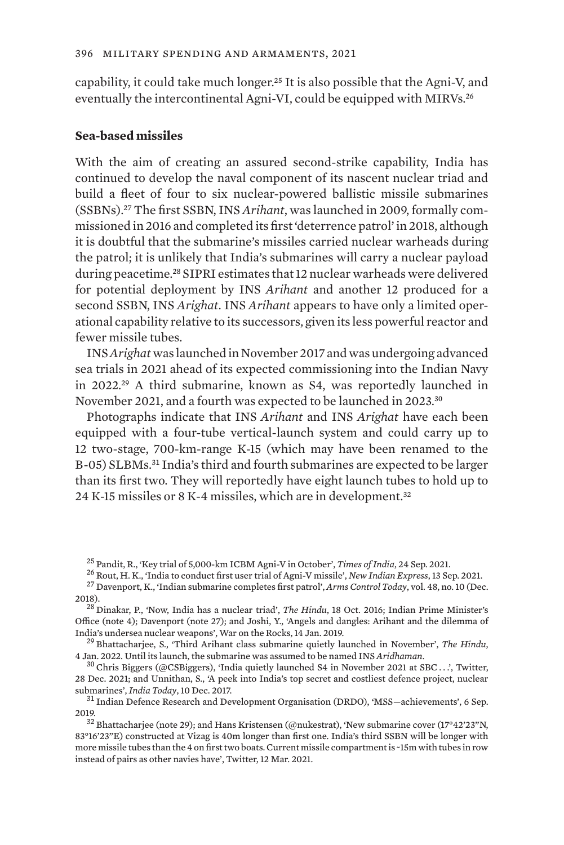capability, it could take much longer.25 It is also possible that the Agni-V, and eventually the intercontinental Agni-VI, could be equipped with MIRVs.<sup>26</sup>

#### **Sea-based missiles**

With the aim of creating an assured second-strike capability, India has continued to develop the naval component of its nascent nuclear triad and build a fleet of four to six nuclear-powered ballistic missile submarines (SSBNs).27 The first SSBN, INS *Arihant*, was launched in 2009, formally commissioned in 2016 and completed its first 'deterrence patrol' in 2018, although it is doubtful that the submarine's missiles carried nuclear warheads during the patrol; it is unlikely that India's submarines will carry a nuclear payload during peacetime.28 SIPRI estimates that 12 nuclear warheads were delivered for potential deployment by INS *Arihant* and another 12 produced for a second SSBN, INS *Arighat*. INS *Arihant* appears to have only a limited operational capability relative to its successors, given its less powerful reactor and fewer missile tubes.

INS *Arighat* was launched in November 2017 and was undergoing advanced sea trials in 2021 ahead of its expected commissioning into the Indian Navy in 2022.29 A third submarine, known as S4, was reportedly launched in November 2021, and a fourth was expected to be launched in 2023.<sup>30</sup>

Photographs indicate that INS *Arihant* and INS *Arighat* have each been equipped with a four-tube vertical-launch system and could carry up to 12 two-stage, 700-km-range K-15 (which may have been renamed to the B-05) SLBMs.31 India's third and fourth submarines are expected to be larger than its first two. They will reportedly have eight launch tubes to hold up to 24 K-15 missiles or 8 K-4 missiles, which are in development.<sup>32</sup>

<sup>29</sup> Bhattacharjee, S., '[Third Arihant class submarine quietly launched in November'](https://www.thehindu.com/news/national/andhra-pradesh/third-arihant-class-submarine-quietly-launched-in-november/article38103275.ece), *The Hindu*, 4 Jan. 2022. Until its launch, the submarine was assumed to be named INS *Aridhaman*. <sup>30</sup> Chris Biggers (@CSBiggers), ['India quietly launched S4 in November 2021 at SBC](https://twitter.com/CSBiggers/status/1476048094580117509) . . .', Twitter,

<sup>&</sup>lt;sup>25</sup> Pandit, R., ['Key trial of 5,000-km ICBM Agni-V in October'](https://timesofindia.indiatimes.com/india/key-trial-of-5000-km-icbm-agni-v-in-october/articleshow/86468298.cms), *Times of India*, 24 Sep. 2021.<br><sup>26</sup> Rout, H. K., '[India to conduct first user trial of Agni-V missile'](https://www.newindianexpress.com/states/odisha/2021/sep/13/india-to-conduct-first-user-trial-of-agni-v-missile-2357942.html), *New Indian Express*, 13 Sep. 2021.<br><sup>27</sup> Davenport, 2018). <sup>28</sup> Dinakar, P., ['Now, India has a nuclear triad](https://www.thehindu.com/news/national/Now-India-has-a-nuclear-triad/article16074127.ece)', *The Hindu*, 18 Oct. 2016; Indian Prime Minister's

Office (note 4); Davenport (note 27); and Joshi, Y., ['Angels and dangles: Arihant and the dilemma of](https://warontherocks.com/2019/01/angles-and-dangles-arihant-and-the-dilemma-of-indias-undersea-nuclear-weapons/)<br>India's undersea nuclear weapons'. War on the Rocks, 14 Jan. 2019.

<sup>28</sup> Dec. 2021; and Unnithan, S., ['A peek into India's top secret and costliest defence project, nuclear](https://www.indiatoday.in/magazine/the-big-story/story/20171218-india-ballistic-missile-submarine-k-6-submarine-launched-drdo-1102085-2017-12-10) [submarines](https://www.indiatoday.in/magazine/the-big-story/story/20171218-india-ballistic-missile-submarine-k-6-submarine-launched-drdo-1102085-2017-12-10)', *India Today*, 10 Dec. 2017. <sup>31</sup> Indian Defence Research and Development Organisation (DRDO), ['MSS—achievements'](https://www.drdo.gov.in/mss-achievements), 6 Sep.

<sup>2019.&</sup>lt;br><sup>32</sup> Bhattacharjee (note 29); and Hans Kristensen (@nukestrat), ['New submarine cover \(17°42'23"N,](https://twitter.com/nukestrat/status/1370325335435309058)

[<sup>83°16&#</sup>x27;23"E\) constructed at Vizag is 40m longer than first one. India's third SSBN will be longer with](https://twitter.com/nukestrat/status/1370325335435309058) [more missile tubes than the 4 on first two boats. Current missile compartment is ~15m with tubes in row](https://twitter.com/nukestrat/status/1370325335435309058) [instead of pairs as other navies have'](https://twitter.com/nukestrat/status/1370325335435309058), Twitter, 12 Mar. 2021.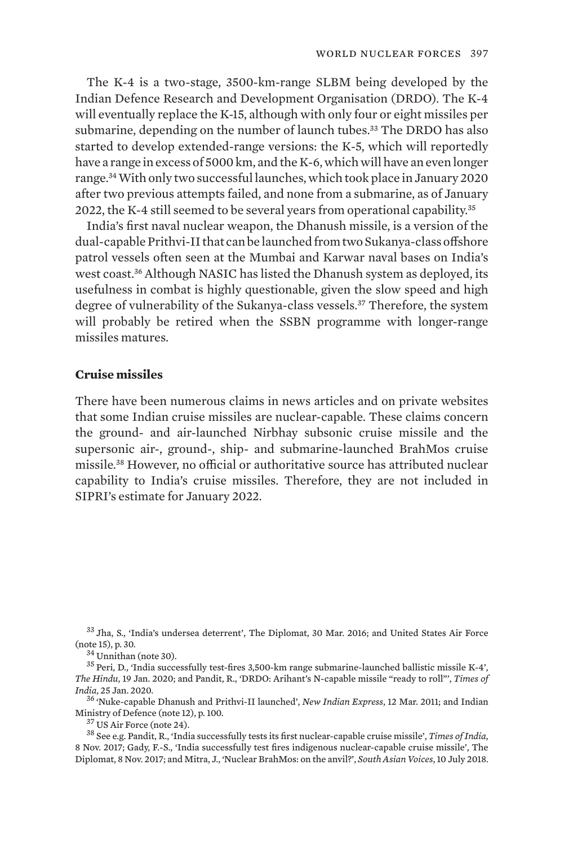The K-4 is a two-stage, 3500-km-range SLBM being developed by the Indian Defence Research and Development Organisation (DRDO). The K-4 will eventually replace the K-15, although with only four or eight missiles per submarine, depending on the number of launch tubes.<sup>33</sup> The DRDO has also started to develop extended-range versions: the K-5, which will reportedly have a range in excess of 5000 km, and the K-6, which will have an even longer range.34 With only two successful launches, which took place in January 2020 after two previous attempts failed, and none from a submarine, as of January 2022, the K-4 still seemed to be several years from operational capability.<sup>35</sup>

India's first naval nuclear weapon, the Dhanush missile, is a version of the dual-capable Prithvi-II that can be launched from two Sukanya-class offshore patrol vessels often seen at the Mumbai and Karwar naval bases on India's west coast.<sup>36</sup> Although NASIC has listed the Dhanush system as deployed, its usefulness in combat is highly questionable, given the slow speed and high degree of vulnerability of the Sukanya-class vessels.<sup>37</sup> Therefore, the system will probably be retired when the SSBN programme with longer-range missiles matures.

### **Cruise missiles**

There have been numerous claims in news articles and on private websites that some Indian cruise missiles are nuclear-capable. These claims concern the ground- and air-launched Nirbhay subsonic cruise missile and the supersonic air-, ground-, ship- and submarine-launched BrahMos cruise missile.38 However, no official or authoritative source has attributed nuclear capability to India's cruise missiles. Therefore, they are not included in SIPRI's estimate for January 2022.

 $33$  Jha, S., '[India's undersea deterrent](https://thediplomat.com/2016/03/indias-undersea-deterrent/)', The Diplomat, 30 Mar. 2016; and United States Air Force (note 15), p. 30.

 $^{34}$ Unnithan (note 30).  $^{34}$  Unnithan (note 30).  $^{35}$  Peri, D., ['India successfully test-fires 3,500-km range submarine-launched ballistic missile K-4'](https://www.thehindu.com/news/national/india-successfully-test-fires-3500-km-k-4-slbm/article30601739.ece), *The Hindu*, 19 Jan. 2020; and Pandit, R., '[DRDO: Arihant's N-capable missile "ready to roll"](https://timesofindia.indiatimes.com/india/india-successfully-test-fires-k-4-submarine-launched-missile/articleshow/73589861.cms)', *Times of* 

*India*, 25 Jan. 2020. <sup>36</sup> 'Nuke-capable Dhanush and Prithvi-II launched', *New Indian Express*, 12 Mar. 2011; and Indian

<sup>37</sup> US Air Force (note 24).<br><sup>38</sup> See e.g. Pandit, R., 'India successfully tests its first nuclear-capable cruise missile', *Times of India*, 8 Nov. 2017; Gady, F.-S., ['India successfully test fires indigenous nuclear-capable cruise missile'](https://thediplomat.com/2017/11/india-successfully-test-fires-indigenous-nuclear-capable-cruise-missile/), The Diplomat, 8 Nov. 2017; and Mitra, J., ['Nuclear BrahMos: on the anvil?](https://southasianvoices.org/nuclear-brahmos-on-the-anvil/)', *South Asian Voices*, 10 July 2018.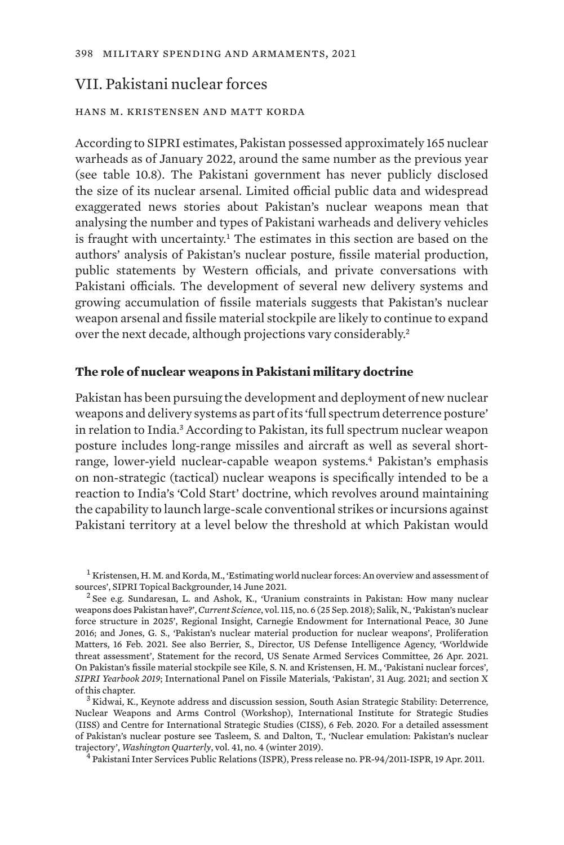# VII. Pakistani nuclear forces

## hans m. kristensen and matt korda

According to SIPRI estimates, Pakistan possessed approximately 165 nuclear warheads as of January 2022, around the same number as the previous year (see table 10.8). The Pakistani government has never publicly disclosed the size of its nuclear arsenal. Limited official public data and widespread exaggerated news stories about Pakistan's nuclear weapons mean that analysing the number and types of Pakistani warheads and delivery vehicles is fraught with uncertainty.<sup>1</sup> The estimates in this section are based on the authors' analysis of Pakistan's nuclear posture, fissile material production, public statements by Western officials, and private conversations with Pakistani officials. The development of several new delivery systems and growing accumulation of fissile materials suggests that Pakistan's nuclear weapon arsenal and fissile material stockpile are likely to continue to expand over the next decade, although projections vary considerably.<sup>2</sup>

#### **The role of nuclear weapons in Pakistani military doctrine**

Pakistan has been pursuing the development and deployment of new nuclear weapons and delivery systems as part of its 'full spectrum deterrence posture' in relation to India.3 According to Pakistan, its full spectrum nuclear weapon posture includes long-range missiles and aircraft as well as several shortrange, lower-yield nuclear-capable weapon systems.4 Pakistan's emphasis on non-strategic (tactical) nuclear weapons is specifically intended to be a reaction to India's 'Cold Start' doctrine, which revolves around maintaining the capability to launch large-scale conventional strikes or incursions against Pakistani territory at a level below the threshold at which Pakistan would

[Nuclear Weapons and Arms Control \(Workshop\)](https://www.iiss.org/-/media/files/events/2020/transcript-of-lt-general-kidwais-keynote-address-as-delivered---iiss-ciss-workshop-6feb20.pdf), International Institute for Strategic Studies (IISS) and Centre for International Strategic Studies (CISS), 6 Feb. 2020. For a detailed assessment of Pakistan's nuclear posture see Tasleem, S. and Dalton, T., '[Nuclear emulation: Pakistan's nuclear](https://doi.org/10.1080/0163660X.2018.1558662) [trajectory'](https://doi.org/10.1080/0163660X.2018.1558662), *Washington Quarterly*, vol. 41, no. 4 (winter 2019). <sup>4</sup> Pakistani Inter Services Public Relations (ISPR), [Press release no. PR-94/2011-ISPR](https://www.ispr.gov.pk/press-release-detail.php?id=1721), 19 Apr. 2011.

 $^1$  Kristensen, H. M. and Korda, M., ['Estimating world nuclear forces: An overview and assessment of](https://www.sipri.org/commentary/topical-backgrounder/2021/estimating-world-nuclear-forces-overview-and-assessment-sources) sources', SIPRI Topical Backgrounder, 14 June 2021.

<sup>&</sup>lt;sup>2</sup> See e.g. Sundaresan, L. and Ashok, K., ['Uranium constraints in Pakistan: How many nuclear](https://www.currentscience.ac.in/Volumes/115/06/1042.pdf) [weapons does Pakistan have?](https://www.currentscience.ac.in/Volumes/115/06/1042.pdf)', *Current Science*, vol. 115, no. 6 (25 Sep. 2018); Salik, N., '[Pakistan's nuclear](https://carnegieendowment.org/2016/06/30/pakistan-s-nuclear-force-structure-in-2025-pub-63912) [force structure in 2025](https://carnegieendowment.org/2016/06/30/pakistan-s-nuclear-force-structure-in-2025-pub-63912)', Regional Insight, Carnegie Endowment for International Peace, 30 June 2016; and Jones, G. S., '[Pakistan's nuclear material production for nuclear weapons'](https://www.proliferationmatters.com/nuclear-weapons.html), Proliferation Matters, 16 Feb. 2021. See also Berrier, S., Director, US Defense Intelligence Agency, '[Worldwide](https://www.dia.mil/Articles/Speeches-and-Testimonies/Article/2590462/statement-for-the-record-worldwide-threat-assessment/) [threat assessment'](https://www.dia.mil/Articles/Speeches-and-Testimonies/Article/2590462/statement-for-the-record-worldwide-threat-assessment/), Statement for the record, US Senate Armed Services Committee, 26 Apr. 2021. On Pakistan's fissile material stockpile see Kile, S. N. and Kristensen, H. M., ['Pakistani nuclear forces](https://www.sipriyearbook.org/view/9780198839996/sipri-9780198839996-chapter-6-div1-040.xml)', *SIPRI Yearbook 2019*; International Panel on Fissile Materials, '[Pakistan](http://fissilematerials.org/countries/pakistan.html)', 31 Aug. 2021; and section X of this chapter.<br><sup>3</sup> Kidwai, K., [Keynote address and discussion session, South Asian Strategic Stability: Deterrence,](https://www.iiss.org/-/media/files/events/2020/transcript-of-lt-general-kidwais-keynote-address-as-delivered---iiss-ciss-workshop-6feb20.pdf)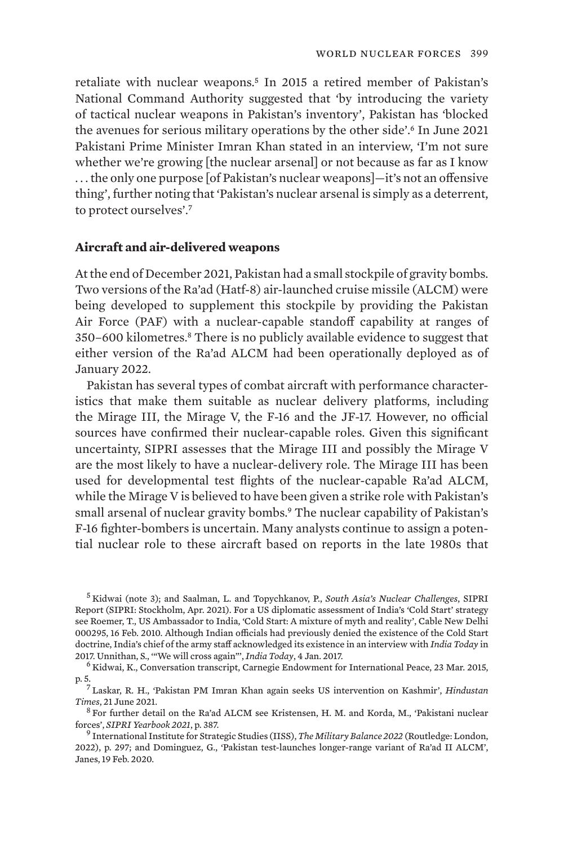retaliate with nuclear weapons.<sup>5</sup> In 2015 a retired member of Pakistan's National Command Authority suggested that 'by introducing the variety of tactical nuclear weapons in Pakistan's inventory', Pakistan has 'blocked the avenues for serious military operations by the other side'.6 In June 2021 Pakistani Prime Minister Imran Khan stated in an interview, 'I'm not sure whether we're growing [the nuclear arsenal] or not because as far as I know . . . the only one purpose [of Pakistan's nuclear weapons]—it's not an offensive thing', further noting that 'Pakistan's nuclear arsenal is simply as a deterrent, to protect ourselves'.<sup>7</sup>

## **Aircraft and air-delivered weapons**

At the end of December 2021, Pakistan had a small stockpile of gravity bombs. Two versions of the Ra'ad (Hatf-8) air-launched cruise missile (ALCM) were being developed to supplement this stockpile by providing the Pakistan Air Force (PAF) with a nuclear-capable standoff capability at ranges of 350–600 kilometres.8 There is no publicly available evidence to suggest that either version of the Ra'ad ALCM had been operationally deployed as of January 2022.

Pakistan has several types of combat aircraft with performance characteristics that make them suitable as nuclear delivery platforms, including the Mirage III, the Mirage V, the F-16 and the JF-17. However, no official sources have confirmed their nuclear-capable roles. Given this significant uncertainty, SIPRI assesses that the Mirage III and possibly the Mirage V are the most likely to have a nuclear-delivery role. The Mirage III has been used for developmental test flights of the nuclear-capable Ra'ad ALCM, while the Mirage V is believed to have been given a strike role with Pakistan's small arsenal of nuclear gravity bombs.<sup>9</sup> The nuclear capability of Pakistan's F-16 fighter-bombers is uncertain. Many analysts continue to assign a potential nuclear role to these aircraft based on reports in the late 1980s that

<sup>5</sup> Kidwai (note 3); and Saalman, L. and Topychkanov, P., *[South Asia's Nuclear Challenges](https://www.sipri.org/sites/default/files/2021-03/2104_south_asias_nuclear_challenges_0.pdf)*, SIPRI Report (SIPRI: Stockholm, Apr. 2021). For a US diplomatic assessment of India's 'Cold Start' strategy see Roemer, T., US Ambassador to India, '[Cold Start: A mixture of myth and reality](http://wikileaks.org/plusd/cables/10NEWDELHI295_a.html)', Cable New Delhi 000295, 16 Feb. 2010. Although Indian officials had previously denied the existence of the Cold Start doctrine, India's chief of the army staff acknowledged its existence in an interview with *India Today* in 2017. Unnithan, S., ['"We will cross again"](https://www.indiatoday.in/magazine/interview/story/20170116-lt-general-bipin-rawat-surgical-strikes-indian-army-985527-2017-01-04)', *India Today*, 4 Jan. 2017. <sup>6</sup> Kidwai, K., [Conversation transcript,](https://carnegieendowment.org/files/03-230315carnegieKIDWAI.pdf) Carnegie Endowment for International Peace, 23 Mar. 2015,

p. 5.<sup>7</sup> Laskar, R. H., '[Pakistan PM Imran Khan again seeks US intervention on Kashmir](https://www.hindustantimes.com/india-news/pakistan-pm-imran-khan-again-seeks-us-intervention-on-kashmir-101624274376335.html)', *Hindustan* 

*Times*, 21 June 2021.<br><sup>8</sup> For further detail on the Ra'ad ALCM see Kristensen, H. M. and Korda, M., 'Pakistani nuclear<br>forces', *SIPRI Yearbook 2021*, p. 387.

forces', *SIPRI Yearbook 2021*, p. 387. <sup>9</sup> International Institute for Strategic Studies (IISS), *[The Military Balance 2022](https://www.iiss.org/publications/the-military-balance)* (Routledge: London, 2022), p. 297; and Dominguez, G., ['Pakistan test-launches longer-range variant of Ra'ad II ALCM'](https://www.janes.com/defence-news/news-detail/pakistan-test-launches-longer-range-variant-of-raad-ii-alcm), Janes, 19 Feb. 2020.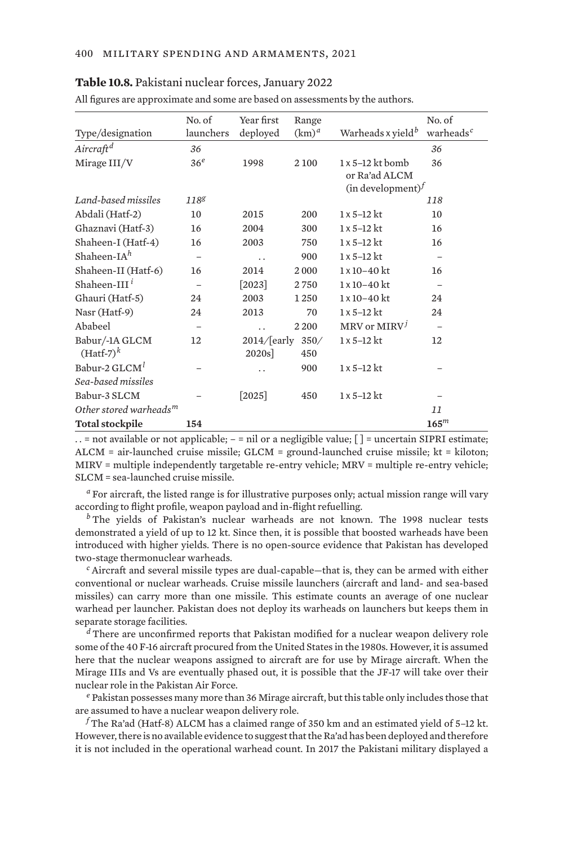#### **Table 10.8.** Pakistani nuclear forces, January 2022

| All figures are approximate and some are based on assessments by the authors. |                          |                  |          |                                      |                          |
|-------------------------------------------------------------------------------|--------------------------|------------------|----------|--------------------------------------|--------------------------|
|                                                                               | No. of                   | Year first       | Range    |                                      | No. of                   |
| Type/designation                                                              | launchers                | deployed         | $(km)^d$ | Warheads x yield <sup>b</sup>        | warheads <sup>c</sup>    |
| Aircraft <sup>d</sup>                                                         | 36                       |                  |          |                                      | 36                       |
| Mirage III/V                                                                  | 36 <sup>e</sup>          | 1998             | 2 100    | $1 \times 5 - 12$ kt bomb            | 36                       |
|                                                                               |                          |                  |          | or Ra'ad ALCM                        |                          |
|                                                                               |                          |                  |          | (in development) <sup><i>f</i></sup> |                          |
| Land-based missiles                                                           | 1188                     |                  |          |                                      | 118                      |
| Abdali (Hatf-2)                                                               | 10                       | 2015             | 200      | $1 \times 5 - 12$ kt                 | 10                       |
| Ghaznavi (Hatf-3)                                                             | 16                       | 2004             | 300      | $1 \times 5 - 12$ kt                 | 16                       |
| Shaheen-I (Hatf-4)                                                            | 16                       | 2003             | 750      | $1 \times 5 - 12$ kt                 | 16                       |
| Shaheen-I $A^h$                                                               | $\qquad \qquad -$        | . .              | 900      | $1 \times 5 - 12$ kt                 | $\overline{\phantom{m}}$ |
| Shaheen-II (Hatf-6)                                                           | 16                       | 2014             | 2000     | $1 \times 10 - 40$ kt                | 16                       |
| Shaheen-III <sup>i</sup>                                                      | $\overline{\phantom{0}}$ | $[2023]$         | 2750     | $1 \times 10 - 40$ kt                | $\qquad \qquad -$        |
| Ghauri (Hatf-5)                                                               | 24                       | 2003             | 1250     | $1 \times 10 - 40$ kt                | 24                       |
| Nasr (Hatf-9)                                                                 | 24                       | 2013             | 70       | $1 \times 5 - 12$ kt                 | 24                       |
| Ababeel                                                                       |                          | . .              | 2 2 0 0  | $MRV$ or $MIRVj$                     |                          |
| Babur/-1A GLCM                                                                | 12                       | 2014/[early 350/ |          | $1 \times 5 - 12$ kt                 | 12                       |
| $(Haff-7)k$                                                                   |                          | 2020s            | 450      |                                      |                          |
| Babur-2 GLCM <sup>1</sup>                                                     |                          | . .              | 900      | $1 \times 5 - 12$ kt                 |                          |
| Sea-based missiles                                                            |                          |                  |          |                                      |                          |
| Babur-3 SLCM                                                                  |                          | $[2025]$         | 450      | $1 \times 5 - 12$ kt                 |                          |
| Other stored warheads <sup>m</sup>                                            |                          |                  |          |                                      | 11                       |
| <b>Total stockpile</b>                                                        | 154                      |                  |          |                                      | 165 <sup>m</sup>         |

. . = not available or not applicable; – = nil or a negligible value; [ ] = uncertain SIPRI estimate; ALCM = air-launched cruise missile; GLCM = ground-launched cruise missile; kt = kiloton; MIRV = multiple independently targetable re-entry vehicle; MRV = multiple re-entry vehicle; SLCM = sea-launched cruise missile.

*<sup>a</sup>* For aircraft, the listed range is for illustrative purposes only; actual mission range will vary according to flight profile, weapon payload and in-flight refuelling.

*<sup>b</sup>* The yields of Pakistan's nuclear warheads are not known. The 1998 nuclear tests demonstrated a yield of up to 12 kt. Since then, it is possible that boosted warheads have been introduced with higher yields. There is no open-source evidence that Pakistan has developed two-stage thermonuclear warheads.

*<sup>c</sup>* Aircraft and several missile types are dual-capable—that is, they can be armed with either conventional or nuclear warheads. Cruise missile launchers (aircraft and land- and sea-based missiles) can carry more than one missile. This estimate counts an average of one nuclear warhead per launcher. Pakistan does not deploy its warheads on launchers but keeps them in separate storage facilities.

*<sup>d</sup>* There are unconfirmed reports that Pakistan modified for a nuclear weapon delivery role some of the 40 F-16 aircraft procured from the United States in the 1980s. However, it is assumed here that the nuclear weapons assigned to aircraft are for use by Mirage aircraft. When the Mirage IIIs and Vs are eventually phased out, it is possible that the JF-17 will take over their nuclear role in the Pakistan Air Force.

*<sup>e</sup>* Pakistan possesses many more than 36 Mirage aircraft, but this table only includes those that are assumed to have a nuclear weapon delivery role.

*<sup>f</sup>* The Ra'ad (Hatf-8) ALCM has a claimed range of 350 km and an estimated yield of 5–12 kt. However, there is no available evidence to suggest that the Ra'ad has been deployed and therefore it is not included in the operational warhead count. In 2017 the Pakistani military displayed a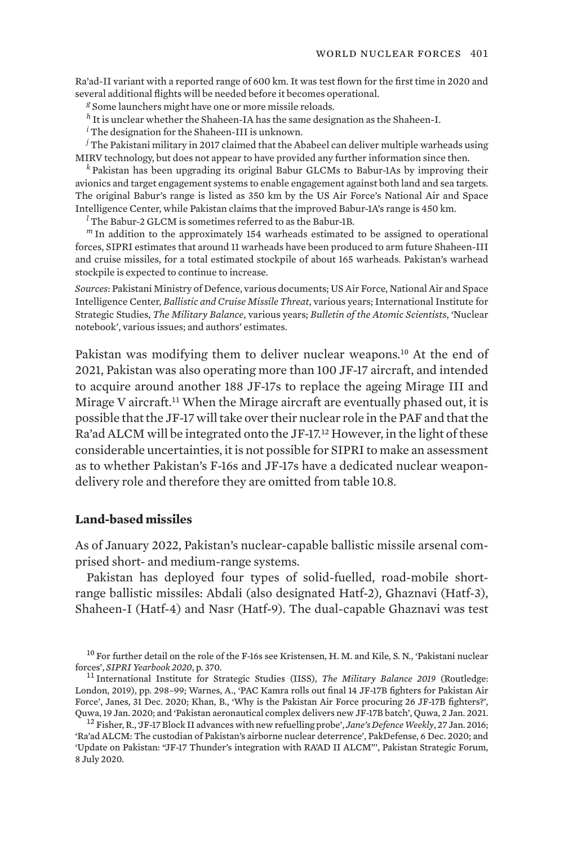Ra'ad-II variant with a reported range of 600 km. It was test flown for the first time in 2020 and several additional flights will be needed before it becomes operational.

*<sup>g</sup>* Some launchers might have one or more missile reloads.

*<sup>h</sup>* It is unclear whether the Shaheen-IA has the same designation as the Shaheen-I.

*<sup>i</sup>* The designation for the Shaheen-III is unknown.

*<sup>j</sup>* The Pakistani military in 2017 claimed that the Ababeel can deliver multiple warheads using MIRV technology, but does not appear to have provided any further information since then.

*<sup>k</sup>* Pakistan has been upgrading its original Babur GLCMs to Babur-1As by improving their avionics and target engagement systems to enable engagement against both land and sea targets. The original Babur's range is listed as 350 km by the US Air Force's National Air and Space Intelligence Center, while Pakistan claims that the improved Babur-1A's range is 450 km.

*<sup>l</sup>* The Babur-2 GLCM is sometimes referred to as the Babur-1B.

*<sup>m</sup>* In addition to the approximately 154 warheads estimated to be assigned to operational forces, SIPRI estimates that around 11 warheads have been produced to arm future Shaheen-III and cruise missiles, for a total estimated stockpile of about 165 warheads. Pakistan's warhead stockpile is expected to continue to increase.

*Sources*: Pakistani Ministry of Defence, various documents; US Air Force, National Air and Space Intelligence Center, *Ballistic and Cruise Missile Threat*, various years; International Institute for Strategic Studies, *The Military Balance*, various years; *Bulletin of the Atomic Scientists*, 'Nuclear notebook', various issues; and authors' estimates.

Pakistan was modifying them to deliver nuclear weapons.10 At the end of 2021, Pakistan was also operating more than 100 JF-17 aircraft, and intended to acquire around another 188 JF-17s to replace the ageing Mirage III and Mirage V aircraft.<sup>11</sup> When the Mirage aircraft are eventually phased out, it is possible that the JF-17 will take over their nuclear role in the PAF and that the Ra'ad ALCM will be integrated onto the JF-17.<sup>12</sup> However, in the light of these considerable uncertainties, it is not possible for SIPRI to make an assessment as to whether Pakistan's F-16s and JF-17s have a dedicated nuclear weapondelivery role and therefore they are omitted from table 10.8.

## **Land-based missiles**

As of January 2022, Pakistan's nuclear-capable ballistic missile arsenal comprised short- and medium-range systems.

Pakistan has deployed four types of solid-fuelled, road-mobile shortrange ballistic missiles: Abdali (also designated Hatf-2), Ghaznavi (Hatf-3), Shaheen-I (Hatf-4) and Nasr (Hatf-9). The dual-capable Ghaznavi was test

<sup>10</sup> For further detail on the role of the F-16s see Kristensen, H. M. and Kile, S. N., '[Pakistani nuclear](https://www.sipriyearbook.org/view/9780198869207/sipri-9780198869207-chapter-010-div1-149.xml) [forces'](https://www.sipriyearbook.org/view/9780198869207/sipri-9780198869207-chapter-010-div1-149.xml), *SIPRI Yearbook 2020*, p. 370.<br><sup>11</sup> International Institute for Strategic Studies (IISS), *[The Military Balance 2019](https://www.iiss.org/publications/the-military-balance/the-military-balance-2019)* (Routledge:

London, 2019), pp. 298–99; Warnes, A., '[PAC Kamra rolls out final 14 JF-17B fighters for Pakistan Air](https://www.janes.com/defence-news/news-detail/pac-kamra-rolls-out-final-14-jf-17b-fighters-for-pakistan-air-force) [Force](https://www.janes.com/defence-news/news-detail/pac-kamra-rolls-out-final-14-jf-17b-fighters-for-pakistan-air-force)', Janes, 31 Dec. 2020; Khan, B., '[Why is the Pakistan Air Force procuring 26 JF-17B fighters?'](https://quwa.org/2020/01/19/why-is-the-pakistan-air-force-procuring-26-jf-17bs-2/),

<sup>&</sup>lt;sup>12</sup> Fisher, R., 'JF-17 Block II advances with new refuelling probe', *Jane's Defence Weekly*, 27 Jan. 2016; '[Ra'ad ALCM: The custodian of Pakistan's airborne nuclear deterrence](https://www.pakdefense.com/blog/pakistan-air-force/raad-alcm-the-custodian-of-pakistans-airborne-nuclear-deterrence/)', PakDefense, 6 Dec. 2020; and '[Update on Pakistan: "JF-17 Thunder's integration with RA'AD II ALCM"'](https://pakstrategic.com/2020/07/08/update-on-pakistan-jf-17-thunders-integration-with-raad-ii-alcm/), Pakistan Strategic Forum, 8 July 2020.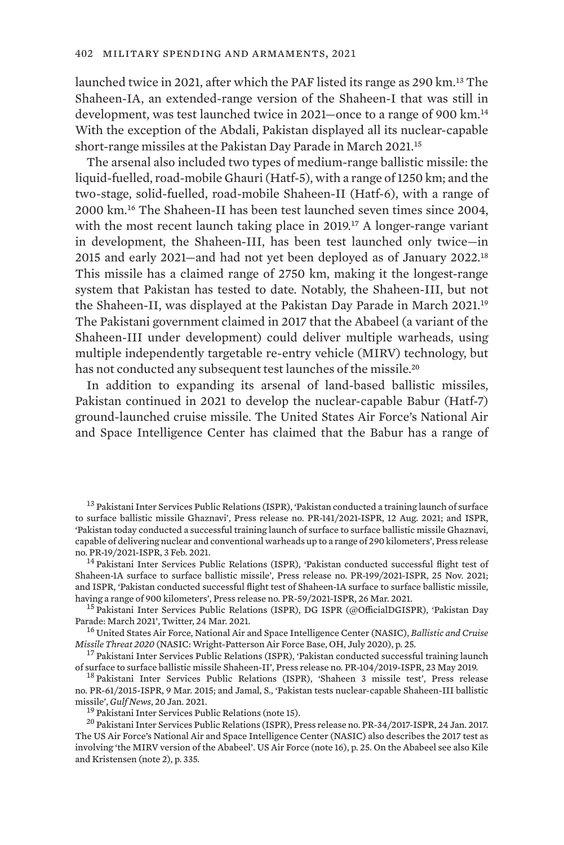launched twice in 2021, after which the PAF listed its range as 290 km.13 The Shaheen-IA, an extended-range version of the Shaheen-I that was still in development, was test launched twice in 2021—once to a range of 900 km.<sup>14</sup> With the exception of the Abdali, Pakistan displayed all its nuclear-capable short-range missiles at the Pakistan Day Parade in March 2021.<sup>15</sup>

The arsenal also included two types of medium-range ballistic missile: the liquid-fuelled, road-mobile Ghauri (Hatf-5), with a range of 1250 km; and the two-stage, solid-fuelled, road-mobile Shaheen-II (Hatf-6), with a range of 2000 km.16 The Shaheen-II has been test launched seven times since 2004, with the most recent launch taking place in 2019.<sup>17</sup> A longer-range variant in development, the Shaheen-III, has been test launched only twice—in 2015 and early 2021—and had not yet been deployed as of January 2022.<sup>18</sup> This missile has a claimed range of 2750 km, making it the longest-range system that Pakistan has tested to date. Notably, the Shaheen-III, but not the Shaheen-II, was displayed at the Pakistan Day Parade in March 2021.<sup>19</sup> The Pakistani government claimed in 2017 that the Ababeel (a variant of the Shaheen-III under development) could deliver multiple warheads, using multiple independently targetable re-entry vehicle (MIRV) technology, but has not conducted any subsequent test launches of the missile.<sup>20</sup>

In addition to expanding its arsenal of land-based ballistic missiles, Pakistan continued in 2021 to develop the nuclear-capable Babur (Hatf-7) ground-launched cruise missile. The United States Air Force's National Air and Space Intelligence Center has claimed that the Babur has a range of

<sup>13</sup> Pakistani Inter Services Public Relations (ISPR), '[Pakistan conducted a training launch of surface](https://www.ispr.gov.pk/press-release-detail.php?id=6261) [to surface ballistic missile Ghaznavi'](https://www.ispr.gov.pk/press-release-detail.php?id=6261), Press release no. PR-141/2021-ISPR, 12 Aug. 2021; and ISPR, '[Pakistan today conducted a successful training launch of surface to surface ballistic missile Ghaznavi,](https://www.ispr.gov.pk/press-release-detail.php?id=6035) [capable of delivering nuclear and conventional warheads up to a range of 290 kilometer](https://www.ispr.gov.pk/press-release-detail.php?id=6035)s', Press release no. PR-19/2021-ISPR, 3 Feb. 2021.<br><sup>14</sup> Pakistani Inter Services Public Relations (ISPR), ['Pakistan conducted successful flight test of](https://www.ispr.gov.pk/press-release-detail.php?id=6319)

[Shaheen-1A surface to surface ballistic missile'](https://www.ispr.gov.pk/press-release-detail.php?id=6319), Press release no. PR-199/2021-ISPR, 25 Nov. 2021; and ISPR, ['Pakistan conducted successful flight test of Shaheen-1A surface to surface ballistic missile,](https://www.ispr.gov.pk/press-release-detail.php?id=6104) having a range of 900 kilometers', Press release no. PR-59/2021-ISPR, 26 Mar. 2021.

<sup>15</sup> Pakistani Inter Services Public Relations (ISPR), DG ISPR (@OfficialDGISPR), '[Pakistan Day](https://twitter.com/OfficialDGISPR/status/1374914302960893953) [Parade: March 2021](https://twitter.com/OfficialDGISPR/status/1374914302960893953)', Twitter, 24 Mar. 2021. <sup>16</sup> United States Air Force, National Air and Space Intelligence Center (NASIC), *[Ballistic and Cruise](https://media.defense.gov/2021/Jan/11/2002563190/-1/-1/1/2020%20BALLISTIC%20AND%20CRUISE%20MISSILE%%2020THREAT_FINAL_2OCT_REDUCEDFILE.PDF)* 

*[Missile Threat 2020](https://media.defense.gov/2021/Jan/11/2002563190/-1/-1/1/2020%20BALLISTIC%20AND%20CRUISE%20MISSILE%%2020THREAT_FINAL_2OCT_REDUCEDFILE.PDF)* (NASIC: Wright-Patterson Air Force Base, OH, July 2020), p. 25.<br><sup>17</sup> Pakistani Inter Services Public Relations (ISPR), '[Pakistan conducted successful training launch](https://ispr.gov.pk/press-release-detail.php?id=5308)

[of surface to surface ballistic missile Shaheen-II'](https://ispr.gov.pk/press-release-detail.php?id=5308), Press release no. PR-104/2019-ISPR, 23 May 2019.<br><sup>18</sup> Pakistani Inter Services Public Relations (ISPR), ['Shaheen 3 missile test'](https://www.ispr.gov.pk/press-release-detail.php?id=2804), Press release

no. PR-61/2015-ISPR, 9 Mar. 2015; and Jamal, S., '[Pakistan tests nuclear-capable Shaheen-III ballistic](https://gulfnews.com/world/asia/pakistan/pakistan-tests-nuclear-capable-shaheen-iii-ballistic-missile-1.76628475) [missile'](https://gulfnews.com/world/asia/pakistan/pakistan-tests-nuclear-capable-shaheen-iii-ballistic-missile-1.76628475), *Gulf News*, 20 Jan. 2021.<br><sup>19</sup> Pakistani Inter Services Public Relations (note 15). <sup>20</sup> Pakistani Inter Services Public Relations (ISPR)[, Press release no. PR-34/2017-ISPR](https://www.ispr.gov.pk/press-release-detail.php?id=3705), 24 Jan. 2017.

The US Air Force's National Air and Space Intelligence Center (NASIC) also describes the 2017 test as involving 'the MIRV version of the Ababeel'. US Air Force (note 16), p. 25. On the Ababeel see also Kile and Kristensen (note 2), p. 335.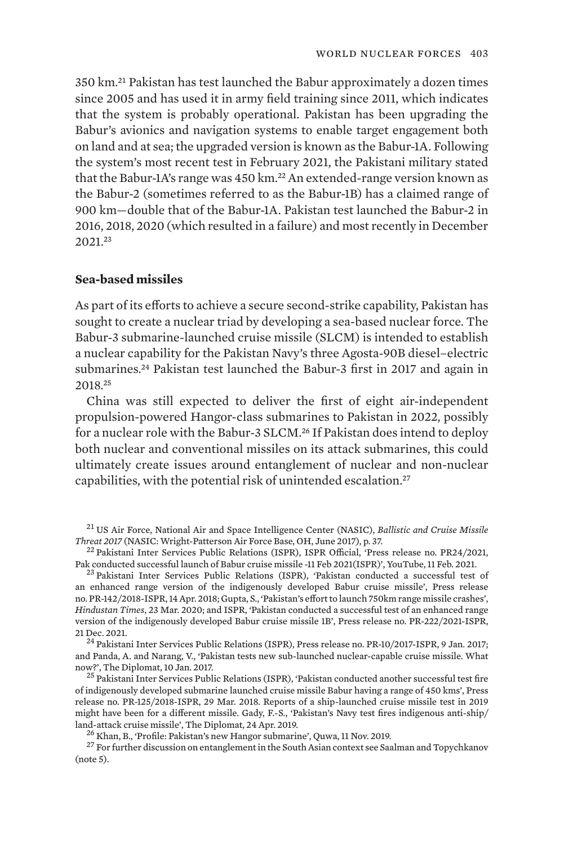350 km.21 Pakistan has test launched the Babur approximately a dozen times since 2005 and has used it in army field training since 2011, which indicates that the system is probably operational. Pakistan has been upgrading the Babur's avionics and navigation systems to enable target engagement both on land and at sea; the upgraded version is known as the Babur-1A. Following the system's most recent test in February 2021, the Pakistani military stated that the Babur-1A's range was 450 km.<sup>22</sup> An extended-range version known as the Babur-2 (sometimes referred to as the Babur-1B) has a claimed range of 900 km—double that of the Babur-1A. Pakistan test launched the Babur-2 in 2016, 2018, 2020 (which resulted in a failure) and most recently in December 2021.<sup>23</sup>

## **Sea-based missiles**

As part of its efforts to achieve a secure second-strike capability, Pakistan has sought to create a nuclear triad by developing a sea-based nuclear force. The Babur-3 submarine-launched cruise missile (SLCM) is intended to establish a nuclear capability for the Pakistan Navy's three Agosta-90B diesel–electric submarines.24 Pakistan test launched the Babur-3 first in 2017 and again in 2018.<sup>25</sup>

China was still expected to deliver the first of eight air-independent propulsion-powered Hangor-class submarines to Pakistan in 2022, possibly for a nuclear role with the Babur-3 SLCM.26 If Pakistan does intend to deploy both nuclear and conventional missiles on its attack submarines, this could ultimately create issues around entanglement of nuclear and non-nuclear capabilities, with the potential risk of unintended escalation.<sup>27</sup>

<sup>21</sup> US Air Force, National Air and Space Intelligence Center (NASIC), *[Ballistic and Cruise Missile](https://www.nasic.af.mil/Portals/19/images/Fact%20Sheet%20Images/2017%20Ballistic%20and%20Cruise%20Missile%20Threat_Final_small.pdf?ver=2017-07-21-083234-343)*<br>*Threat 2017* (NASIC: Wright-Patterson Air Force Base, OH, June 2017), p. 37.

<sup>23</sup> Pakistani Inter Services Public Relations (ISPR), '[Pakistan conducted a successful test of](https://ispr.gov.pk/press-release-detail.php?id=4693) [an enhanced range version of the indigenously developed Babur cruise missile](https://ispr.gov.pk/press-release-detail.php?id=4693)', Press release no. PR-142/2018-ISPR, 14 Apr. 2018; Gupta, S., ['Pakistan's effort to launch 750km range missile crashes'](https://www.hindustantimes.com/india-news/pakistan-s-effort-to-launch-750km-range-missile-crashes/story-UT5CbOR3K0uVojmiOYoKjO.html), *Hindustan Times*, 23 Mar. 2020; and ISPR, ['Pakistan conducted a successful test of an enhanced range](https://www.ispr.gov.pk/press-release-detail.php?id=6342) [version of the indigenously developed Babur cruise missile 1B'](https://www.ispr.gov.pk/press-release-detail.php?id=6342), Press release no. PR-222/2021-ISPR, 21 Dec. 2021. 24 Pakistani Inter Services Public Relations (ISPR), [Press release no. PR-10/2017-ISPR,](https://www.ispr.gov.pk/press-release-detail.php?id=3672) 9 Jan. 2017;

and Panda, A. and Narang, V., ['Pakistan tests new sub-launched nuclear-capable cruise missile. What](https://thediplomat.com/2017/01/pakistans-tests-new-sub-launched-nuclear-capable-cruise-missile-what-now/) [now?](https://thediplomat.com/2017/01/pakistans-tests-new-sub-launched-nuclear-capable-cruise-missile-what-now/)', The Diplomat, 10 Jan. 2017.<br><sup>25</sup> Pakistani Inter Services Public Relations (ISPR), ['Pakistan conducted another successful test fire](https://www.ispr.gov.pk/press-release-detail.php?id=4660)

[of indigenously developed submarine launched cruise missile Babur having a range of 450 kms'](https://www.ispr.gov.pk/press-release-detail.php?id=4660), Press release no. PR-125/2018-ISPR, 29 Mar. 2018. Reports of a ship-launched cruise missile test in 2019 might have been for a different missile. Gady, F.-S., '[Pakistan's Navy test fires indigenous anti-ship/](https://thediplomat.com/2019/04/pakistans-navy-test-fires-indigenous-anti-shipland-attack-cruise-missile/)

<sup>26</sup> Khan, B., ['Profile: Pakistan's new Hangor submarine'](https://quwa.org/2019/11/11/profile-pakistans-new-hangor-submarine/), Quwa, 11 Nov. 2019.<br><sup>27</sup> For further discussion on entanglement in the South Asian context see Saalman and Topychkanov (note 5).

<sup>&</sup>lt;sup>22</sup> Pakistani Inter Services Public Relations (ISPR), ISPR Official, 'Press release no. PR24/2021,<br>Pak conducted successful launch of Babur cruise missile -11 Feb 2021(ISPR)', YouTube, 11 Feb. 2021.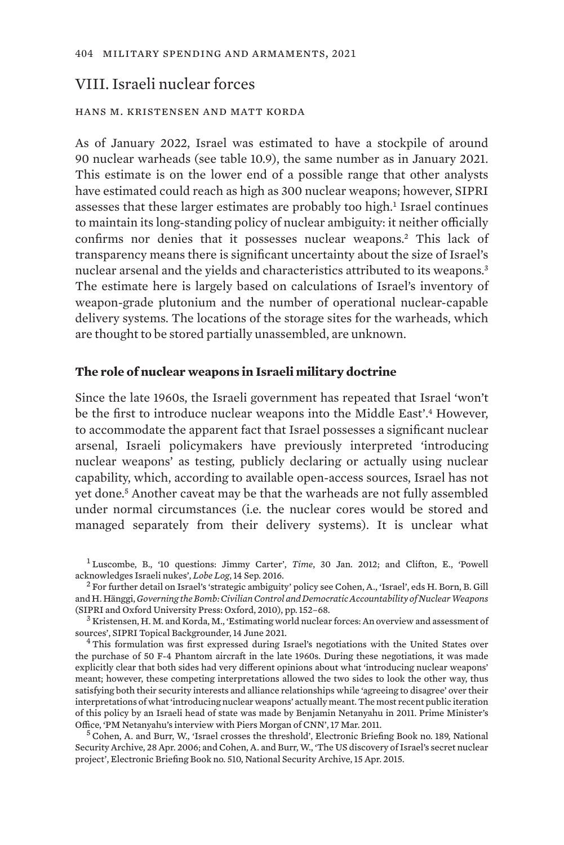## VIII. Israeli nuclear forces

## hans m. kristensen and matt korda

As of January 2022, Israel was estimated to have a stockpile of around 90 nuclear warheads (see table 10.9), the same number as in January 2021. This estimate is on the lower end of a possible range that other analysts have estimated could reach as high as 300 nuclear weapons; however, SIPRI assesses that these larger estimates are probably too high.<sup>1</sup> Israel continues to maintain its long-standing policy of nuclear ambiguity: it neither officially confirms nor denies that it possesses nuclear weapons.2 This lack of transparency means there is significant uncertainty about the size of Israel's nuclear arsenal and the yields and characteristics attributed to its weapons.<sup>3</sup> The estimate here is largely based on calculations of Israel's inventory of weapon-grade plutonium and the number of operational nuclear-capable delivery systems. The locations of the storage sites for the warheads, which are thought to be stored partially unassembled, are unknown.

#### **The role of nuclear weapons in Israeli military doctrine**

Since the late 1960s, the Israeli government has repeated that Israel 'won't be the first to introduce nuclear weapons into the Middle East'.<sup>4</sup> However, to accommodate the apparent fact that Israel possesses a significant nuclear arsenal, Israeli policymakers have previously interpreted 'introducing nuclear weapons' as testing, publicly declaring or actually using nuclear capability, which, according to available open-access sources, Israel has not yet done.5 Another caveat may be that the warheads are not fully assembled under normal circumstances (i.e. the nuclear cores would be stored and managed separately from their delivery systems). It is unclear what

<sup>&</sup>lt;sup>1</sup> Luscombe, B., '[10 questions: Jimmy Carter'](https://web.archive.org/web/20120802090902/http://www.time.com/time/magazine/article/0,9171,2104825,00.html), *Time*, 30 Jan. 2012; and Clifton, E., ['Powell](https://lobelog.com/powell-acknowledges-israeli-nukes/) acknowledges Israeli nukes'. *Lobe Log*, 14 Sep. 2016.

<sup>&</sup>lt;sup>2</sup> For further detail on Israel's 'strategic ambiguity' policy see Cohen, A., 'Israel', eds H. Born, B. Gill and H. Hänggi, *[Governing the Bomb: Civilian Control and Democratic Accountability of Nuclear Weapons](https://www.sipri.org/sites/default/files/2018-10/sipri10gtb.pdf)* (SIPRI and Oxford University Press: Oxford, 2010), pp. 152–68.<br><sup>3</sup> Kristensen, H. M. and Korda, M., ['Estimating world nuclear forces: An overview and assessment of](https://www.sipri.org/commentary/topical-backgrounder/2021/estimating-world-nuclear-forces-overview-and-assessment-sources)

[sources](https://www.sipri.org/commentary/topical-backgrounder/2021/estimating-world-nuclear-forces-overview-and-assessment-sources)', SIPRI Topical Backgrounder, 14 June 2021.<br><sup>4</sup> This formulation was first expressed during Israel's negotiations with the United States over

the purchase of 50 F-4 Phantom aircraft in the late 1960s. During these negotiations, it was made explicitly clear that both sides had very different opinions about what 'introducing nuclear weapons' meant; however, these competing interpretations allowed the two sides to look the other way, thus satisfying both their security interests and alliance relationships while 'agreeing to disagree' over their interpretations of what 'introducing nuclear weapons' actually meant. The most recent public iteration of this policy by an Israeli head of state was made by Benjamin Netanyahu in 2011. Prime Minister's

 $<sup>5</sup>$  Cohen, A. and Burr, W., '[Israel crosses the threshold](http://www2.gwu.edu/~nsarchiv/NSAEBB/NSAEBB189/index.htm)', Electronic Briefing Book no. 189, National</sup> Security Archive, 28 Apr. 2006; and Cohen, A. and Burr, W., '[The US discovery of Israel's secret nuclear](https://nsarchive2.gwu.edu/nukevault/ebb510/) [project](https://nsarchive2.gwu.edu/nukevault/ebb510/)', Electronic Briefing Book no. 510, National Security Archive, 15 Apr. 2015.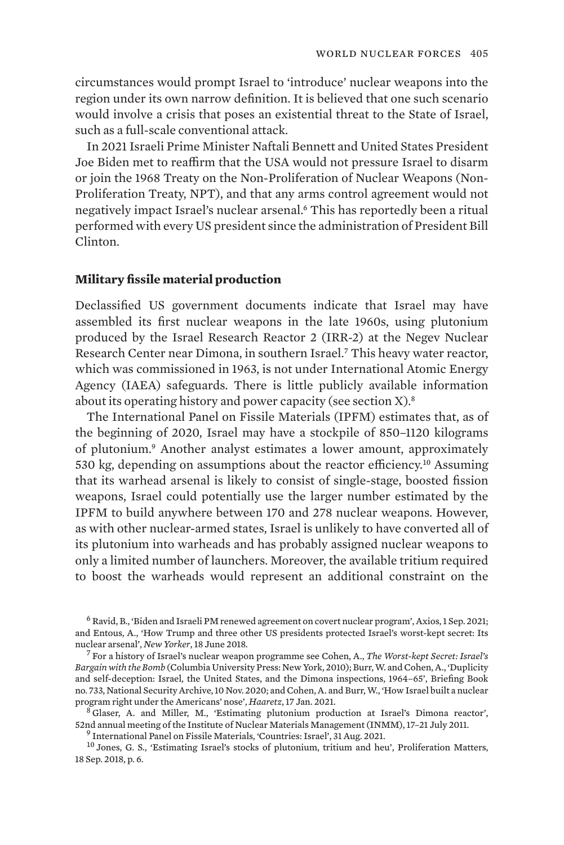circumstances would prompt Israel to 'introduce' nuclear weapons into the region under its own narrow definition. It is believed that one such scenario would involve a crisis that poses an existential threat to the State of Israel, such as a full-scale conventional attack.

In 2021 Israeli Prime Minister Naftali Bennett and United States President Joe Biden met to reaffirm that the USA would not pressure Israel to disarm or join the 1968 Treaty on the Non-Proliferation of Nuclear Weapons (Non-Proliferation Treaty, NPT), and that any arms control agreement would not negatively impact Israel's nuclear arsenal.6 This has reportedly been a ritual performed with every US president since the administration of President Bill Clinton.

### **Military fissile material production**

Declassified US government documents indicate that Israel may have assembled its first nuclear weapons in the late 1960s, using plutonium produced by the Israel Research Reactor 2 (IRR-2) at the Negev Nuclear Research Center near Dimona, in southern Israel.7 This heavy water reactor, which was commissioned in 1963, is not under International Atomic Energy Agency (IAEA) safeguards. There is little publicly available information about its operating history and power capacity (see section  $X$ ).<sup>8</sup>

The International Panel on Fissile Materials (IPFM) estimates that, as of the beginning of 2020, Israel may have a stockpile of 850–1120 kilograms of plutonium.<sup>9</sup> Another analyst estimates a lower amount, approximately 530 kg, depending on assumptions about the reactor efficiency.10 Assuming that its warhead arsenal is likely to consist of single-stage, boosted fission weapons, Israel could potentially use the larger number estimated by the IPFM to build anywhere between 170 and 278 nuclear weapons. However, as with other nuclear-armed states, Israel is unlikely to have converted all of its plutonium into warheads and has probably assigned nuclear weapons to only a limited number of launchers. Moreover, the available tritium required to boost the warheads would represent an additional constraint on the

<sup>6</sup> Ravid, B., '[Biden and Israeli PM renewed agreement on covert nuclear program'](https://www.axios.com/us-israel-nuclear-weapons-agreement-biden-bennett-46251c24-e467-4912-bac8-9a569dabdc20.html), Axios, 1 Sep. 2021; and Entous, A., ['How Trump and three other US presidents protected Israel's worst-kept secret: Its](https://www.newyorker.com/news/news-desk/how-trump-and-three-other-us-presidents-protected-israels-worst-kept-secret-its-nuclear-arsenal)<br>nuclear arsenal', New Yorker, 18 June 2018.

[nuclear arsenal](https://www.newyorker.com/news/news-desk/how-trump-and-three-other-us-presidents-protected-israels-worst-kept-secret-its-nuclear-arsenal)', *New Yorker*, 18 June 2018. <sup>7</sup> For a history of Israel's nuclear weapon programme see Cohen, A., *[The Worst-kept Secret: Israel's](https://www.jstor.org/stable/10.7312/cohe13698) [Bargain with the Bomb](https://www.jstor.org/stable/10.7312/cohe13698)* (Columbia University Press: New York, 2010); Burr, W. and Cohen, A., ['Duplicity](https://nsarchive.gwu.edu/briefing-book/nuclear-vault/2020-11-10/duplicity-deception-self-deception-israel-united-states-dimona-inspections-1964-65) [and self-deception: Israel, the United States, and the Dimona inspections, 1964–65](https://nsarchive.gwu.edu/briefing-book/nuclear-vault/2020-11-10/duplicity-deception-self-deception-israel-united-states-dimona-inspections-1964-65)', Briefing Book no. 733, National Security Archive, 10 Nov. 2020; and Cohen, A. and Burr, W., ['How Israel built a nuclear](https://nsarchive.gwu.edu/documents/duplicity-deception-self-deception-israel-united-states-dimona-inspections-1964-65/Haaretz-article.pdf)<br>program right under the Americans' nose'. *Haaretz*, 17 Jan. 2021.

 $\sigma$ <sup>8</sup> Glaser, A. and Miller, M., '[Estimating plutonium production at Israel's Dimona reactor'](http://www.princeton.edu/~aglaser/PU056-Glaser-Miller-2011.pdf), 52nd annual meeting of the Institute of Nuclear Materials Management (INMM), 17–21 July 2011.

 $^9$  International Panel on Fissile Materials, ['Countries: Israel'](https://fissilematerials.org/countries/israel.html), 31 Aug. 2021.<br><sup>10</sup> Jones, G. S., '[Estimating Israel's stocks of plutonium, tritium and heu'](https://nebula.wsimg.com/af67c5952110bc7a05f250260765c792?AccessKeyId=40C80D0B51471CD86975&disposition=0&alloworigin=1), Proliferation Matters, 18 Sep. 2018, p. 6.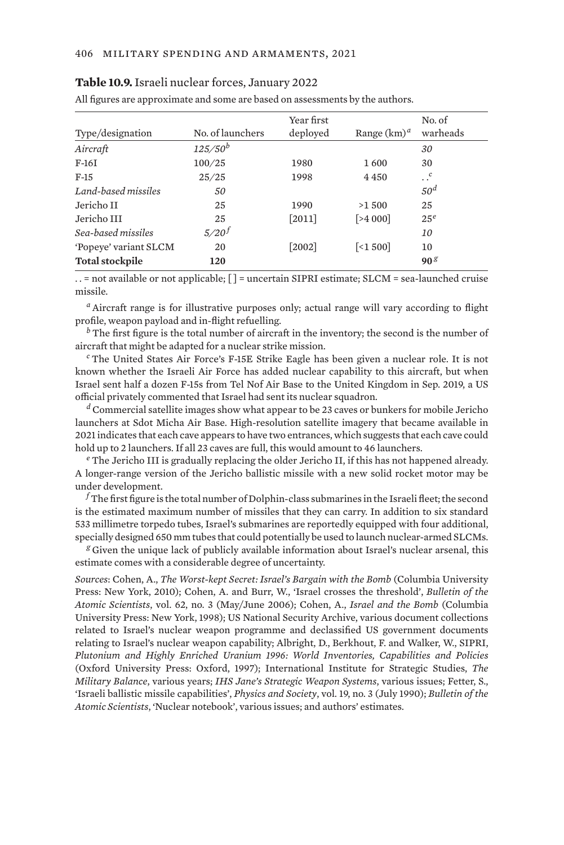| Type/designation       | No. of launchers | Year first<br>deployed | Range $(km)^d$                | No. of<br>warheads |
|------------------------|------------------|------------------------|-------------------------------|--------------------|
|                        |                  |                        |                               |                    |
| Aircraft               | $125/50^{b}$     |                        |                               | 30                 |
| $F-16I$                | 100/25           | 1980                   | 1600                          | 30                 |
| $F-15$                 | 25/25            | 1998                   | 4 4 5 0                       | $\cdot \cdot^c$    |
| Land-based missiles    | 50               |                        |                               | 50 <sup>d</sup>    |
| Jericho II             | 25               | 1990                   | >1500                         | 25                 |
| Jericho III            | 25               | $[2011]$               | [>4000]                       | 25 <sup>e</sup>    |
| Sea-based missiles     | $5/20^{f}$       |                        |                               | <i>10</i>          |
| 'Popeye' variant SLCM  | 20               | $[2002]$               | $\left[ \times 1,500 \right]$ | 10                 |
| <b>Total stockpile</b> | 120              |                        |                               | 90 <sup>g</sup>    |
|                        |                  |                        |                               |                    |

| Table 10.9. Israeli nuclear forces, January 2022 |  |  |
|--------------------------------------------------|--|--|
|--------------------------------------------------|--|--|

All figures are approximate and some are based on assessments by the authors.

. . = not available or not applicable; [ ] = uncertain SIPRI estimate; SLCM = sea-launched cruise missile.

*<sup>a</sup>* Aircraft range is for illustrative purposes only; actual range will vary according to flight profile, weapon payload and in-flight refuelling.

*<sup>b</sup>* The first figure is the total number of aircraft in the inventory; the second is the number of aircraft that might be adapted for a nuclear strike mission.

*<sup>c</sup>* The United States Air Force's F-15E Strike Eagle has been given a nuclear role. It is not known whether the Israeli Air Force has added nuclear capability to this aircraft, but when Israel sent half a dozen F-15s from Tel Nof Air Base to the United Kingdom in Sep. 2019, a US official privately commented that Israel had sent its nuclear squadron.

*<sup>d</sup>* Commercial satellite images show what appear to be 23 caves or bunkers for mobile Jericho launchers at Sdot Micha Air Base. High-resolution satellite imagery that became available in 2021 indicates that each cave appears to have two entrances, which suggests that each cave could hold up to 2 launchers. If all 23 caves are full, this would amount to 46 launchers.

*<sup>e</sup>* The Jericho III is gradually replacing the older Jericho II, if this has not happened already. A longer-range version of the Jericho ballistic missile with a new solid rocket motor may be under development.

*<sup>f</sup>* The first figure is the total number of Dolphin-class submarines in the Israeli fleet; the second is the estimated maximum number of missiles that they can carry. In addition to six standard 533 millimetre torpedo tubes, Israel's submarines are reportedly equipped with four additional, specially designed 650 mm tubes that could potentially be used to launch nuclear-armed SLCMs.

*<sup>g</sup>* Given the unique lack of publicly available information about Israel's nuclear arsenal, this estimate comes with a considerable degree of uncertainty.

*Sources*: Cohen, A., *The Worst-kept Secret: Israel's Bargain with the Bomb* (Columbia University Press: New York, 2010); Cohen, A. and Burr, W., 'Israel crosses the threshold', *Bulletin of the Atomic Scientists*, vol. 62, no. 3 (May/June 2006); Cohen, A., *Israel and the Bomb* (Columbia University Press: New York, 1998); US [National Security Archive,](https://nsarchive.gwu.edu/search?s=israel&op=Search) various document collections related to Israel's nuclear weapon programme and declassified US government documents relating to Israel's nuclear weapon capability; Albright, D., Berkhout, F. and Walker, W., SIPRI, *Plutonium and Highly Enriched Uranium 1996: World Inventories, Capabilities and Policies* (Oxford University Press: Oxford, 1997); International Institute for Strategic Studies, *The Military Balance*, various years; *IHS Jane's Strategic Weapon Systems*, various issues; Fetter, S., 'Israeli ballistic missile capabilities', *Physics and Society*, vol. 19, no. 3 (July 1990); *Bulletin of the Atomic Scientists*, 'Nuclear notebook', various issues; and authors' estimates.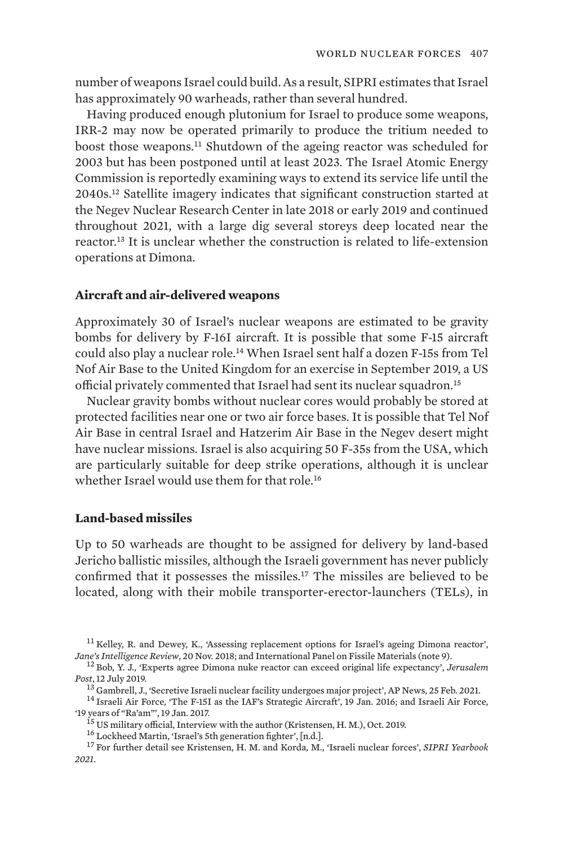number of weapons Israel could build. As a result, SIPRI estimates that Israel has approximately 90 warheads, rather than several hundred.

Having produced enough plutonium for Israel to produce some weapons, IRR-2 may now be operated primarily to produce the tritium needed to boost those weapons.<sup>11</sup> Shutdown of the ageing reactor was scheduled for 2003 but has been postponed until at least 2023. The Israel Atomic Energy Commission is reportedly examining ways to extend its service life until the 2040s.12 Satellite imagery indicates that significant construction started at the Negev Nuclear Research Center in late 2018 or early 2019 and continued throughout 2021, with a large dig several storeys deep located near the reactor.13 It is unclear whether the construction is related to life-extension operations at Dimona.

## **Aircraft and air-delivered weapons**

Approximately 30 of Israel's nuclear weapons are estimated to be gravity bombs for delivery by F-16I aircraft. It is possible that some F-15 aircraft could also play a nuclear role.14 When Israel sent half a dozen F-15s from Tel Nof Air Base to the United Kingdom for an exercise in September 2019, a US official privately commented that Israel had sent its nuclear squadron.<sup>15</sup>

Nuclear gravity bombs without nuclear cores would probably be stored at protected facilities near one or two air force bases. It is possible that Tel Nof Air Base in central Israel and Hatzerim Air Base in the Negev desert might have nuclear missions. Israel is also acquiring 50 F-35s from the USA, which are particularly suitable for deep strike operations, although it is unclear whether Israel would use them for that role.<sup>16</sup>

## **Land-based missiles**

Up to 50 warheads are thought to be assigned for delivery by land-based Jericho ballistic missiles, although the Israeli government has never publicly confirmed that it possesses the missiles.17 The missiles are believed to be located, along with their mobile transporter-erector-launchers (TELs), in

<sup>11</sup> Kelley, R. and Dewey, K., 'Assessing replacement options for Israel's ageing Dimona reactor', *Jane's Intelligence Review*, 20 Nov. 2018; and International Panel on Fissile Materials (note 9). <sup>12</sup> Bob, Y. J., ['Experts agree Dimona nuke reactor can exceed original life expectancy](https://www.jpost.com/Israel-News/Experts-agree-Dimona-nuke-reactor-can-exceed-original-life-expectancy-595404)', *Jerusalem* 

*Post*, 12 July 2019.

<sup>&</sup>lt;sup>14</sup> Israeli Air Force, ['The F-15I as the IAF's Strategic Aircraft](https://www.iaf.org.il/4443-46114-en/IAF.aspx)', 19 Jan. 2016; and Israeli Air Force, '19 vears of "Ra'am'". 19 Jan. 2017.

<sup>&</sup>lt;sup>15</sup> US military official, Interview with the author (Kristensen, H. M.), Oct. 2019.<br><sup>16</sup> Lockheed Martin, ['Israel's 5th generation fighter'](https://www.f35.com/f35/global-enterprise/israel.html), [n.d.].<br><sup>17</sup> For further detail see Kristensen, H. M. and Korda, M., 'Israeli nu *2021*.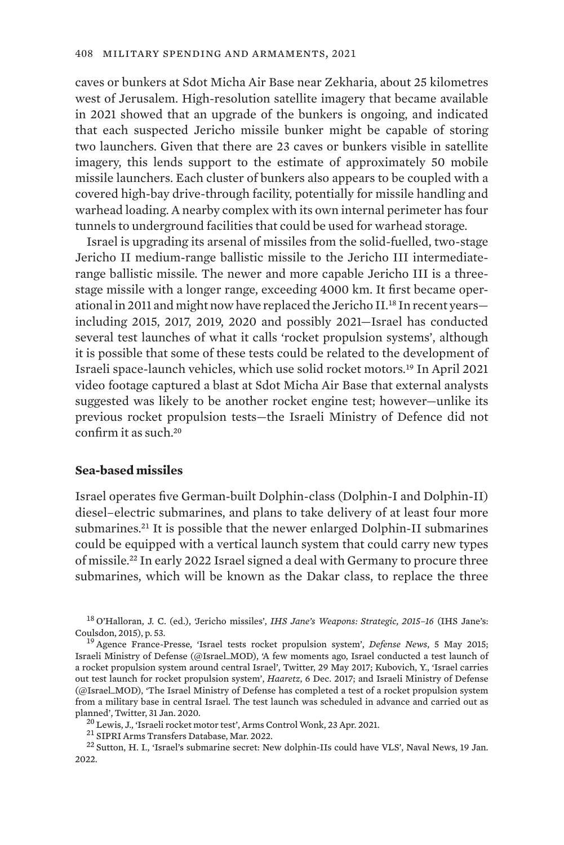caves or bunkers at Sdot Micha Air Base near Zekharia, about 25 kilometres west of Jerusalem. High-resolution satellite imagery that became available in 2021 showed that an upgrade of the bunkers is ongoing, and indicated that each suspected Jericho missile bunker might be capable of storing two launchers. Given that there are 23 caves or bunkers visible in satellite imagery, this lends support to the estimate of approximately 50 mobile missile launchers. Each cluster of bunkers also appears to be coupled with a covered high-bay drive-through facility, potentially for missile handling and warhead loading. A nearby complex with its own internal perimeter has four tunnels to underground facilities that could be used for warhead storage.

Israel is upgrading its arsenal of missiles from the solid-fuelled, two-stage Jericho II medium-range ballistic missile to the Jericho III intermediaterange ballistic missile. The newer and more capable Jericho III is a threestage missile with a longer range, exceeding 4000 km. It first became operational in 2011 and might now have replaced the Jericho II.18 In recent years including 2015, 2017, 2019, 2020 and possibly 2021—Israel has conducted several test launches of what it calls 'rocket propulsion systems', although it is possible that some of these tests could be related to the development of Israeli space-launch vehicles, which use solid rocket motors.19 In April 2021 video footage captured a blast at Sdot Micha Air Base that external analysts suggested was likely to be another rocket engine test; however—unlike its previous rocket propulsion tests—the Israeli Ministry of Defence did not confirm it as such.<sup>20</sup>

## **Sea-based missiles**

Israel operates five German-built Dolphin-class (Dolphin-I and Dolphin-II) diesel–electric submarines, and plans to take delivery of at least four more submarines.21 It is possible that the newer enlarged Dolphin-II submarines could be equipped with a vertical launch system that could carry new types of missile.22 In early 2022 Israel signed a deal with Germany to procure three submarines, which will be known as the Dakar class, to replace the three

<sup>18</sup> O'Halloran, J. C. (ed.), 'Jericho missiles', *IHS Jane's Weapons: Strategic, 2015-16* (IHS Jane's: Coulsdon, 2015), p. 53.

<sup>&</sup>lt;sup>19</sup> Agence France-Presse, ['Israel tests rocket propulsion system'](https://www.defensenews.com/air/2015/05/05/israel-tests-rocket-propulsion-system/), *Defense News*, 5 May 2015; Israeli Ministry of Defense (@Israel\_MOD), ['A few moments ago, Israel conducted a test launch of](https://twitter.com/Israel_MOD/status/869047358260207616) [a rocket propulsion system around central Israel'](https://twitter.com/Israel_MOD/status/869047358260207616), Twitter, 29 May 2017; Kubovich, Y., '[Israel carries](https://www.haaretz.com/israel-news/.premium-israel-carries-out-test-launch-for-rocket-propulsion-system-1.8228327) [out test launch for rocket propulsion system](https://www.haaretz.com/israel-news/.premium-israel-carries-out-test-launch-for-rocket-propulsion-system-1.8228327)', *Haaretz*, 6 Dec. 2017; and Israeli Ministry of Defense (@Israel\_MOD), ['The Israel Ministry of Defense has completed a test of a rocket propulsion system](https://twitter.com/israel_mod/status/1223172528992149504) [from a military base in central Israel. The test launch was scheduled in advance and carried out as](https://twitter.com/israel_mod/status/1223172528992149504)

<sup>&</sup>lt;sup>20</sup> Lewis, J., '[Israeli rocket motor test'](https://www.armscontrolwonk.com/archive/1211676/israeli-rocket-motor-test/), Arms Control Wonk, 23 Apr. 2021.<br><sup>21</sup> [SIPRI Arms Transfers Database](https://www.sipri.org/databases/armstransfers), Mar. 2022.<br><sup>22</sup> Sutton, H. I., ['Israel's submarine secret: New dolphin-IIs could have VLS](https://www.navalnews.com/naval-news/2022/01/israels-submarine-secret-new-dolphin-class-boat-could-have-vls/)', Naval News, 19 2022.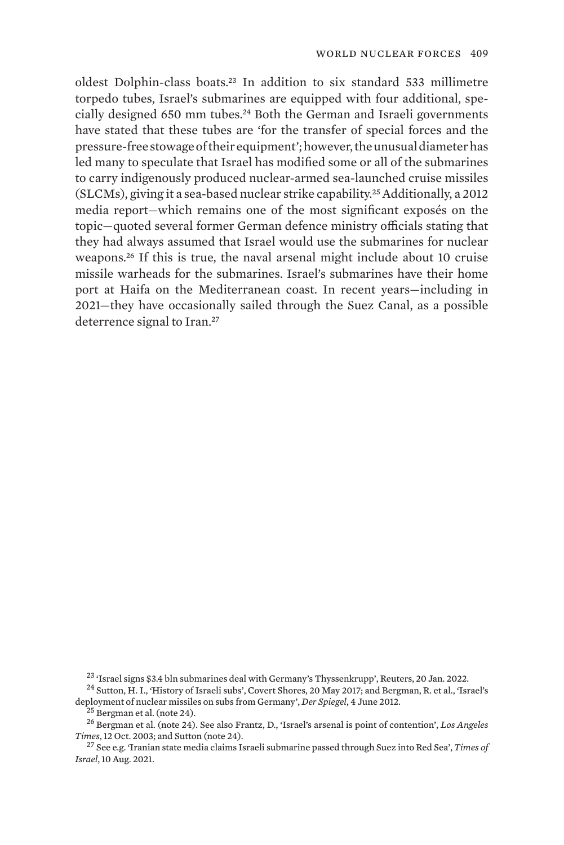oldest Dolphin-class boats.23 In addition to six standard 533 millimetre torpedo tubes, Israel's submarines are equipped with four additional, specially designed 650 mm tubes.<sup>24</sup> Both the German and Israeli governments have stated that these tubes are 'for the transfer of special forces and the pressure-free stowage of their equipment'; however, the unusual diameter has led many to speculate that Israel has modified some or all of the submarines to carry indigenously produced nuclear-armed sea-launched cruise missiles (SLCMs), giving it a sea-based nuclear strike capability.25 Additionally, a 2012 media report—which remains one of the most significant exposés on the topic—quoted several former German defence ministry officials stating that they had always assumed that Israel would use the submarines for nuclear weapons.<sup>26</sup> If this is true, the naval arsenal might include about 10 cruise missile warheads for the submarines. Israel's submarines have their home port at Haifa on the Mediterranean coast. In recent years—including in 2021—they have occasionally sailed through the Suez Canal, as a possible deterrence signal to Iran.<sup>27</sup>

<sup>&</sup>lt;sup>23</sup> ['Israel signs \\$3.4 bln submarines deal with Germany's Thyssenkrupp'](https://www.reuters.com/world/middle-east/israel-signs-34-bln-submarines-deal-with-thyssenkrupp-2022-01-20/), Reuters, 20 Jan. 2022.<br><sup>24</sup> Sutton, H. I., ['History of Israeli subs'](http://www.hisutton.com/History%20of%20Israeli%20Subs.html), Covert Shores, 20 May 2017; and Bergman, R. et al., ['Israel's](https://www.spiegel.de/international/world/israel-deploys-nuclear-weapons-on-german-built-submarines-a-836784.html)

[deployment of nuclear missiles on subs from Germany'](https://www.spiegel.de/international/world/israel-deploys-nuclear-weapons-on-german-built-submarines-a-836784.html), *Der Spiegel*, 4 June 2012.<br><sup>25</sup> Bergman et al. (note 24).<br><sup>26</sup> Bergman et al. (note 24). See also Frantz, D., '[Israel's arsenal is point of contention'](https://www.latimes.com/archives/la-xpm-2003-oct-12-fg-iznukes12-story.html), *Los Angeles* 

<sup>&</sup>lt;sup>27</sup> See e.g. '[Iranian state media claims Israeli submarine passed through Suez into Red Sea'](https://www.timesofisrael.com/iranian-state-media-claims-israeli-submarine-passed-through-suez-into-red-sea/), *Times of Israel*, 10 Aug. 2021.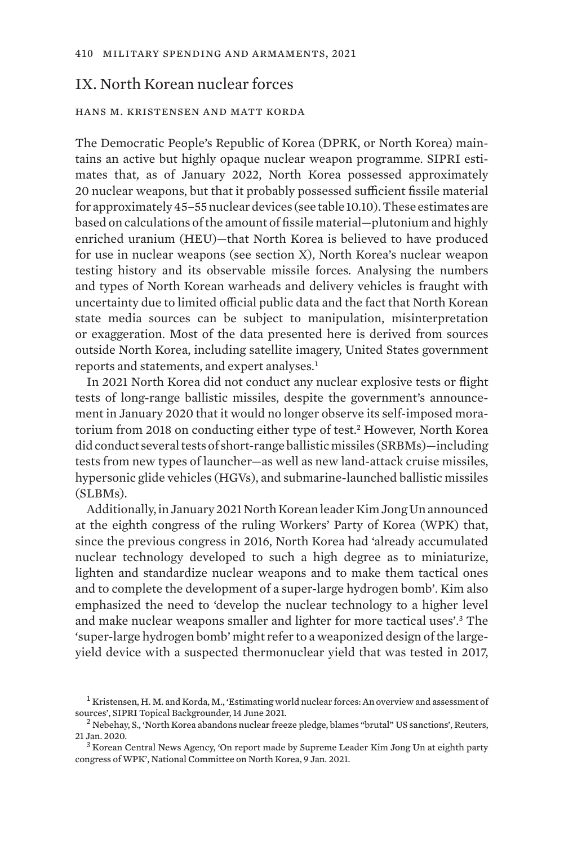# IX. North Korean nuclear forces

## hans m. kristensen and matt korda

The Democratic People's Republic of Korea (DPRK, or North Korea) maintains an active but highly opaque nuclear weapon programme. SIPRI estimates that, as of January 2022, North Korea possessed approximately 20 nuclear weapons, but that it probably possessed sufficient fissile material for approximately 45–55 nuclear devices (see table 10.10). These estimates are based on calculations of the amount of fissile material—plutonium and highly enriched uranium (HEU)—that North Korea is believed to have produced for use in nuclear weapons (see section X), North Korea's nuclear weapon testing history and its observable missile forces. Analysing the numbers and types of North Korean warheads and delivery vehicles is fraught with uncertainty due to limited official public data and the fact that North Korean state media sources can be subject to manipulation, misinterpretation or exaggeration. Most of the data presented here is derived from sources outside North Korea, including satellite imagery, United States government reports and statements, and expert analyses.<sup>1</sup>

In 2021 North Korea did not conduct any nuclear explosive tests or flight tests of long-range ballistic missiles, despite the government's announcement in January 2020 that it would no longer observe its self-imposed moratorium from 2018 on conducting either type of test.<sup>2</sup> However, North Korea did conduct several tests of short-range ballistic missiles (SRBMs)—including tests from new types of launcher—as well as new land-attack cruise missiles, hypersonic glide vehicles (HGVs), and submarine-launched ballistic missiles (SLBMs).

Additionally, in January 2021 North Korean leader Kim Jong Un announced at the eighth congress of the ruling Workers' Party of Korea (WPK) that, since the previous congress in 2016, North Korea had 'already accumulated nuclear technology developed to such a high degree as to miniaturize, lighten and standardize nuclear weapons and to make them tactical ones and to complete the development of a super-large hydrogen bomb'. Kim also emphasized the need to 'develop the nuclear technology to a higher level and make nuclear weapons smaller and lighter for more tactical uses'.3 The 'super-large hydrogen bomb' might refer to a weaponized design of the largeyield device with a suspected thermonuclear yield that was tested in 2017,

 $^1$  Kristensen, H. M. and Korda, M., ['Estimating world nuclear forces: An overview and assessment of](https://www.sipri.org/commentary/topical-backgrounder/2021/estimating-world-nuclear-forces-overview-and-assessment-sources) sources', SIPRI Topical Backgrounder, 14 June 2021.

<sup>&</sup>lt;sup>2</sup> Nebehay, S., '[North Korea abandons nuclear freeze pledge, blames "brutal" US sanctions'](https://www.reuters.com/article/us-northkorea-nuclear-usa-idUSKBN1ZK1FX), Reuters, 21 Jan. 2020.<br><sup>3</sup> Korean Central News Agency, '[On report made by Supreme Leader Kim Jong Un at eighth party](https://www.ncnk.org/sites/default/files/KJU_8th_Party_Congress_Speech_Summary.pdf)

[congress of WPK'](https://www.ncnk.org/sites/default/files/KJU_8th_Party_Congress_Speech_Summary.pdf), National Committee on North Korea, 9 Jan. 2021.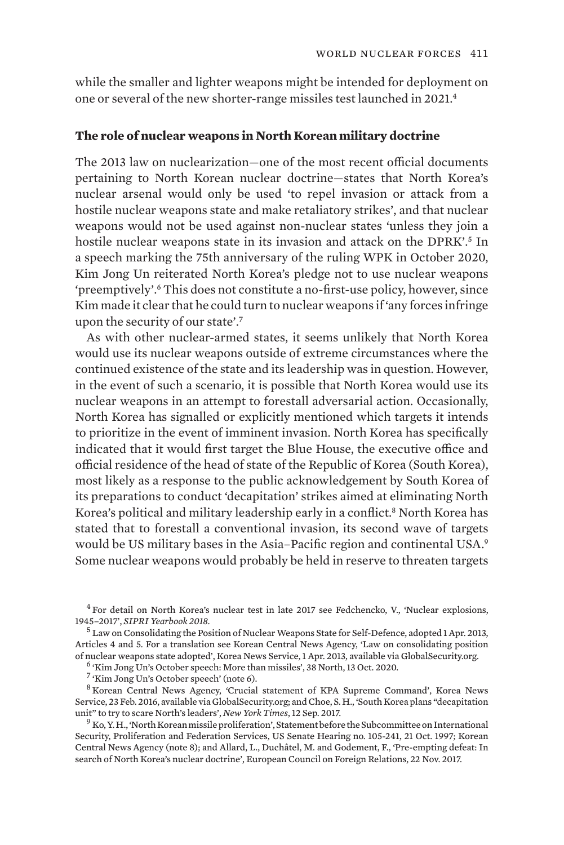while the smaller and lighter weapons might be intended for deployment on one or several of the new shorter-range missiles test launched in 2021.<sup>4</sup>

### **The role of nuclear weapons in North Korean military doctrine**

The 2013 law on nuclearization—one of the most recent official documents pertaining to North Korean nuclear doctrine—states that North Korea's nuclear arsenal would only be used 'to repel invasion or attack from a hostile nuclear weapons state and make retaliatory strikes', and that nuclear weapons would not be used against non-nuclear states 'unless they join a hostile nuclear weapons state in its invasion and attack on the DPRK'.<sup>5</sup> In a speech marking the 75th anniversary of the ruling WPK in October 2020, Kim Jong Un reiterated North Korea's pledge not to use nuclear weapons 'preemptively'.6 This does not constitute a no-first-use policy, however, since Kim made it clear that he could turn to nuclear weapons if 'any forces infringe upon the security of our state'.<sup>7</sup>

As with other nuclear-armed states, it seems unlikely that North Korea would use its nuclear weapons outside of extreme circumstances where the continued existence of the state and its leadership was in question. However, in the event of such a scenario, it is possible that North Korea would use its nuclear weapons in an attempt to forestall adversarial action. Occasionally, North Korea has signalled or explicitly mentioned which targets it intends to prioritize in the event of imminent invasion. North Korea has specifically indicated that it would first target the Blue House, the executive office and official residence of the head of state of the Republic of Korea (South Korea), most likely as a response to the public acknowledgement by South Korea of its preparations to conduct 'decapitation' strikes aimed at eliminating North Korea's political and military leadership early in a conflict.<sup>8</sup> North Korea has stated that to forestall a conventional invasion, its second wave of targets would be US military bases in the Asia–Pacific region and continental USA.<sup>9</sup> Some nuclear weapons would probably be held in reserve to threaten targets

 $^{4}$  For detail on North Korea's nuclear test in late 2017 see Fedchencko, V., '[Nuclear explosions,](https://www.sipriyearbook.org/view/9780198821557/sipri-9780198821557-chapter-6-div1-040.xml) 1945–2017', SIPRI Yearbook 2018.

<sup>5</sup> Law on Consolidating the Position of Nuclear Weapons State for Self-Defence, adopted 1 Apr. 2013, Articles 4 and 5. For a translation see Korean Central News Agency, '[Law on consolidating position](https://www.globalsecurity.org/wmd/library/news/dprk/2013/dprk-130401-kcna01.htm) [of nuclear weapons state adopted](https://www.globalsecurity.org/wmd/library/news/dprk/2013/dprk-130401-kcna01.htm)', Korea News Service, 1 Apr. 2013, available via GlobalSecurity.org. <sup>6</sup> ['Kim Jong Un's October speech: More than missiles'](https://www.38north.org/2020/10/kjuspeech101320/), 38 North, 13 Oct. 2020. <sup>7</sup> 'Kim Jong Un's October speech' (note

<sup>8</sup> Korean Central News Agency, '[Crucial statement of KPA Supreme Command](https://www.globalsecurity.org/wmd/library/news/dprk/2016/dprk-160223-kcna01.htm)', Korea News Service, 23 Feb. 2016, available via GlobalSecurity.org; and Choe, S. H., ['South Korea plans "decapitation](https://www.nytimes.com/2017/09/12/world/asia/north-south-korea-decapitation-.html) unit" to try to scare North's leaders'. New York Times, 12 Sep. 2017.

<sup>9</sup> Ko, Y. H., 'North Korean missile proliferation', [Statement before the Subcommittee on International](https://www.govinfo.gov/content/pkg/CHRG-105shrg44649/html/CHRG-105shrg44649.htm) [Security, Proliferation and Federation Services,](https://www.govinfo.gov/content/pkg/CHRG-105shrg44649/html/CHRG-105shrg44649.htm) US Senate Hearing no. 105-241, 21 Oct. 1997; Korean Central News Agency (note 8); and Allard, L., Duchâtel, M. and Godement, F., ['Pre-empting defeat: In](https://ecfr.eu/publication/pre_empting_defeat_in_search_of_north_koreas_nuclear_doctrine/) [search of North Korea's nuclear doctrine](https://ecfr.eu/publication/pre_empting_defeat_in_search_of_north_koreas_nuclear_doctrine/)', European Council on Foreign Relations, 22 Nov. 2017.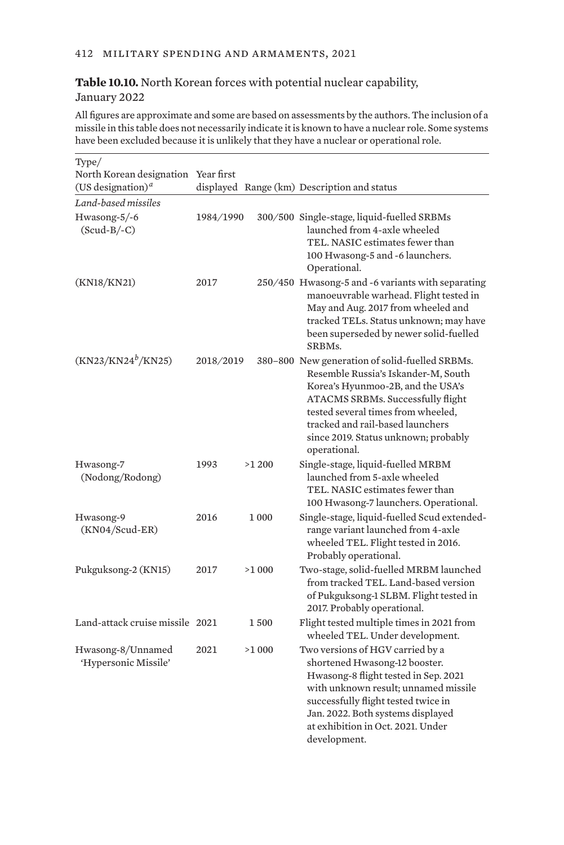## **Table 10.10.** North Korean forces with potential nuclear capability, January 2022

All figures are approximate and some are based on assessments by the authors. The inclusion of a missile in this table does not necessarily indicate it is known to have a nuclear role. Some systems have been excluded because it is unlikely that they have a nuclear or operational role.

| Type/                                     |           |       |                                                                                                                                                                                                                                                                                                   |
|-------------------------------------------|-----------|-------|---------------------------------------------------------------------------------------------------------------------------------------------------------------------------------------------------------------------------------------------------------------------------------------------------|
| North Korean designation Year first       |           |       |                                                                                                                                                                                                                                                                                                   |
| (US designation) <sup><i>a</i></sup>      |           |       | displayed Range (km) Description and status                                                                                                                                                                                                                                                       |
| Land-based missiles                       |           |       |                                                                                                                                                                                                                                                                                                   |
| Hwasong-5/-6<br>$(Scud-B/-C)$             | 1984/1990 |       | 300/500 Single-stage, liquid-fuelled SRBMs<br>launched from 4-axle wheeled<br>TEL. NASIC estimates fewer than<br>100 Hwasong-5 and -6 launchers.<br>Operational.                                                                                                                                  |
| (KN18/KN21)                               | 2017      |       | 250/450 Hwasong-5 and -6 variants with separating<br>manoeuvrable warhead. Flight tested in<br>May and Aug. 2017 from wheeled and<br>tracked TELs. Status unknown; may have<br>been superseded by newer solid-fuelled<br>SRBMs.                                                                   |
| (KN23/KN24 <sup>b</sup> /KN25)            | 2018/2019 |       | 380-800 New generation of solid-fuelled SRBMs.<br>Resemble Russia's Iskander-M, South<br>Korea's Hyunmoo-2B, and the USA's<br>ATACMS SRBMs. Successfully flight<br>tested several times from wheeled,<br>tracked and rail-based launchers<br>since 2019. Status unknown; probably<br>operational. |
| Hwasong-7<br>(Nodong/Rodong)              | 1993      | >1200 | Single-stage, liquid-fuelled MRBM<br>launched from 5-axle wheeled<br>TEL. NASIC estimates fewer than<br>100 Hwasong-7 launchers. Operational.                                                                                                                                                     |
| Hwasong-9<br>$(KN04/Scud-ER)$             | 2016      | 1 000 | Single-stage, liquid-fuelled Scud extended-<br>range variant launched from 4-axle<br>wheeled TEL. Flight tested in 2016.<br>Probably operational.                                                                                                                                                 |
| Pukguksong-2 (KN15)                       | 2017      | >1000 | Two-stage, solid-fuelled MRBM launched<br>from tracked TEL. Land-based version<br>of Pukguksong-1 SLBM. Flight tested in<br>2017. Probably operational.                                                                                                                                           |
| Land-attack cruise missile 2021           |           | 1500  | Flight tested multiple times in 2021 from<br>wheeled TEL. Under development.                                                                                                                                                                                                                      |
| Hwasong-8/Unnamed<br>'Hypersonic Missile' | 2021      | >1000 | Two versions of HGV carried by a<br>shortened Hwasong-12 booster.<br>Hwasong-8 flight tested in Sep. 2021<br>with unknown result; unnamed missile<br>successfully flight tested twice in<br>Jan. 2022. Both systems displayed<br>at exhibition in Oct. 2021. Under<br>development.                |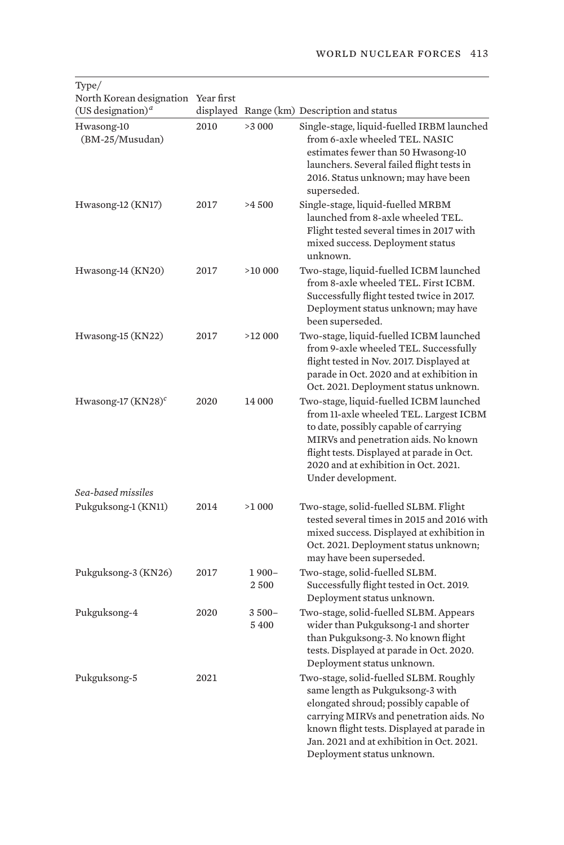| North Korean designation<br>(US designation) <sup><i>a</i></sup> | Year first |                     | displayed Range (km) Description and status                                                                                                                                                                                                                                             |
|------------------------------------------------------------------|------------|---------------------|-----------------------------------------------------------------------------------------------------------------------------------------------------------------------------------------------------------------------------------------------------------------------------------------|
| Hwasong-10<br>(BM-25/Musudan)                                    | 2010       | >3000               | Single-stage, liquid-fuelled IRBM launched<br>from 6-axle wheeled TEL. NASIC<br>estimates fewer than 50 Hwasong-10<br>launchers. Several failed flight tests in<br>2016. Status unknown; may have been<br>superseded.                                                                   |
| Hwasong-12 (KN17)                                                | 2017       | >4500               | Single-stage, liquid-fuelled MRBM<br>launched from 8-axle wheeled TEL.<br>Flight tested several times in 2017 with<br>mixed success. Deployment status<br>unknown.                                                                                                                      |
| Hwasong-14 (KN20)                                                | 2017       | >10000              | Two-stage, liquid-fuelled ICBM launched<br>from 8-axle wheeled TEL. First ICBM.<br>Successfully flight tested twice in 2017.<br>Deployment status unknown; may have<br>been superseded.                                                                                                 |
| Hwasong-15 (KN22)                                                | 2017       | >12000              | Two-stage, liquid-fuelled ICBM launched<br>from 9-axle wheeled TEL. Successfully<br>flight tested in Nov. 2017. Displayed at<br>parade in Oct. 2020 and at exhibition in<br>Oct. 2021. Deployment status unknown.                                                                       |
| Hwasong-17 $(KN28)^c$                                            | 2020       | 14 000              | Two-stage, liquid-fuelled ICBM launched<br>from 11-axle wheeled TEL. Largest ICBM<br>to date, possibly capable of carrying<br>MIRVs and penetration aids. No known<br>flight tests. Displayed at parade in Oct.<br>2020 and at exhibition in Oct. 2021.<br>Under development.           |
| Sea-based missiles<br>Pukguksong-1 (KN11)                        | 2014       | >1000               | Two-stage, solid-fuelled SLBM. Flight<br>tested several times in 2015 and 2016 with<br>mixed success. Displayed at exhibition in                                                                                                                                                        |
|                                                                  |            |                     | Oct. 2021. Deployment status unknown;<br>may have been superseded.                                                                                                                                                                                                                      |
| Pukguksong-3 (KN26)                                              | 2017       | $1900 -$<br>2500    | Two-stage, solid-fuelled SLBM.<br>Successfully flight tested in Oct. 2019.<br>Deployment status unknown.                                                                                                                                                                                |
| Pukguksong-4                                                     | 2020       | $3500 -$<br>5 4 0 0 | Two-stage, solid-fuelled SLBM. Appears<br>wider than Pukguksong-1 and shorter<br>than Pukguksong-3. No known flight<br>tests. Displayed at parade in Oct. 2020.<br>Deployment status unknown.                                                                                           |
| Pukguksong-5                                                     | 2021       |                     | Two-stage, solid-fuelled SLBM. Roughly<br>same length as Pukguksong-3 with<br>elongated shroud; possibly capable of<br>carrying MIRVs and penetration aids. No<br>known flight tests. Displayed at parade in<br>Jan. 2021 and at exhibition in Oct. 2021.<br>Deployment status unknown. |

# Type/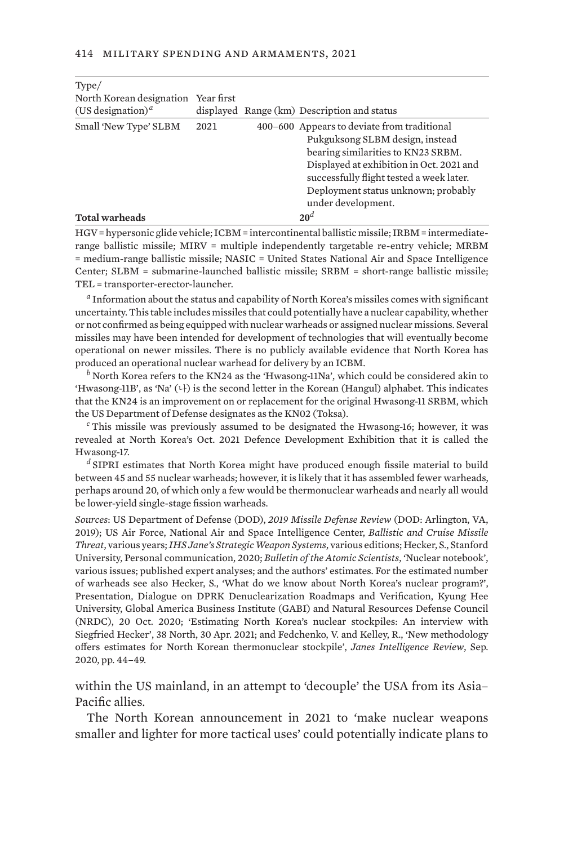| Type/                                |      |                                                                                                                                                                                                                                                                           |
|--------------------------------------|------|---------------------------------------------------------------------------------------------------------------------------------------------------------------------------------------------------------------------------------------------------------------------------|
| North Korean designation Year first  |      |                                                                                                                                                                                                                                                                           |
| (US designation) <sup><i>a</i></sup> |      | displayed Range (km) Description and status                                                                                                                                                                                                                               |
| Small 'New Type' SLBM                | 2021 | 400–600 Appears to deviate from traditional<br>Pukguksong SLBM design, instead<br>bearing similarities to KN23 SRBM.<br>Displayed at exhibition in Oct. 2021 and<br>successfully flight tested a week later.<br>Deployment status unknown; probably<br>under development. |
| <b>Total warheads</b>                |      | 20 <sup>d</sup>                                                                                                                                                                                                                                                           |

HGV = hypersonic glide vehicle; ICBM = intercontinental ballistic missile; IRBM = intermediaterange ballistic missile; MIRV = multiple independently targetable re-entry vehicle; MRBM = medium-range ballistic missile; NASIC = United States National Air and Space Intelligence Center; SLBM = submarine-launched ballistic missile; SRBM = short-range ballistic missile; TEL = transporter-erector-launcher.

*<sup>a</sup>* Information about the status and capability of North Korea's missiles comes with significant uncertainty. This table includes missiles that could potentially have a nuclear capability, whether or not confirmed as being equipped with nuclear warheads or assigned nuclear missions. Several missiles may have been intended for development of technologies that will eventually become operational on newer missiles. There is no publicly available evidence that North Korea has produced an operational nuclear warhead for delivery by an ICBM.

*<sup>b</sup>* North Korea refers to the KN24 as the 'Hwasong-11Na', which could be considered akin to 'Hwasong-11B', as 'Na'  $(1)$  is the second letter in the Korean (Hangul) alphabet. This indicates that the KN24 is an improvement on or replacement for the original Hwasong-11 SRBM, which the US Department of Defense designates as the KN02 (Toksa).

*<sup>c</sup>* This missile was previously assumed to be designated the Hwasong-16; however, it was revealed at North Korea's Oct. 2021 Defence Development Exhibition that it is called the Hwasong-17.

*<sup>d</sup>* SIPRI estimates that North Korea might have produced enough fissile material to build between 45 and 55 nuclear warheads; however, it is likely that it has assembled fewer warheads, perhaps around 20, of which only a few would be thermonuclear warheads and nearly all would be lower-yield single-stage fission warheads.

*Sources*: US Department of Defense (DOD), *2019 Missile Defense Review* (DOD: Arlington, VA, 2019); US Air Force, National Air and Space Intelligence Center, *Ballistic and Cruise Missile Threat*, various years; *IHS Jane's Strategic Weapon Systems*, various editions; Hecker, S., Stanford University, Personal communication, 2020; *Bulletin of the Atomic Scientists*, 'Nuclear notebook', various issues; published expert analyses; and the authors' estimates. For the estimated number of warheads see also Hecker, S., 'What do we know about North Korea's nuclear program?', Presentation, Dialogue on DPRK Denuclearization Roadmaps and Verification, Kyung Hee University, Global America Business Institute (GABI) and Natural Resources Defense Council (NRDC), 20 Oct. 2020; '[Estimating North Korea's nuclear stockpiles: An interview with](https://www.38north.org/2021/04/estimating-north-koreas-nuclear-stockpiles-an-interview-with-siegfried-hecker/) [Siegfried Hecker](https://www.38north.org/2021/04/estimating-north-koreas-nuclear-stockpiles-an-interview-with-siegfried-hecker/)', 38 North, 30 Apr. 2021; and Fedchenko, V. and Kelley, R., ['New methodology](https://www.janes.com/new-methodology-offers-estimates-for-north-korean-thermonuclear-stockpile) [offers estimates for North Korean thermonuclear stockpile'](https://www.janes.com/new-methodology-offers-estimates-for-north-korean-thermonuclear-stockpile), *Janes Intelligence Review*, Sep. 2020, pp. 44–49.

within the US mainland, in an attempt to 'decouple' the USA from its Asia– Pacific allies.

The North Korean announcement in 2021 to 'make nuclear weapons smaller and lighter for more tactical uses' could potentially indicate plans to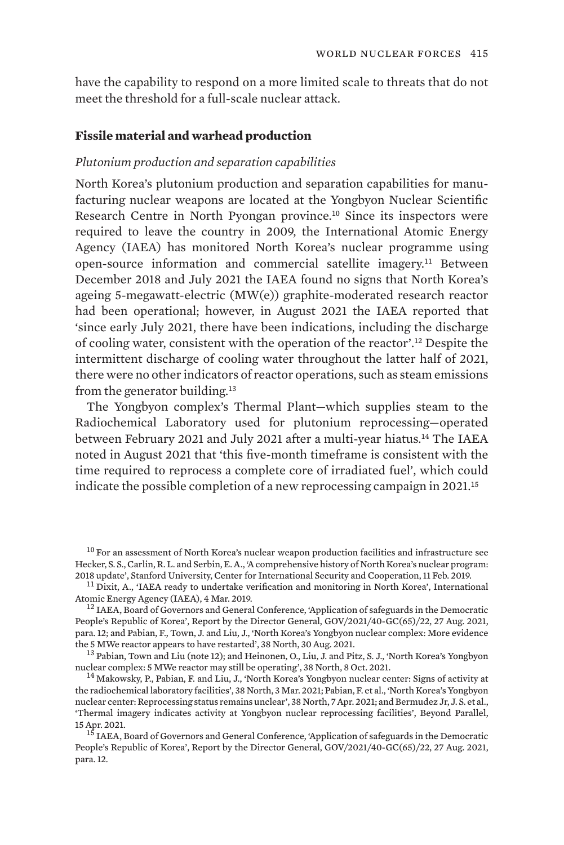have the capability to respond on a more limited scale to threats that do not meet the threshold for a full-scale nuclear attack.

## **Fissile material and warhead production**

## *Plutonium production and separation capabilities*

North Korea's plutonium production and separation capabilities for manufacturing nuclear weapons are located at the Yongbyon Nuclear Scientific Research Centre in North Pyongan province.<sup>10</sup> Since its inspectors were required to leave the country in 2009, the International Atomic Energy Agency (IAEA) has monitored North Korea's nuclear programme using open-source information and commercial satellite imagery.11 Between December 2018 and July 2021 the IAEA found no signs that North Korea's ageing 5-megawatt-electric (MW(e)) graphite-moderated research reactor had been operational; however, in August 2021 the IAEA reported that 'since early July 2021, there have been indications, including the discharge of cooling water, consistent with the operation of the reactor'.12 Despite the intermittent discharge of cooling water throughout the latter half of 2021, there were no other indicators of reactor operations, such as steam emissions from the generator building.<sup>13</sup>

The Yongbyon complex's Thermal Plant—which supplies steam to the Radiochemical Laboratory used for plutonium reprocessing—operated between February 2021 and July 2021 after a multi-year hiatus.14 The IAEA noted in August 2021 that 'this five-month timeframe is consistent with the time required to reprocess a complete core of irradiated fuel', which could indicate the possible completion of a new reprocessing campaign in 2021.<sup>15</sup>

<sup>&</sup>lt;sup>10</sup> For an assessment of North Korea's nuclear weapon production facilities and infrastructure see Hecker, S. S., Carlin, R. L. and Serbin, E. A., ['A comprehensive history of North Korea's nuclear program:](https://cisac.fsi.stanford.edu/content/dprk-history-2018-update)<br>2018 update', Stanford University, Center for International Security and Cooperation, 11 Feb. 2019.

 $^{11}$  Dixit, A., '[IAEA ready to undertake verification and monitoring in North Korea'](https://www.iaea.org/newscenter/news/iaea-ready-to-undertake-verification-and-monitoring-in-north-korea#:~:text=IAEA%20inspectors%20were%20required%20to,the%20North%20Korea%20nuclear%20issue.), International Atomic Energy Agency (IAEA), 4 Mar. 2019.

 $12$  IAEA, Board of Governors and General Conference, ['Application of safeguards in the Democratic](https://www.iaea.org/sites/default/files/gc/gc65-22.pdf) [People's Republic of Korea](https://www.iaea.org/sites/default/files/gc/gc65-22.pdf)', Report by the Director General, GOV/2021/40-GC(65)/22, 27 Aug. 2021, para. 12; and Pabian, F., Town, J. and Liu, J., ['North Korea's Yongbyon nuclear complex: More evidence](https://www.38north.org/2021/08/north-koreas-yongbyon-nuclear-complex-more-evidence-the-5-mwe-reactor-appears-to-have-restarted/) [the 5 MWe reactor appears to have restarted'](https://www.38north.org/2021/08/north-koreas-yongbyon-nuclear-complex-more-evidence-the-5-mwe-reactor-appears-to-have-restarted/), 38 North, 30 Aug. 2021.<br><sup>13</sup> Pabian, Town and Liu (note 12); and Heinonen, O., Liu, J. and Pitz, S. J., ['North Korea's Yongbyon](https://www.38north.org/2021/10/north-koreas-yongbyon-nuclear-complex-5-mwe-reactor-may-still-be-operating/)

[nuclear complex: 5 MWe reactor may still be operating](https://www.38north.org/2021/10/north-koreas-yongbyon-nuclear-complex-5-mwe-reactor-may-still-be-operating/)', 38 North, 8 Oct. 2021.<br><sup>14</sup> Makowsky, P., Pabian, F. and Liu, J., ['North Korea's Yongbyon nuclear center: Signs of activity at](https://www.38north.org/2021/03/north-koreas-yongbyon-nuclear-center-signs-of-activity-at-the-radiochemical-laboratory-facilities/)

[the radiochemical laboratory facilities](https://www.38north.org/2021/03/north-koreas-yongbyon-nuclear-center-signs-of-activity-at-the-radiochemical-laboratory-facilities/)', 38 North, 3 Mar. 2021; Pabian, F. et al., '[North Korea's Yongbyon](https://www.38north.org/2021/04/north-koreas-yongbyon-nuclear-center-reprocessing-status-remains-unclear/) [nuclear center: Reprocessing status remains unclear](https://www.38north.org/2021/04/north-koreas-yongbyon-nuclear-center-reprocessing-status-remains-unclear/)', 38 North, 7 Apr. 2021; and Bermudez Jr, J. S. et al., '[Thermal imagery indicates activity at Yongbyon nuclear reprocessing facilities](https://beyondparallel.csis.org/thermal-imagery-indicates-activity-at-yongbyon-nuclear-reprocessing-facilities/)', Beyond Parallel, 15 Apr. 2021. <sup>15</sup> IAEA, Board of Governors and General Conference, ['Application of safeguards in the Democratic](https://www.iaea.org/sites/default/files/gc/gc65-22.pdf)

[People's Republic of Korea](https://www.iaea.org/sites/default/files/gc/gc65-22.pdf)', Report by the Director General, GOV/2021/40-GC(65)/22, 27 Aug. 2021, para. 12.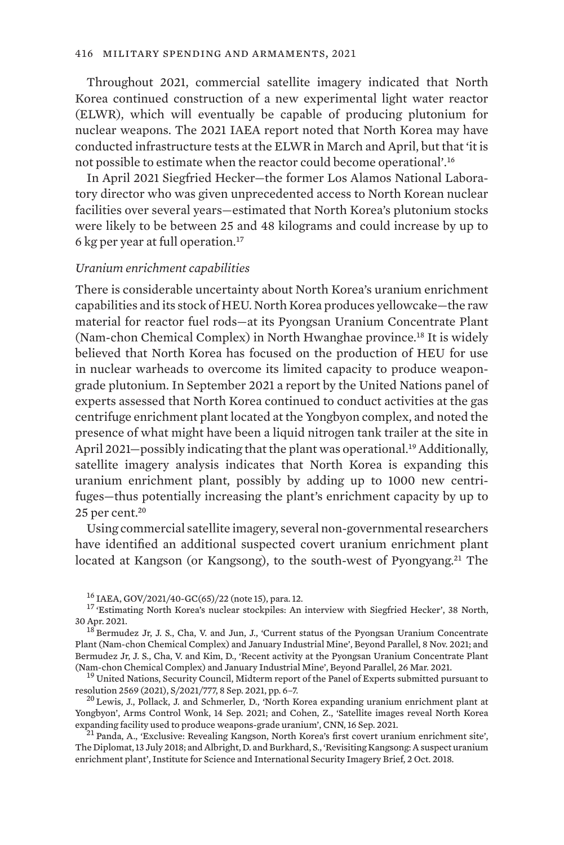Throughout 2021, commercial satellite imagery indicated that North Korea continued construction of a new experimental light water reactor (ELWR), which will eventually be capable of producing plutonium for nuclear weapons. The 2021 IAEA report noted that North Korea may have conducted infrastructure tests at the ELWR in March and April, but that 'it is not possible to estimate when the reactor could become operational'.<sup>16</sup>

In April 2021 Siegfried Hecker—the former Los Alamos National Laboratory director who was given unprecedented access to North Korean nuclear facilities over several years—estimated that North Korea's plutonium stocks were likely to be between 25 and 48 kilograms and could increase by up to 6 kg per year at full operation.<sup>17</sup>

## *Uranium enrichment capabilities*

There is considerable uncertainty about North Korea's uranium enrichment capabilities and its stock of HEU. North Korea produces yellowcake—the raw material for reactor fuel rods—at its Pyongsan Uranium Concentrate Plant (Nam-chon Chemical Complex) in North Hwanghae province.18 It is widely believed that North Korea has focused on the production of HEU for use in nuclear warheads to overcome its limited capacity to produce weapongrade plutonium. In September 2021 a report by the United Nations panel of experts assessed that North Korea continued to conduct activities at the gas centrifuge enrichment plant located at the Yongbyon complex, and noted the presence of what might have been a liquid nitrogen tank trailer at the site in April 2021–possibly indicating that the plant was operational.<sup>19</sup> Additionally, satellite imagery analysis indicates that North Korea is expanding this uranium enrichment plant, possibly by adding up to 1000 new centrifuges—thus potentially increasing the plant's enrichment capacity by up to  $25$  per cent.<sup>20</sup>

Using commercial satellite imagery, several non-governmental researchers have identified an additional suspected covert uranium enrichment plant located at Kangson (or Kangsong), to the south-west of Pyongyang.<sup>21</sup> The

<sup>&</sup>lt;sup>16</sup> IAEA, GOV/2021/40-GC(65)/22 (note 15), para. 12.<br><sup>17</sup> ['Estimating North Korea's nuclear stockpiles: An interview with Siegfried Hecker'](https://www.38north.org/2021/04/estimating-north-koreas-nuclear-stockpiles-an-interview-with-siegfried-hecker/), 38 North, 30 Apr. 2021.<br> $18$  Bermudez Jr, J. S., Cha, V. and Jun, J., '[Current status of the Pyongsan Uranium Concentrate](https://beyondparallel.csis.org/current-status-of-the-pyongsan-uranium-concentrate-plant-nam-chon-chemical-complex-and-january-industrial-mine/)

[Plant \(Nam-chon Chemical Complex\) and January Industrial Mine](https://beyondparallel.csis.org/current-status-of-the-pyongsan-uranium-concentrate-plant-nam-chon-chemical-complex-and-january-industrial-mine/)', Beyond Parallel, 8 Nov. 2021; and Bermudez Jr, J. S., Cha, V. and Kim, D., ['Recent activity at the Pyongsan Uranium Concentrate Plant](https://beyondparallel.csis.org/recent-activity-at-the-pyongsan-uranium-concentrate-plant-nam-chon-chemical-complex-and-january-industrial-mine/)

 $^{19}$  United Nations, Security Council, [Midterm report of the Panel of Experts submitted pursuant to](https://documents-dds-ny.un.org/doc/UNDOC/GEN/N21/220/95/PDF/N2122095.pdf?OpenElement) [resolution 2569 \(2021\),](https://documents-dds-ny.un.org/doc/UNDOC/GEN/N21/220/95/PDF/N2122095.pdf?OpenElement) S/2021/777, 8 Sep. 2021, pp. 6–7.<br><sup>20</sup> Lewis, J., Pollack, J. and Schmerler, D., '[North Korea expanding uranium enrichment plant at](https://www.armscontrolwonk.com/archive/1213420/yongbyon-enrichment-plant/)

[Yongbyon'](https://www.armscontrolwonk.com/archive/1213420/yongbyon-enrichment-plant/), Arms Control Wonk, 14 Sep. 2021; and Cohen, Z., '[Satellite images reveal North Korea](https://www.cnn.com/2021/09/16/politics/north-korea-yongbyon-expansion-satellite-images/index.html)

 $^{21}$ Panda, A., ['Exclusive: Revealing Kangson, North Korea's first covert uranium enrichment site'](https://thediplomat.com/2018/07/exclusive-revealing-kangson-north-koreas-first-covert-uranium-enrichment-site/), The Diplomat, 13 July 2018; and Albright, D. and Burkhard, S., '[Revisiting Kangsong: A suspect uranium](https://isis-online.org/uploads/isis-reports/documents/Kangsong_Update_2Oct2018_Final.pdf) [enrichment plant'](https://isis-online.org/uploads/isis-reports/documents/Kangsong_Update_2Oct2018_Final.pdf), Institute for Science and International Security Imagery Brief, 2 Oct. 2018.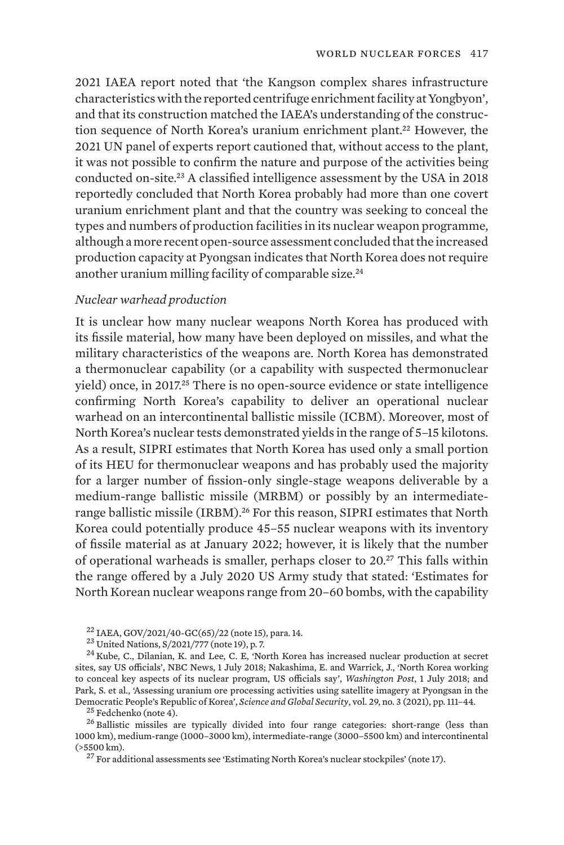2021 IAEA report noted that 'the Kangson complex shares infrastructure characteristics with the reported centrifuge enrichment facility at Yongbyon', and that its construction matched the IAEA's understanding of the construction sequence of North Korea's uranium enrichment plant.<sup>22</sup> However, the 2021 UN panel of experts report cautioned that, without access to the plant, it was not possible to confirm the nature and purpose of the activities being conducted on-site.23 A classified intelligence assessment by the USA in 2018 reportedly concluded that North Korea probably had more than one covert uranium enrichment plant and that the country was seeking to conceal the types and numbers of production facilities in its nuclear weapon programme, although a more recent open-source assessment concluded that the increased production capacity at Pyongsan indicates that North Korea does not require another uranium milling facility of comparable size.<sup>24</sup>

## *Nuclear warhead production*

It is unclear how many nuclear weapons North Korea has produced with its fissile material, how many have been deployed on missiles, and what the military characteristics of the weapons are. North Korea has demonstrated a thermonuclear capability (or a capability with suspected thermonuclear yield) once, in 2017.25 There is no open-source evidence or state intelligence confirming North Korea's capability to deliver an operational nuclear warhead on an intercontinental ballistic missile (ICBM). Moreover, most of North Korea's nuclear tests demonstrated yields in the range of 5–15 kilotons. As a result, SIPRI estimates that North Korea has used only a small portion of its HEU for thermonuclear weapons and has probably used the majority for a larger number of fission-only single-stage weapons deliverable by a medium-range ballistic missile (MRBM) or possibly by an intermediaterange ballistic missile (IRBM).<sup>26</sup> For this reason, SIPRI estimates that North Korea could potentially produce 45–55 nuclear weapons with its inventory of fissile material as at January 2022; however, it is likely that the number of operational warheads is smaller, perhaps closer to 20.27 This falls within the range offered by a July 2020 US Army study that stated: 'Estimates for North Korean nuclear weapons range from 20–60 bombs, with the capability

<sup>22</sup> IAEA, GOV/2021/40-GC(65)/22 (note 15), para. 14.<br><sup>23</sup> United Nations, S/2021/777 (note 19), p. 7.<br><sup>24</sup> Kube, C., Dilanian, K. and Lee, C. E, ['North Korea has increased nuclear production at secret](https://www.nbcnews.com/news/north-korea/north-korea-has-increased-nuclear-production-secret-sites-say-u-n887926) [sites, say US officials](https://www.nbcnews.com/news/north-korea/north-korea-has-increased-nuclear-production-secret-sites-say-u-n887926)', NBC News, 1 July 2018; Nakashima, E. and Warrick, J., ['North Korea working](https://www.washingtonpost.com/world/national-security/north-korea-working-to-conceal-key-aspects-of-its-nuclear-program-us-officials-say/2018/06/30/deba64fa-7c82-11e8-93cc-6d3beccdd7a3_story.html) [to conceal key aspects of its nuclear program, US officials say](https://www.washingtonpost.com/world/national-security/north-korea-working-to-conceal-key-aspects-of-its-nuclear-program-us-officials-say/2018/06/30/deba64fa-7c82-11e8-93cc-6d3beccdd7a3_story.html)', *Washington Post*, 1 July 2018; and Park, S. et al., ['Assessing uranium ore processing activities using satellite imagery at Pyongsan in the](https://doi.org/10.1080/08929882.2021.1988258) [Democratic People's Republic of Korea](https://doi.org/10.1080/08929882.2021.1988258)', Science and Global Security, vol. 29, no. 3 (2021), pp. 111–44.<br><sup>25</sup> Fedchenko (note 4).<br><sup>26</sup> Ballistic missiles are typically divided into four range categories: short-range (less t

1000 km), medium-range (1000–3000 km), intermediate-range (3000–5500 km) and intercontinental (>5500 km).

<sup>27</sup> For additional assessments see 'Estimating North Korea's nuclear stockpiles' (note 17).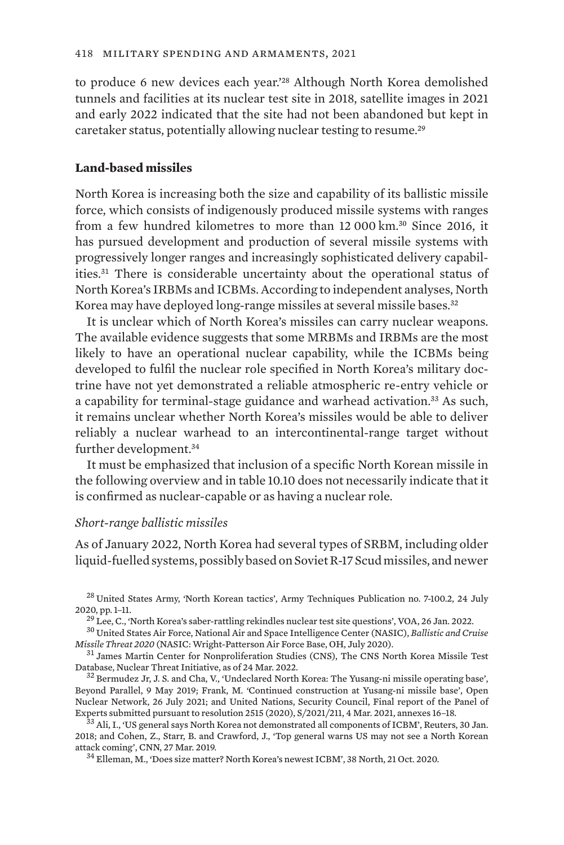to produce 6 new devices each year.'28 Although North Korea demolished tunnels and facilities at its nuclear test site in 2018, satellite images in 2021 and early 2022 indicated that the site had not been abandoned but kept in caretaker status, potentially allowing nuclear testing to resume.<sup>29</sup>

# **Land-based missiles**

North Korea is increasing both the size and capability of its ballistic missile force, which consists of indigenously produced missile systems with ranges from a few hundred kilometres to more than 12 000 km.30 Since 2016, it has pursued development and production of several missile systems with progressively longer ranges and increasingly sophisticated delivery capabilities.31 There is considerable uncertainty about the operational status of North Korea's IRBMs and ICBMs. According to independent analyses, North Korea may have deployed long-range missiles at several missile bases.<sup>32</sup>

It is unclear which of North Korea's missiles can carry nuclear weapons. The available evidence suggests that some MRBMs and IRBMs are the most likely to have an operational nuclear capability, while the ICBMs being developed to fulfil the nuclear role specified in North Korea's military doctrine have not yet demonstrated a reliable atmospheric re-entry vehicle or a capability for terminal-stage guidance and warhead activation.<sup>33</sup> As such, it remains unclear whether North Korea's missiles would be able to deliver reliably a nuclear warhead to an intercontinental-range target without further development.<sup>34</sup>

It must be emphasized that inclusion of a specific North Korean missile in the following overview and in table 10.10 does not necessarily indicate that it is confirmed as nuclear-capable or as having a nuclear role.

## *Short-range ballistic missiles*

As of January 2022, North Korea had several types of SRBM, including older liquid-fuelled systems, possibly based on Soviet R-17 Scud missiles, and newer

<sup>&</sup>lt;sup>28</sup> United States Army, ['North Korean tactics](https://irp.fas.org/doddir/army/atp7-100-2.pdf)', Army Techniques Publication no. 7-100.2, 24 July 2020, pp. 1–11.<br><sup>29</sup> Lee, C., ['North Korea's saber-rattling rekindles nuclear test site questions](https://www.voanews.com/a/north-korea-s-saber-rattling-rekindles-nuclear-test-site-questions/6414654.html)', VOA, 26 Jan. 2022.<br><sup>30</sup> United States Air Force, National Air and Space Intelligence Center (NASIC), *Ballistic and Cruis* 

*[Missile Threat 2020](https://media.defense.gov/2021/Jan/11/2002563190/-1/-1/1/2020%20BALLISTIC%20AND%20CRUISE%20MISSILE%%2020THREAT_FINAL_2OCT_REDUCEDFILE.PDF)* (NASIC: Wright-Patterson Air Force Base, OH, July 2020).<br><sup>31</sup> James Martin Center for Nonproliferation Studies (CNS), [The CNS North Korea Missile Test](https://www.nti.org/analysis/articles/cns-north-korea-missile-test-database/)<br>Database, Nuclear Threat Initiative, as of 24 Mar

 $32$  Bermudez Jr, J. S. and Cha, V., '[Undeclared North Korea: The Yusang-ni missile operating base'](https://beyondparallel.csis.org/undeclared-north-korea-the-yusang-ni-missile-operating-base/), Beyond Parallel, 9 May 2019; Frank, M. ['Continued construction at Yusang-ni missile base'](https://oneearthfuture.org/research-analysis/continued-construction-yusang-ni-missile-base), Open Nuclear Network, 26 July 2021; and United Nations, Security Council, [Final report of the Panel of](https://www.securitycouncilreport.org/atf/cf/%7B65BFCF9B-6D27-4E9C-8CD3-CF6E4FF96FF9%7D/s_2021_211.pdf) Experts submitted pursuant to resolution 2515 (2020), S/2021/211, 4 Mar, 2021, annexes 16–18.

 $^{33}$  Ali, I., '[US general says North Korea not demonstrated all components of ICBM'](https://www.reuters.com/article/us-northkorea-missiles-usa-idUSKBN1FJ23Z), Reuters, 30 Jan. 2018; and Cohen, Z., Starr, B. and Crawford, J., ['Top general warns US may not see a North Korean](https://edition.cnn.com/2019/03/27/politics/abrams-us-military-capabilities-north-korea/index.html) [attack coming](https://edition.cnn.com/2019/03/27/politics/abrams-us-military-capabilities-north-korea/index.html)', CNN, 27 Mar. 2019. <sup>34</sup> Elleman, M., ['Does size matter? North Korea's newest ICBM](https://www.38north.org/2020/10/melleman102120/)', 38 North, 21 Oct. 2020.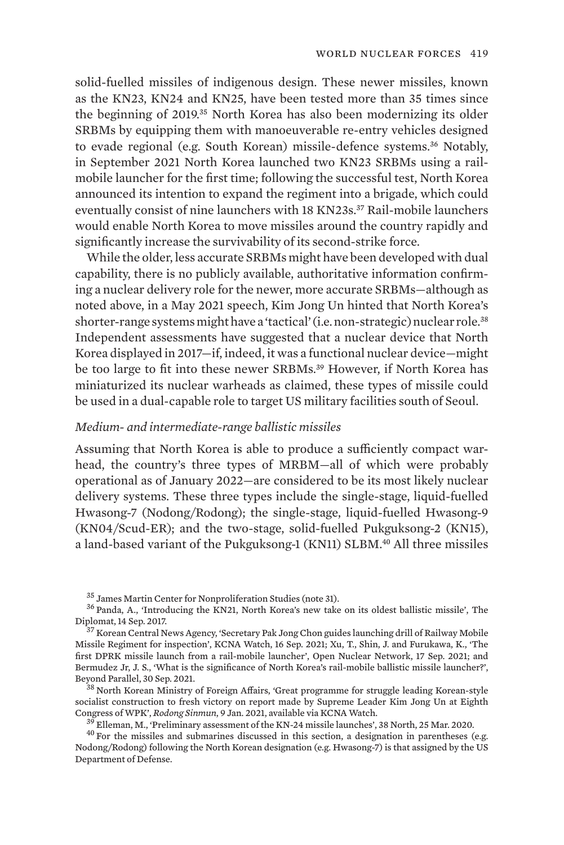solid-fuelled missiles of indigenous design. These newer missiles, known as the KN23, KN24 and KN25, have been tested more than 35 times since the beginning of 2019.35 North Korea has also been modernizing its older SRBMs by equipping them with manoeuverable re-entry vehicles designed to evade regional (e.g. South Korean) missile-defence systems.<sup>36</sup> Notably, in September 2021 North Korea launched two KN23 SRBMs using a railmobile launcher for the first time; following the successful test, North Korea announced its intention to expand the regiment into a brigade, which could eventually consist of nine launchers with 18 KN23s.<sup>37</sup> Rail-mobile launchers would enable North Korea to move missiles around the country rapidly and significantly increase the survivability of its second-strike force.

While the older, less accurate SRBMs might have been developed with dual capability, there is no publicly available, authoritative information confirming a nuclear delivery role for the newer, more accurate SRBMs—although as noted above, in a May 2021 speech, Kim Jong Un hinted that North Korea's shorter-range systems might have a 'tactical' (i.e. non-strategic) nuclear role.<sup>38</sup> Independent assessments have suggested that a nuclear device that North Korea displayed in 2017—if, indeed, it was a functional nuclear device—might be too large to fit into these newer SRBMs.<sup>39</sup> However, if North Korea has miniaturized its nuclear warheads as claimed, these types of missile could be used in a dual-capable role to target US military facilities south of Seoul.

# *Medium- and intermediate-range ballistic missiles*

Assuming that North Korea is able to produce a sufficiently compact warhead, the country's three types of MRBM—all of which were probably operational as of January 2022—are considered to be its most likely nuclear delivery systems. These three types include the single-stage, liquid-fuelled Hwasong-7 (Nodong/Rodong); the single-stage, liquid-fuelled Hwasong-9 (KN04/Scud-ER); and the two-stage, solid-fuelled Pukguksong-2 (KN15), a land-based variant of the Pukguksong-1 (KN11) SLBM.<sup>40</sup> All three missiles

[socialist construction to fresh victory on report made by Supreme Leader Kim Jong Un at Eighth](http://www.mfa.gov.kp/en/on-report-at-eighth-congress-of-wpk/)<br>Congress of WPK', Rodong Sinmun, 9 Jan. 2021, available via KCNA Watch.

 $3\overline{9}$  Elleman, M., ['Preliminary assessment of the KN-24 missile launches](https://www.38north.org/2020/03/melleman032520/)', 38 North, 25 Mar. 2020.<br><sup>40</sup> For the missiles and submarines discussed in this section, a designation in parentheses (e.g.

Nodong/Rodong) following the North Korean designation (e.g. Hwasong-7) is that assigned by the US Department of Defense.

 $35$  James Martin Center for Nonproliferation Studies (note 31).<br> $36$  Panda, A., '[Introducing the KN21, North Korea's new take on its oldest ballistic missile](https://thediplomat.com/2017/09/introducing-the-kn21-north-koreas-new-take-on-its-oldest-ballistic-missile/)', The Diplomat, 14 Sep. 2017. <sup>37</sup> Korean Central News Agency, '[Secretary Pak Jong Chon guides launching drill of Railway Mobile](https://kcnawatch.org/newstream/1631739672-562011738/secretary-pak-jong-chon-guides-launching-drill-of-railway-mobile-missile-regiment-for-inspection/)

[Missile Regiment for inspection'](https://kcnawatch.org/newstream/1631739672-562011738/secretary-pak-jong-chon-guides-launching-drill-of-railway-mobile-missile-regiment-for-inspection/), KCNA Watch, 16 Sep. 2021; Xu, T., Shin, J. and Furukawa, K., ['The](https://oneearthfuture.org/research-analysis/first-dprk-missile-launch-rail-mobile-launcher) [first DPRK missile launch from a rail-mobile launcher](https://oneearthfuture.org/research-analysis/first-dprk-missile-launch-rail-mobile-launcher)', Open Nuclear Network, 17 Sep. 2021; and Bermudez Jr, J. S., ['What is the significance of North Korea's rail-mobile ballistic missile launcher?'](https://beyondparallel.csis.org/what-is-the-significance-of-north-koreas-rail-mobile-ballistic-missile-launcher/), Beyond Parallel, 30 Sep. 2021.<br><sup>38</sup> North Korean Ministry of Foreign Affairs, ['Great programme for struggle leading Korean-style](http://www.mfa.gov.kp/en/on-report-at-eighth-congress-of-wpk/)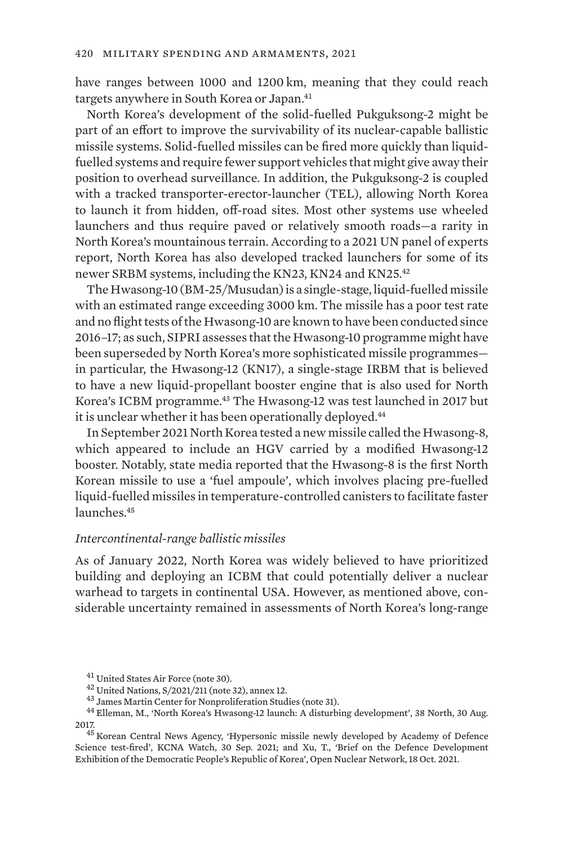have ranges between 1000 and 1200 km, meaning that they could reach targets anywhere in South Korea or Japan.<sup>41</sup>

North Korea's development of the solid-fuelled Pukguksong-2 might be part of an effort to improve the survivability of its nuclear-capable ballistic missile systems. Solid-fuelled missiles can be fired more quickly than liquidfuelled systems and require fewer support vehicles that might give away their position to overhead surveillance. In addition, the Pukguksong-2 is coupled with a tracked transporter-erector-launcher (TEL), allowing North Korea to launch it from hidden, off-road sites. Most other systems use wheeled launchers and thus require paved or relatively smooth roads—a rarity in North Korea's mountainous terrain. According to a 2021 UN panel of experts report, North Korea has also developed tracked launchers for some of its newer SRBM systems, including the KN23, KN24 and KN25.<sup>42</sup>

The Hwasong-10 (BM-25/Musudan) is a single-stage, liquid-fuelled missile with an estimated range exceeding 3000 km. The missile has a poor test rate and no flight tests of the Hwasong-10 are known to have been conducted since 2016–17; as such, SIPRI assesses that the Hwasong-10 programme might have been superseded by North Korea's more sophisticated missile programmes in particular, the Hwasong-12 (KN17), a single-stage IRBM that is believed to have a new liquid-propellant booster engine that is also used for North Korea's ICBM programme.43 The Hwasong-12 was test launched in 2017 but it is unclear whether it has been operationally deployed.<sup>44</sup>

In September 2021 North Korea tested a new missile called the Hwasong-8, which appeared to include an HGV carried by a modified Hwasong-12 booster. Notably, state media reported that the Hwasong-8 is the first North Korean missile to use a 'fuel ampoule', which involves placing pre-fuelled liquid-fuelled missiles in temperature-controlled canisters to facilitate faster launches<sup>45</sup>

## *Intercontinental-range ballistic missiles*

As of January 2022, North Korea was widely believed to have prioritized building and deploying an ICBM that could potentially deliver a nuclear warhead to targets in continental USA. However, as mentioned above, considerable uncertainty remained in assessments of North Korea's long-range

 $^{41}$  United States Air Force (note 30).<br> $^{42}$  United Nations, S/2021/211 (note 32), annex 12.<br> $^{43}$  James Martin Center for Nonproliferation Studies (note 31).<br> $^{43}$  James Martin Center for Nonproliferation Studies ( 2017. <sup>45</sup> Korean Central News Agency, '[Hypersonic missile newly developed by Academy of Defence](https://kcnawatch.org/newstream/1632978090-364336107/hypersonic-missile-newly-developed-by-academy-of-defence-science-test-fired/)

[Science test-fired'](https://kcnawatch.org/newstream/1632978090-364336107/hypersonic-missile-newly-developed-by-academy-of-defence-science-test-fired/), KCNA Watch, 30 Sep. 2021; and Xu, T., '[Brief on the Defence Development](https://oneearthfuture.org/file/2622/download?token=OSeaZusF) [Exhibition of the Democratic People's Republic of Korea'](https://oneearthfuture.org/file/2622/download?token=OSeaZusF), Open Nuclear Network, 18 Oct. 2021.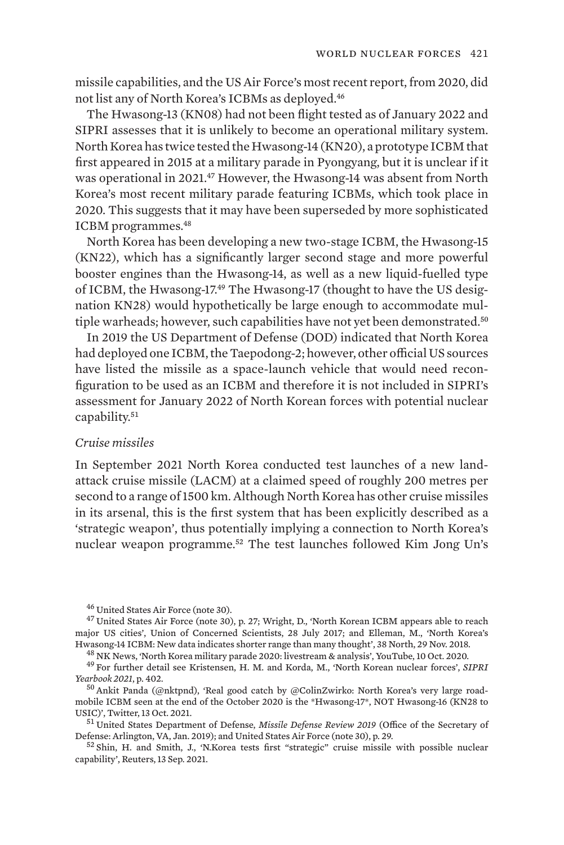missile capabilities, and the US Air Force's most recent report, from 2020, did not list any of North Korea's ICBMs as deployed.<sup>46</sup>

The Hwasong-13 (KN08) had not been flight tested as of January 2022 and SIPRI assesses that it is unlikely to become an operational military system. North Korea has twice tested the Hwasong-14 (KN20), a prototype ICBM that first appeared in 2015 at a military parade in Pyongyang, but it is unclear if it was operational in 2021.<sup>47</sup> However, the Hwasong-14 was absent from North Korea's most recent military parade featuring ICBMs, which took place in 2020. This suggests that it may have been superseded by more sophisticated ICBM programmes.<sup>48</sup>

North Korea has been developing a new two-stage ICBM, the Hwasong-15 (KN22), which has a significantly larger second stage and more powerful booster engines than the Hwasong-14, as well as a new liquid-fuelled type of ICBM, the Hwasong-17.49 The Hwasong-17 (thought to have the US designation KN28) would hypothetically be large enough to accommodate multiple warheads; however, such capabilities have not yet been demonstrated.<sup>50</sup>

In 2019 the US Department of Defense (DOD) indicated that North Korea had deployed one ICBM, the Taepodong-2; however, other official US sources have listed the missile as a space-launch vehicle that would need reconfiguration to be used as an ICBM and therefore it is not included in SIPRI's assessment for January 2022 of North Korean forces with potential nuclear capability.<sup>51</sup>

## *Cruise missiles*

In September 2021 North Korea conducted test launches of a new landattack cruise missile (LACM) at a claimed speed of roughly 200 metres per second to a range of 1500 km. Although North Korea has other cruise missiles in its arsenal, this is the first system that has been explicitly described as a 'strategic weapon', thus potentially implying a connection to North Korea's nuclear weapon programme.52 The test launches followed Kim Jong Un's

 $^{46}$  United States Air Force (note 30).<br> $^{47}$  United States Air Force (note 30), p. 27; Wright, D., ['North Korean ICBM appears able to reach](https://allthingsnuclear.org/dwright/new-north-korean-icbm/) [major US cities](https://allthingsnuclear.org/dwright/new-north-korean-icbm/)', Union of Concerned Scientists, 28 July 2017; and Elleman, M., '[North Korea's](https://www.38north.org/2018/11/melleman112918/)

 $^{48}$  NK News, ['North Korea military parade 2020: livestream & analysis](https://www.nknews.org/2020/10/watch-free-livestream-of-north-koreas-military-parade-with-expert-commentary/)', YouTube, 10 Oct. 2020.<br> $^{49}$  For further detail see Kristensen, H. M. and Korda, M., 'North Korean nuclear forces', SIPRI

*Yearbook 2021*, p. 402.<br><sup>50</sup> Ankit Panda (@nktpnd), ['Real good catch by @ColinZwirko: North Korea's very large road-](https://twitter.com/nktpnd/status/1448073861363290124?s=20)

[mobile ICBM seen at the end of the October 2020 is the \\*Hwasong-17\\*, NOT Hwasong-16 \(KN28 to](https://twitter.com/nktpnd/status/1448073861363290124?s=20)

<sup>&</sup>lt;sup>51</sup> United States Department of Defense, *[Missile Defense Review 2019](https://media.defense.gov/2019/Jan/17/2002080666/-1/-1/1/2019-MISSILE-DEFENSE-REVIEW.PDF)* (Office of the Secretary of Defense: Arlington, VA, Jan. 2019); and United States Air Force (note 30), p. 29.

<sup>52</sup> Shin, H. and Smith, J., ['N.Korea tests first "strategic" cruise missile with possible nuclear](https://www.reuters.com/world/asia-pacific/nkorea-test-fires-long-range-cruise-missile-kcna-2021-09-12/) [capability'](https://www.reuters.com/world/asia-pacific/nkorea-test-fires-long-range-cruise-missile-kcna-2021-09-12/), Reuters, 13 Sep. 2021.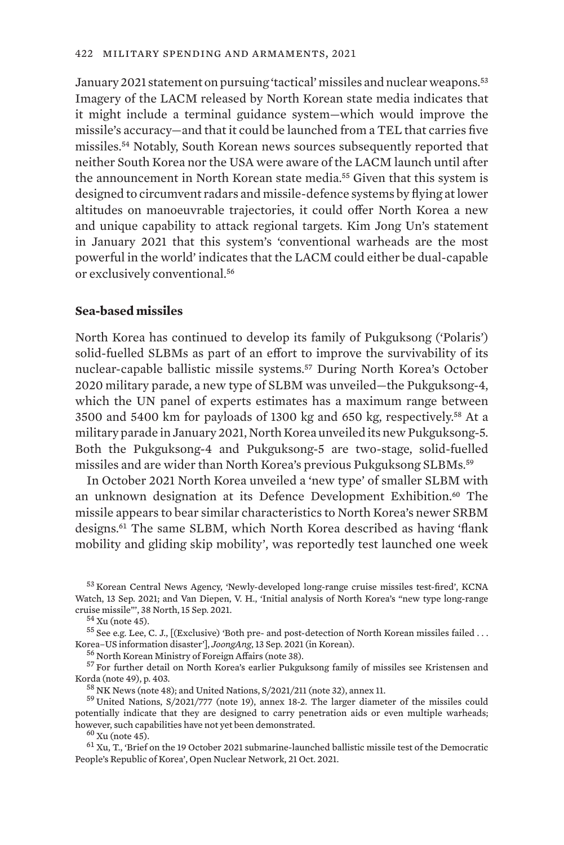January 2021 statement on pursuing 'tactical' missiles and nuclear weapons.<sup>53</sup> Imagery of the LACM released by North Korean state media indicates that it might include a terminal guidance system—which would improve the missile's accuracy—and that it could be launched from a TEL that carries five missiles.54 Notably, South Korean news sources subsequently reported that neither South Korea nor the USA were aware of the LACM launch until after the announcement in North Korean state media.<sup>55</sup> Given that this system is designed to circumvent radars and missile-defence systems by flying at lower altitudes on manoeuvrable trajectories, it could offer North Korea a new and unique capability to attack regional targets. Kim Jong Un's statement in January 2021 that this system's 'conventional warheads are the most powerful in the world' indicates that the LACM could either be dual-capable or exclusively conventional.<sup>56</sup>

## **Sea-based missiles**

North Korea has continued to develop its family of Pukguksong ('Polaris') solid-fuelled SLBMs as part of an effort to improve the survivability of its nuclear-capable ballistic missile systems.57 During North Korea's October 2020 military parade, a new type of SLBM was unveiled—the Pukguksong-4, which the UN panel of experts estimates has a maximum range between 3500 and 5400 km for payloads of 1300 kg and 650 kg, respectively.58 At a military parade in January 2021, North Korea unveiled its new Pukguksong-5. Both the Pukguksong-4 and Pukguksong-5 are two-stage, solid-fuelled missiles and are wider than North Korea's previous Pukguksong SLBMs.<sup>59</sup>

In October 2021 North Korea unveiled a 'new type' of smaller SLBM with an unknown designation at its Defence Development Exhibition.60 The missile appears to bear similar characteristics to North Korea's newer SRBM designs.61 The same SLBM, which North Korea described as having 'flank mobility and gliding skip mobility', was reportedly test launched one week

<sup>53</sup> Korean Central News Agency, ['Newly-developed long-range cruise missiles test-fired](https://kcnawatch.org/newstream/1631480433-241822961/newly-developed-long-range-cruise-missiles-test-fired/)', KCNA Watch, 13 Sep. 2021; and Van Diepen, V. H., '[Initial analysis of North Korea's "new type long-range](https://www.38north.org/2021/09/initial-analysis-of-north-koreas-new-type-long-range-cruise-missile/)

<sup>54</sup> Xu (note 45).<br><sup>55</sup> See e.g. Lee, C. J., [(Exclusive) ['Both pre- and post-detection of North Korean missiles failed . . .](https://www.joongang.co.kr/article/25006649#home)<br>Korea–US information disaster'], *JoongAng*, 13 Sep. 2021 (in Korean).

 $^{56}$  North Korean Ministry of Foreign Affairs (note 38).<br> $^{57}$  For further detail on North Korea's earlier Pukguksong family of missiles see Kristensen and Korda (note 49), p. 403.<br><sup>58</sup> NK News (note 48); and United Nations, S/2021/211 (note 32), annex 11.<br><sup>59</sup> United Nations, S/2021/777 (note 19), annex 18-2. The larger diameter of the missiles could

potentially indicate that they are designed to carry penetration aids or even multiple warheads;<br>however, such capabilities have not vet been demonstrated.

 $h^{60}$  Xu (note 45).<br> $h^{61}$  Xu, T., '[Brief on the 19 October 2021 submarine-launched ballistic missile test of the Democratic](https://oneearthfuture.org/file/2627/download?token=XmEUw6TF) [People's Republic of Korea'](https://oneearthfuture.org/file/2627/download?token=XmEUw6TF), Open Nuclear Network, 21 Oct. 2021.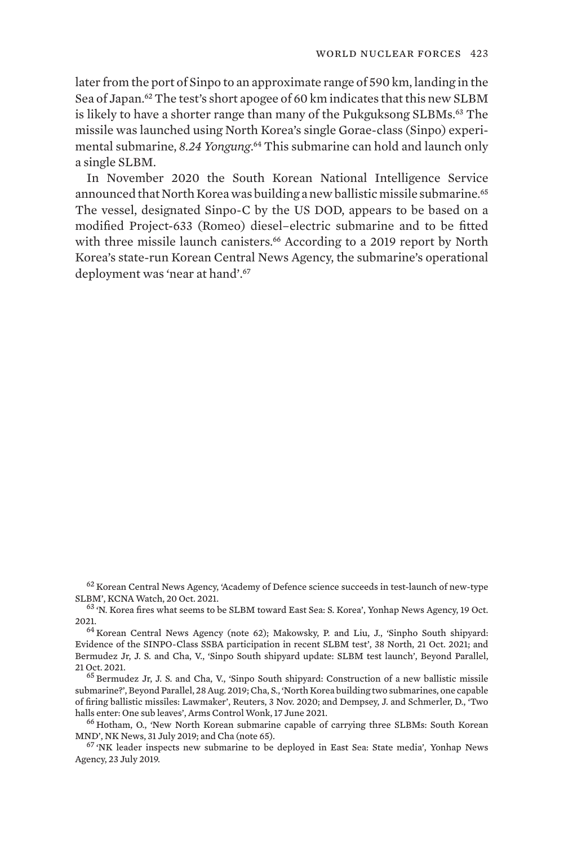later from the port of Sinpo to an approximate range of 590 km, landing in the Sea of Japan.<sup>62</sup> The test's short apogee of 60 km indicates that this new SLBM is likely to have a shorter range than many of the Pukguksong SLBMs.<sup>63</sup> The missile was launched using North Korea's single Gorae-class (Sinpo) experimental submarine, *8.24 Yongung*. <sup>64</sup> This submarine can hold and launch only a single SLBM.

In November 2020 the South Korean National Intelligence Service announced that North Korea was building a new ballistic missile submarine.<sup>65</sup> The vessel, designated Sinpo-C by the US DOD, appears to be based on a modified Project-633 (Romeo) diesel–electric submarine and to be fitted with three missile launch canisters.<sup>66</sup> According to a 2019 report by North Korea's state-run Korean Central News Agency, the submarine's operational deployment was 'near at hand'.<sup>67</sup>

 $^{62}$  Korean Central News Agency, ['Academy of Defence science succeeds in test-launch of new-type](https://kcnawatch.org/newstream/1634724068-15952614/academy-of-defence-science-succeeds-in-test-launch-of-new-type-slbm/) SLBM', KCNA Watch, 20 Oct. 2021.

63 'N. Korea fires what seems to be SLBM toward East Sea: S. Korea', Yonhap News Agency, 19 Oct. 2021.<br> $64$  Korean Central News Agency (note 62); Makowsky, P. and Liu, J., ['Sinpho South shipyard:](https://www.38north.org/2021/10/sinpho-south-shipyard-evidence-of-the-sinpo-class-ssba-participation-in-recent-slbm-test/)

[Evidence of the SINPO-Class SSBA participation in recent SLBM test](https://www.38north.org/2021/10/sinpho-south-shipyard-evidence-of-the-sinpo-class-ssba-participation-in-recent-slbm-test/)', 38 North, 21 Oct. 2021; and Bermudez Jr, J. S. and Cha, V., '[Sinpo South shipyard update: SLBM test launch](https://beyondparallel.csis.org/sinpo-south-shipyard-update-slbm-test-launch/)', Beyond Parallel, 21 Oct. 2021.<br><sup>65</sup> Bermudez Jr, J. S. and Cha, V., ['Sinpo South shipyard: Construction of a new ballistic missile](https://beyondparallel.csis.org/sinpo-south-shipyard-construction-of-a-new-ballistic-missile-submarine/)

[submarine?](https://beyondparallel.csis.org/sinpo-south-shipyard-construction-of-a-new-ballistic-missile-submarine/)', Beyond Parallel, 28 Aug. 2019; Cha, S., '[North Korea building two submarines, one capable](https://www.reuters.com/article/us-northkorea-missiles-idUSKBN27J0MC) [of firing ballistic missiles: Lawmaker'](https://www.reuters.com/article/us-northkorea-missiles-idUSKBN27J0MC), Reuters, 3 Nov. 2020; and Dempsey, J. and Schmerler, D., ['Two](https://www.armscontrolwonk.com/archive/1212081/two-halls-enter-one-sub-leaves/)

<sup>66</sup> Hotham, O., '[New North Korean submarine capable of carrying three SLBMs: South Korean](https://www.nknews.org/2019/07/new-north-korean-submarine-capable-of-carrying-three-slbms-south-korean-mnd/) [MND](https://www.nknews.org/2019/07/new-north-korean-submarine-capable-of-carrying-three-slbms-south-korean-mnd/)', NK News, 31 July 2019; and Cha (note 65).<br><sup>67</sup> ['NK leader inspects new submarine to be deployed in East Sea: State media](https://en.yna.co.kr/view/AEN20190723001600325)', Yonhap News

Agency, 23 July 2019.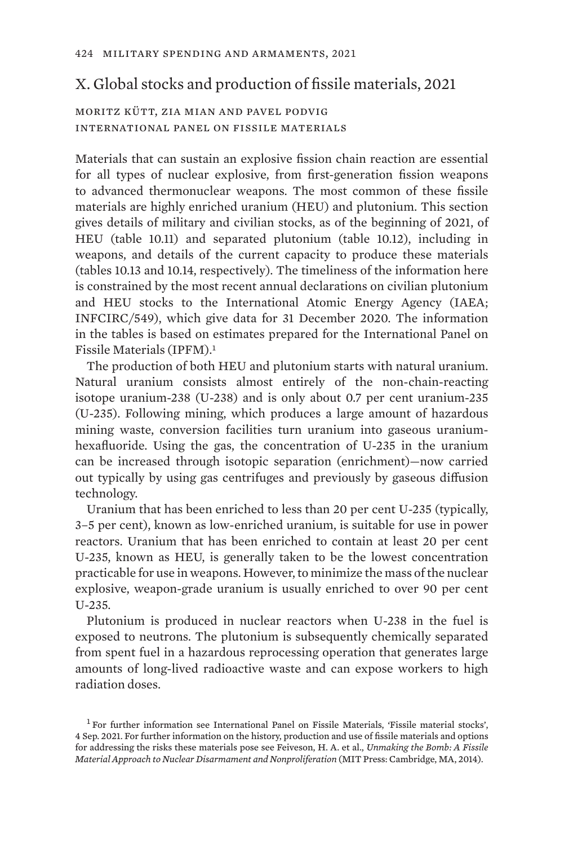# X. Global stocks and production of fissile materials, 2021

moritz kütt, zia mian and pavel podvig international panel on fissile materials

Materials that can sustain an explosive fission chain reaction are essential for all types of nuclear explosive, from first-generation fission weapons to advanced thermonuclear weapons. The most common of these fissile materials are highly enriched uranium (HEU) and plutonium. This section gives details of military and civilian stocks, as of the beginning of 2021, of HEU (table 10.11) and separated plutonium (table 10.12), including in weapons, and details of the current capacity to produce these materials (tables 10.13 and 10.14, respectively). The timeliness of the information here is constrained by the most recent annual declarations on civilian plutonium and HEU stocks to the International Atomic Energy Agency (IAEA; INFCIRC/549), which give data for 31 December 2020. The information in the tables is based on estimates prepared for the International Panel on Fissile Materials (IPFM).<sup>1</sup>

The production of both HEU and plutonium starts with natural uranium. Natural uranium consists almost entirely of the non-chain-reacting isotope uranium-238 (U-238) and is only about 0.7 per cent uranium-235 (U-235). Following mining, which produces a large amount of hazardous mining waste, conversion facilities turn uranium into gaseous uraniumhexafluoride. Using the gas, the concentration of U-235 in the uranium can be increased through isotopic separation (enrichment)—now carried out typically by using gas centrifuges and previously by gaseous diffusion technology.

Uranium that has been enriched to less than 20 per cent U-235 (typically, 3–5 per cent), known as low-enriched uranium, is suitable for use in power reactors. Uranium that has been enriched to contain at least 20 per cent U-235, known as HEU, is generally taken to be the lowest concentration practicable for use in weapons. However, to minimize the mass of the nuclear explosive, weapon-grade uranium is usually enriched to over 90 per cent U-235.

Plutonium is produced in nuclear reactors when U-238 in the fuel is exposed to neutrons. The plutonium is subsequently chemically separated from spent fuel in a hazardous reprocessing operation that generates large amounts of long-lived radioactive waste and can expose workers to high radiation doses.

<sup>&</sup>lt;sup>1</sup> For further information see International Panel on Fissile Materials, ['Fissile material stocks'](https://fissilematerials.org), 4 Sep. 2021. For further information on the history, production and use of fissile materials and options for addressing the risks these materials pose see Feiveson, H. A. et al., *[Unmaking the Bomb: A Fissile](https://mitpress.mit.edu/books/unmaking-bomb) [Material Approach to Nuclear Disarmament and Nonproliferation](https://mitpress.mit.edu/books/unmaking-bomb)* (MIT Press: Cambridge, MA, 2014).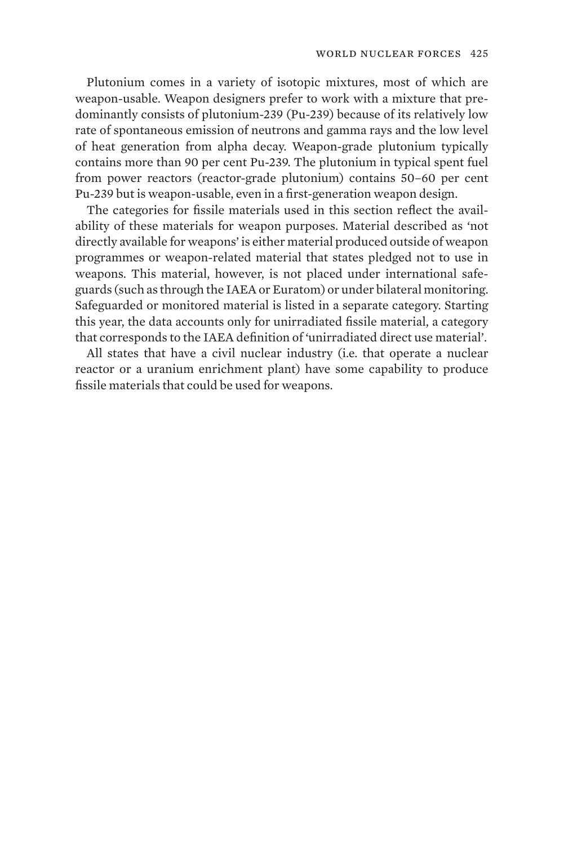Plutonium comes in a variety of isotopic mixtures, most of which are weapon-usable. Weapon designers prefer to work with a mixture that predominantly consists of plutonium-239 (Pu-239) because of its relatively low rate of spontaneous emission of neutrons and gamma rays and the low level of heat generation from alpha decay. Weapon-grade plutonium typically contains more than 90 per cent Pu-239. The plutonium in typical spent fuel from power reactors (reactor-grade plutonium) contains 50–60 per cent Pu-239 but is weapon-usable, even in a first-generation weapon design.

The categories for fissile materials used in this section reflect the availability of these materials for weapon purposes. Material described as 'not directly available for weapons' is either material produced outside of weapon programmes or weapon-related material that states pledged not to use in weapons. This material, however, is not placed under international safeguards (such as through the IAEA or Euratom) or under bilateral monitoring. Safeguarded or monitored material is listed in a separate category. Starting this year, the data accounts only for unirradiated fissile material, a category that corresponds to the IAEA definition of 'unirradiated direct use material'.

All states that have a civil nuclear industry (i.e. that operate a nuclear reactor or a uranium enrichment plant) have some capability to produce fissile materials that could be used for weapons.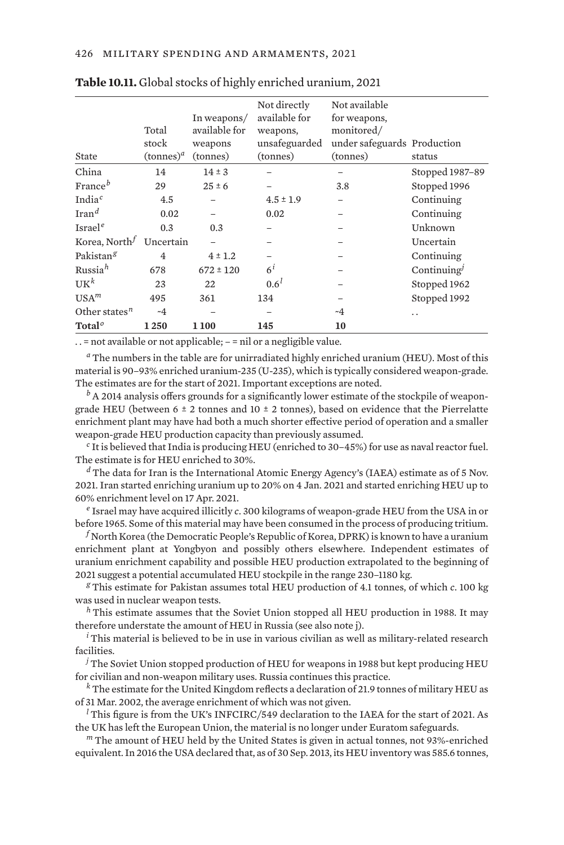| State                 | Total<br>stock<br>$(\text{tonnes})^a$ | In weapons/<br>available for<br>weapons<br>(tonnes) | Not directly<br>available for<br>weapons,<br>unsafeguarded<br>(tonnes) | Not available<br>for weapons,<br>monitored/<br>under safeguards Production<br>(tonnes) | status          |
|-----------------------|---------------------------------------|-----------------------------------------------------|------------------------------------------------------------------------|----------------------------------------------------------------------------------------|-----------------|
| China                 | 14                                    | $14 \pm 3$                                          |                                                                        |                                                                                        | Stopped 1987-89 |
| France <sup>b</sup>   | 29                                    | $25 \pm 6$                                          |                                                                        | 3.8                                                                                    | Stopped 1996    |
| India $c$             | 4.5                                   |                                                     | $4.5 \pm 1.9$                                                          |                                                                                        | Continuing      |
| $\text{Tran}^d$       | 0.02                                  |                                                     | 0.02                                                                   |                                                                                        | Continuing      |
| Israel <sup>e</sup>   | 0.3                                   | 0.3                                                 |                                                                        |                                                                                        | Unknown         |
| Korea, North $^f$     | Uncertain                             |                                                     |                                                                        |                                                                                        | Uncertain       |
| Pakistan <sup>g</sup> | 4                                     | $4 \pm 1.2$                                         |                                                                        |                                                                                        | Continuing      |
| Russia <sup>h</sup>   | 678                                   | $672 \pm 120$                                       | $6^{i}$                                                                |                                                                                        | Continuing $J$  |
| U K <sup>k</sup>      | 23                                    | 22                                                  | 0.6 <sup>l</sup>                                                       |                                                                                        | Stopped 1962    |
| USA <sup>m</sup>      | 495                                   | 361                                                 | 134                                                                    |                                                                                        | Stopped 1992    |
| Other states $n$      | ~1                                    |                                                     | -                                                                      | ~4                                                                                     | . .             |
| Total <sup>o</sup>    | 1250                                  | 1100                                                | 145                                                                    | 10                                                                                     |                 |

#### **Table 10.11.** Global stocks of highly enriched uranium, 2021

. . = not available or not applicable; – = nil or a negligible value.

*<sup>a</sup>* The numbers in the table are for unirradiated highly enriched uranium (HEU). Most of this material is 90–93% enriched uranium-235 (U-235), which is typically considered weapon-grade. The estimates are for the start of 2021. Important exceptions are noted.

*<sup>b</sup>* A 2014 analysis offers grounds for a significantly lower estimate of the stockpile of weapongrade HEU (between 6  $\pm$  2 tonnes and 10  $\pm$  2 tonnes), based on evidence that the Pierrelatte enrichment plant may have had both a much shorter effective period of operation and a smaller weapon-grade HEU production capacity than previously assumed.

*<sup>c</sup>* It is believed that India is producing HEU (enriched to 30–45%) for use as naval reactor fuel. The estimate is for HEU enriched to 30%.

*<sup>d</sup>* The data for Iran is the International Atomic Energy Agency's (IAEA) estimate as of 5 Nov. 2021. Iran started enriching uranium up to 20% on 4 Jan. 2021 and started enriching HEU up to 60% enrichment level on 17 Apr. 2021.

*<sup>e</sup>* Israel may have acquired illicitly *c*. 300 kilograms of weapon-grade HEU from the USA in or before 1965. Some of this material may have been consumed in the process of producing tritium.

*<sup>f</sup>* North Korea (the Democratic People's Republic of Korea, DPRK) is known to have a uranium enrichment plant at Yongbyon and possibly others elsewhere. Independent estimates of uranium enrichment capability and possible HEU production extrapolated to the beginning of 2021 suggest a potential accumulated HEU stockpile in the range 230–1180 kg.

*<sup>g</sup>* This estimate for Pakistan assumes total HEU production of 4.1 tonnes, of which *c*. 100 kg was used in nuclear weapon tests.

*<sup>h</sup>* This estimate assumes that the Soviet Union stopped all HEU production in 1988. It may therefore understate the amount of HEU in Russia (see also note j).

*<sup>i</sup>* This material is believed to be in use in various civilian as well as military-related research facilities.

*<sup>j</sup>* The Soviet Union stopped production of HEU for weapons in 1988 but kept producing HEU for civilian and non-weapon military uses. Russia continues this practice.

*<sup>k</sup>* The estimate for the United Kingdom reflects a declaration of 21.9 tonnes of military HEU as of 31 Mar. 2002, the average enrichment of which was not given.

<sup>*l*</sup> This figure is from the UK's INFCIRC/549 declaration to the IAEA for the start of 2021. As the UK has left the European Union, the material is no longer under Euratom safeguards.

*<sup>m</sup>* The amount of HEU held by the United States is given in actual tonnes, not 93%-enriched equivalent. In 2016 the USA declared that, as of 30 Sep. 2013, its HEU inventory was 585.6 tonnes,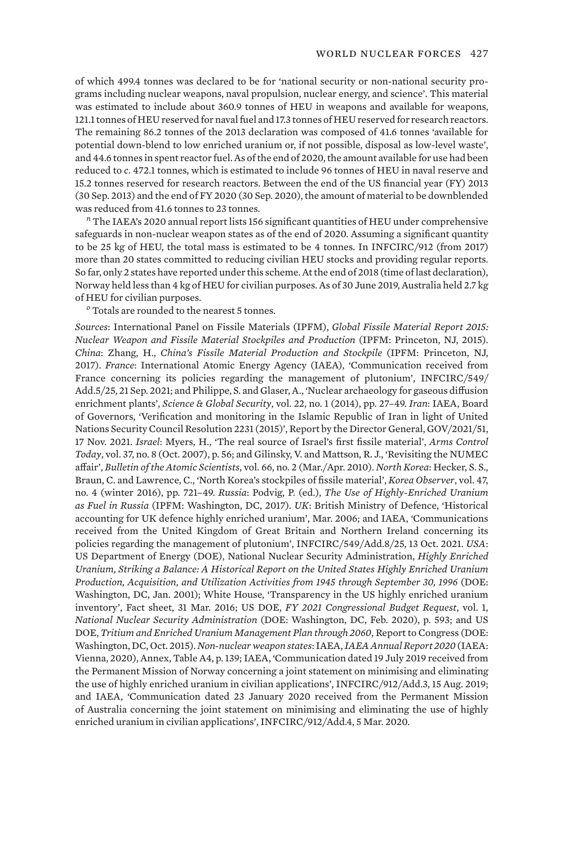of which 499.4 tonnes was declared to be for 'national security or non-national security programs including nuclear weapons, naval propulsion, nuclear energy, and science'. This material was estimated to include about 360.9 tonnes of HEU in weapons and available for weapons, 121.1 tonnes of HEU reserved for naval fuel and 17.3 tonnes of HEU reserved for research reactors. The remaining 86.2 tonnes of the 2013 declaration was composed of 41.6 tonnes 'available for potential down-blend to low enriched uranium or, if not possible, disposal as low-level waste', and 44.6 tonnes in spent reactor fuel. As of the end of 2020, the amount available for use had been reduced to *c*. 472.1 tonnes, which is estimated to include 96 tonnes of HEU in naval reserve and 15.2 tonnes reserved for research reactors. Between the end of the US financial year (FY) 2013 (30 Sep. 2013) and the end of FY 2020 (30 Sep. 2020), the amount of material to be downblended was reduced from 41.6 tonnes to 23 tonnes.

*<sup>n</sup>* The IAEA's 2020 annual report lists 156 significant quantities of HEU under comprehensive safeguards in non-nuclear weapon states as of the end of 2020. Assuming a significant quantity to be 25 kg of HEU, the total mass is estimated to be 4 tonnes. In INFCIRC/912 (from 2017) more than 20 states committed to reducing civilian HEU stocks and providing regular reports. So far, only 2 states have reported under this scheme. At the end of 2018 (time of last declaration), Norway held less than 4 kg of HEU for civilian purposes. As of 30 June 2019, Australia held 2.7 kg of HEU for civilian purposes.

*<sup>o</sup>* Totals are rounded to the nearest 5 tonnes.

*Sources*: International Panel on Fissile Materials (IPFM), *Global Fissile Material Report 2015: Nuclear Weapon and Fissile Material Stockpiles and Production* (IPFM: Princeton, NJ, 2015). *China*: Zhang, H., *China's Fissile Material Production and Stockpile* (IPFM: Princeton, NJ, 2017). *France*: International Atomic Energy Agency (IAEA), ['Communication received from](https://www.iaea.org/sites/default/files/publications/documents/infcircs/1998/infcirc549a5-24.pdf) [France concerning its policies regarding the management of plutonium](https://www.iaea.org/sites/default/files/publications/documents/infcircs/1998/infcirc549a5-24.pdf)', INFCIRC/549/ Add.5/25, 21 Sep. 2021; and Philippe, S. and Glaser, A., 'Nuclear archaeology for gaseous diffusion enrichment plants', *Science & Global Security*, vol. 22, no. 1 (2014), pp. 27–49. *Iran*: IAEA, Board of Governors, '[Verification and monitoring in the Islamic Republic of Iran in light of United](https://www.iaea.org/sites/default/files/21/11/gov2021-51.pdf) [Nations Security Council Resolution 2231 \(2015\)](https://www.iaea.org/sites/default/files/21/11/gov2021-51.pdf)', Report by the Director General, GOV/2021/51, 17 Nov. 2021. *Israel*: Myers, H., 'The real source of Israel's first fissile material', *Arms Control Today*, vol. 37, no. 8 (Oct. 2007), p. 56; and Gilinsky, V. and Mattson, R. J., ['Revisiting the NUMEC](https://doi.org/10.2968/066002007) [affair](https://doi.org/10.2968/066002007)', *Bulletin of the Atomic Scientists*, vol. 66, no. 2 (Mar./Apr. 2010). *North Korea*: Hecker, S. S., Braun, C. and Lawrence, C., 'North Korea's stockpiles of fissile material', *Korea Observer*, vol. 47, no. 4 (winter 2016), pp. 721–49. *Russia*: Podvig, P. (ed.), *The Use of Highly-Enriched Uranium as Fuel in Russia* (IPFM: Washington, DC, 2017). *UK*: British Ministry of Defence, 'Historical accounting for UK defence highly enriched uranium', Mar. 2006; and IAEA, ['Communications](https://www.iaea.org/sites/default/files/publications/documents/infcircs/1998/infcirc549a8-23.pdf) [received from the United Kingdom of Great Britain and Northern Ireland concerning its](https://www.iaea.org/sites/default/files/publications/documents/infcircs/1998/infcirc549a8-23.pdf) [policies regarding the management of plutonium](https://www.iaea.org/sites/default/files/publications/documents/infcircs/1998/infcirc549a8-23.pdf)', INFCIRC/549/Add.8/25, 13 Oct. 2021. *USA*: US Department of Energy (DOE), National Nuclear Security Administration, *Highly Enriched Uranium, Striking a Balance: A Historical Report on the United States Highly Enriched Uranium Production, Acquisition, and Utilization Activities from 1945 through September 30, 1996* (DOE: Washington, DC, Jan. 2001); White House, 'Transparency in the US highly enriched uranium inventory', Fact sheet, 31 Mar. 2016; US DOE, *FY 2021 Congressional Budget Request*, vol. 1, *National Nuclear Security Administration* (DOE: Washington, DC, Feb. 2020), p. 593; and US DOE, *Tritium and Enriched Uranium Management Plan through 2060*, Report to Congress (DOE: Washington, DC, Oct. 2015). *Non-nuclear weapon states*: IAEA, *[IAEA Annual Report 2020](https://www.iaea.org/sites/default/files/publications/reports/2020/gc65-5.pdf)* (IAEA: Vienna, 2020), Annex, Table A4, p. 139; IAEA, '[Communication dated 19 July 2019 received from](https://www.iaea.org/sites/default/files/publications/documents/infcircs/2017/infcirc912a3.pdf) [the Permanent Mission of Norway concerning a joint statement on minimising and eliminating](https://www.iaea.org/sites/default/files/publications/documents/infcircs/2017/infcirc912a3.pdf) [the use of highly enriched uranium in civilian applications](https://www.iaea.org/sites/default/files/publications/documents/infcircs/2017/infcirc912a3.pdf)', INFCIRC/912/Add.3, 15 Aug. 2019; and IAEA, '[Communication dated 23 January 2020 received from the Permanent Mission](https://www.iaea.org/sites/default/files/publications/documents/infcircs/2017/infcirc912a4.pdf) [of Australia concerning the joint statement on minimising and eliminating the use of highly](https://www.iaea.org/sites/default/files/publications/documents/infcircs/2017/infcirc912a4.pdf) [enriched uranium in civilian applications](https://www.iaea.org/sites/default/files/publications/documents/infcircs/2017/infcirc912a4.pdf)', INFCIRC/912/Add.4, 5 Mar. 2020.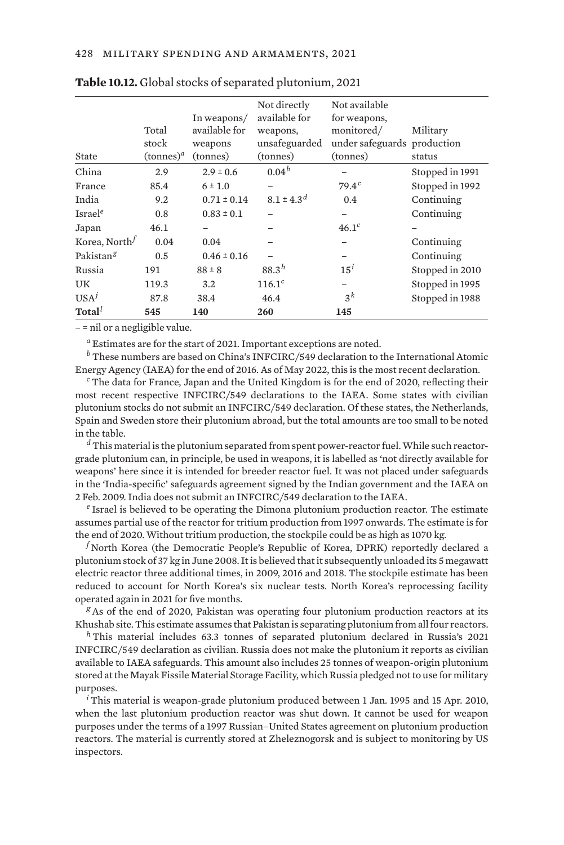| State                 | Total<br>stock<br>$(\text{tonnes})^d$ | In weapons/<br>available for<br>weapons<br>(tonnes) | Not directly<br>available for<br>weapons,<br>unsafeguarded<br>(tonnes) | Not available<br>for weapons,<br>monitored/<br>under safeguards production<br>(tonnes) | Military<br>status |
|-----------------------|---------------------------------------|-----------------------------------------------------|------------------------------------------------------------------------|----------------------------------------------------------------------------------------|--------------------|
| China                 | 2.9                                   | $2.9 \pm 0.6$                                       | $0.04^{b}$                                                             |                                                                                        | Stopped in 1991    |
| France                | 85.4                                  | $6 \pm 1.0$                                         |                                                                        | $79.4^{c}$                                                                             | Stopped in 1992    |
| India                 | 9.2                                   | $0.71 \pm 0.14$                                     | $8.1 \pm 4.3^{d}$                                                      | 0.4                                                                                    | Continuing         |
| Israel <sup>e</sup>   | 0.8                                   | $0.83 \pm 0.1$                                      |                                                                        |                                                                                        | Continuing         |
| Japan                 | 46.1                                  |                                                     |                                                                        | 46.1 <sup>c</sup>                                                                      |                    |
| Korea, Northf         | 0.04                                  | 0.04                                                |                                                                        |                                                                                        | Continuing         |
| Pakistan <sup>g</sup> | 0.5                                   | $0.46 \pm 0.16$                                     |                                                                        |                                                                                        | Continuing         |
| Russia                | 191                                   | $88 \pm 8$                                          | $88.3^{h}$                                                             | $15^i$                                                                                 | Stopped in 2010    |
| UК                    | 119.3                                 | 3.2                                                 | $116.1^{c}$                                                            |                                                                                        | Stopped in 1995    |
| USA <sup>j</sup>      | 87.8                                  | 38.4                                                | 46.4                                                                   | $3^k$                                                                                  | Stopped in 1988    |
| Total <sup>l</sup>    | 545                                   | 140                                                 | 260                                                                    | 145                                                                                    |                    |

| Table 10.12. Global stocks of separated plutonium, 2021 |  |  |
|---------------------------------------------------------|--|--|
|---------------------------------------------------------|--|--|

– = nil or a negligible value.

*<sup>a</sup>* Estimates are for the start of 2021. Important exceptions are noted.

*<sup>b</sup>* These numbers are based on China's INFCIRC/549 declaration to the International Atomic Energy Agency (IAEA) for the end of 2016. As of May 2022, this is the most recent declaration.

*<sup>c</sup>* The data for France, Japan and the United Kingdom is for the end of 2020, reflecting their most recent respective INFCIRC/549 declarations to the IAEA. Some states with civilian plutonium stocks do not submit an INFCIRC/549 declaration. Of these states, the Netherlands, Spain and Sweden store their plutonium abroad, but the total amounts are too small to be noted in the table.

*<sup>d</sup>* This material is the plutonium separated from spent power-reactor fuel. While such reactorgrade plutonium can, in principle, be used in weapons, it is labelled as 'not directly available for weapons' here since it is intended for breeder reactor fuel. It was not placed under safeguards in the 'India-specific' safeguards agreement signed by the Indian government and the IAEA on 2 Feb. 2009. India does not submit an INFCIRC/549 declaration to the IAEA.

*<sup>e</sup>* Israel is believed to be operating the Dimona plutonium production reactor. The estimate assumes partial use of the reactor for tritium production from 1997 onwards. The estimate is for the end of 2020. Without tritium production, the stockpile could be as high as 1070 kg.

*<sup>f</sup>* North Korea (the Democratic People's Republic of Korea, DPRK) reportedly declared a plutonium stock of 37 kg in June 2008. It is believed that it subsequently unloaded its 5 megawatt electric reactor three additional times, in 2009, 2016 and 2018. The stockpile estimate has been reduced to account for North Korea's six nuclear tests. North Korea's reprocessing facility operated again in 2021 for five months.

*<sup>g</sup>* As of the end of 2020, Pakistan was operating four plutonium production reactors at its Khushab site. This estimate assumes that Pakistan is separating plutonium from all four reactors.

*<sup>h</sup>* This material includes 63.3 tonnes of separated plutonium declared in Russia's 2021 INFCIRC/549 declaration as civilian. Russia does not make the plutonium it reports as civilian available to IAEA safeguards. This amount also includes 25 tonnes of weapon-origin plutonium stored at the Mayak Fissile Material Storage Facility, which Russia pledged not to use for military purposes.

*<sup>i</sup>* This material is weapon-grade plutonium produced between 1 Jan. 1995 and 15 Apr. 2010, when the last plutonium production reactor was shut down. It cannot be used for weapon purposes under the terms of a 1997 Russian–United States agreement on plutonium production reactors. The material is currently stored at Zheleznogorsk and is subject to monitoring by US inspectors.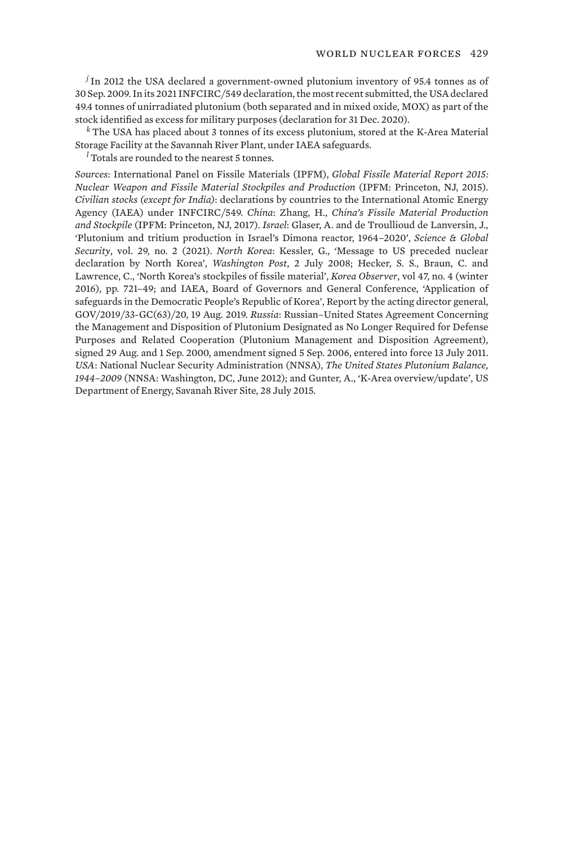*<sup>j</sup>* In 2012 the USA declared a government-owned plutonium inventory of 95.4 tonnes as of 30 Sep. 2009. In its 2021 INFCIRC/549 declaration, the most recent submitted, the USA declared 49.4 tonnes of unirradiated plutonium (both separated and in mixed oxide, MOX) as part of the stock identified as excess for military purposes (declaration for 31 Dec. 2020).

*<sup>k</sup>* The USA has placed about 3 tonnes of its excess plutonium, stored at the K-Area Material Storage Facility at the Savannah River Plant, under IAEA safeguards.

*<sup>l</sup>* Totals are rounded to the nearest 5 tonnes.

*Sources*: International Panel on Fissile Materials (IPFM), *Global Fissile Material Report 2015: Nuclear Weapon and Fissile Material Stockpiles and Production* (IPFM: Princeton, NJ, 2015). *Civilian stocks (except for India)*: declarations by countries to the International Atomic Energy Agency (IAEA) under INFCIRC/549. *China*: Zhang, H., *China's Fissile Material Production and Stockpile* (IPFM: Princeton, NJ, 2017). *Israel*: Glaser, A. and de Troullioud de Lanversin, J., '[Plutonium and tritium production in Israel's Dimona reactor, 1964–2020'](https://doi.org/10.1080/08929882.2021.1988325), *Science & Global Security*, vol. 29, no. 2 (2021). *North Korea*: Kessler, G., 'Message to US preceded nuclear declaration by North Korea', *Washington Post*, 2 July 2008; Hecker, S. S., Braun, C. and Lawrence, C., 'North Korea's stockpiles of fissile material', *Korea Observer*, vol 47, no. 4 (winter 2016), pp. 721–49; and IAEA, Board of Governors and General Conference, 'Application of safeguards in the Democratic People's Republic of Korea', Report by the acting director general, GOV/2019/33-GC(63)/20, 19 Aug. 2019. *Russia*: Russian–United States Agreement Concerning the Management and Disposition of Plutonium Designated as No Longer Required for Defense Purposes and Related Cooperation (Plutonium Management and Disposition Agreement), signed 29 Aug. and 1 Sep. 2000, amendment signed 5 Sep. 2006, entered into force 13 July 2011. *USA*: National Nuclear Security Administration (NNSA), *The United States Plutonium Balance, 1944–2009* (NNSA: Washington, DC, June 2012); and Gunter, A., 'K-Area overview/update', US Department of Energy, Savanah River Site, 28 July 2015.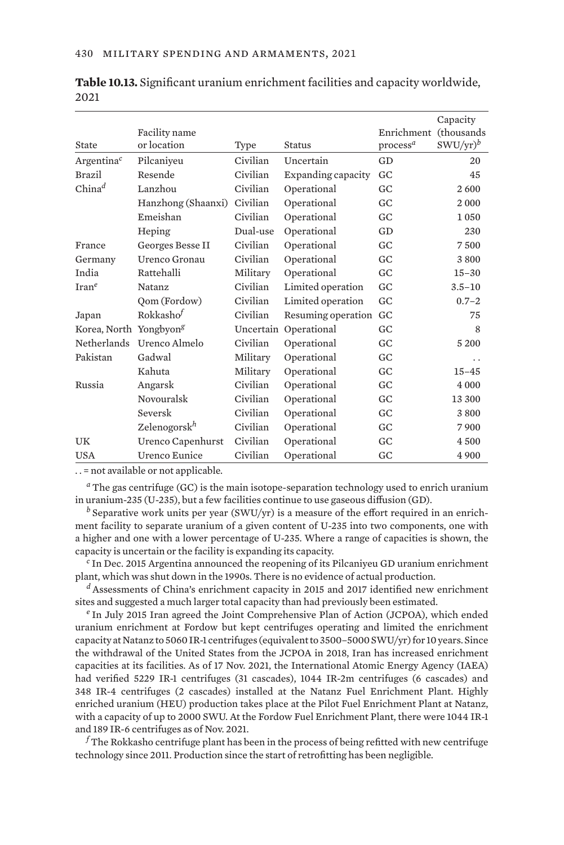|                                    |                          |           |                    |                      | Capacity    |
|------------------------------------|--------------------------|-----------|--------------------|----------------------|-------------|
|                                    | Facility name            |           |                    | Enrichment           | (thousands) |
| State                              | or location              | Type      | <b>Status</b>      | process <sup>a</sup> | $SWU/yr)^b$ |
| $Argentina^c$                      | Pilcaniyeu               | Civilian  | Uncertain          | GD                   | 20          |
| <b>Brazil</b>                      | Resende                  | Civilian  | Expanding capacity | GC                   | 45          |
| $China^d$                          | Lanzhou                  | Civilian  | Operational        | GC                   | 2600        |
|                                    | Hanzhong (Shaanxi)       | Civilian  | Operational        | GC                   | 2000        |
|                                    | Emeishan                 | Civilian  | Operational        | GC                   | 1050        |
|                                    | Heping                   | Dual-use  | Operational        | GD                   | 230         |
| France                             | Georges Besse II         | Civilian  | Operational        | GC                   | 7500        |
| Germany                            | Urenco Gronau            | Civilian  | Operational        | GC                   | 3800        |
| India                              | Rattehalli               | Military  | Operational        | GC                   | $15 - 30$   |
| $\text{Iran}^e$                    | Natanz                   | Civilian  | Limited operation  | GC                   | $3.5 - 10$  |
|                                    | Qom (Fordow)             | Civilian  | Limited operation  | GC                   | $0.7 - 2$   |
| Japan                              | Rokkasho <sup>f</sup>    | Civilian  | Resuming operation | GC                   | 75          |
| Korea, North Yongbyon <sup>g</sup> |                          | Uncertain | Operational        | GC                   | 8           |
| Netherlands                        | Urenco Almelo            | Civilian  | Operational        | GC                   | 5 2 0 0     |
| Pakistan                           | Gadwal                   | Military  | Operational        | GC                   | . .         |
|                                    | Kahuta                   | Military  | Operational        | GC                   | $15 - 45$   |
| Russia                             | Angarsk                  | Civilian  | Operational        | GC                   | 4 0 0 0     |
|                                    | Novouralsk               | Civilian  | Operational        | GC                   | 13 300      |
|                                    | Seversk                  | Civilian  | Operational        | GC                   | 3800        |
|                                    | Zelenogorsk <sup>h</sup> | Civilian  | Operational        | GC                   | 7900        |
| UK                                 | Urenco Capenhurst        | Civilian  | Operational        | GC                   | 4500        |
| <b>USA</b>                         | Urenco Eunice            | Civilian  | Operational        | GC                   | 4 9 0 0     |

**Table 10.13.** Significant uranium enrichment facilities and capacity worldwide, 2021

. . = not available or not applicable.

*<sup>a</sup>* The gas centrifuge (GC) is the main isotope-separation technology used to enrich uranium in uranium-235 (U-235), but a few facilities continue to use gaseous diffusion (GD).

*<sup>b</sup>* Separative work units per year (SWU/yr) is a measure of the effort required in an enrichment facility to separate uranium of a given content of U-235 into two components, one with a higher and one with a lower percentage of U-235. Where a range of capacities is shown, the capacity is uncertain or the facility is expanding its capacity.

*<sup>c</sup>* In Dec. 2015 Argentina announced the reopening of its Pilcaniyeu GD uranium enrichment plant, which was shut down in the 1990s. There is no evidence of actual production.

*<sup>d</sup>* Assessments of China's enrichment capacity in 2015 and 2017 identified new enrichment sites and suggested a much larger total capacity than had previously been estimated.

*<sup>e</sup>* In July 2015 Iran agreed the Joint Comprehensive Plan of Action (JCPOA), which ended uranium enrichment at Fordow but kept centrifuges operating and limited the enrichment capacity at Natanz to 5060 IR-1 centrifuges (equivalent to 3500–5000 SWU/yr) for 10 years. Since the withdrawal of the United States from the JCPOA in 2018, Iran has increased enrichment capacities at its facilities. As of 17 Nov. 2021, the International Atomic Energy Agency (IAEA) had verified 5229 IR-1 centrifuges (31 cascades), 1044 IR-2m centrifuges (6 cascades) and 348 IR-4 centrifuges (2 cascades) installed at the Natanz Fuel Enrichment Plant. Highly enriched uranium (HEU) production takes place at the Pilot Fuel Enrichment Plant at Natanz, with a capacity of up to 2000 SWU. At the Fordow Fuel Enrichment Plant, there were 1044 IR-1 and 189 IR-6 centrifuges as of Nov. 2021.

*<sup>f</sup>* The Rokkasho centrifuge plant has been in the process of being refitted with new centrifuge technology since 2011. Production since the start of retrofitting has been negligible.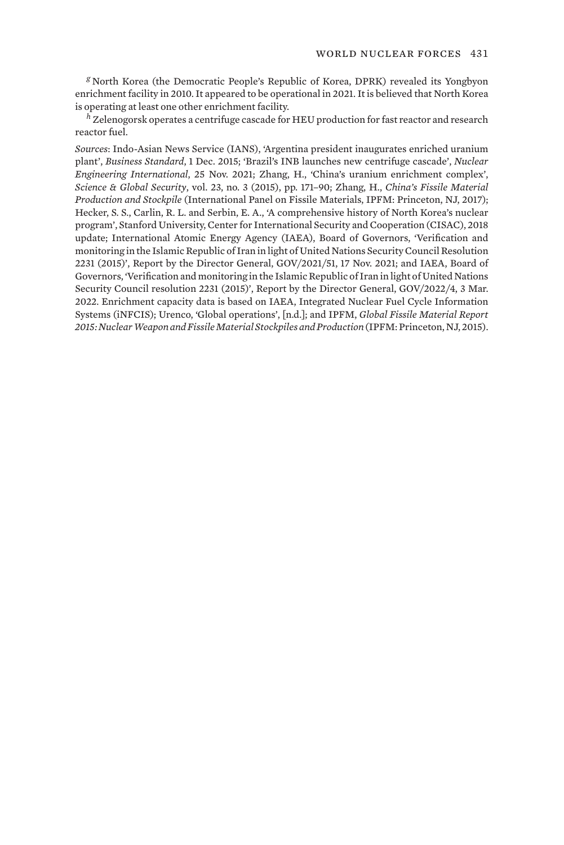*<sup>g</sup>* North Korea (the Democratic People's Republic of Korea, DPRK) revealed its Yongbyon enrichment facility in 2010. It appeared to be operational in 2021. It is believed that North Korea is operating at least one other enrichment facility.

*<sup>h</sup>* Zelenogorsk operates a centrifuge cascade for HEU production for fast reactor and research reactor fuel.

*Sources*: Indo-Asian News Service (IANS), 'Argentina president inaugurates enriched uranium plant', *Business Standard*, 1 Dec. 2015; '[Brazil's INB launches new centrifuge cascade'](https://www.neimagazine.com/news/newsbrazils-inb-launches-new-centrifuge-cascade-9277802), *Nuclear Engineering International*, 25 Nov. 2021; Zhang, H., 'China's uranium enrichment complex', *Science & Global Security*, vol. 23, no. 3 (2015), pp. 171–90; Zhang, H., *China's Fissile Material Production and Stockpile* (International Panel on Fissile Materials, IPFM: Princeton, NJ, 2017); Hecker, S. S., Carlin, R. L. and Serbin, E. A., 'A comprehensive history of North Korea's nuclear program', Stanford University, Center for International Security and Cooperation (CISAC), 2018 update; International Atomic Energy Agency (IAEA), Board of Governors, ['Verification and](https://www.iaea.org/sites/default/files/21/11/gov2021-51.pdf) [monitoring in the Islamic Republic of Iran in light of United Nations Security Council Resolution](https://www.iaea.org/sites/default/files/21/11/gov2021-51.pdf) [2231 \(2015\)](https://www.iaea.org/sites/default/files/21/11/gov2021-51.pdf)', Report by the Director General, GOV/2021/51, 17 Nov. 2021; and IAEA, Board of Governors, '[Verification and monitoring in the Islamic Republic of Iran in light of United Nations](https://www.iaea.org/sites/default/files/22/03/gov2022-4.pdf) [Security Council resolution 2231 \(2015\)](https://www.iaea.org/sites/default/files/22/03/gov2022-4.pdf)', Report by the Director General, GOV/2022/4, 3 Mar. 2022. Enrichment capacity data is based on IAEA, [Integrated Nuclear Fuel Cycle Information](https://www.iaea.org/resources/databases/integrated-nuclear-fuel-cycle-information-system-infcis) [Systems](https://www.iaea.org/resources/databases/integrated-nuclear-fuel-cycle-information-system-infcis) (iNFCIS); Urenco, ['Global operations](https://www.urenco.com/global-operations)', [n.d.]; and IPFM, *Global Fissile Material Report 2015: Nuclear Weapon and Fissile Material Stockpiles and Production* (IPFM: Princeton, NJ, 2015).